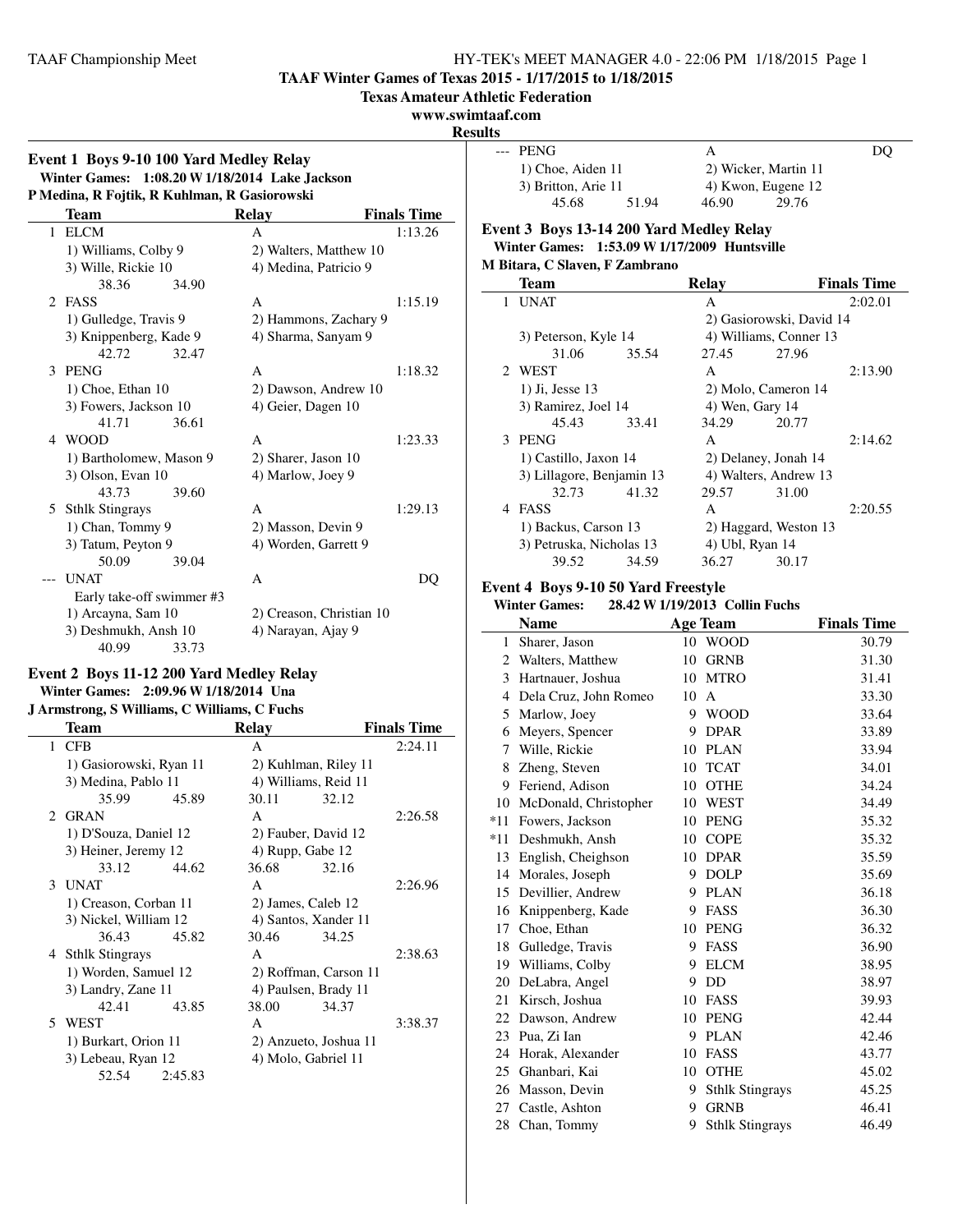**TAAF Winter Games of Texas 2015 - 1/17/2015 to 1/18/2015**

**Texas Amateur Athletic Federation**

#### **www.swimtaaf.com**

**Results**

 $\overline{\phantom{a}}$ 

 $\mathbf{r}$ 

## **Event 1 Boys 9-10 100 Yard Medley Relay Winter Games: 1:08.20 W1/18/2014 Lake Jackson P Medina, R Fojtik, R Kuhlman, R Gasiorowski**

| Team                          | <b>Relay</b>             | <b>Finals Time</b> |
|-------------------------------|--------------------------|--------------------|
| <b>ELCM</b><br>$\mathbf{1}$   | A                        | 1:13.26            |
| 1) Williams, Colby 9          | 2) Walters, Matthew 10   |                    |
| 3) Wille, Rickie 10           | 4) Medina, Patricio 9    |                    |
| 38.36<br>34.90                |                          |                    |
| $\mathfrak{D}$<br><b>FASS</b> | A                        | 1:15.19            |
| 1) Gulledge, Travis 9         | 2) Hammons, Zachary 9    |                    |
| 3) Knippenberg, Kade 9        | 4) Sharma, Sanyam 9      |                    |
| 42.72<br>32.47                |                          |                    |
| PENG<br>3                     | A                        | 1:18.32            |
| $1)$ Choe, Ethan $10$         | 2) Dawson, Andrew 10     |                    |
| 3) Fowers, Jackson 10         | 4) Geier, Dagen 10       |                    |
| 41.71<br>36.61                |                          |                    |
| 4 WOOD                        | A                        | 1:23.33            |
| 1) Bartholomew, Mason 9       | 2) Sharer, Jason 10      |                    |
| 3) Olson, Evan 10             | 4) Marlow, Joey 9        |                    |
| 43.73<br>39.60                |                          |                    |
| <b>Sthlk Stingrays</b><br>5   | A                        | 1:29.13            |
| 1) Chan, Tommy 9              | 2) Masson, Devin 9       |                    |
| 3) Tatum, Peyton 9            | 4) Worden, Garrett 9     |                    |
| 50.09<br>39.04                |                          |                    |
| <b>UNAT</b>                   | A                        | DO                 |
| Early take-off swimmer #3     |                          |                    |
| 1) Arcayna, Sam 10            | 2) Creason, Christian 10 |                    |
| 3) Deshmukh, Ansh 10          | 4) Narayan, Ajay 9       |                    |
| 40.99<br>33.73                |                          |                    |

## **Event 2 Boys 11-12 200 Yard Medley Relay Winter Games: 2:09.96 W1/18/2014 Una**

## **J Armstrong, S Williams, C Williams, C Fuchs**

|   | Team                    |         | <b>Relay</b>         |                       | <b>Finals Time</b> |
|---|-------------------------|---------|----------------------|-----------------------|--------------------|
|   | 1 CFB                   |         | A                    |                       | 2:24.11            |
|   | 1) Gasiorowski, Ryan 11 |         | 2) Kuhlman, Riley 11 |                       |                    |
|   | 3) Medina, Pablo 11     |         | 4) Williams, Reid 11 |                       |                    |
|   | 35.99                   | 45.89   | 30.11                | 32.12                 |                    |
|   | 2 GRAN                  |         | A                    |                       | 2:26.58            |
|   | 1) D'Souza, Daniel 12   |         | 2) Fauber, David 12  |                       |                    |
|   | 3) Heiner, Jeremy 12    |         | 4) Rupp, Gabe 12     |                       |                    |
|   | 33.12                   | 44.62   | 36.68                | 32.16                 |                    |
|   | 3 UNAT                  |         | A                    |                       | 2:26.96            |
|   | 1) Creason, Corban 11   |         | 2) James, Caleb 12   |                       |                    |
|   | 3) Nickel, William 12   |         | 4) Santos, Xander 11 |                       |                    |
|   | 36.43                   | 45.82   | 30.46                | 34.25                 |                    |
|   | 4 Sthlk Stingrays       |         | A                    |                       | 2:38.63            |
|   | 1) Worden, Samuel 12    |         |                      | 2) Roffman, Carson 11 |                    |
|   | 3) Landry, Zane 11      |         | 4) Paulsen, Brady 11 |                       |                    |
|   | 42.41                   | 43.85   | 38.00                | 34.37                 |                    |
| 5 | WEST                    |         | A                    |                       | 3:38.37            |
|   | 1) Burkart, Orion 11    |         |                      | 2) Anzueto, Joshua 11 |                    |
|   | 3) Lebeau, Ryan 12      |         | 4) Molo, Gabriel 11  |                       |                    |
|   | 52.54                   | 2:45.83 |                      |                       |                    |
|   |                         |         |                      |                       |                    |

| --- | <b>PENG</b>         |       | А     |                      | DO |
|-----|---------------------|-------|-------|----------------------|----|
|     | 1) Choe, Aiden 11   |       |       | 2) Wicker, Martin 11 |    |
|     | 3) Britton, Arie 11 |       |       | 4) Kwon, Eugene 12   |    |
|     | 45.68               | 51.94 | 46.90 | 29.76                |    |

#### **Event 3 Boys 13-14 200 Yard Medley Relay Winter Games: 1:53.09 W1/17/2009 Huntsville M Bitara, C Slaven, F Zambrano**

|   | Team                      |       | Relay           |                          | <b>Finals Time</b> |
|---|---------------------------|-------|-----------------|--------------------------|--------------------|
|   | 1 UNAT                    |       | A               |                          | 2:02.01            |
|   |                           |       |                 | 2) Gasiorowski, David 14 |                    |
|   | 3) Peterson, Kyle 14      |       |                 | 4) Williams, Conner 13   |                    |
|   | 31.06                     | 35.54 | 27.45 27.96     |                          |                    |
|   | 2 WEST                    |       | A               |                          | 2:13.90            |
|   | 1) Ji, Jesse 13           |       |                 | 2) Molo, Cameron 14      |                    |
|   | 3) Ramirez, Joel 14       |       | 4) Wen, Gary 14 |                          |                    |
|   | 45.43                     | 33.41 | 34.29           | 20.77                    |                    |
|   | 3 PENG                    |       | A               |                          | 2:14.62            |
|   | 1) Castillo, Jaxon 14     |       |                 | 2) Delaney, Jonah 14     |                    |
|   | 3) Lillagore, Benjamin 13 |       |                 | 4) Walters, Andrew 13    |                    |
|   | 32.73 41.32               |       | 29.57           | 31.00                    |                    |
| 4 | FASS                      |       | A               |                          | 2:20.55            |
|   | 1) Backus, Carson 13      |       |                 | 2) Haggard, Weston 13    |                    |
|   | 3) Petruska, Nicholas 13  |       | 4) Ubl, Ryan 14 |                          |                    |
|   | 39.52                     | 34.59 | 36.27           | 30.17                    |                    |

# **Event 4 Boys 9-10 50 Yard Freestyle**<br>Winter Games: 28.42 W 1/19/2013 0

#### **Winter Games: 28.42 W1/19/2013 Collin Fuchs**

|       | <b>Name</b>           |    | <b>Age Team</b>        | <b>Finals Time</b> |
|-------|-----------------------|----|------------------------|--------------------|
| 1     | Sharer, Jason         |    | 10 WOOD                | 30.79              |
| 2     | Walters, Matthew      | 10 | <b>GRNB</b>            | 31.30              |
| 3     | Hartnauer, Joshua     | 10 | <b>MTRO</b>            | 31.41              |
| 4     | Dela Cruz, John Romeo | 10 | A                      | 33.30              |
| 5     | Marlow, Joey          | 9  | <b>WOOD</b>            | 33.64              |
| 6     | Meyers, Spencer       | 9  | <b>DPAR</b>            | 33.89              |
| 7     | Wille, Rickie         | 10 | <b>PLAN</b>            | 33.94              |
| 8     | Zheng, Steven         | 10 | <b>TCAT</b>            | 34.01              |
| 9     | Feriend, Adison       | 10 | <b>OTHE</b>            | 34.24              |
| 10    | McDonald, Christopher | 10 | <b>WEST</b>            | 34.49              |
| $*11$ | Fowers, Jackson       | 10 | <b>PENG</b>            | 35.32              |
| $*11$ | Deshmukh, Ansh        | 10 | <b>COPE</b>            | 35.32              |
| 13    | English, Cheighson    | 10 | <b>DPAR</b>            | 35.59              |
| 14    | Morales, Joseph       | 9  | <b>DOLP</b>            | 35.69              |
| 15    | Devillier, Andrew     | 9  | <b>PLAN</b>            | 36.18              |
| 16    | Knippenberg, Kade     | 9  | <b>FASS</b>            | 36.30              |
| 17    | Choe, Ethan           | 10 | <b>PENG</b>            | 36.32              |
| 18    | Gulledge, Travis      | 9  | FASS                   | 36.90              |
| 19    | Williams, Colby       | 9  | <b>ELCM</b>            | 38.95              |
| 20    | DeLabra, Angel        | 9  | DD                     | 38.97              |
| 21    | Kirsch, Joshua        | 10 | <b>FASS</b>            | 39.93              |
| 22    | Dawson, Andrew        | 10 | <b>PENG</b>            | 42.44              |
| 23    | Pua, Zi Ian           | 9  | <b>PLAN</b>            | 42.46              |
| 24    | Horak, Alexander      | 10 | FASS                   | 43.77              |
| 25    | Ghanbari, Kai         | 10 | <b>OTHE</b>            | 45.02              |
| 26    | Masson, Devin         | 9  | <b>Sthlk Stingrays</b> | 45.25              |
| 27    | Castle, Ashton        | 9  | <b>GRNB</b>            | 46.41              |
| 28    | Chan, Tommy           | 9  | <b>Sthlk Stingrays</b> | 46.49              |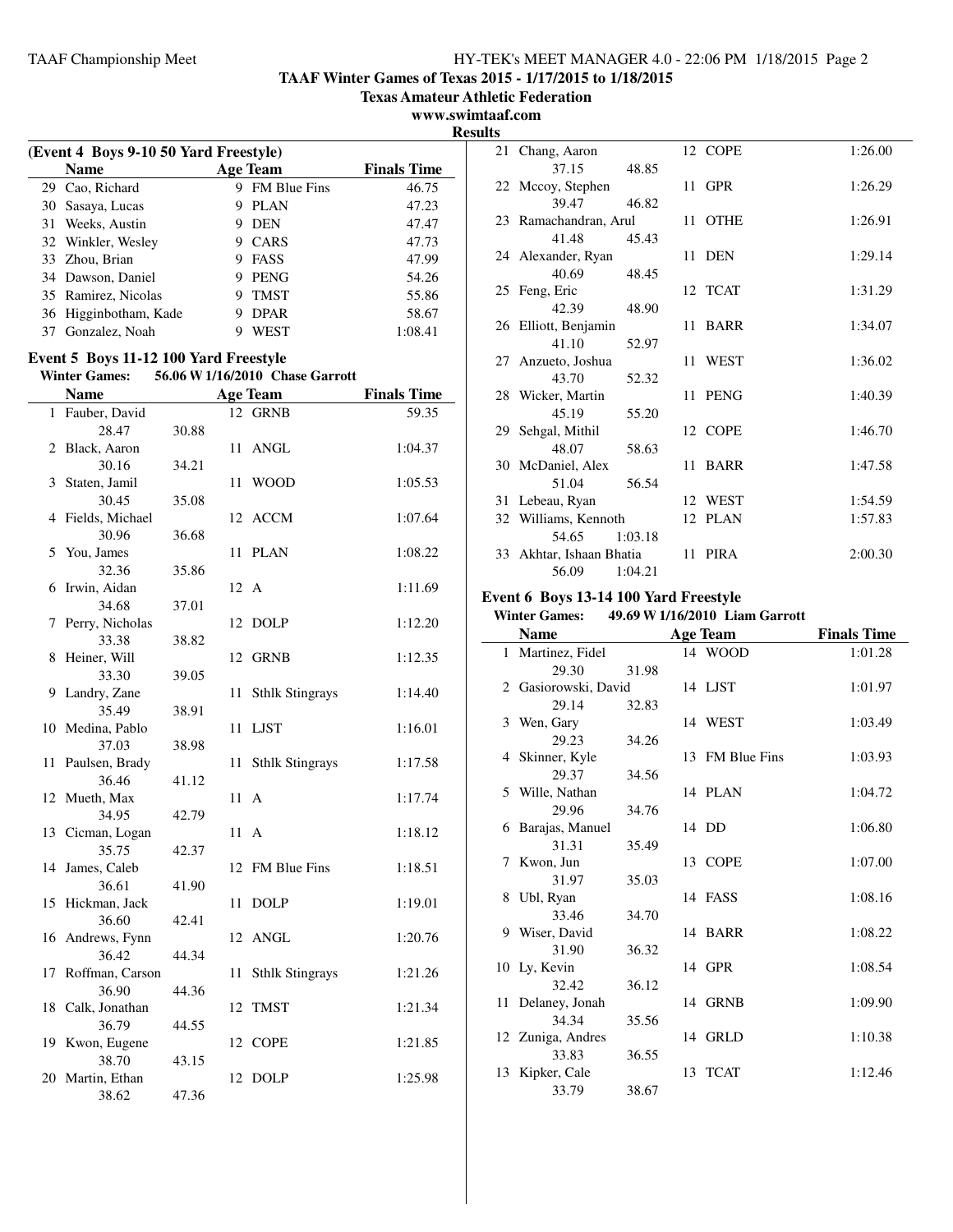**TAAF Winter Games of Texas 2015 - 1/17/2015 to 1/18/2015**

**Texas Amateur Athletic Federation**

**www.swimtaaf.com Results**

|    | (Event 4 Boys 9-10 50 Yard Freestyle) |   |                 |                    |  |  |
|----|---------------------------------------|---|-----------------|--------------------|--|--|
|    | <b>Name</b>                           |   | <b>Age Team</b> | <b>Finals Time</b> |  |  |
|    | 29 Cao, Richard                       | 9 | FM Blue Fins    | 46.75              |  |  |
|    | 30 Sasaya, Lucas                      | 9 | <b>PLAN</b>     | 47.23              |  |  |
| 31 | Weeks, Austin                         | 9 | <b>DEN</b>      | 47.47              |  |  |
|    | 32 Winkler, Wesley                    |   | CARS            | 47.73              |  |  |
|    | 33 Zhou, Brian                        | 9 | FASS            | 47.99              |  |  |
|    | 34 Dawson, Daniel                     |   | <b>PENG</b>     | 54.26              |  |  |
|    | 35 Ramirez, Nicolas                   | 9 | <b>TMST</b>     | 55.86              |  |  |
|    | 36 Higginbotham, Kade                 |   | <b>DPAR</b>     | 58.67              |  |  |
| 37 | Gonzalez, Noah                        |   | WEST            | 1:08.41            |  |  |

## **Event 5 Boys 11-12 100 Yard Freestyle**

**Winter Games: 56.06 W1/16/2010 Chase Garrott**

|    | <b>Name</b>              |       |      | <b>Age Team</b>        | <b>Finals Time</b> |
|----|--------------------------|-------|------|------------------------|--------------------|
|    | 1 Fauber, David          |       |      | 12 GRNB                | 59.35              |
|    | 28.47                    | 30.88 |      |                        |                    |
|    | 2 Black, Aaron           |       | 11   | <b>ANGL</b>            | 1:04.37            |
|    | 30.16                    | 34.21 |      |                        |                    |
|    | 3 Staten, Jamil          |       | 11   | <b>WOOD</b>            | 1:05.53            |
|    | 30.45                    | 35.08 |      |                        |                    |
|    | 4 Fields, Michael        |       | 12   | ACCM                   | 1:07.64            |
|    | 30.96                    | 36.68 |      |                        |                    |
| 5  | You, James               |       | 11   | <b>PLAN</b>            | 1:08.22            |
|    | 32.36                    | 35.86 |      |                        |                    |
| 6  | Irwin, Aidan             |       | 12 A |                        | 1:11.69            |
|    | 34.68                    | 37.01 |      |                        |                    |
| 7  | Perry, Nicholas          |       | 12   | <b>DOLP</b>            | 1:12.20            |
|    | 33.38                    | 38.82 |      |                        |                    |
| 8  | Heiner, Will             |       | 12   | <b>GRNB</b>            | 1:12.35            |
|    | 33.30                    | 39.05 |      |                        |                    |
| 9  | Landry, Zane             |       | 11   | <b>Sthlk Stingrays</b> | 1:14.40            |
|    | 35.49                    | 38.91 |      |                        |                    |
|    | 10 Medina, Pablo         |       | 11   | <b>LJST</b>            | 1:16.01            |
|    | 37.03                    | 38.98 |      |                        |                    |
| 11 | Paulsen, Brady           |       | 11   | <b>Sthlk Stingrays</b> | 1:17.58            |
|    | 36.46                    | 41.12 |      |                        |                    |
|    | 12 Mueth, Max            |       | 11 A |                        | 1:17.74            |
|    | 34.95                    | 42.79 |      |                        |                    |
|    | 13 Cicman, Logan         |       | 11 A |                        | 1:18.12            |
|    | 35.75                    | 42.37 |      |                        |                    |
|    | 14 James, Caleb<br>36.61 | 41.90 | 12   | FM Blue Fins           | 1:18.51            |
| 15 | Hickman, Jack            |       | 11   | <b>DOLP</b>            | 1:19.01            |
|    | 36.60                    | 42.41 |      |                        |                    |
| 16 | Andrews, Fynn            |       | 12   | ANGL                   | 1:20.76            |
|    | 36.42                    | 44.34 |      |                        |                    |
| 17 | Roffman, Carson          |       | 11   | <b>Sthlk Stingrays</b> | 1:21.26            |
|    | 36.90                    | 44.36 |      |                        |                    |
| 18 | Calk, Jonathan           |       | 12   | <b>TMST</b>            | 1:21.34            |
|    | 36.79                    | 44.55 |      |                        |                    |
|    | 19 Kwon, Eugene          |       |      | 12 COPE                | 1:21.85            |
|    | 38.70                    | 43.15 |      |                        |                    |
|    | 20 Martin, Ethan         |       | 12   | <b>DOLP</b>            | 1:25.98            |
|    | 38.62                    | 47.36 |      |                        |                    |

| 21 Chang, Aaron          | 12 COPE | 1:26.00 |
|--------------------------|---------|---------|
| 37.15<br>48.85           |         |         |
| 22 Mccoy, Stephen        | 11 GPR  | 1:26.29 |
| 39.47<br>46.82           |         |         |
| 23 Ramachandran, Arul    | 11 OTHE | 1:26.91 |
| 41.48<br>45.43           |         |         |
| 24 Alexander, Ryan       | 11 DEN  | 1:29.14 |
| 40.69<br>48.45           |         |         |
| 25 Feng, Eric            | 12 TCAT | 1:31.29 |
| 42.39<br>48.90           |         |         |
| 26 Elliott, Benjamin     | 11 BARR | 1:34.07 |
| 41.10<br>52.97           |         |         |
| 27 Anzueto, Joshua       | 11 WEST | 1:36.02 |
| 43.70<br>52.32           |         |         |
| 28 Wicker, Martin        | 11 PENG | 1:40.39 |
| 45.19<br>55.20           |         |         |
| 29 Sehgal, Mithil        | 12 COPE | 1:46.70 |
| 48.07<br>58.63           |         |         |
| 30 McDaniel, Alex        | 11 BARR | 1:47.58 |
| 51.04<br>56.54           |         |         |
| 31 Lebeau, Ryan          | 12 WEST | 1:54.59 |
| 32 Williams, Kennoth     | 12 PLAN | 1:57.83 |
| 54.65<br>1:03.18         |         |         |
| 33 Akhtar, Ishaan Bhatia | 11 PIRA | 2:00.30 |
| 56.09<br>1:04.21         |         |         |

#### **Event 6 Boys 13-14 100 Yard Freestyle Winter Games: 49.69 W1/16/2010 Liam Garrott**

| <b>Name</b>          |       | <b>Age Team</b> | <b>Finals Time</b> |
|----------------------|-------|-----------------|--------------------|
| 1 Martinez, Fidel    |       | 14 WOOD         | 1:01.28            |
| 29.30                | 31.98 |                 |                    |
| 2 Gasiorowski, David |       | 14 LJST         | 1:01.97            |
| 29.14                | 32.83 |                 |                    |
| 3 Wen, Gary          |       | 14 WEST         | 1:03.49            |
| 29.23                | 34.26 |                 |                    |
| 4 Skinner, Kyle      |       | 13 FM Blue Fins | 1:03.93            |
| 29.37                | 34.56 |                 |                    |
| 5 Wille, Nathan      |       | 14 PLAN         | 1:04.72            |
| 29.96                | 34.76 |                 |                    |
| 6 Barajas, Manuel    |       | 14 DD           | 1:06.80            |
| 31.31                | 35.49 |                 |                    |
| 7 Kwon, Jun          |       | 13 COPE         | 1:07.00            |
| 31.97                | 35.03 |                 |                    |
| 8 Ubl, Ryan          |       | 14 FASS         | 1:08.16            |
| 33.46                | 34.70 |                 |                    |
| 9 Wiser, David       |       | 14 BARR         | 1:08.22            |
| 31.90                | 36.32 |                 |                    |
| 10 Ly, Kevin         |       | 14 GPR          | 1:08.54            |
| 32.42                | 36.12 |                 |                    |
| 11 Delaney, Jonah    |       | 14 GRNB         | 1:09.90            |
| 34.34                | 35.56 |                 |                    |
| 12 Zuniga, Andres    |       | 14 GRLD         | 1:10.38            |
| 33.83                | 36.55 |                 |                    |
| 13 Kipker, Cale      |       | 13 TCAT         | 1:12.46            |
| 33.79                | 38.67 |                 |                    |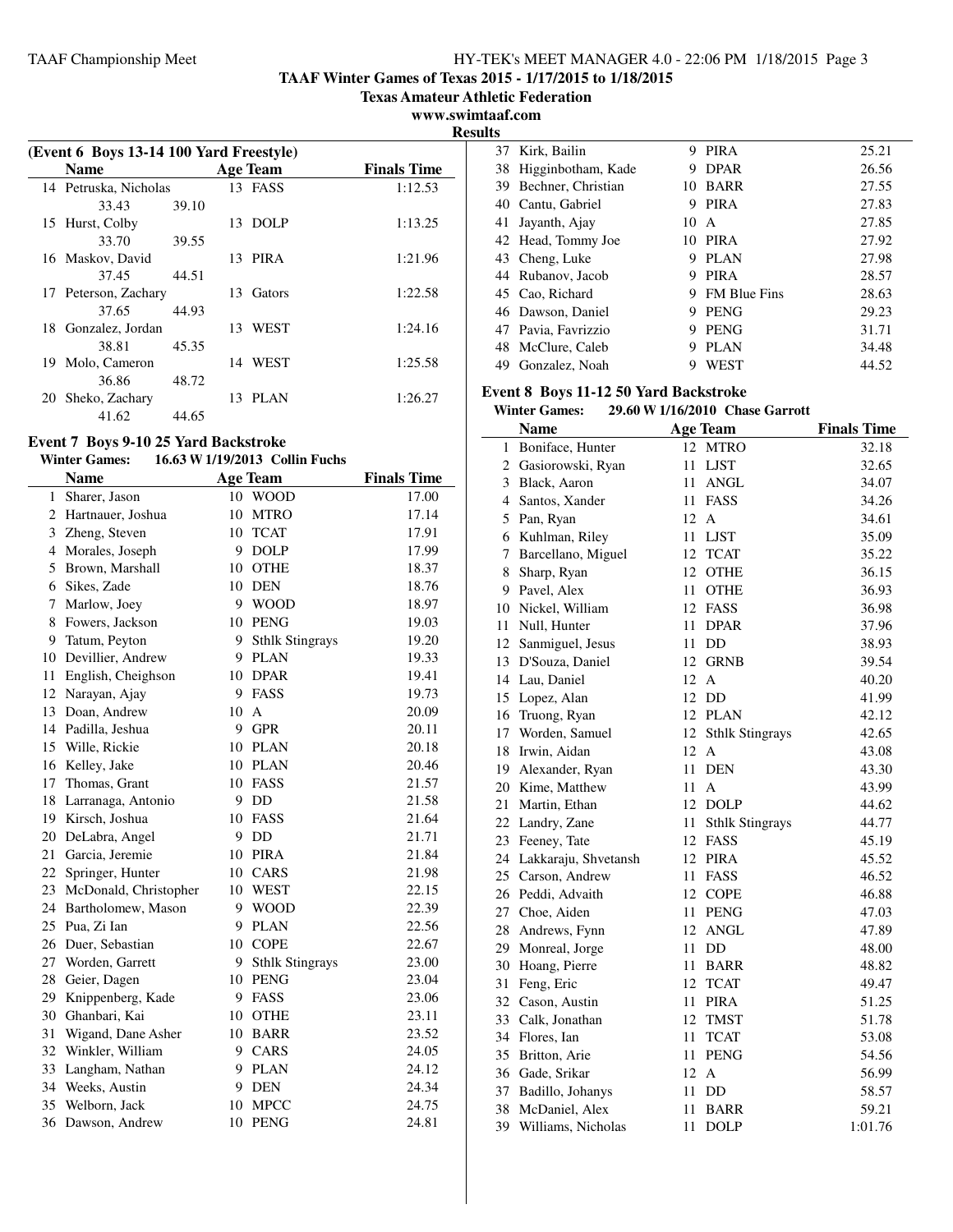**TAAF Winter Games of Texas 2015 - 1/17/2015 to 1/18/2015**

**Texas Amateur Athletic Federation**

**www.swimtaaf.com**

**Results**

| (Event 6 Boys 13-14 100 Yard Freestyle) |                       |       |     |                 |                    |  |
|-----------------------------------------|-----------------------|-------|-----|-----------------|--------------------|--|
|                                         | <b>Name</b>           |       |     | <b>Age Team</b> | <b>Finals Time</b> |  |
|                                         | 14 Petruska, Nicholas |       |     | 13 FASS         | 1:12.53            |  |
|                                         | 33.43                 | 39.10 |     |                 |                    |  |
|                                         | 15 Hurst, Colby       |       |     | 13 DOLP         | 1:13.25            |  |
|                                         | 33.70                 | 39.55 |     |                 |                    |  |
|                                         | 16 Maskov, David      |       |     | 13 PIRA         | 1:21.96            |  |
|                                         | 37.45                 | 44.51 |     |                 |                    |  |
|                                         | 17 Peterson, Zachary  |       | 13. | Gators          | 1:22.58            |  |
|                                         | 37.65                 | 44.93 |     |                 |                    |  |
|                                         | 18 Gonzalez, Jordan   |       |     | 13 WEST         | 1:24.16            |  |
|                                         | 38.81                 | 45.35 |     |                 |                    |  |
| 19                                      | Molo, Cameron         |       |     | 14 WEST         | 1:25.58            |  |
|                                         | 36.86                 | 48.72 |     |                 |                    |  |
| 20                                      | Sheko, Zachary        |       |     | 13 PLAN         | 1:26.27            |  |
|                                         | 41.62                 | 44.65 |     |                 |                    |  |

## **Event 7 Boys 9-10 25 Yard Backstroke**

**Winter Games: 16.63 W1/19/2013 Collin Fuchs**

|                | <b>Name</b>           |    | <b>Age Team</b>        | <b>Finals Time</b> |
|----------------|-----------------------|----|------------------------|--------------------|
| $\mathbf{1}$   | Sharer, Jason         | 10 | <b>WOOD</b>            | 17.00              |
| 2              | Hartnauer, Joshua     | 10 | <b>MTRO</b>            | 17.14              |
| 3              | Zheng, Steven         | 10 | <b>TCAT</b>            | 17.91              |
| $\overline{4}$ | Morales, Joseph       | 9  | <b>DOLP</b>            | 17.99              |
| 5              | Brown, Marshall       | 10 | <b>OTHE</b>            | 18.37              |
| 6              | Sikes, Zade           | 10 | <b>DEN</b>             | 18.76              |
| 7              | Marlow, Joey          | 9  | <b>WOOD</b>            | 18.97              |
| 8              | Fowers, Jackson       | 10 | <b>PENG</b>            | 19.03              |
| 9              | Tatum, Peyton         | 9  | <b>Sthlk Stingrays</b> | 19.20              |
| 10             | Devillier, Andrew     | 9  | <b>PLAN</b>            | 19.33              |
| 11             | English, Cheighson    | 10 | <b>DPAR</b>            | 19.41              |
| 12             | Narayan, Ajay         | 9  | FASS                   | 19.73              |
| 13             | Doan, Andrew          | 10 | A                      | 20.09              |
| 14             | Padilla, Jeshua       | 9  | <b>GPR</b>             | 20.11              |
| 15             | Wille, Rickie         | 10 | <b>PLAN</b>            | 20.18              |
| 16             | Kelley, Jake          | 10 | <b>PLAN</b>            | 20.46              |
| 17             | Thomas, Grant         | 10 | FASS                   | 21.57              |
| 18             | Larranaga, Antonio    | 9  | DD                     | 21.58              |
| 19             | Kirsch, Joshua        | 10 | FASS                   | 21.64              |
| 20             | DeLabra, Angel        | 9  | DD                     | 21.71              |
| 21             | Garcia, Jeremie       | 10 | <b>PIRA</b>            | 21.84              |
| 22             | Springer, Hunter      | 10 | CARS                   | 21.98              |
| 23             | McDonald, Christopher | 10 | <b>WEST</b>            | 22.15              |
| 24             | Bartholomew, Mason    | 9  | <b>WOOD</b>            | 22.39              |
| 25             | Pua, Zi Ian           | 9  | <b>PLAN</b>            | 22.56              |
| 26             | Duer, Sebastian       | 10 | <b>COPE</b>            | 22.67              |
| 27             | Worden, Garrett       | 9  | <b>Sthlk Stingrays</b> | 23.00              |
| 28             | Geier, Dagen          | 10 | <b>PENG</b>            | 23.04              |
| 29             | Knippenberg, Kade     | 9  | FASS                   | 23.06              |
| 30             | Ghanbari, Kai         | 10 | <b>OTHE</b>            | 23.11              |
| 31             | Wigand, Dane Asher    | 10 | <b>BARR</b>            | 23.52              |
| 32             | Winkler, William      | 9  | CARS                   | 24.05              |
| 33             | Langham, Nathan       | 9  | <b>PLAN</b>            | 24.12              |
| 34             | Weeks, Austin         | 9  | <b>DEN</b>             | 24.34              |
| 35             | Welborn, Jack         | 10 | <b>MPCC</b>            | 24.75              |
| 36             | Dawson, Andrew        | 10 | <b>PENG</b>            | 24.81              |

| แร |                     |    |                     |       |
|----|---------------------|----|---------------------|-------|
| 37 | Kirk, Bailin        | 9  | <b>PIRA</b>         | 25.21 |
| 38 | Higginbotham, Kade  | 9  | <b>DPAR</b>         | 26.56 |
| 39 | Bechner, Christian  | 10 | <b>BARR</b>         | 27.55 |
|    | 40 Cantu, Gabriel   | 9  | <b>PIRA</b>         | 27.83 |
| 41 | Jayanth, Ajay       | 10 | A                   | 27.85 |
|    | 42 Head, Tommy Joe  | 10 | PIRA                | 27.92 |
|    | 43 Cheng, Luke      | Q  | <b>PLAN</b>         | 27.98 |
|    | 44 Rubanov, Jacob   | Q  | <b>PIRA</b>         | 28.57 |
|    | 45 Cao, Richard     | 9  | <b>FM Blue Fins</b> | 28.63 |
|    | 46 Dawson, Daniel   | 9  | <b>PENG</b>         | 29.23 |
|    | 47 Pavia, Favrizzio | 9  | <b>PENG</b>         | 31.71 |
|    | 48 McClure, Caleb   | 9  | <b>PLAN</b>         | 34.48 |
| 49 | Gonzalez, Noah      | Q  | WEST                | 44.52 |

## **Event 8 Boys 11-12 50 Yard Backstroke**

**Winter Games: 29.60 W1/16/2010 Chase Garrott**

|    | <b>Name</b>             | <b>Age Team</b>              | <b>Finals Time</b> |
|----|-------------------------|------------------------------|--------------------|
| 1  | Boniface, Hunter        | 12 MTRO                      | 32.18              |
|    | 2 Gasiorowski, Ryan     | 11<br><b>LJST</b>            | 32.65              |
| 3  | Black, Aaron            | <b>ANGL</b><br>11            | 34.07              |
| 4  | Santos, Xander          | 11<br><b>FASS</b>            | 34.26              |
| 5  | Pan, Ryan               | 12<br>A                      | 34.61              |
| 6  | Kuhlman, Riley          | 11<br><b>LJST</b>            | 35.09              |
| 7  | Barcellano, Miguel      | 12<br><b>TCAT</b>            | 35.22              |
| 8  | Sharp, Ryan             | 12<br><b>OTHE</b>            | 36.15              |
| 9. | Pavel, Alex             | 11<br><b>OTHE</b>            | 36.93              |
| 10 | Nickel, William         | 12<br>FASS                   | 36.98              |
| 11 | Null, Hunter            | 11<br><b>DPAR</b>            | 37.96              |
|    | 12 Sanmiguel, Jesus     | 11<br>DD                     | 38.93              |
|    | 13 D'Souza, Daniel      | 12<br><b>GRNB</b>            | 39.54              |
|    | 14 Lau, Daniel          | 12<br>A                      | 40.20              |
|    | 15 Lopez, Alan          | 12<br>DD                     | 41.99              |
|    | 16 Truong, Ryan         | 12<br><b>PLAN</b>            | 42.12              |
| 17 | Worden, Samuel          | 12<br><b>Sthlk Stingrays</b> | 42.65              |
| 18 | Irwin, Aidan            | 12<br>A                      | 43.08              |
|    | 19 Alexander, Ryan      | 11<br><b>DEN</b>             | 43.30              |
|    | 20 Kime, Matthew        | 11<br>A                      | 43.99              |
|    | 21 Martin, Ethan        | 12<br><b>DOLP</b>            | 44.62              |
|    | 22 Landry, Zane         | 11<br><b>Sthlk Stingrays</b> | 44.77              |
|    | 23 Feeney, Tate         | 12<br><b>FASS</b>            | 45.19              |
|    | 24 Lakkaraju, Shvetansh | 12<br><b>PIRA</b>            | 45.52              |
|    | 25 Carson, Andrew       | 11<br>FASS                   | 46.52              |
|    | 26 Peddi, Advaith       | 12<br><b>COPE</b>            | 46.88              |
|    | 27 Choe, Aiden          | <b>PENG</b><br>11            | 47.03              |
| 28 | Andrews, Fynn           | 12<br><b>ANGL</b>            | 47.89              |
|    | 29 Monreal, Jorge       | 11<br>DD                     | 48.00              |
|    | 30 Hoang, Pierre        | 11<br><b>BARR</b>            | 48.82              |
| 31 | Feng, Eric              | <b>TCAT</b><br>12            | 49.47              |
|    | 32 Cason, Austin        | 11<br>PIRA                   | 51.25              |
|    | 33 Calk, Jonathan       | 12<br><b>TMST</b>            | 51.78              |
|    | 34 Flores, Ian          | <b>TCAT</b><br>11            | 53.08              |
|    | 35 Britton, Arie        | 11<br><b>PENG</b>            | 54.56              |
|    | 36 Gade, Srikar         | 12<br>$\mathbf{A}$           | 56.99              |
|    | 37 Badillo, Johanys     | DD<br>11                     | 58.57              |
| 38 | McDaniel, Alex          | 11<br>BARR                   | 59.21              |
| 39 | Williams, Nicholas      | 11<br><b>DOLP</b>            | 1:01.76            |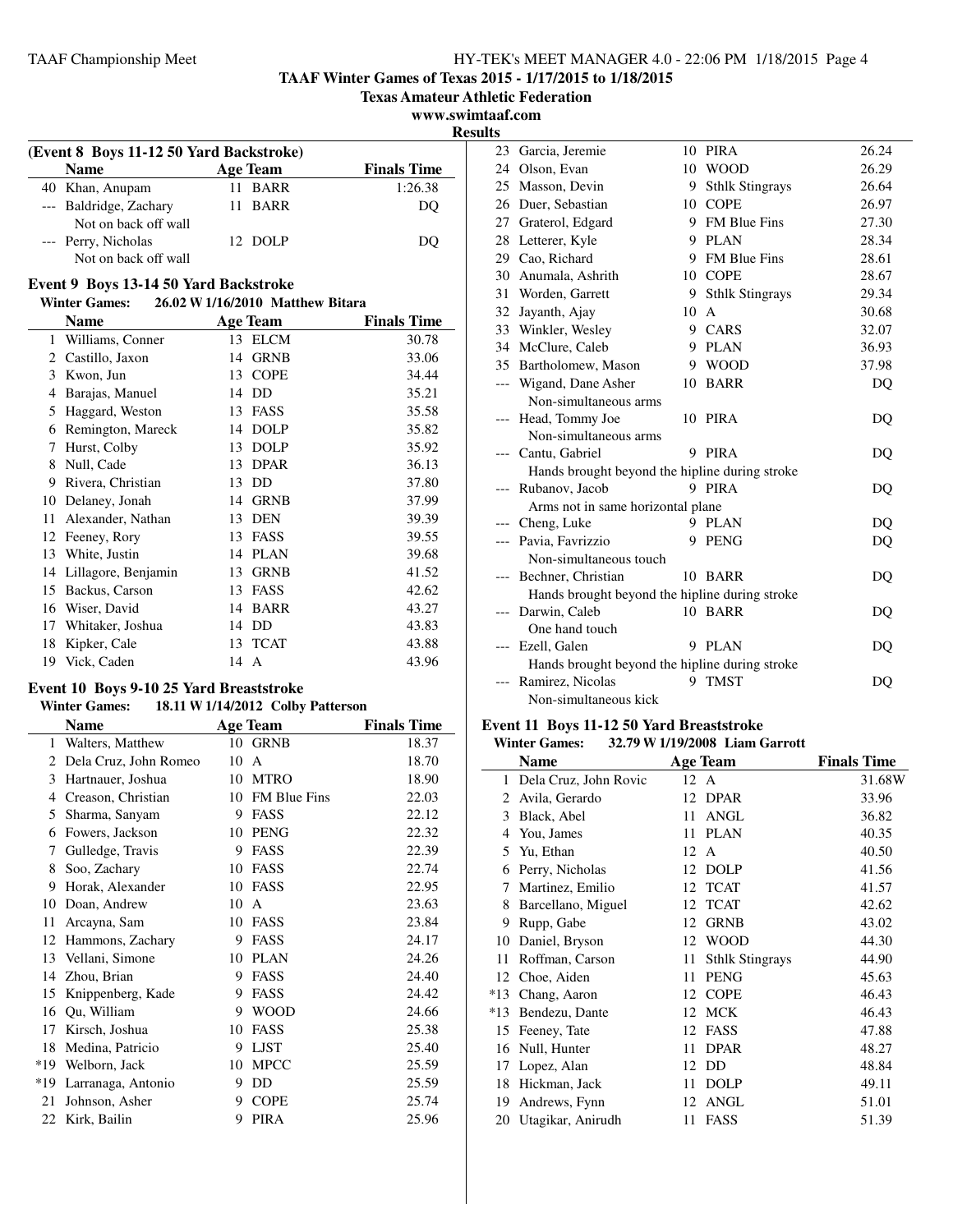**TAAF Winter Games of Texas 2015 - 1/17/2015 to 1/18/2015**

**Texas Amateur Athletic Federation**

**www.swimtaaf.com**

**Results**

| (Event 8 Boys 11-12 50 Yard Backstroke)                             |                 |                    |  |  |
|---------------------------------------------------------------------|-----------------|--------------------|--|--|
| <b>Name</b>                                                         | <b>Age Team</b> | <b>Finals Time</b> |  |  |
| 40 Khan, Anupam                                                     | 11 BARR         | 1:26.38            |  |  |
| --- Baldridge, Zachary                                              | 11 BARR         | DO                 |  |  |
| Not on back off wall<br>--- Perry, Nicholas<br>Not on back off wall | 12 DOLP         | DO                 |  |  |

#### **Event 9 Boys 13-14 50 Yard Backstroke**

## **Winter Games: 26.02 W1/16/2010 Matthew Bitara Name Age Team Finals Time** 1 Williams, Conner 13 ELCM 30.78 2 Castillo, Jaxon 14 GRNB 33.06 3 Kwon, Jun 13 COPE 34.44 4 Barajas, Manuel 14 DD 35.21 5 Haggard, Weston 13 FASS 35.58 6 Remington, Mareck 14 DOLP 35.82 7 Hurst, Colby 13 DOLP 35.92 8 Null, Cade 13 DPAR 36.13 9 Rivera, Christian 13 DD 37.80 10 Delaney, Jonah 14 GRNB 37.99 11 Alexander, Nathan 13 DEN 39.39 12 Feeney, Rory 13 FASS 39.55 13 White, Justin 14 PLAN 39.68 14 Lillagore, Benjamin 13 GRNB 41.52 15 Backus, Carson 13 FASS 42.62 16 Wiser, David 14 BARR 43.27 17 Whitaker, Joshua 14 DD 43.83 18 Kipker, Cale 13 TCAT 43.88 19 Vick, Caden 14 A 43.96

## **Event 10 Boys 9-10 25 Yard Breaststroke**

## **Winter Games: 18.11 W1/14/2012 Colby Patterson**

|     | Name                  |    | <b>Age Team</b>     | <b>Finals Time</b> |
|-----|-----------------------|----|---------------------|--------------------|
| 1   | Walters, Matthew      | 10 | <b>GRNB</b>         | 18.37              |
| 2   | Dela Cruz, John Romeo | 10 | A                   | 18.70              |
| 3   | Hartnauer, Joshua     | 10 | <b>MTRO</b>         | 18.90              |
| 4   | Creason, Christian    | 10 | <b>FM Blue Fins</b> | 22.03              |
| 5   | Sharma, Sanyam        | 9  | FASS                | 22.12              |
| 6   | Fowers, Jackson       | 10 | <b>PENG</b>         | 22.32              |
| 7   | Gulledge, Travis      | 9  | <b>FASS</b>         | 22.39              |
| 8   | Soo, Zachary          | 10 | FASS                | 22.74              |
| 9   | Horak, Alexander      | 10 | <b>FASS</b>         | 22.95              |
| 10  | Doan, Andrew          | 10 | A                   | 23.63              |
| 11  | Arcayna, Sam          | 10 | <b>FASS</b>         | 23.84              |
| 12  | Hammons, Zachary      | 9  | FASS                | 24.17              |
| 13  | Vellani, Simone       | 10 | <b>PLAN</b>         | 24.26              |
| 14  | Zhou, Brian           | 9  | <b>FASS</b>         | 24.40              |
| 15  | Knippenberg, Kade     | 9  | <b>FASS</b>         | 24.42              |
| 16  | Qu, William           | 9  | <b>WOOD</b>         | 24.66              |
| 17  | Kirsch, Joshua        | 10 | <b>FASS</b>         | 25.38              |
| 18  | Medina, Patricio      | 9  | <b>LJST</b>         | 25.40              |
| *19 | Welborn, Jack         | 10 | <b>MPCC</b>         | 25.59              |
| *19 | Larranaga, Antonio    | 9  | DD                  | 25.59              |
| 21  | Johnson, Asher        | 9  | <b>COPE</b>         | 25.74              |
| 22  | Kirk, Bailin          | 9  | <b>PIRA</b>         | 25.96              |

|       | 23 Garcia, Jeremie                             |         | 10 PIRA                | 26.24 |
|-------|------------------------------------------------|---------|------------------------|-------|
|       | 24 Olson, Evan                                 |         | 10 WOOD                | 26.29 |
|       | 25 Masson, Devin                               | 9.      | <b>Sthlk Stingrays</b> | 26.64 |
|       | 26 Duer, Sebastian                             | $10-10$ | <b>COPE</b>            | 26.97 |
|       | 27 Graterol, Edgard                            |         | 9 FM Blue Fins         | 27.30 |
|       | 28 Letterer, Kyle                              |         | 9 PLAN                 | 28.34 |
|       | 29 Cao, Richard                                |         | 9 FM Blue Fins         | 28.61 |
|       | 30 Anumala, Ashrith                            |         | 10 COPE                | 28.67 |
|       | 31 Worden, Garrett                             |         | 9 Sthlk Stingrays      | 29.34 |
| 32    | Jayanth, Ajay                                  | 10      | $\mathsf{A}$           | 30.68 |
|       | 33 Winkler, Wesley                             |         | 9 CARS                 | 32.07 |
|       | 34 McClure, Caleb                              |         | 9 PLAN                 | 36.93 |
|       | 35 Bartholomew, Mason                          |         | 9 WOOD                 | 37.98 |
| ---   | Wigand, Dane Asher                             |         | 10 BARR                | DQ    |
|       | Non-simultaneous arms                          |         |                        |       |
|       | --- Head, Tommy Joe                            |         | 10 PIRA                | DQ    |
|       | Non-simultaneous arms                          |         |                        |       |
|       | --- Cantu, Gabriel                             |         | 9 PIRA                 | DO    |
|       | Hands brought beyond the hipline during stroke |         |                        |       |
|       | --- Rubanov, Jacob                             |         | 9 PIRA                 | DQ    |
|       | Arms not in same horizontal plane              |         |                        |       |
|       | --- Cheng, Luke                                |         | 9 PLAN                 | DQ    |
|       | --- Pavia, Favrizzio                           |         | 9 PENG                 | DQ    |
|       | Non-simultaneous touch                         |         |                        |       |
|       | --- Bechner, Christian                         |         | 10 BARR                | DO    |
|       | Hands brought beyond the hipline during stroke |         |                        |       |
| $---$ | Darwin, Caleb                                  |         | 10 BARR                | DQ    |
|       | One hand touch                                 |         |                        |       |
| ---   | Ezell, Galen                                   |         | 9 PLAN                 | DO    |
|       | Hands brought beyond the hipline during stroke |         |                        |       |
| ---   | Ramirez, Nicolas                               | 9       | <b>TMST</b>            | DO    |
|       | Non-simultaneous kick                          |         |                        |       |

## **Event 11 Boys 11-12 50 Yard Breaststroke**

|       | <b>Winter Games:</b>  |      | 32.79 W 1/19/2008 Liam Garrott |                    |
|-------|-----------------------|------|--------------------------------|--------------------|
|       | <b>Name</b>           |      | <b>Age Team</b>                | <b>Finals Time</b> |
| 1     | Dela Cruz, John Rovic | 12 A |                                | 31.68W             |
| 2     | Avila, Gerardo        | 12   | <b>DPAR</b>                    | 33.96              |
| 3     | Black, Abel           | 11   | ANGL                           | 36.82              |
| 4     | You, James            | 11   | <b>PLAN</b>                    | 40.35              |
| 5     | Yu, Ethan             | 12   | A                              | 40.50              |
| 6     | Perry, Nicholas       | 12   | <b>DOLP</b>                    | 41.56              |
| 7     | Martinez, Emilio      | 12   | <b>TCAT</b>                    | 41.57              |
| 8     | Barcellano, Miguel    | 12   | <b>TCAT</b>                    | 42.62              |
| 9     | Rupp, Gabe            | 12   | <b>GRNB</b>                    | 43.02              |
| 10    | Daniel, Bryson        | 12   | <b>WOOD</b>                    | 44.30              |
| 11    | Roffman, Carson       | 11   | <b>Sthlk Stingrays</b>         | 44.90              |
| 12    | Choe, Aiden           | 11   | <b>PENG</b>                    | 45.63              |
| $*13$ | Chang, Aaron          | 12   | <b>COPE</b>                    | 46.43              |
| $*13$ | Bendezu, Dante        | 12   | <b>MCK</b>                     | 46.43              |
| 15    | Feeney, Tate          | 12   | <b>FASS</b>                    | 47.88              |
| 16    | Null, Hunter          | 11   | <b>DPAR</b>                    | 48.27              |
| 17    | Lopez, Alan           | 12   | DD                             | 48.84              |
| 18    | Hickman, Jack         | 11   | <b>DOLP</b>                    | 49.11              |
| 19    | Andrews, Fynn         | 12   | ANGL                           | 51.01              |
| 20    | Utagikar, Anirudh     | 11   | FASS                           | 51.39              |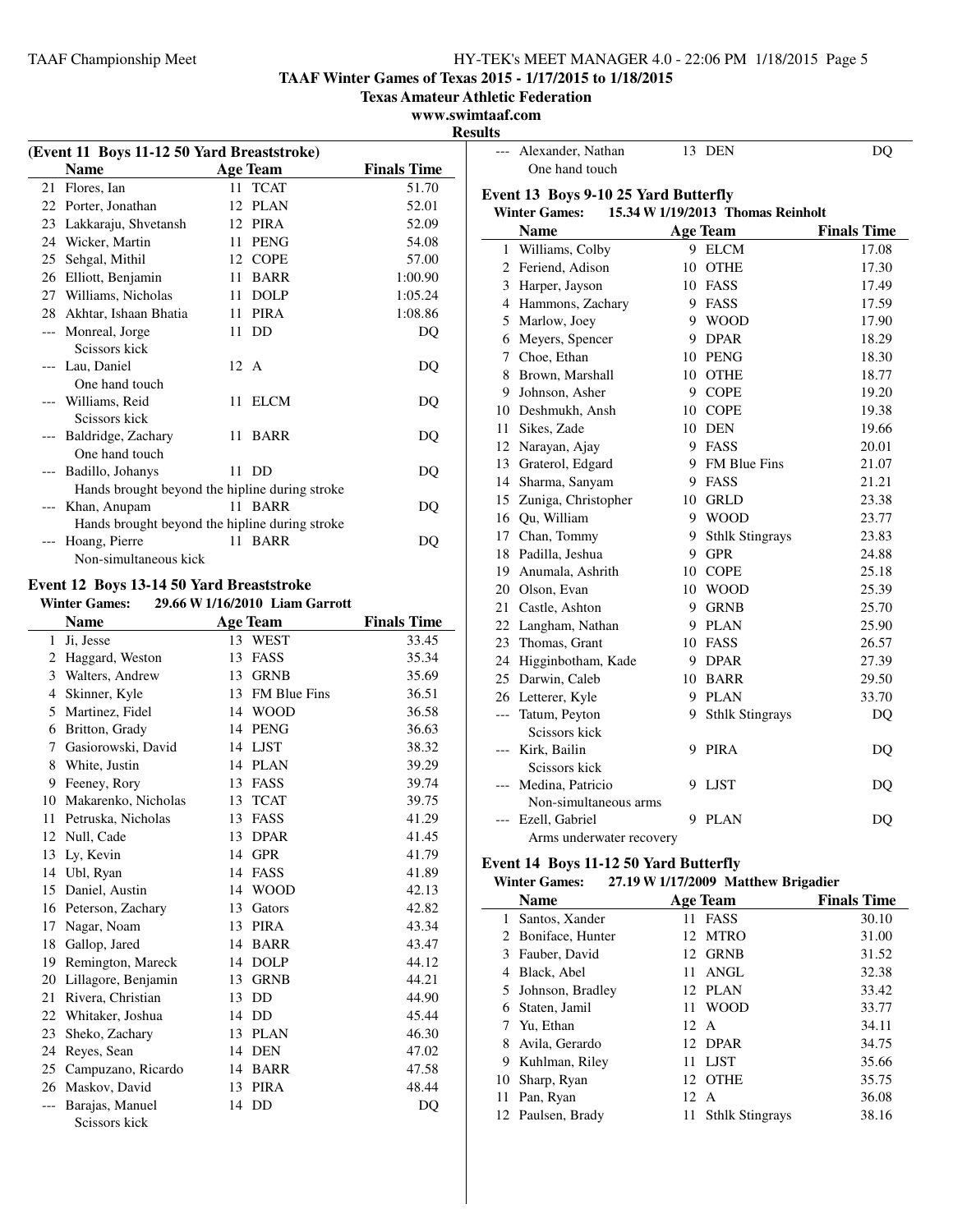**TAAF Winter Games of Texas 2015 - 1/17/2015 to 1/18/2015**

**Texas Amateur Athletic Federation**

 $\overline{\phantom{a}}$ 

## **www.swimtaaf.com**

**Results**

| (Event 11 Boys 11-12 50 Yard Breaststroke) |                                                |                                |                    |  |
|--------------------------------------------|------------------------------------------------|--------------------------------|--------------------|--|
|                                            | <b>Name</b>                                    | <b>Age Team</b>                | <b>Finals Time</b> |  |
| 21                                         | Flores, Ian                                    | <b>TCAT</b><br>11              | 51.70              |  |
|                                            | 22 Porter, Jonathan                            | 12<br>PLAN                     | 52.01              |  |
|                                            | 23 Lakkaraju, Shvetansh                        | 12 PIRA                        | 52.09              |  |
| 24                                         | Wicker, Martin                                 | 11 PENG                        | 54.08              |  |
|                                            | 25 Sehgal, Mithil                              | 12 COPE                        | 57.00              |  |
| 26                                         | Elliott, Benjamin                              | 11 BARR                        | 1:00.90            |  |
| 27                                         | Williams, Nicholas                             | 11 DOLP                        | 1:05.24            |  |
| 28                                         | Akhtar, Ishaan Bhatia                          | 11 PIRA                        | 1:08.86            |  |
| $\overline{a}$                             | Monreal, Jorge<br>Scissors kick                | <b>DD</b><br>11                | DQ                 |  |
|                                            | Lau, Daniel                                    | 12 A                           | DQ                 |  |
|                                            | One hand touch                                 |                                |                    |  |
|                                            | Williams, Reid<br>Scissors kick                | <b>ELCM</b><br>11              | DQ                 |  |
|                                            | Baldridge, Zachary                             | 11<br><b>BARR</b>              | DQ                 |  |
|                                            | One hand touch                                 |                                |                    |  |
| $---$                                      | Badillo, Johanys                               | 11 DD                          | DQ                 |  |
|                                            | Hands brought beyond the hipline during stroke |                                |                    |  |
|                                            | Khan, Anupam                                   | 11.<br><b>BARR</b>             | DQ                 |  |
|                                            | Hands brought beyond the hipline during stroke |                                |                    |  |
| $---$                                      | Hoang, Pierre                                  | 11 BARR                        | DQ                 |  |
|                                            | Non-simultaneous kick                          |                                |                    |  |
|                                            | Event 12 Boys 13-14 50 Yard Breaststroke       |                                |                    |  |
|                                            | <b>Winter Games:</b>                           | 29.66 W 1/16/2010 Liam Garrott |                    |  |
|                                            | <b>Name</b>                                    | <b>Age Team</b>                | <b>Finals Time</b> |  |
| 1                                          | Ji, Jesse                                      | 13 WEST                        | 33.45              |  |
| 2                                          | Haggard, Weston                                | 13 FASS                        | 35.34              |  |
| 3                                          | Walters, Andrew                                | 13 GRNB                        | 35.69              |  |
| $\overline{4}$                             | Skinner, Kyle                                  | 13 FM Blue Fins                | 36.51              |  |
| 5                                          | Martinez, Fidel                                | 14 WOOD                        | 36.58              |  |
| 6                                          | Britton, Grady                                 | 14 PENG                        | 36.63              |  |
| 7                                          | Gasiorowski, David                             | 14 LJST                        | 38.32              |  |
| 8                                          | White, Justin                                  | 14 PLAN                        | 39.29              |  |
| 9                                          | Feeney, Rory                                   | 13 FASS                        | 39.74              |  |
| 10                                         | Makarenko, Nicholas                            | 13 TCAT                        | 39.75              |  |
| 11                                         | Petruska, Nicholas                             | 13 FASS                        | 41.29              |  |
| 12                                         | Null, Cade                                     | 13 DPAR                        | 41.45              |  |
| 13                                         | Ly, Kevin                                      | 14 GPR                         | 41.79              |  |
|                                            | $14$ I <sub>Ibl</sub> $R_{V22}$                | $1A$ FASS                      | 41.80              |  |

| manufenno, Fuenonas    |    |             |       |
|------------------------|----|-------------|-------|
| 11 Petruska, Nicholas  |    | 13 FASS     | 41.29 |
| 12 Null, Cade          |    | 13 DPAR     | 41.45 |
| 13 Ly, Kevin           | 14 | GPR         | 41.79 |
| 14 Ubl, Ryan           |    | 14 FASS     | 41.89 |
| 15 Daniel, Austin      |    | 14 WOOD     | 42.13 |
| 16 Peterson, Zachary   |    | 13 Gators   | 42.82 |
| 17 Nagar, Noam         |    | 13 PIRA     | 43.34 |
| 18 Gallop, Jared       |    | 14 BARR     | 43.47 |
| 19 Remington, Mareck   |    | 14 DOLP     | 44.12 |
| 20 Lillagore, Benjamin | 13 | <b>GRNB</b> | 44.21 |
| 21 Rivera, Christian   |    | 13 DD       | 44.90 |
| 22 Whitaker, Joshua    |    | 14 DD       | 45.44 |
| 23 Sheko, Zachary      |    | 13 PLAN     | 46.30 |
| 24 Reyes, Sean         |    | 14 DEN      | 47.02 |
| 25 Campuzano, Ricardo  | 14 | BARR        | 47.58 |
| 26 Maskov, David       |    | 13 PIRA     | 48.44 |
| --- Barajas, Manuel    |    | 14 DD       | DQ    |

Scissors kick

|              | --- Alexander, Nathan                       |    | 13 DEN                            | DQ                 |
|--------------|---------------------------------------------|----|-----------------------------------|--------------------|
|              | One hand touch                              |    |                                   |                    |
|              | <b>Event 13 Boys 9-10 25 Yard Butterfly</b> |    |                                   |                    |
|              | <b>Winter Games:</b>                        |    | 15.34 W 1/19/2013 Thomas Reinholt |                    |
|              | <b>Name</b>                                 |    | <b>Age Team</b>                   | <b>Finals Time</b> |
| $\mathbf{1}$ | Williams, Colby                             |    | 9 ELCM                            | 17.08              |
|              | 2 Feriend, Adison                           | 10 | OTHE                              | 17.30              |
|              | 3 Harper, Jayson                            |    | 10 FASS                           | 17.49              |
|              | 4 Hammons, Zachary                          |    | 9 FASS                            | 17.59              |
|              | 5 Marlow, Joey                              |    | 9 WOOD                            | 17.90              |
|              | 6 Meyers, Spencer                           |    | 9 DPAR                            | 18.29              |
|              | 7 Choe, Ethan                               |    | 10 PENG                           | 18.30              |
| 8            | Brown, Marshall                             |    | 10 OTHE                           | 18.77              |
| 9            | Johnson, Asher                              |    | 9 COPE                            | 19.20              |
|              | 10 Deshmukh, Ansh                           |    | 10 COPE                           | 19.38              |
| 11           | Sikes, Zade                                 |    | 10 DEN                            | 19.66              |
| 12           | Narayan, Ajay                               |    | 9 FASS                            | 20.01              |
|              | 13 Graterol, Edgard                         |    | 9 FM Blue Fins                    | 21.07              |
|              | 14 Sharma, Sanyam                           |    | 9 FASS                            | 21.21              |
|              | 15 Zuniga, Christopher                      |    | 10 GRLD                           | 23.38              |
|              | 16 Qu, William                              |    | 9 WOOD                            | 23.77              |
|              | 17 Chan, Tommy                              |    | 9 Sthlk Stingrays                 | 23.83              |
|              | 18 Padilla, Jeshua                          |    | 9 GPR                             | 24.88              |
|              | 19 Anumala, Ashrith                         |    | 10 COPE                           | 25.18              |
| 20           | Olson, Evan                                 |    | 10 WOOD                           | 25.39              |
| 21           | Castle, Ashton                              |    | 9 GRNB                            | 25.70              |
|              | 22 Langham, Nathan                          |    | 9 PLAN                            | 25.90              |
| 23           | Thomas, Grant                               |    | 10 FASS                           | 26.57              |
| 24           | Higginbotham, Kade                          |    | 9 DPAR                            | 27.39              |
|              | 25 Darwin, Caleb                            |    | 10 BARR                           | 29.50              |
|              | 26 Letterer, Kyle                           |    | 9 PLAN                            | 33.70              |
| ---          | Tatum, Peyton<br>Scissors kick              |    | 9 Sthlk Stingrays                 | DQ                 |
|              | --- Kirk, Bailin                            | 9  | <b>PIRA</b>                       | DQ                 |
|              | Scissors kick<br>Medina, Patricio           | 9  | <b>LJST</b>                       | DO                 |
|              | Non-simultaneous arms                       |    |                                   |                    |
|              | Ezell, Gabriel                              | 9  | <b>PLAN</b>                       | DO                 |
|              | Arms underwater recovery                    |    |                                   |                    |

## **Event 14 Boys 11-12 50 Yard Butterfly**

## **Winter Games: 27.19 W1/17/2009 Matthew Brigadier**

|    | <b>Name</b>        |                 | <b>Age Team</b>        | o<br><b>Finals Time</b> |
|----|--------------------|-----------------|------------------------|-------------------------|
| 1  | Santos, Xander     |                 | 11 FASS                | 30.10                   |
|    | 2 Boniface, Hunter |                 | 12 MTRO                | 31.00                   |
| 3  | Fauber, David      |                 | 12 GRNB                | 31.52                   |
| 4  | Black, Abel        | 11.             | ANGL                   | 32.38                   |
| 5. | Johnson, Bradley   | 12.             | PLAN                   | 33.42                   |
| 6  | Staten, Jamil      |                 | 11 WOOD                | 33.77                   |
|    | Yu, Ethan          | $12 \text{ A}$  |                        | 34.11                   |
| 8  | Avila, Gerardo     |                 | 12 DPAR                | 34.75                   |
| 9  | Kuhlman, Riley     | 11              | <b>LJST</b>            | 35.66                   |
| 10 | Sharp, Ryan        | 12              | <b>OTHE</b>            | 35.75                   |
| 11 | Pan, Ryan          | 12 <sub>1</sub> | A                      | 36.08                   |
|    | 12 Paulsen, Brady  | 11              | <b>Sthlk Stingrays</b> | 38.16                   |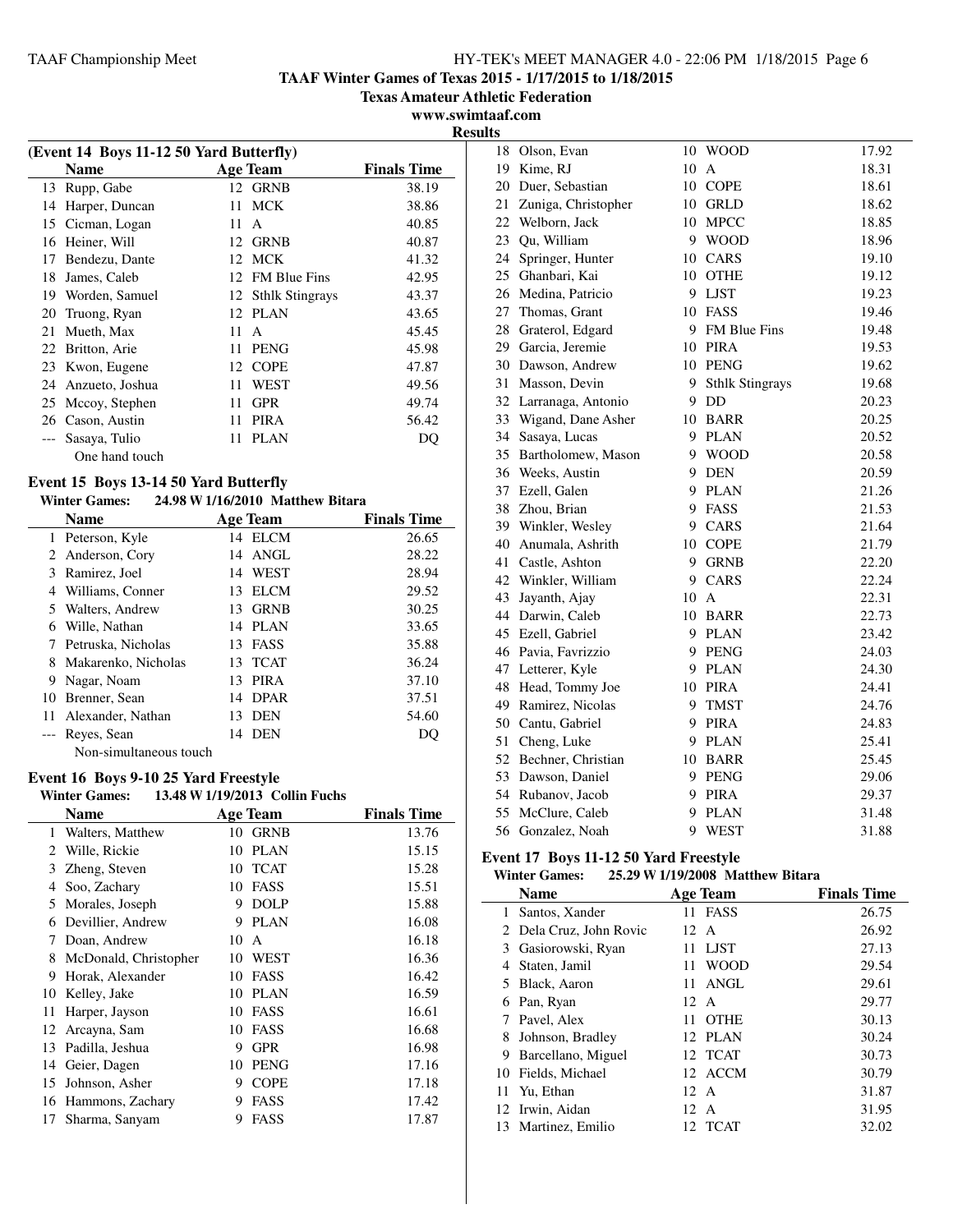**TAAF Winter Games of Texas 2015 - 1/17/2015 to 1/18/2015**

**Texas Amateur Athletic Federation**

**www.swimtaaf.com Results**

|    | (Event 14 Boys 11-12 50 Yard Butterfly) |    |                        |                    |  |
|----|-----------------------------------------|----|------------------------|--------------------|--|
|    | <b>Name</b>                             |    | <b>Age Team</b>        | <b>Finals Time</b> |  |
| 13 | Rupp, Gabe                              |    | 12 GRNB                | 38.19              |  |
| 14 | Harper, Duncan                          | 11 | <b>MCK</b>             | 38.86              |  |
| 15 | Cicman, Logan                           | 11 | $\mathsf{A}$           | 40.85              |  |
| 16 | Heiner, Will                            |    | 12 GRNB                | 40.87              |  |
| 17 | Bendezu, Dante                          |    | 12 MCK                 | 41.32              |  |
| 18 | James, Caleb                            |    | 12 FM Blue Fins        | 42.95              |  |
| 19 | Worden, Samuel                          | 12 | <b>Sthlk Stingrays</b> | 43.37              |  |
| 20 | Truong, Ryan                            | 12 | <b>PLAN</b>            | 43.65              |  |
| 21 | Mueth, Max                              | 11 | A                      | 45.45              |  |
| 22 | Britton, Arie                           | 11 | <b>PENG</b>            | 45.98              |  |
| 23 | Kwon, Eugene                            | 12 | <b>COPE</b>            | 47.87              |  |
| 24 | Anzueto, Joshua                         | 11 | WEST                   | 49.56              |  |
| 25 | Mccoy, Stephen                          | 11 | <b>GPR</b>             | 49.74              |  |
| 26 | Cason, Austin                           | 11 | <b>PIRA</b>            | 56.42              |  |
|    | Sasaya, Tulio                           | 11 | <b>PLAN</b>            | DO                 |  |
|    | One hand touch                          |    |                        |                    |  |

## **Event 15 Boys 13-14 50 Yard Butterfly**

## **Winter Games: 24.98 W1/16/2010 Matthew Bitara**

|       | <b>Name</b>            |     | <b>Age Team</b> | <b>Finals Time</b> |
|-------|------------------------|-----|-----------------|--------------------|
|       | 1 Peterson, Kyle       |     | 14 ELCM         | 26.65              |
|       | 2 Anderson, Cory       | 14  | ANGL            | 28.22              |
| 3     | Ramirez, Joel          | 14  | <b>WEST</b>     | 28.94              |
| 4     | Williams, Conner       | 13  | <b>ELCM</b>     | 29.52              |
|       | 5 Walters, Andrew      | 13  | <b>GRNB</b>     | 30.25              |
| 6     | Wille, Nathan          | 14  | PLAN            | 33.65              |
|       | Petruska, Nicholas     | 13. | FASS            | 35.88              |
| 8     | Makarenko, Nicholas    | 13. | <b>TCAT</b>     | 36.24              |
| 9     | Nagar, Noam            | 13  | <b>PIRA</b>     | 37.10              |
| 10    | Brenner, Sean          | 14  | <b>DPAR</b>     | 37.51              |
| $11-$ | Alexander, Nathan      | 13  | <b>DEN</b>      | 54.60              |
|       | --- Reyes, Sean        | 14  | <b>DEN</b>      | DO                 |
|       | Non-simultaneous touch |     |                 |                    |

#### **Event 16 Boys 9-10 25 Yard Freestyle**<br>Winter Games: 13.48 W 1/19/2013 Co **Winter Games: 13.48 W1/19/2013 Collin Fuchs**

| winter Games:<br>13.48 W 1/19/2013 COMM FUCAS |                       |    |                 |                    |  |
|-----------------------------------------------|-----------------------|----|-----------------|--------------------|--|
|                                               | <b>Name</b>           |    | <b>Age Team</b> | <b>Finals Time</b> |  |
| 1                                             | Walters, Matthew      | 10 | <b>GRNB</b>     | 13.76              |  |
| 2                                             | Wille, Rickie         | 10 | <b>PLAN</b>     | 15.15              |  |
| 3                                             | Zheng, Steven         | 10 | <b>TCAT</b>     | 15.28              |  |
| 4                                             | Soo, Zachary          | 10 | <b>FASS</b>     | 15.51              |  |
| 5                                             | Morales, Joseph       | 9  | <b>DOLP</b>     | 15.88              |  |
| 6                                             | Devillier, Andrew     | 9  | <b>PLAN</b>     | 16.08              |  |
| 7                                             | Doan, Andrew          | 10 | A               | 16.18              |  |
| 8                                             | McDonald, Christopher | 10 | WEST            | 16.36              |  |
| 9                                             | Horak, Alexander      | 10 | <b>FASS</b>     | 16.42              |  |
| 10                                            | Kelley, Jake          | 10 | <b>PLAN</b>     | 16.59              |  |
| 11                                            | Harper, Jayson        | 10 | FASS            | 16.61              |  |
| 12                                            | Arcayna, Sam          | 10 | <b>FASS</b>     | 16.68              |  |
| 13                                            | Padilla, Jeshua       | 9  | <b>GPR</b>      | 16.98              |  |
| 14                                            | Geier, Dagen          | 10 | <b>PENG</b>     | 17.16              |  |
| 15                                            | Johnson, Asher        | 9  | <b>COPE</b>     | 17.18              |  |
| 16                                            | Hammons, Zachary      | 9  | <b>FASS</b>     | 17.42              |  |
| 17                                            | Sharma, Sanyam        | 9  | FASS            | 17.87              |  |
|                                               |                       |    |                 |                    |  |

| 18 | Olson, Evan         |    | 10 WOOD                | 17.92 |
|----|---------------------|----|------------------------|-------|
| 19 | Kime, RJ            | 10 | A                      | 18.31 |
| 20 | Duer, Sebastian     |    | 10 COPE                | 18.61 |
| 21 | Zuniga, Christopher | 10 | <b>GRLD</b>            | 18.62 |
| 22 | Welborn, Jack       | 10 | <b>MPCC</b>            | 18.85 |
| 23 | Qu, William         | 9. | <b>WOOD</b>            | 18.96 |
| 24 | Springer, Hunter    | 10 | CARS                   | 19.10 |
| 25 | Ghanbari, Kai       | 10 | <b>OTHE</b>            | 19.12 |
| 26 | Medina, Patricio    | 9  | <b>LJST</b>            | 19.23 |
| 27 | Thomas, Grant       |    | 10 FASS                | 19.46 |
| 28 | Graterol, Edgard    |    | 9 FM Blue Fins         | 19.48 |
| 29 | Garcia, Jeremie     |    | 10 PIRA                | 19.53 |
| 30 | Dawson, Andrew      |    | 10 PENG                | 19.62 |
| 31 | Masson, Devin       | 9  | <b>Sthlk Stingrays</b> | 19.68 |
| 32 | Larranaga, Antonio  |    | 9 DD                   | 20.23 |
| 33 | Wigand, Dane Asher  |    | 10 BARR                | 20.25 |
| 34 | Sasaya, Lucas       | 9  | <b>PLAN</b>            | 20.52 |
| 35 | Bartholomew, Mason  | 9  | <b>WOOD</b>            | 20.58 |
| 36 | Weeks, Austin       | 9  | <b>DEN</b>             | 20.59 |
| 37 | Ezell, Galen        | 9  | <b>PLAN</b>            | 21.26 |
| 38 | Zhou, Brian         | 9  | FASS                   | 21.53 |
| 39 | Winkler, Wesley     | 9  | CARS                   | 21.64 |
| 40 | Anumala, Ashrith    | 10 | <b>COPE</b>            | 21.79 |
| 41 | Castle, Ashton      | 9  | <b>GRNB</b>            | 22.20 |
| 42 | Winkler, William    | 9  | CARS                   | 22.24 |
| 43 | Jayanth, Ajay       | 10 | $\mathbf{A}$           | 22.31 |
| 44 | Darwin, Caleb       | 10 | <b>BARR</b>            | 22.73 |
| 45 | Ezell, Gabriel      |    | 9 PLAN                 | 23.42 |
| 46 | Pavia, Favrizzio    | 9  | <b>PENG</b>            | 24.03 |
| 47 | Letterer, Kyle      | 9  | <b>PLAN</b>            | 24.30 |
| 48 | Head, Tommy Joe     | 10 | <b>PIRA</b>            | 24.41 |
| 49 | Ramirez, Nicolas    | 9  | <b>TMST</b>            | 24.76 |
| 50 | Cantu, Gabriel      | 9  | <b>PIRA</b>            | 24.83 |
| 51 | Cheng, Luke         | 9  | <b>PLAN</b>            | 25.41 |
| 52 | Bechner, Christian  | 10 | <b>BARR</b>            | 25.45 |
| 53 | Dawson, Daniel      | 9. | <b>PENG</b>            | 29.06 |
| 54 | Rubanov, Jacob      | 9  | <b>PIRA</b>            | 29.37 |
| 55 | McClure, Caleb      | 9  | <b>PLAN</b>            | 31.48 |
| 56 | Gonzalez, Noah      | 9  | WEST                   | 31.88 |

## **Event 17 Boys 11-12 50 Yard Freestyle**

#### **Winter Games: 25.29 W1/19/2008 Matthew Bitara**

|    | <b>Name</b>             | Age Team          | <b>Finals Time</b> |
|----|-------------------------|-------------------|--------------------|
|    | 1 Santos, Xander        | 11 FASS           | 26.75              |
|    | 2 Dela Cruz, John Rovic | 12 A              | 26.92              |
|    | 3 Gasiorowski, Ryan     | 11 LJST           | 27.13              |
|    | 4 Staten, Jamil         | <b>WOOD</b><br>11 | 29.54              |
|    | 5 Black, Aaron          | ANGL<br>11        | 29.61              |
|    | 6 Pan, Ryan             | 12. A             | 29.77              |
|    | Pavel, Alex             | <b>OTHE</b><br>11 | 30.13              |
| 8  | Johnson, Bradley        | 12 PLAN           | 30.24              |
| 9  | Barcellano, Miguel      | 12 TCAT           | 30.73              |
|    | 10 Fields, Michael      | 12 ACCM           | 30.79              |
|    | 11 Yu, Ethan            | $12 \text{ A}$    | 31.87              |
|    | 12 Irwin, Aidan         | 12 A              | 31.95              |
| 13 | Martinez, Emilio        | 12. TCAT          | 32.02              |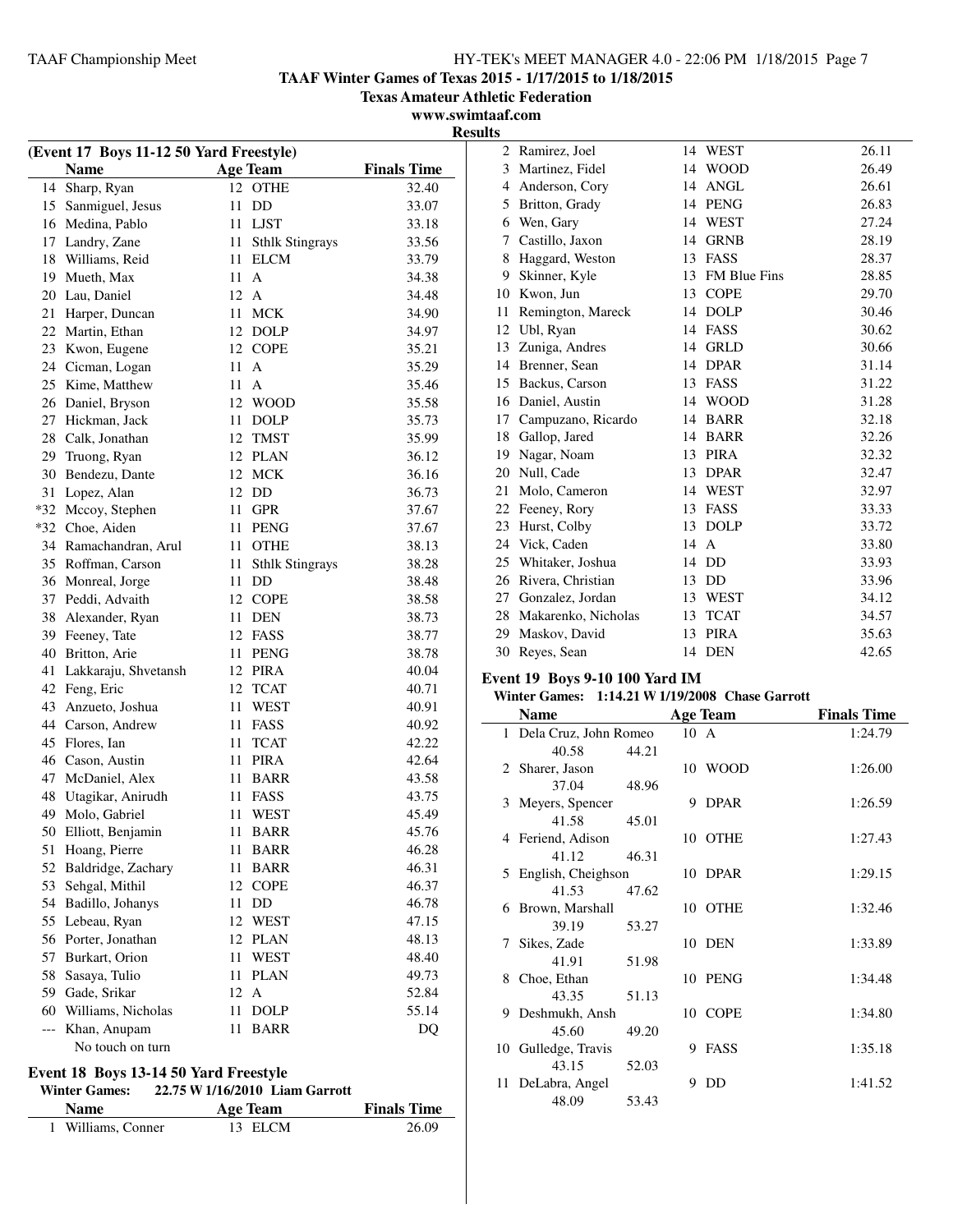**TAAF Winter Games of Texas 2015 - 1/17/2015 to 1/18/2015**

**Texas Amateur Athletic Federation**

**www.swimtaaf.com Results**

|    | (Event 17 Boys 11-12 50 Yard Freestyle) |                                                   |                    | 2  | Ramirez, Joel                                   |               | 14 WEST         | 26.11              |
|----|-----------------------------------------|---------------------------------------------------|--------------------|----|-------------------------------------------------|---------------|-----------------|--------------------|
|    | <b>Name</b>                             | <b>Age Team</b>                                   | <b>Finals Time</b> | 3  | Martinez, Fidel                                 | 14            | <b>WOOD</b>     | 26.49              |
|    | 14 Sharp, Ryan                          | 12 OTHE                                           | 32.40              | 4  | Anderson, Cory                                  |               | 14 ANGL         | 26.61              |
|    | 15 Sanmiguel, Jesus                     | 11 DD                                             | 33.07              | 5  | Britton, Grady                                  |               | 14 PENG         | 26.83              |
|    | 16 Medina, Pablo                        | 11 LJST                                           | 33.18              | 6  | Wen, Gary                                       |               | 14 WEST         | 27.24              |
|    | 17 Landry, Zane                         | 11 Sthlk Stingrays                                | 33.56              | 7  | Castillo, Jaxon                                 |               | 14 GRNB         | 28.19              |
|    | 18 Williams, Reid                       | 11 ELCM                                           | 33.79              | 8  | Haggard, Weston                                 |               | 13 FASS         | 28.37              |
|    | 19 Mueth, Max                           | $11 \text{ A}$                                    | 34.38              | 9  | Skinner, Kyle                                   |               | 13 FM Blue Fins | 28.85              |
|    | 20 Lau, Daniel                          | 12 A                                              | 34.48              | 10 | Kwon, Jun                                       | 13            | <b>COPE</b>     | 29.70              |
| 21 | Harper, Duncan                          | 11 MCK                                            | 34.90              | 11 | Remington, Mareck                               |               | 14 DOLP         | 30.46              |
|    | 22 Martin, Ethan                        | 12 DOLP                                           | 34.97              |    | 12 Ubl, Ryan                                    |               | 14 FASS         | 30.62              |
|    | 23 Kwon, Eugene                         | 12 COPE                                           | 35.21              | 13 | Zuniga, Andres                                  |               | 14 GRLD         | 30.66              |
|    | 24 Cicman, Logan                        | $11 \text{ A}$                                    | 35.29              | 14 | Brenner, Sean                                   |               | 14 DPAR         | 31.14              |
|    | 25 Kime, Matthew                        | $11 \text{ A}$                                    | 35.46              | 15 | Backus, Carson                                  |               | 13 FASS         | 31.22              |
|    | 26 Daniel, Bryson                       | 12 WOOD                                           | 35.58              | 16 | Daniel, Austin                                  |               | 14 WOOD         | 31.28              |
|    | 27 Hickman, Jack                        | 11 DOLP                                           | 35.73              | 17 | Campuzano, Ricardo                              |               | 14 BARR         | 32.18              |
| 28 | Calk, Jonathan                          | 12 TMST                                           | 35.99              | 18 | Gallop, Jared                                   |               | 14 BARR         | 32.26              |
| 29 | Truong, Ryan                            | 12 PLAN                                           | 36.12              | 19 | Nagar, Noam                                     |               | 13 PIRA         | 32.32              |
|    | 30 Bendezu, Dante                       | 12 MCK                                            | 36.16              | 20 | Null, Cade                                      |               | 13 DPAR         | 32.47              |
|    | 31 Lopez, Alan                          | 12 DD                                             | 36.73              | 21 | Molo, Cameron                                   |               | 14 WEST         | 32.97              |
|    | *32 Mccoy, Stephen                      | 11 GPR                                            | 37.67              | 22 | Feeney, Rory                                    |               | 13 FASS         | 33.33              |
|    | *32 Choe, Aiden                         | 11 PENG                                           | 37.67              | 23 | Hurst, Colby                                    |               | 13 DOLP         | 33.72              |
|    | 34 Ramachandran, Arul                   | 11 OTHE                                           | 38.13              | 24 | Vick, Caden                                     |               | 14 A            | 33.80              |
|    | 35 Roffman, Carson                      | 11 Sthlk Stingrays                                | 38.28              | 25 | Whitaker, Joshua                                | 14            | DD              | 33.93              |
|    | 36 Monreal, Jorge                       | 11 DD                                             | 38.48              | 26 | Rivera, Christian                               |               | 13 DD           | 33.96              |
|    | 37 Peddi, Advaith                       | 12 COPE                                           | 38.58              | 27 | Gonzalez, Jordan                                |               | 13 WEST         | 34.12              |
|    |                                         | 11 DEN                                            | 38.73              | 28 | Makarenko, Nicholas                             | 13            | <b>TCAT</b>     | 34.57              |
|    | 38 Alexander, Ryan                      | 12 FASS                                           | 38.77              | 29 | Maskov, David                                   |               | 13 PIRA         | 35.63              |
|    | 39 Feeney, Tate                         | 11 PENG                                           |                    |    | 30 Reyes, Sean                                  |               | 14 DEN          | 42.65              |
|    | 40 Britton, Arie                        | 12 PIRA                                           | 38.78<br>40.04     |    |                                                 |               |                 |                    |
| 41 | Lakkaraju, Shvetansh                    |                                                   |                    |    | <b>Event 19 Boys 9-10 100 Yard IM</b>           |               |                 |                    |
|    | 42 Feng, Eric                           | 12 TCAT                                           | 40.71              |    | Winter Games: 1:14.21 W 1/19/2008 Chase Garrott |               |                 |                    |
|    | 43 Anzueto, Joshua                      | 11 WEST                                           | 40.91              |    | <b>Name</b>                                     |               | <b>Age Team</b> | <b>Finals Time</b> |
|    | 44 Carson, Andrew                       | 11 FASS                                           | 40.92              |    | 1 Dela Cruz, John Romeo                         | $10\text{ A}$ |                 | 1:24.79            |
|    | 45 Flores, Ian                          | 11 TCAT                                           | 42.22              |    | 40.58<br>44.21                                  |               |                 |                    |
|    | 46 Cason, Austin                        | 11 PIRA                                           | 42.64              |    | 2 Sharer, Jason                                 |               | 10 WOOD         | 1:26.00            |
|    | 47 McDaniel, Alex                       | 11 BARR                                           | 43.58              |    | 48.96<br>37.04                                  |               |                 |                    |
|    | 48 Utagikar, Anirudh                    | 11 FASS                                           | 43.75              |    | 3 Meyers, Spencer                               |               | 9 DPAR          | 1:26.59            |
|    | 49 Molo, Gabriel                        | 11 WEST                                           | 45.49              |    | 41.58<br>45.01                                  |               |                 |                    |
|    | 50 Elliott, Benjamin                    | 11 BARR                                           | 45.76              |    | 4 Feriend, Adison                               |               | 10 OTHE         | 1:27.43            |
|    | 51 Hoang, Pierre                        | 11 BARR                                           | 46.28              |    | 41.12<br>46.31                                  |               |                 |                    |
|    | 52 Baldridge, Zachary                   | 11 BARR                                           | 46.31              |    | 5 English, Cheighson                            |               | 10 DPAR         | 1:29.15            |
|    | 53 Sehgal, Mithil                       | 12 COPE                                           | 46.37              |    | 41.53<br>47.62                                  |               |                 |                    |
|    | 54 Badillo, Johanys                     | 11 DD                                             | 46.78              |    | 6 Brown, Marshall                               |               | 10 OTHE         | 1:32.46            |
|    | 55 Lebeau, Ryan                         | 12 WEST                                           | 47.15              |    | 39.19<br>53.27                                  |               |                 |                    |
|    | 56 Porter, Jonathan                     | 12 PLAN                                           | 48.13              |    | 7 Sikes, Zade                                   |               | 10 DEN          | 1:33.89            |
|    | 57 Burkart, Orion                       | 11 WEST                                           | 48.40              |    | 41.91<br>51.98                                  |               |                 |                    |
|    | 58 Sasaya, Tulio                        | 11 PLAN                                           | 49.73              |    | 8 Choe, Ethan                                   |               | 10 PENG         | 1:34.48            |
|    | 59 Gade, Srikar                         | 12 A                                              | 52.84              |    | 43.35<br>51.13                                  |               |                 |                    |
|    | 60 Williams, Nicholas                   | 11 DOLP                                           | 55.14              |    | 9 Deshmukh, Ansh                                |               | 10 COPE         | 1:34.80            |
|    | --- Khan, Anupam                        | 11 BARR                                           | DQ                 |    | 45.60<br>49.20                                  |               |                 |                    |
|    | No touch on turn                        |                                                   |                    |    | 10 Gulledge, Travis                             |               | 9 FASS          | 1:35.18            |
|    |                                         |                                                   |                    |    | 43.15<br>52.03                                  |               |                 |                    |
|    | Event 18 Boys 13-14 50 Yard Freestyle   | Winter Comeas $22.75$ W $1/16/2010$ , Lam Councti |                    |    | 11 DeLabra, Angel                               |               | 9 DD            | 1:41.52            |

48.09 53.43

**Winter Games:** 22.75 **W** 1/16/2010 **Liam Garrott**<br>Name 4 ge Team

| <b>Name</b>        | Age Team | <b>Finals Time</b> |
|--------------------|----------|--------------------|
| 1 Williams, Conner | 13 ELCM  | 26.09              |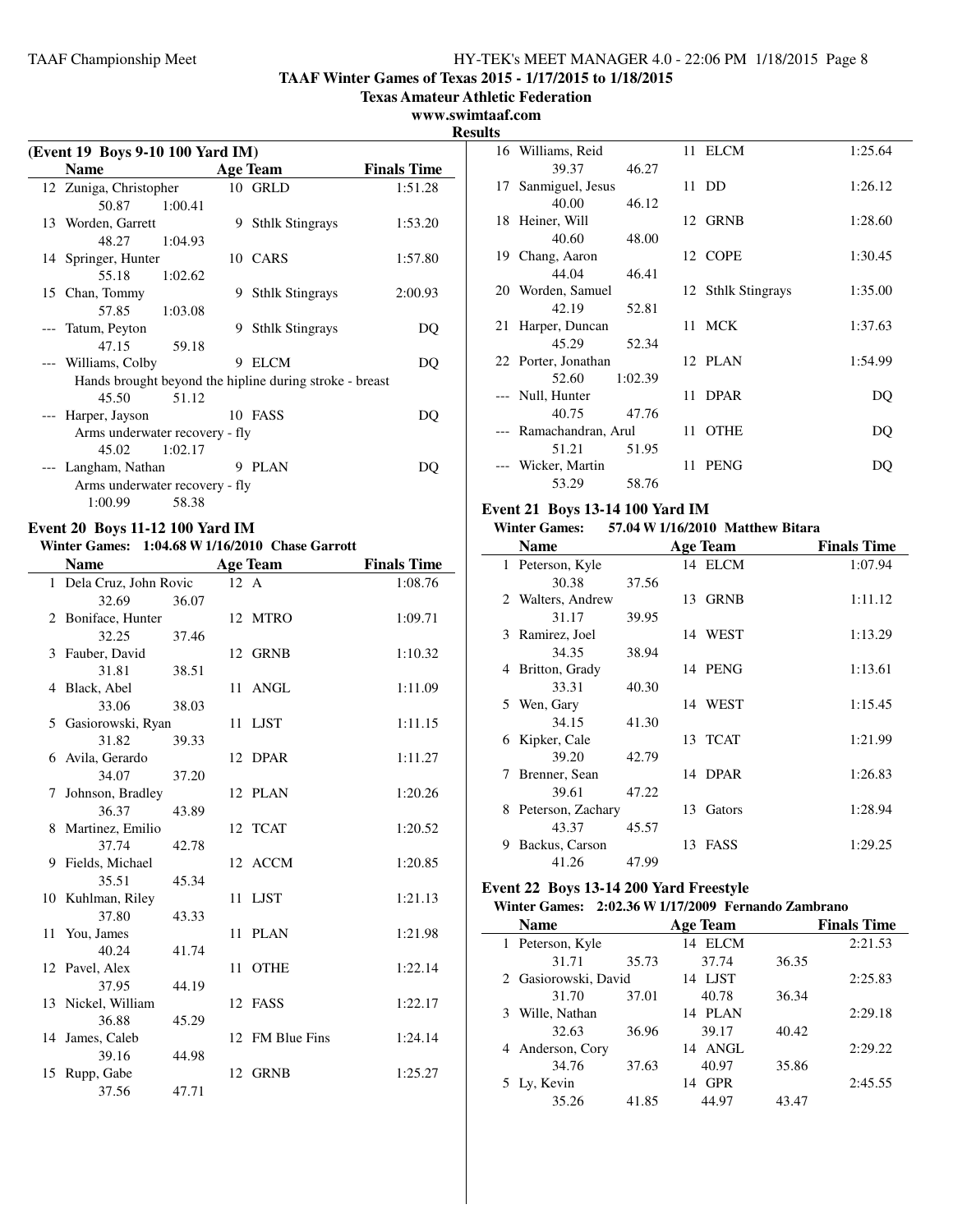**TAAF Winter Games of Texas 2015 - 1/17/2015 to 1/18/2015**

**Texas Amateur Athletic Federation**

#### **www.swimtaaf.com**

**Results**

 $\overline{\phantom{a}}$ 

| (Event 19 Boys 9-10 100 Yard IM) |                                |         |   |                                                         |                    |
|----------------------------------|--------------------------------|---------|---|---------------------------------------------------------|--------------------|
|                                  | <b>Name</b>                    |         |   | Age Team                                                | <b>Finals Time</b> |
|                                  | 12 Zuniga, Christopher         |         |   | 10 GRLD                                                 | 1:51.28            |
|                                  | 50.87 1:00.41                  |         |   |                                                         |                    |
|                                  | 13 Worden, Garrett             |         |   | 9 Sthlk Stingrays                                       | 1:53.20            |
|                                  | 48.27 1:04.93                  |         |   |                                                         |                    |
|                                  | 14 Springer, Hunter            |         |   | 10 CARS                                                 | 1:57.80            |
|                                  | 55.18 1:02.62                  |         |   |                                                         |                    |
|                                  | 15 Chan, Tommy                 |         |   | 9 Sthlk Stingrays                                       | 2:00.93            |
|                                  | 57.85 1:03.08                  |         |   |                                                         |                    |
|                                  | Tatum, Peyton                  |         | 9 | <b>Sthlk Stingrays</b>                                  | DO                 |
|                                  | 47.15 59.18                    |         |   |                                                         |                    |
|                                  | --- Williams, Colby            |         |   | 9 ELCM                                                  | DQ                 |
|                                  |                                |         |   | Hands brought beyond the hipline during stroke - breast |                    |
|                                  | 45.50                          | 51.12   |   |                                                         |                    |
|                                  | --- Harper, Jayson             |         |   | 10 FASS                                                 | DO                 |
|                                  | Arms underwater recovery - fly |         |   |                                                         |                    |
|                                  | 45.02                          | 1:02.17 |   |                                                         |                    |
|                                  | --- Langham, Nathan            |         |   | 9 PLAN                                                  | DO                 |
|                                  | Arms underwater recovery - fly |         |   |                                                         |                    |
|                                  | 1:00.99                        | 58.38   |   |                                                         |                    |

## **Event 20 Boys 11-12 100 Yard IM**

## **Winter Games: 1:04.68 W1/16/2010 Chase Garrott**

| <b>Name</b>             |       |      | <b>Age Team</b> | <b>Finals Time</b> |
|-------------------------|-------|------|-----------------|--------------------|
| 1 Dela Cruz, John Rovic |       | 12 A |                 | 1:08.76            |
| 32.69                   | 36.07 |      |                 |                    |
| 2 Boniface, Hunter      |       |      | 12 MTRO         | 1:09.71            |
| 32.25                   | 37.46 |      |                 |                    |
| 3 Fauber, David         |       |      | 12 GRNB         | 1:10.32            |
| 31.81                   | 38.51 |      |                 |                    |
| 4 Black, Abel           |       |      | 11 ANGL         | 1:11.09            |
| 33.06                   | 38.03 |      |                 |                    |
| 5 Gasiorowski, Ryan     |       | 11   | LJST            | 1:11.15            |
| 31.82                   | 39.33 |      |                 |                    |
| 6 Avila, Gerardo        |       |      | 12 DPAR         | 1:11.27            |
| 34.07                   | 37.20 |      |                 |                    |
| 7 Johnson, Bradley      |       |      | 12 PLAN         | 1:20.26            |
| 36.37                   | 43.89 |      |                 |                    |
| 8 Martinez, Emilio      |       |      | 12 TCAT         | 1:20.52            |
| 37.74                   | 42.78 |      |                 |                    |
| 9 Fields, Michael       |       |      | 12 ACCM         | 1:20.85            |
| 35.51                   | 45.34 |      |                 |                    |
| 10 Kuhlman, Riley       |       | 11   | LJST            | 1:21.13            |
| 37.80                   | 43.33 |      |                 |                    |
| 11 You, James           |       |      | 11 PLAN         | 1:21.98            |
| 40.24                   | 41.74 |      |                 |                    |
| 12 Pavel, Alex          |       | 11   | <b>OTHE</b>     | 1:22.14            |
| 37.95                   | 44.19 |      |                 |                    |
| 13 Nickel, William      |       |      | 12 FASS         | 1:22.17            |
| 36.88                   | 45.29 |      |                 |                    |
| 14 James, Caleb         |       |      | 12 FM Blue Fins | 1:24.14            |
| 39.16                   | 44.98 |      | 12 GRNB         | 1:25.27            |
| 15 Rupp, Gabe<br>37.56  | 47.71 |      |                 |                    |
|                         |       |      |                 |                    |

| แร |                        |         |      |                    |         |
|----|------------------------|---------|------|--------------------|---------|
|    | 16 Williams, Reid      |         |      | 11 ELCM            | 1:25.64 |
|    | 39.37                  | 46.27   |      |                    |         |
|    | 17 Sanmiguel, Jesus    |         |      | 11 DD              | 1:26.12 |
|    | 40.00                  | 46.12   |      |                    |         |
|    | 18 Heiner, Will        |         |      | 12 GRNB            | 1:28.60 |
|    | 40.60                  | 48.00   |      |                    |         |
|    | 19 Chang, Aaron        |         |      | 12 COPE            | 1:30.45 |
|    | 44.04                  | 46.41   |      |                    |         |
|    | 20 Worden, Samuel      |         |      | 12 Sthlk Stingrays | 1:35.00 |
|    | 42.19                  | 52.81   |      |                    |         |
| 21 | Harper, Duncan         |         |      | 11 MCK             | 1:37.63 |
|    | 45.29                  | 52.34   |      |                    |         |
|    | 22 Porter, Jonathan    |         |      | 12 PLAN            | 1:54.99 |
|    | 52.60                  | 1:02.39 |      |                    |         |
|    | --- Null, Hunter       |         |      | 11 DPAR            | DQ      |
|    | 40.75                  | 47.76   |      |                    |         |
|    | --- Ramachandran, Arul |         | 11 - | <b>OTHE</b>        | DQ      |
|    | 51.21                  | 51.95   |      |                    |         |
|    | Wicker, Martin         |         |      | 11 PENG            | DO      |
|    | 53.29                  | 58.76   |      |                    |         |

## **Event 21 Boys 13-14 100 Yard IM**

## **Winter Games: 57.04 W1/16/2010 Matthew Bitara**

| <b>Name</b>             |       |     | <b>Age Team</b> | <b>Finals Time</b> |
|-------------------------|-------|-----|-----------------|--------------------|
| Peterson, Kyle          |       |     | 14 ELCM         | 1:07.94            |
| 30.38                   | 37.56 |     |                 |                    |
| 2 Walters, Andrew       |       |     | 13 GRNB         | 1:11.12            |
| 31.17                   | 39.95 |     |                 |                    |
| 3 Ramirez, Joel         |       |     | 14 WEST         | 1:13.29            |
| 34.35                   | 38.94 |     |                 |                    |
| Britton, Grady<br>4     |       |     | 14 PENG         | 1:13.61            |
| 33.31                   | 40.30 |     |                 |                    |
| 5 Wen, Gary             |       |     | 14 WEST         | 1:15.45            |
| 34.15                   | 41.30 |     |                 |                    |
| 6 Kipker, Cale          |       |     | 13 TCAT         | 1:21.99            |
| 39.20                   | 42.79 |     |                 |                    |
| Brenner, Sean<br>7      |       |     | 14 DPAR         | 1:26.83            |
| 39.61                   | 47.22 |     |                 |                    |
| Peterson, Zachary<br>8. |       | 13. | Gators          | 1:28.94            |
| 43.37                   | 45.57 |     |                 |                    |
| Backus, Carson<br>9     |       | 13. | FASS            | 1:29.25            |
| 41.26                   | 47.99 |     |                 |                    |

## **Event 22 Boys 13-14 200 Yard Freestyle**

## **Winter Games: 2:02.36 W1/17/2009 Fernando Zambrano**

| <b>Name</b>          |       | <b>Age Team</b>  |       | <b>Finals Time</b> |
|----------------------|-------|------------------|-------|--------------------|
| 1 Peterson, Kyle     |       | 14 ELCM          |       | 2:21.53            |
| 31.71                | 35.73 | 37.74            | 36.35 |                    |
| 2 Gasiorowski, David |       | LJST<br>14       |       | 2:25.83            |
| 31.70                | 37.01 | 40.78            | 36.34 |                    |
| 3 Wille, Nathan      |       | 14 PLAN          |       | 2:29.18            |
| 32.63                | 36.96 | 39.17            | 40.42 |                    |
| 4 Anderson, Cory     |       | 14 ANGL          |       | 2:29.22            |
| 34.76                | 37.63 | 40.97            | 35.86 |                    |
| 5 Ly, Kevin          |       | <b>GPR</b><br>14 |       | 2:45.55            |
| 35.26                | 41.85 | 44.97            | 43.47 |                    |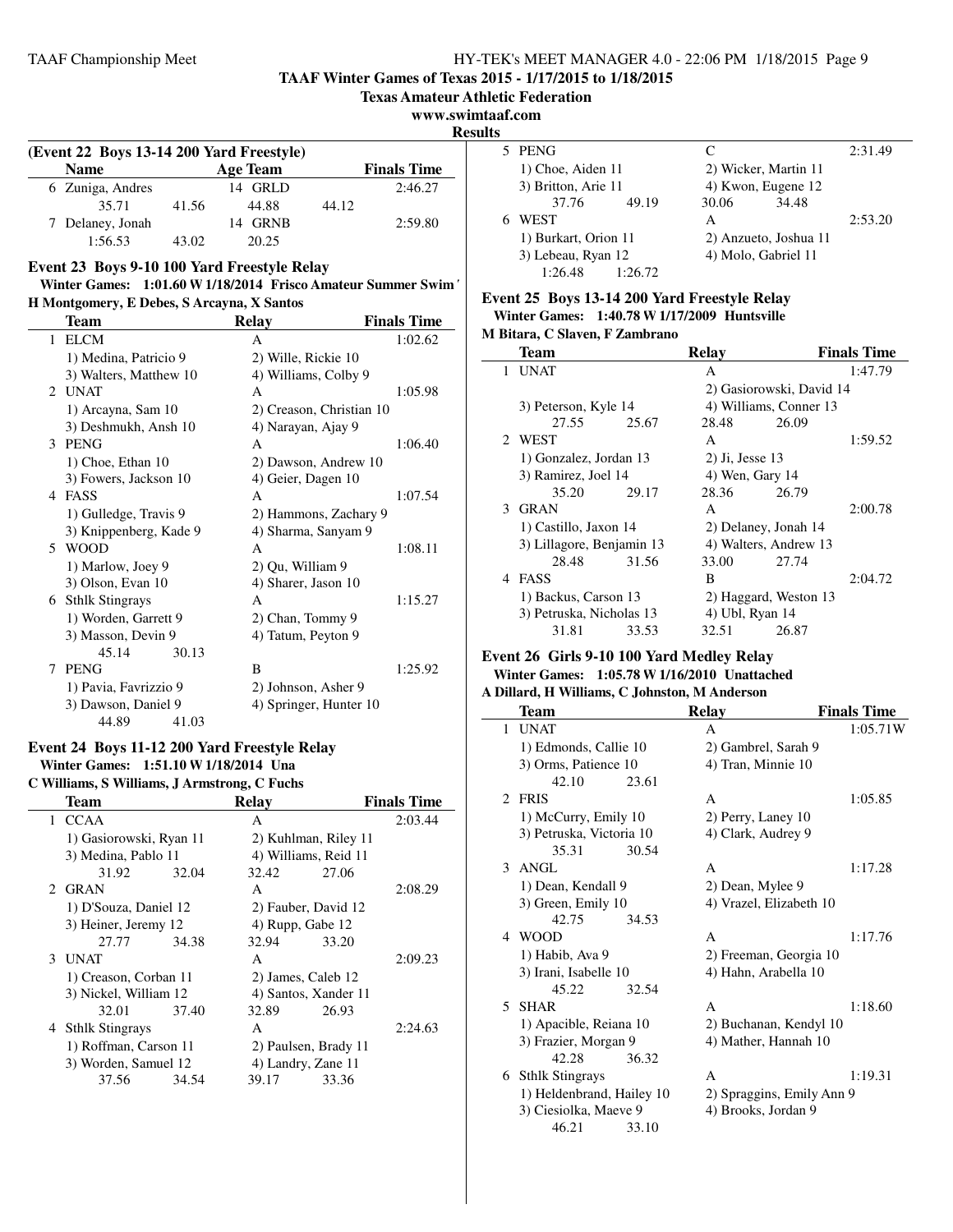**TAAF Winter Games of Texas 2015 - 1/17/2015 to 1/18/2015**

**www.swimtaaf.com**

**Results**

| (Event 22 Boys 13-14 200 Yard Freestyle) |       |                 |       |                    |  |  |  |
|------------------------------------------|-------|-----------------|-------|--------------------|--|--|--|
| <b>Name</b>                              |       | <b>Age Team</b> |       | <b>Finals Time</b> |  |  |  |
| 6 Zuniga, Andres                         |       | 14 GRLD         |       | 2:46.27            |  |  |  |
| 35.71                                    | 41.56 | 44.88           | 44.12 |                    |  |  |  |
| 7 Delaney, Jonah                         |       | 14 GRNB         |       | 2:59.80            |  |  |  |
| 1:56.53                                  | 43.02 | 20.25           |       |                    |  |  |  |

#### **Event 23 Boys 9-10 100 Yard Freestyle Relay**

| Winter Games: 1:01.60 W 1/18/2014 Frisco Amateur Summer Swim |  |
|--------------------------------------------------------------|--|
| H Montgomery, E Debes, S Arcayna, X Santos                   |  |

| Team                          | <b>Relay</b>             | <b>Finals Time</b> |
|-------------------------------|--------------------------|--------------------|
| <b>ELCM</b><br>1              | A                        | 1:02.62            |
| 1) Medina, Patricio 9         | 2) Wille, Rickie 10      |                    |
| 3) Walters, Matthew 10        | 4) Williams, Colby 9     |                    |
| <b>UNAT</b><br>$\mathfrak{D}$ | A                        | 1:05.98            |
| 1) Arcayna, Sam 10            | 2) Creason, Christian 10 |                    |
| 3) Deshmukh, Ansh 10          | 4) Narayan, Ajay 9       |                    |
| <b>PENG</b><br>3              | A                        | 1:06.40            |
| 1) Choe, Ethan 10             | 2) Dawson, Andrew 10     |                    |
| 3) Fowers, Jackson 10         | 4) Geier, Dagen 10       |                    |
| <b>FASS</b><br>4              | A                        | 1:07.54            |
| 1) Gulledge, Travis 9         | 2) Hammons, Zachary 9    |                    |
| 3) Knippenberg, Kade 9        | 4) Sharma, Sanyam 9      |                    |
| <b>WOOD</b><br>5.             | A                        | 1:08.11            |
| 1) Marlow, Joey 9             | 2) Qu, William 9         |                    |
| 3) Olson, Evan 10             | 4) Sharer, Jason 10      |                    |
| 6 Sthlk Stingrays             | A                        | 1:15.27            |
| 1) Worden, Garrett 9          | 2) Chan, Tommy 9         |                    |
| 3) Masson, Devin 9            | 4) Tatum, Peyton 9       |                    |
| 45.14<br>30.13                |                          |                    |
| <b>PENG</b><br>7              | B                        | 1:25.92            |
| 1) Pavia, Favrizzio 9         | 2) Johnson, Asher 9      |                    |
| 3) Dawson, Daniel 9           | 4) Springer, Hunter 10   |                    |
| 44.89<br>41.03                |                          |                    |

## **Event 24 Boys 11-12 200 Yard Freestyle Relay Winter Games: 1:51.10 W1/18/2014 Una**

**C Williams, S Williams, J Armstrong, C Fuchs**

| Team                    |       | Relay                |                      | <b>Finals Time</b> |
|-------------------------|-------|----------------------|----------------------|--------------------|
| 1 CCAA                  |       | A                    |                      | 2:03.44            |
| 1) Gasiorowski, Ryan 11 |       |                      | 2) Kuhlman, Riley 11 |                    |
| 3) Medina, Pablo 11     |       | 4) Williams, Reid 11 |                      |                    |
| 31.92                   | 32.04 | 32.42                | 27.06                |                    |
| 2 GRAN                  |       | A                    |                      | 2:08.29            |
| 1) D'Souza, Daniel 12   |       | 2) Fauber, David 12  |                      |                    |
| 3) Heiner, Jeremy 12    |       | 4) Rupp, Gabe 12     |                      |                    |
| 27.77                   | 34.38 | 32.94                | 33.20                |                    |
| 3 UNAT                  |       | A                    |                      | 2:09.23            |
| 1) Creason, Corban 11   |       | 2) James, Caleb 12   |                      |                    |
| 3) Nickel, William 12   |       | 4) Santos, Xander 11 |                      |                    |
| 32.01 37.40             |       | 32.89                | 26.93                |                    |
| 4 Sthlk Stingrays       |       | A                    |                      | 2:24.63            |
| 1) Roffman, Carson 11   |       | 2) Paulsen, Brady 11 |                      |                    |
| 3) Worden, Samuel 12    |       | 4) Landry, Zane 11   |                      |                    |
| 37.56                   | 34.54 | 39.17                | 33.36                |                    |
|                         |       |                      |                      |                    |

| s |                                            |         |       |                       |         |
|---|--------------------------------------------|---------|-------|-----------------------|---------|
|   | 5 PENG                                     |         |       |                       | 2:31.49 |
|   | 1) Choe, Aiden 11                          |         |       | 2) Wicker, Martin 11  |         |
|   | 3) Britton, Arie 11                        |         |       | 4) Kwon, Eugene 12    |         |
|   | 37.76                                      | 49.19   | 30.06 | 34.48                 |         |
|   | WEST                                       |         | A     |                       | 2:53.20 |
|   | 1) Burkart, Orion 11<br>3) Lebeau, Ryan 12 |         |       | 2) Anzueto, Joshua 11 |         |
|   |                                            |         |       | 4) Molo, Gabriel 11   |         |
|   | 1:26.48                                    | 1:26.72 |       |                       |         |

## **Event 25 Boys 13-14 200 Yard Freestyle Relay Winter Games: 1:40.78 W1/17/2009 Huntsville**

**M Bitara, C Slaven, F Zambrano**

|               | <b>Team</b>               |       | Relay                 |                          | <b>Finals Time</b> |
|---------------|---------------------------|-------|-----------------------|--------------------------|--------------------|
| 1             | <b>UNAT</b>               |       | А                     |                          | 1:47.79            |
|               |                           |       |                       | 2) Gasiorowski, David 14 |                    |
|               | 3) Peterson, Kyle 14      |       |                       | 4) Williams, Conner 13   |                    |
|               | 27.55 25.67               |       | 28.48                 | 26.09                    |                    |
|               | 2 WEST                    |       | A                     |                          | 1:59.52            |
|               | 1) Gonzalez, Jordan 13    |       | $2)$ Ji, Jesse 13     |                          |                    |
|               | 3) Ramirez, Joel 14       |       | 4) Wen, Gary 14       |                          |                    |
|               | 35.20                     | 29.17 | 28.36                 | 26.79                    |                    |
| $\mathcal{L}$ | <b>GRAN</b>               |       | A                     |                          | 2:00.78            |
|               | 1) Castillo, Jaxon 14     |       | 2) Delaney, Jonah 14  |                          |                    |
|               | 3) Lillagore, Benjamin 13 |       | 4) Walters, Andrew 13 |                          |                    |
|               | 28.48                     | 31.56 | 33.00                 | 27.74                    |                    |
|               | 4 FASS                    |       | B                     |                          | 2:04.72            |
|               | 1) Backus, Carson 13      |       |                       | 2) Haggard, Weston 13    |                    |
|               | 3) Petruska, Nicholas 13  |       | 4) Ubl, Ryan 14       |                          |                    |
|               | 31.81                     | 33.53 | 32.51                 | 26.87                    |                    |

#### **Event 26 Girls 9-10 100 Yard Medley Relay Winter Games: 1:05.78 W1/16/2010 Unattached**

## **A Dillard, H Williams, C Johnston, M Anderson**

|    | Team                      |       | <b>Relay</b>              | <b>Finals Time</b> |
|----|---------------------------|-------|---------------------------|--------------------|
| 1  | <b>UNAT</b>               |       | A                         | 1:05.71W           |
|    | 1) Edmonds, Callie 10     |       | 2) Gambrel, Sarah 9       |                    |
|    | 3) Orms, Patience 10      |       | 4) Tran, Minnie 10        |                    |
|    | 42.10                     | 23.61 |                           |                    |
|    | 2 FRIS                    |       | A                         | 1:05.85            |
|    | 1) McCurry, Emily 10      |       | 2) Perry, Laney 10        |                    |
|    | 3) Petruska, Victoria 10  |       | 4) Clark, Audrey 9        |                    |
|    | 35.31                     | 30.54 |                           |                    |
|    | 3 ANGL                    |       | A                         | 1:17.28            |
|    | 1) Dean, Kendall 9        |       | 2) Dean, Mylee 9          |                    |
|    | 3) Green, Emily 10        |       | 4) Vrazel, Elizabeth 10   |                    |
|    | 42.75                     | 34.53 |                           |                    |
| 4  | <b>WOOD</b>               |       | $\mathsf{A}$              | 1:17.76            |
|    | 1) Habib, Ava 9           |       | 2) Freeman, Georgia 10    |                    |
|    | 3) Irani, Isabelle 10     |       | 4) Hahn, Arabella 10      |                    |
|    | 45.22                     | 32.54 |                           |                    |
| 5. | SHAR                      |       | $\mathsf{A}$              | 1:18.60            |
|    | 1) Apacible, Reiana 10    |       | 2) Buchanan, Kendyl 10    |                    |
|    | 3) Frazier, Morgan 9      |       | 4) Mather, Hannah 10      |                    |
|    | 42.28                     | 36.32 |                           |                    |
| 6  | <b>Sthlk Stingrays</b>    |       | A                         | 1:19.31            |
|    | 1) Heldenbrand, Hailey 10 |       | 2) Spraggins, Emily Ann 9 |                    |
|    | 3) Ciesiolka, Maeve 9     |       | 4) Brooks, Jordan 9       |                    |
|    | 46.21                     | 33.10 |                           |                    |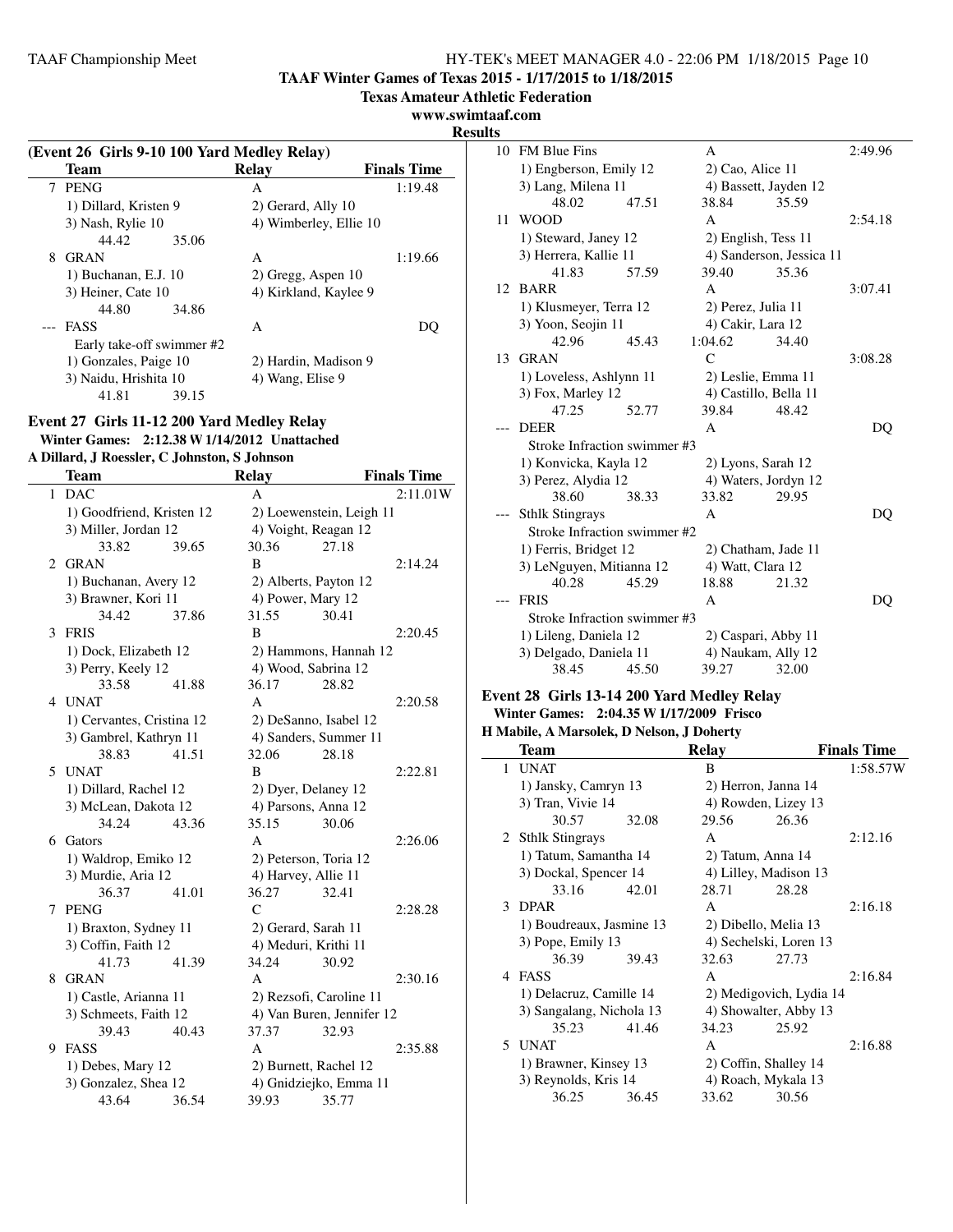**TAAF Winter Games of Texas 2015 - 1/17/2015 to 1/18/2015**

**Texas Amateur Athletic Federation**

### **www.swimtaaf.com**

**Results**

 $\sim$ 

|   | (Event 26 Girls 9-10 100 Yard Medley Relay) |       |                        |                    |  |  |  |
|---|---------------------------------------------|-------|------------------------|--------------------|--|--|--|
|   | <b>Team</b>                                 |       | Relay                  | <b>Finals Time</b> |  |  |  |
| 7 | PENG                                        |       | A                      | 1:19.48            |  |  |  |
|   | 1) Dillard, Kristen 9                       |       | 2) Gerard, Ally 10     |                    |  |  |  |
|   | 3) Nash, Rylie 10                           |       | 4) Wimberley, Ellie 10 |                    |  |  |  |
|   | 44.42                                       | 35.06 |                        |                    |  |  |  |
| 8 | <b>GRAN</b>                                 |       | A                      | 1:19.66            |  |  |  |
|   | 1) Buchanan, E.J. 10                        |       | $2)$ Gregg, Aspen 10   |                    |  |  |  |
|   | 3) Heiner, Cate 10                          |       | 4) Kirkland, Kaylee 9  |                    |  |  |  |
|   | 44.80                                       | 34.86 |                        |                    |  |  |  |
|   | <b>FASS</b>                                 |       | A                      | $\mathbf{C}$       |  |  |  |
|   | Early take-off swimmer #2                   |       |                        |                    |  |  |  |
|   | 1) Gonzales, Paige 10                       |       | 2) Hardin, Madison 9   |                    |  |  |  |
|   | 3) Naidu, Hrishita 10                       |       | 4) Wang, Elise 9       |                    |  |  |  |
|   | 41.81                                       | 39.15 |                        |                    |  |  |  |

## **Event 27 Girls 11-12 200 Yard Medley Relay Winter Games: 2:12.38 W1/14/2012 Unattached**

|  |  |  | A Dillard, J Roessler, C Johnston, S Johnson |  |  |
|--|--|--|----------------------------------------------|--|--|
|--|--|--|----------------------------------------------|--|--|

|   | Team                      |       | <b>Relay</b>            |                           | <b>Finals Time</b> |
|---|---------------------------|-------|-------------------------|---------------------------|--------------------|
|   | 1 DAC                     |       | A                       |                           | 2:11.01W           |
|   | 1) Goodfriend, Kristen 12 |       |                         | 2) Loewenstein, Leigh 11  |                    |
|   | 3) Miller, Jordan 12      |       | 4) Voight, Reagan 12    |                           |                    |
|   | 33.82                     | 39.65 | 30.36                   | 27.18                     |                    |
| 2 | <b>GRAN</b>               |       | B                       |                           | 2:14.24            |
|   | 1) Buchanan, Avery 12     |       | 2) Alberts, Payton 12   |                           |                    |
|   | 3) Brawner, Kori 11       |       | 4) Power, Mary 12       |                           |                    |
|   | 34.42                     | 37.86 | 31.55                   | 30.41                     |                    |
| 3 | <b>FRIS</b>               |       | B                       |                           | 2:20.45            |
|   | 1) Dock, Elizabeth 12     |       |                         | 2) Hammons, Hannah 12     |                    |
|   | 3) Perry, Keely 12        |       | 4) Wood, Sabrina 12     |                           |                    |
|   | 33.58                     | 41.88 | 36.17                   | 28.82                     |                    |
|   | 4 UNAT                    |       | A                       |                           | 2:20.58            |
|   | 1) Cervantes, Cristina 12 |       | 2) DeSanno, Isabel 12   |                           |                    |
|   | 3) Gambrel, Kathryn 11    |       | 4) Sanders, Summer 11   |                           |                    |
|   | 38.83                     | 41.51 | 32.06                   | 28.18                     |                    |
|   | 5 UNAT                    |       | B                       |                           | 2:22.81            |
|   | 1) Dillard, Rachel 12     |       | 2) Dyer, Delaney 12     |                           |                    |
|   | 3) McLean, Dakota 12      |       | 4) Parsons, Anna 12     |                           |                    |
|   | 34.24                     | 43.36 | 35.15                   | 30.06                     |                    |
| 6 | Gators                    |       | A                       |                           | 2:26.06            |
|   | 1) Waldrop, Emiko 12      |       | 2) Peterson, Toria 12   |                           |                    |
|   | 3) Murdie, Aria 12        |       | 4) Harvey, Allie 11     |                           |                    |
|   | 36.37                     | 41.01 | 36.27                   | 32.41                     |                    |
| 7 | <b>PENG</b>               |       | $\mathcal{C}$           |                           | 2:28.28            |
|   | 1) Braxton, Sydney 11     |       | 2) Gerard, Sarah 11     |                           |                    |
|   | 3) Coffin, Faith 12       |       | 4) Meduri, Krithi 11    |                           |                    |
|   | 41.73                     | 41.39 | 34.24                   | 30.92                     |                    |
| 8 | <b>GRAN</b>               |       | A                       |                           | 2:30.16            |
|   | 1) Castle, Arianna 11     |       | 2) Rezsofi, Caroline 11 |                           |                    |
|   | 3) Schmeets, Faith 12     |       |                         | 4) Van Buren, Jennifer 12 |                    |
|   | 39.43                     | 40.43 | 37.37                   | 32.93                     |                    |
| 9 | FASS                      |       | A                       |                           | 2:35.88            |
|   | 1) Debes, Mary 12         |       | 2) Burnett, Rachel 12   |                           |                    |
|   | 3) Gonzalez, Shea 12      |       |                         | 4) Gnidziejko, Emma 11    |                    |
|   | 43.64                     | 36.54 | 39.93                   | 35.77                     |                    |

| w  |                              |       |                    |                          |         |
|----|------------------------------|-------|--------------------|--------------------------|---------|
| 10 | <b>FM Blue Fins</b>          |       | A                  |                          | 2:49.96 |
|    | 1) Engberson, Emily 12       |       | $2)$ Cao, Alice 11 |                          |         |
|    | 3) Lang, Milena 11           |       |                    | 4) Bassett, Jayden 12    |         |
|    | 48.02                        | 47.51 | 38.84              | 35.59                    |         |
| 11 | <b>WOOD</b>                  |       | A                  |                          | 2:54.18 |
|    | 1) Steward, Janey 12         |       |                    | 2) English, Tess 11      |         |
|    | 3) Herrera, Kallie 11        |       |                    | 4) Sanderson, Jessica 11 |         |
|    | 41.83                        | 57.59 | 39.40              | 35.36                    |         |
| 12 | <b>BARR</b>                  |       | A                  |                          | 3:07.41 |
|    | 1) Klusmeyer, Terra 12       |       | 2) Perez, Julia 11 |                          |         |
|    | 3) Yoon, Seojin 11           |       | 4) Cakir, Lara 12  |                          |         |
|    | 42.96                        | 45.43 | 1:04.62            | 34.40                    |         |
| 13 | <b>GRAN</b>                  |       | $\mathcal{C}$      |                          | 3:08.28 |
|    | 1) Loveless, Ashlynn 11      |       |                    | 2) Leslie, Emma 11       |         |
|    | 3) Fox, Marley 12            |       |                    | 4) Castillo, Bella 11    |         |
|    | 47.25                        | 52.77 | 39.84              | 48.42                    |         |
|    | <b>DEER</b>                  |       | A                  |                          | DQ      |
|    | Stroke Infraction swimmer #3 |       |                    |                          |         |
|    | 1) Konvicka, Kayla 12        |       |                    | 2) Lyons, Sarah 12       |         |
|    | 3) Perez, Alydia 12          |       |                    | 4) Waters, Jordyn 12     |         |
|    | 38.60                        | 38.33 | 33.82              | 29.95                    |         |
|    | <b>Sthlk Stingrays</b>       |       | А                  |                          | DO      |
|    | Stroke Infraction swimmer #2 |       |                    |                          |         |
|    | 1) Ferris, Bridget 12        |       |                    | 2) Chatham, Jade 11      |         |
|    | 3) LeNguyen, Mitianna 12     |       | 4) Watt, Clara 12  |                          |         |
|    | 40.28                        | 45.29 | 18.88              | 21.32                    |         |
|    | <b>FRIS</b>                  |       | A                  |                          | DQ      |
|    | Stroke Infraction swimmer #3 |       |                    |                          |         |
|    | 1) Lileng, Daniela 12        |       |                    | 2) Caspari, Abby 11      |         |
|    | 3) Delgado, Daniela 11       |       |                    | 4) Naukam, Ally 12       |         |
|    | 38.45                        | 45.50 | 39.27              | 32.00                    |         |

#### **Event 28 Girls 13-14 200 Yard Medley Relay Winter Games: 2:04.35 W1/17/2009 Frisco H Mabile, A Marsolek, D Nelson, J Doherty**

|  | H Mabile, A Marsolek, D Nelson, J Donerty |  |  |
|--|-------------------------------------------|--|--|
|--|-------------------------------------------|--|--|

| Team                     |       | Relay                  |                         | <b>Finals Time</b> |
|--------------------------|-------|------------------------|-------------------------|--------------------|
| 1 UNAT                   |       | B                      |                         | 1:58.57W           |
| 1) Jansky, Camryn 13     |       | 2) Herron, Janna 14    |                         |                    |
| 3) Tran, Vivie 14        |       | 4) Rowden, Lizey 13    |                         |                    |
| 30.57                    | 32.08 | 29.56                  | 26.36                   |                    |
| 2 Sthlk Stingrays        |       | A                      |                         | 2:12.16            |
| 1) Tatum, Samantha 14    |       | 2) Tatum, Anna 14      |                         |                    |
| 3) Dockal, Spencer 14    |       | 4) Lilley, Madison 13  |                         |                    |
| 33.16                    | 42.01 | 28.71                  | 28.28                   |                    |
| 3 DPAR                   |       | A                      |                         | 2:16.18            |
| 1) Boudreaux, Jasmine 13 |       | 2) Dibello, Melia 13   |                         |                    |
| 3) Pope, Emily 13        |       | 4) Sechelski, Loren 13 |                         |                    |
| 36.39                    | 39.43 | 32.63                  | 27.73                   |                    |
| 4 FASS                   |       | A                      |                         | 2:16.84            |
| 1) Delacruz, Camille 14  |       |                        | 2) Medigovich, Lydia 14 |                    |
| 3) Sangalang, Nichola 13 |       | 4) Showalter, Abby 13  |                         |                    |
| 35.23                    | 41.46 | 34.23                  | 25.92                   |                    |
| 5 UNAT                   |       | A                      |                         | 2:16.88            |
| 1) Brawner, Kinsey 13    |       | 2) Coffin, Shalley 14  |                         |                    |
| 3) Reynolds, Kris 14     |       | 4) Roach, Mykala 13    |                         |                    |
| 36.25                    | 36.45 | 33.62                  | 30.56                   |                    |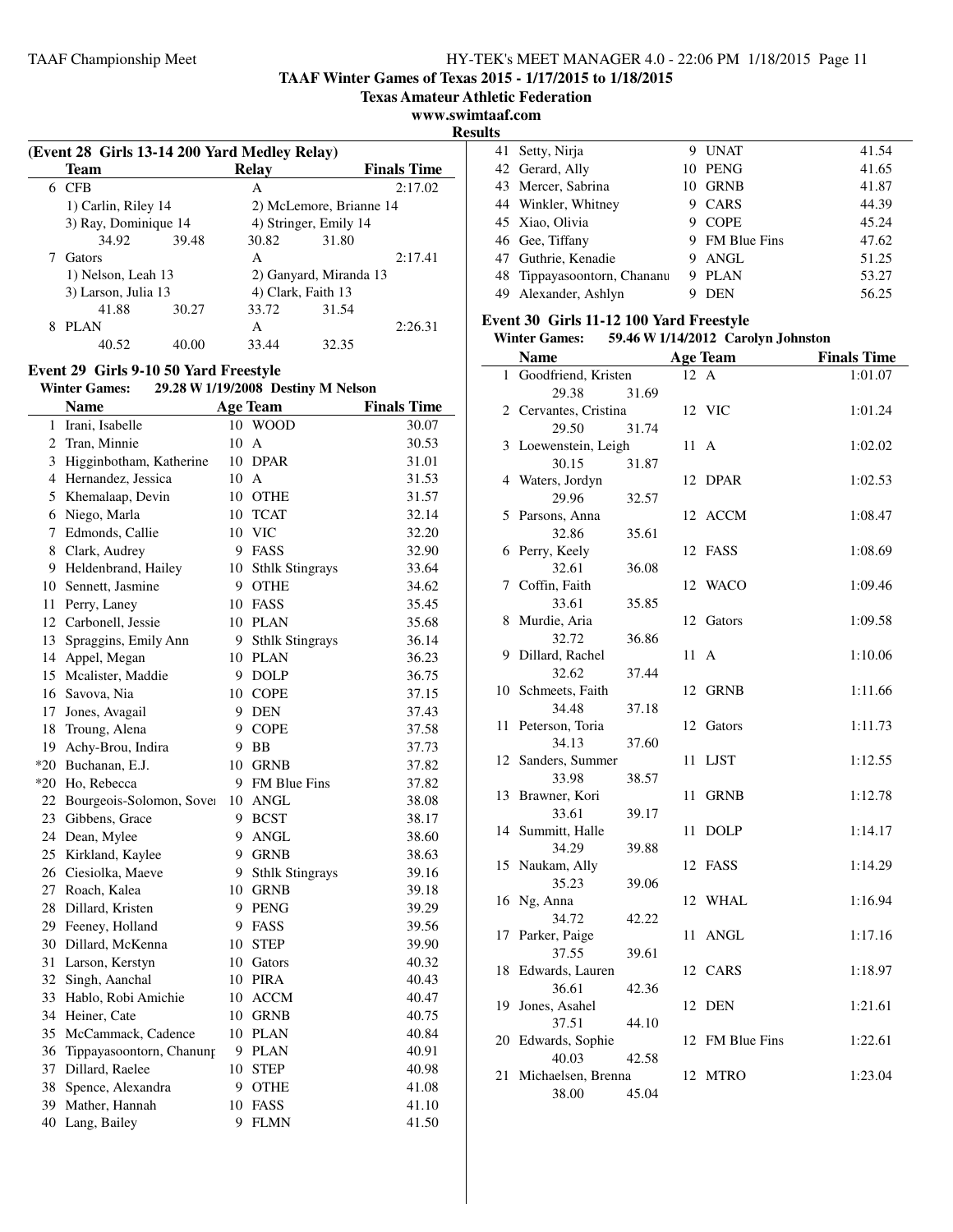**TAAF Winter Games of Texas 2015 - 1/17/2015 to 1/18/2015**

**Texas Amateur Athletic Federation**

**www.swimtaaf.com**

**Results**

|   | (Event 28 Girls 13-14 200 Yard Medley Relay) |       |       |                         |                    |  |  |
|---|----------------------------------------------|-------|-------|-------------------------|--------------------|--|--|
|   | Team                                         |       | Relay |                         | <b>Finals Time</b> |  |  |
| 6 | <b>CFB</b>                                   |       | A     |                         | 2:17.02            |  |  |
|   | 1) Carlin, Riley 14                          |       |       | 2) McLemore, Brianne 14 |                    |  |  |
|   | 3) Ray, Dominique 14                         |       |       | 4) Stringer, Emily 14   |                    |  |  |
|   | 34.92                                        | 39.48 | 30.82 | 31.80                   |                    |  |  |
|   | Gators                                       |       | A     |                         | 2:17.41            |  |  |
|   | 1) Nelson, Leah 13                           |       |       | 2) Ganyard, Miranda 13  |                    |  |  |
|   | 3) Larson, Julia 13                          |       |       | 4) Clark, Faith 13      |                    |  |  |
|   | 41.88                                        | 30.27 | 33.72 | 31.54                   |                    |  |  |
| 8 | <b>PLAN</b>                                  |       | A     |                         | 2:26.31            |  |  |
|   | 40.52                                        | 40.00 | 33.44 | 32.35                   |                    |  |  |

## **Event 29 Girls 9-10 50 Yard Freestyle**

## **Winter Games: 29.28 W1/19/2008 Destiny M Nelson**

|                | <b>Name</b>                 |    | <b>Age Team</b>        | <b>Finals Time</b> |
|----------------|-----------------------------|----|------------------------|--------------------|
| 1              | Irani, Isabelle             | 10 | <b>WOOD</b>            | 30.07              |
| $\overline{2}$ | Tran, Minnie                | 10 | A                      | 30.53              |
| 3              | Higginbotham, Katherine     | 10 | <b>DPAR</b>            | 31.01              |
|                | 4 Hernandez, Jessica        | 10 | $\mathbf{A}$           | 31.53              |
| 5              | Khemalaap, Devin            |    | 10 OTHE                | 31.57              |
| 6              | Niego, Marla                | 10 | <b>TCAT</b>            | 32.14              |
| $7^{\circ}$    | Edmonds, Callie             | 10 | <b>VIC</b>             | 32.20              |
| 8              | Clark, Audrey               |    | 9 FASS                 | 32.90              |
|                | 9 Heldenbrand, Hailey       | 10 | <b>Sthlk Stingrays</b> | 33.64              |
| 10             | Sennett, Jasmine            |    | 9 OTHE                 | 34.62              |
| 11             | Perry, Laney                |    | 10 FASS                | 35.45              |
|                | 12 Carbonell, Jessie        |    | 10 PLAN                | 35.68              |
| 13             | Spraggins, Emily Ann        | 9  | <b>Sthlk Stingrays</b> | 36.14              |
| 14             | Appel, Megan                |    | 10 PLAN                | 36.23              |
|                | 15 Mcalister, Maddie        | 9  | <b>DOLP</b>            | 36.75              |
|                | 16 Savova, Nia              |    | 10 COPE                | 37.15              |
|                | 17 Jones, Avagail           |    | 9 DEN                  | 37.43              |
| 18             | Troung, Alena               |    | 9 COPE                 | 37.58              |
| 19             | Achy-Brou, Indira           | 9  | BB                     | 37.73              |
|                | *20 Buchanan, E.J.          | 10 | <b>GRNB</b>            | 37.82              |
|                | *20 Ho, Rebecca             |    | 9 FM Blue Fins         | 37.82              |
|                | 22 Bourgeois-Solomon, Sover | 10 | ANGL                   | 38.08              |
|                | 23 Gibbens, Grace           |    | 9 BCST                 | 38.17              |
|                | 24 Dean, Mylee              | 9  | <b>ANGL</b>            | 38.60              |
| 25             | Kirkland, Kaylee            |    | 9 GRNB                 | 38.63              |
|                | 26 Ciesiolka, Maeve         | 9  | <b>Sthlk Stingrays</b> | 39.16              |
|                | 27 Roach, Kalea             |    | 10 GRNB                | 39.18              |
|                | 28 Dillard, Kristen         |    | 9 PENG                 | 39.29              |
|                | 29 Feeney, Holland          |    | 9 FASS                 | 39.56              |
|                | 30 Dillard, McKenna         | 10 | <b>STEP</b>            | 39.90              |
|                | 31 Larson, Kerstyn          |    | 10 Gators              | 40.32              |
| 32             | Singh, Aanchal              |    | 10 PIRA                | 40.43              |
| 33             | Hablo, Robi Amichie         | 10 | <b>ACCM</b>            | 40.47              |
|                | 34 Heiner, Cate             |    | 10 GRNB                | 40.75              |
| 35             | McCammack, Cadence          |    | 10 PLAN                | 40.84              |
| 36             | Tippayasoontorn, Chanung    | 9  | PLAN                   | 40.91              |
|                | 37 Dillard, Raelee          | 10 | <b>STEP</b>            | 40.98              |
|                | 38 Spence, Alexandra        | 9  | <b>OTHE</b>            | 41.08              |
|                | 39 Mather, Hannah           |    | 10 FASS                | 41.10              |
|                | 40 Lang, Bailey             | 9  | <b>FLMN</b>            | 41.50              |

| 41 Setty, Nirja             | 9 | UNAT           | 41.54 |
|-----------------------------|---|----------------|-------|
| 42 Gerard, Ally             |   | 10 PENG        | 41.65 |
| 43 Mercer, Sabrina          |   | 10 GRNB        | 41.87 |
| 44 Winkler, Whitney         | 9 | CARS           | 44.39 |
| 45 Xiao, Olivia             |   | <b>COPE</b>    | 45.24 |
| 46 Gee, Tiffany             |   | 9 FM Blue Fins | 47.62 |
| 47 Guthrie, Kenadie         | 9 | ANGL           | 51.25 |
| 48 Tippayasoontorn, Chananu | 9 | PLAN           | 53.27 |
| 49 Alexander, Ashlyn        |   | <b>DEN</b>     | 56.25 |

### **Event 30 Girls 11-12 100 Yard Freestyle**

#### **Winter Games: 59.46 W1/14/2012 Carolyn Johnston**

|    | <b>Name</b>                 |       |                | <b>Age Team</b> | <b>Finals Time</b> |
|----|-----------------------------|-------|----------------|-----------------|--------------------|
|    | 1 Goodfriend, Kristen       |       | 12 A           |                 | 1:01.07            |
|    | 29.38                       | 31.69 |                |                 |                    |
|    | 2 Cervantes, Cristina       |       |                | 12 VIC          | 1:01.24            |
|    | 29.50                       | 31.74 |                |                 |                    |
| 3  | Loewenstein, Leigh          |       | 11             | $\mathbf{A}$    | 1:02.02            |
|    | 30.15                       | 31.87 |                |                 |                    |
|    | 4 Waters, Jordyn            |       | 12             | <b>DPAR</b>     | 1:02.53            |
|    | 29.96                       | 32.57 |                |                 |                    |
| 5  | Parsons, Anna               |       |                | 12 ACCM         | 1:08.47            |
|    | 32.86                       | 35.61 |                |                 |                    |
|    | 6 Perry, Keely              |       |                | 12 FASS         | 1:08.69            |
|    | 32.61                       | 36.08 |                |                 |                    |
| 7  | Coffin, Faith               |       | 12             | WACO            | 1:09.46            |
|    | 33.61                       | 35.85 |                |                 |                    |
| 8  | Murdie, Aria                |       |                | 12 Gators       | 1:09.58            |
|    | 32.72                       | 36.86 |                |                 |                    |
| 9  | Dillard, Rachel             |       | $11 \text{ A}$ |                 | 1:10.06            |
|    | 32.62                       | 37.44 |                |                 |                    |
|    | 10 Schmeets, Faith          |       |                | 12 GRNB         | 1:11.66            |
|    | 34.48                       | 37.18 |                |                 |                    |
| 11 | Peterson, Toria             |       |                | 12 Gators       | 1:11.73            |
|    | 34.13                       | 37.60 |                |                 |                    |
|    | 12 Sanders, Summer          |       | 11             | <b>LJST</b>     | 1:12.55            |
|    | 33.98                       | 38.57 |                |                 |                    |
| 13 | Brawner, Kori               |       | 11             | <b>GRNB</b>     | 1:12.78            |
|    | 33.61                       | 39.17 |                |                 |                    |
|    | 14 Summitt, Halle           |       | 11             | <b>DOLP</b>     | 1:14.17            |
|    | 34.29                       | 39.88 |                |                 |                    |
| 15 | Naukam, Ally                |       |                | 12 FASS         | 1:14.29            |
|    | 35.23                       | 39.06 |                |                 |                    |
| 16 | Ng, Anna                    |       |                | 12 WHAL         | 1:16.94            |
|    | 34.72                       | 42.22 |                |                 |                    |
| 17 | Parker, Paige<br>37.55      |       | 11             | <b>ANGL</b>     | 1:17.16            |
| 18 | Edwards, Lauren             | 39.61 |                | 12 CARS         |                    |
|    |                             |       |                |                 | 1:18.97            |
| 19 | 36.61<br>Jones, Asahel      | 42.36 |                | 12 DEN          | 1:21.61            |
|    | 37.51                       | 44.10 |                |                 |                    |
|    | 20 Edwards, Sophie          |       |                | 12 FM Blue Fins | 1:22.61            |
|    | 40.03                       | 42.58 |                |                 |                    |
|    |                             |       |                |                 |                    |
|    |                             |       |                |                 |                    |
| 21 | Michaelsen, Brenna<br>38.00 | 45.04 |                | 12 MTRO         | 1:23.04            |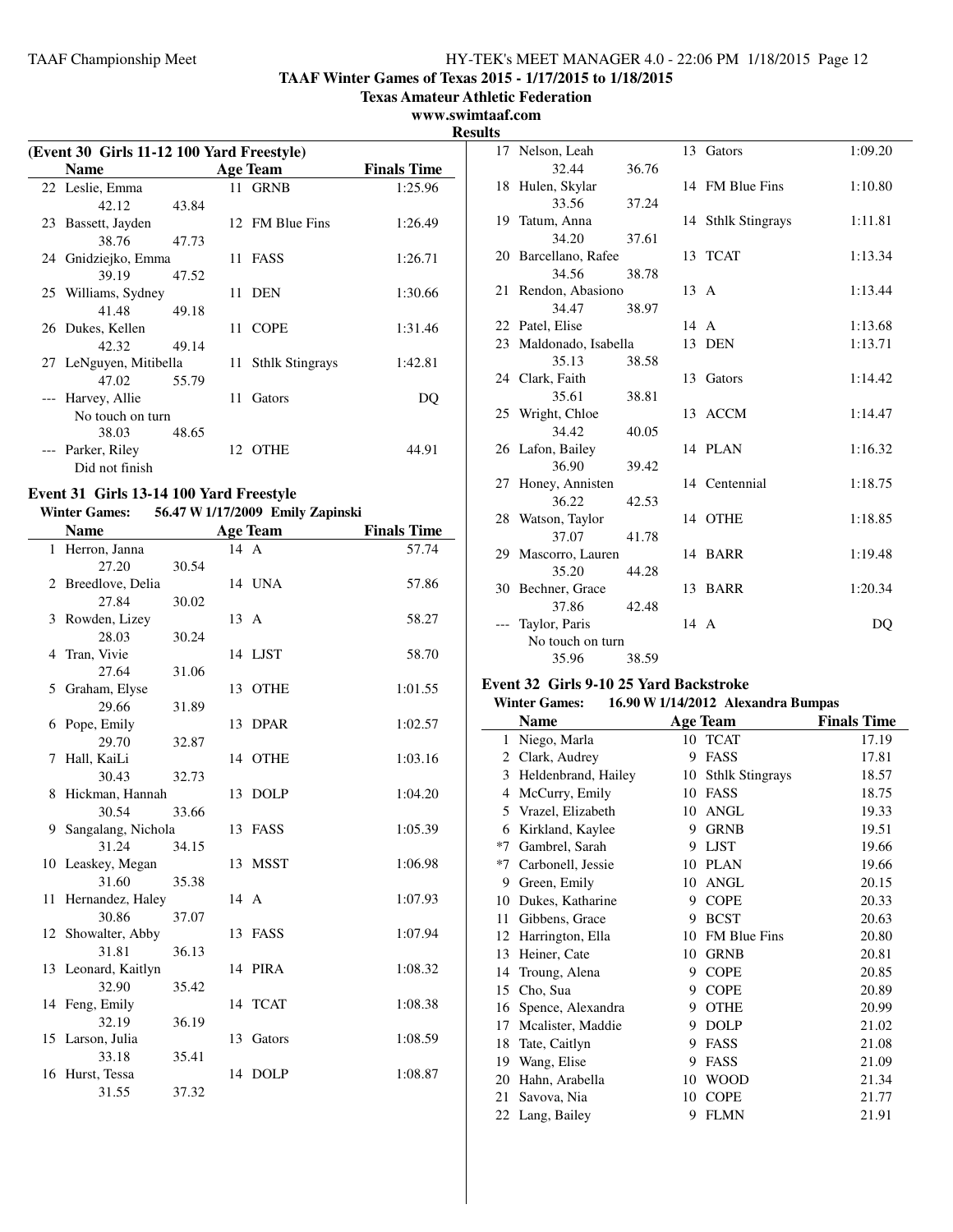**TAAF Winter Games of Texas 2015 - 1/17/2015 to 1/18/2015**

**Texas Amateur Athletic Federation**

#### **www.swimtaaf.com**

**Results**

| (Event 30 Girls 11-12 100 Yard Freestyle) |                        |       |  |                    |                    |
|-------------------------------------------|------------------------|-------|--|--------------------|--------------------|
|                                           | <b>Name</b>            |       |  | <b>Age Team</b>    | <b>Finals Time</b> |
|                                           | 22 Leslie, Emma        |       |  | 11 GRNB            | 1:25.96            |
|                                           | 42.12                  | 43.84 |  |                    |                    |
|                                           | 23 Bassett, Jayden     |       |  | 12 FM Blue Fins    | 1:26.49            |
|                                           | 38.76                  | 47.73 |  |                    |                    |
|                                           | 24 Gnidziejko, Emma    |       |  | 11 FASS            | 1:26.71            |
|                                           | 39.19                  | 47.52 |  |                    |                    |
|                                           | 25 Williams, Sydney    |       |  | 11 DEN             | 1:30.66            |
|                                           | 41.48                  | 49.18 |  |                    |                    |
|                                           | 26 Dukes, Kellen       |       |  | 11 COPE            | 1:31.46            |
|                                           | 42.32                  | 49.14 |  |                    |                    |
|                                           | 27 LeNguyen, Mitibella |       |  | 11 Sthlk Stingrays | 1:42.81            |
|                                           | 47.02                  | 55.79 |  |                    |                    |
|                                           | --- Harvey, Allie      |       |  | 11 Gators          | DO                 |
|                                           | No touch on turn       |       |  |                    |                    |
|                                           | 38.03                  | 48.65 |  |                    |                    |
|                                           | Parker, Riley          |       |  | 12 OTHE            | 44.91              |
|                                           | Did not finish         |       |  |                    |                    |

## **Event 31 Girls 13-14 100 Yard Freestyle**

**Winter Games: 56.47 W1/17/2009 Emily Zapinski**

|    | <b>Name</b>         |       |                | <b>Age Team</b> | <b>Finals Time</b> |
|----|---------------------|-------|----------------|-----------------|--------------------|
|    | 1 Herron, Janna     |       | $14 \text{ A}$ |                 | 57.74              |
|    | 27.20               | 30.54 |                |                 |                    |
|    | 2 Breedlove, Delia  |       |                | 14 UNA          | 57.86              |
|    | 27.84               | 30.02 |                |                 |                    |
| 3  | Rowden, Lizey       |       | 13 A           |                 | 58.27              |
|    | 28.03               | 30.24 |                |                 |                    |
| 4  | Tran, Vivie         |       |                | 14 LJST         | 58.70              |
|    | 27.64               | 31.06 |                |                 |                    |
| 5  | Graham, Elyse       |       |                | 13 OTHE         | 1:01.55            |
|    | 29.66               | 31.89 |                |                 |                    |
| 6  | Pope, Emily         |       | 13             | <b>DPAR</b>     | 1:02.57            |
|    | 29.70               | 32.87 |                |                 |                    |
| 7  | Hall, KaiLi         |       |                | 14 OTHE         | 1:03.16            |
|    | 30.43               | 32.73 |                |                 |                    |
| 8  | Hickman, Hannah     |       |                | 13 DOLP         | 1:04.20            |
|    | 30.54               | 33.66 |                |                 |                    |
| 9  | Sangalang, Nichola  |       |                | 13 FASS         | 1:05.39            |
|    | 31.24               | 34.15 |                |                 |                    |
|    | 10 Leaskey, Megan   |       |                | 13 MSST         | 1:06.98            |
|    | 31.60               | 35.38 |                |                 |                    |
| 11 | Hernandez, Haley    |       | 14 A           |                 | 1:07.93            |
|    | 30.86               | 37.07 |                |                 |                    |
| 12 | Showalter, Abby     |       |                | 13 FASS         | 1:07.94            |
|    | 31.81               | 36.13 |                |                 |                    |
|    | 13 Leonard, Kaitlyn |       |                | 14 PIRA         | 1:08.32            |
|    | 32.90               | 35.42 |                |                 |                    |
|    | 14 Feng, Emily      |       |                | 14 TCAT         | 1:08.38            |
|    | 32.19               | 36.19 |                |                 |                    |
|    | 15 Larson, Julia    |       |                | 13 Gators       | 1:08.59            |
|    | 33.18               | 35.41 |                |                 |                    |
|    | 16 Hurst, Tessa     |       | 14             | <b>DOLP</b>     | 1:08.87            |
|    | 31.55               | 37.32 |                |                 |                    |

| 17 Nelson, Leah        |       |      | 13 Gators          | 1:09.20 |
|------------------------|-------|------|--------------------|---------|
| 32.44                  | 36.76 |      |                    |         |
| 18 Hulen, Skylar       |       |      | 14 FM Blue Fins    | 1:10.80 |
| 33.56                  | 37.24 |      |                    |         |
| 19 Tatum, Anna         |       |      | 14 Sthlk Stingrays | 1:11.81 |
| 34.20                  | 37.61 |      |                    |         |
| 20 Barcellano, Rafee   |       |      | 13 TCAT            | 1:13.34 |
| 34.56                  | 38.78 |      |                    |         |
| 21 Rendon, Abasiono    |       | 13 A |                    | 1:13.44 |
| 34.47                  | 38.97 |      |                    |         |
| 22 Patel, Elise        |       | 14 A |                    | 1:13.68 |
| 23 Maldonado, Isabella |       |      | 13 DEN             | 1:13.71 |
| 35.13                  | 38.58 |      |                    |         |
| 24 Clark, Faith        |       |      | 13 Gators          | 1:14.42 |
| 35.61                  | 38.81 |      |                    |         |
| 25 Wright, Chloe       |       |      | 13 ACCM            | 1:14.47 |
| 34.42                  | 40.05 |      |                    |         |
| 26 Lafon, Bailey       |       |      | 14 PLAN            | 1:16.32 |
| 36.90                  | 39.42 |      |                    |         |
| 27 Honey, Annisten     |       |      | 14 Centennial      | 1:18.75 |
| 36.22                  | 42.53 |      |                    |         |
| 28 Watson, Taylor      |       |      | 14 OTHE            | 1:18.85 |
| 37.07                  | 41.78 |      |                    |         |
| 29 Mascorro, Lauren    |       |      | 14 BARR            | 1:19.48 |
| 35.20                  | 44.28 |      |                    |         |
| 30 Bechner, Grace      |       |      | 13 BARR            | 1:20.34 |
| 37.86                  | 42.48 |      |                    |         |
| Taylor, Paris          |       | 14 A |                    | DO      |
| No touch on turn       |       |      |                    |         |
| 35.96                  | 38.59 |      |                    |         |

## **Event 32 Girls 9-10 25 Yard Backstroke**

| <b>Winter Games:</b> |  | 16.90 W 1/14/2012 Alexandra Bumpas |
|----------------------|--|------------------------------------|
|----------------------|--|------------------------------------|

|      | <b>Name</b>         |    | Age Team               | <b>Finals Time</b> |
|------|---------------------|----|------------------------|--------------------|
| 1    | Niego, Marla        | 10 | <b>TCAT</b>            | 17.19              |
| 2    | Clark, Audrey       | 9  | <b>FASS</b>            | 17.81              |
| 3    | Heldenbrand, Hailey | 10 | <b>Sthlk Stingrays</b> | 18.57              |
| 4    | McCurry, Emily      | 10 | <b>FASS</b>            | 18.75              |
| 5    | Vrazel, Elizabeth   | 10 | <b>ANGL</b>            | 19.33              |
| 6    | Kirkland, Kaylee    | 9  | <b>GRNB</b>            | 19.51              |
| $*7$ | Gambrel, Sarah      | 9  | <b>LJST</b>            | 19.66              |
| $*7$ | Carbonell, Jessie   | 10 | <b>PLAN</b>            | 19.66              |
| 9    | Green, Emily        | 10 | <b>ANGL</b>            | 20.15              |
| 10   | Dukes, Katharine    | 9  | <b>COPE</b>            | 20.33              |
| 11   | Gibbens, Grace      | 9  | <b>BCST</b>            | 20.63              |
| 12   | Harrington, Ella    | 10 | <b>FM Blue Fins</b>    | 20.80              |
| 13   | Heiner, Cate        | 10 | <b>GRNB</b>            | 20.81              |
| 14   | Troung, Alena       | 9  | <b>COPE</b>            | 20.85              |
| 15   | Cho, Sua            | 9  | <b>COPE</b>            | 20.89              |
| 16   | Spence, Alexandra   | 9  | <b>OTHE</b>            | 20.99              |
| 17   | Mcalister, Maddie   | 9  | <b>DOLP</b>            | 21.02              |
| 18   | Tate, Caitlyn       | 9  | FASS                   | 21.08              |
| 19   | Wang, Elise         | 9  | FASS                   | 21.09              |
| 20   | Hahn, Arabella      | 10 | <b>WOOD</b>            | 21.34              |
| 21   | Savova, Nia         | 10 | <b>COPE</b>            | 21.77              |
|      | 22 Lang, Bailey     | 9  | <b>FLMN</b>            | 21.91              |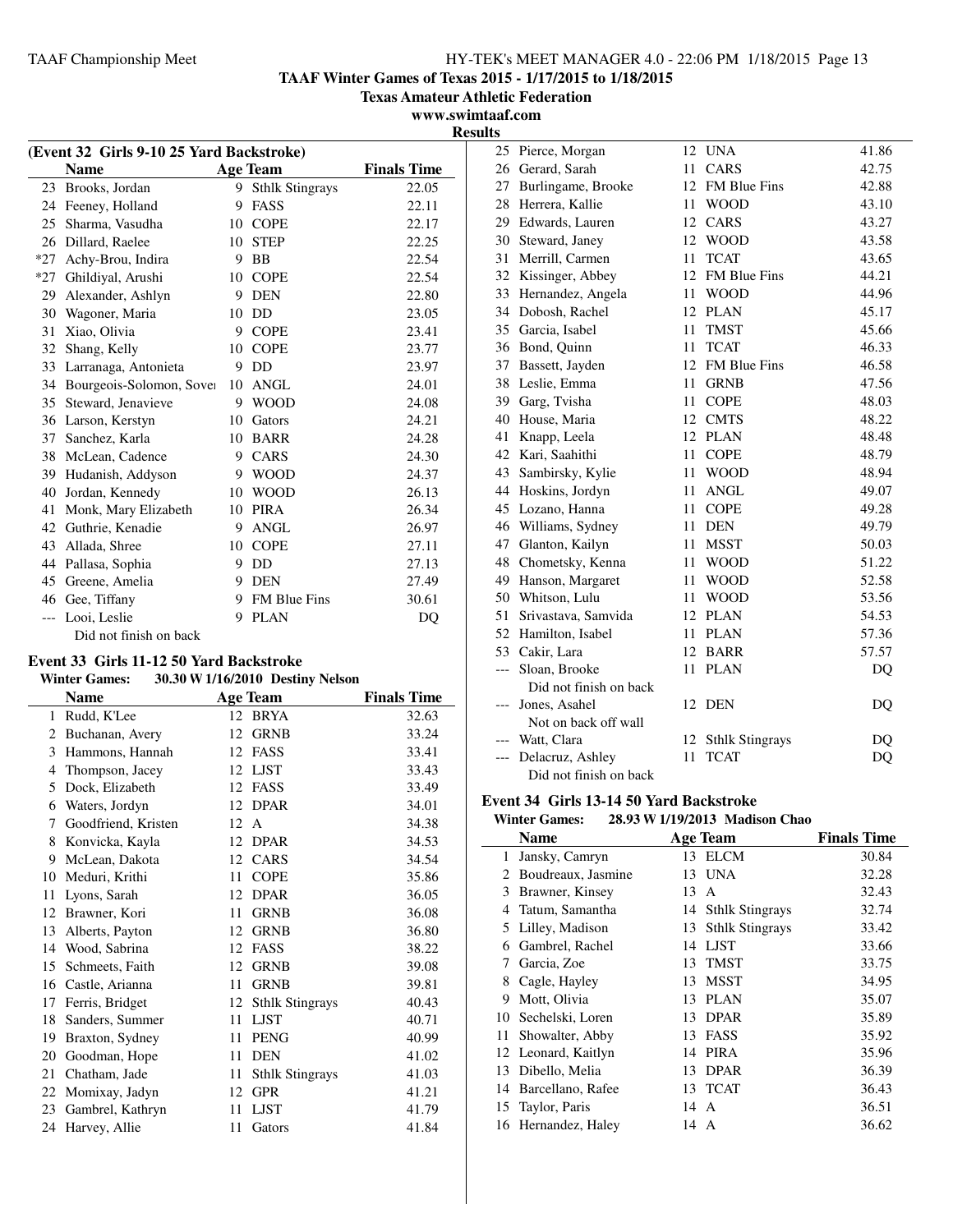**TAAF Winter Games of Texas 2015 - 1/17/2015 to 1/18/2015**

**Texas Amateur Athletic Federation**

**www.swimtaaf.com Results**

j.

|       | (Event 32 Girls 9-10 25 Yard Backstroke) |    |                        |                    |  |
|-------|------------------------------------------|----|------------------------|--------------------|--|
|       | <b>Name</b>                              |    | <b>Age Team</b>        | <b>Finals Time</b> |  |
| 23    | Brooks, Jordan                           | 9  | <b>Sthlk Stingrays</b> | 22.05              |  |
| 24    | Feeney, Holland                          | 9  | <b>FASS</b>            | 22.11              |  |
| 25    | Sharma, Vasudha                          | 10 | <b>COPE</b>            | 22.17              |  |
| 26    | Dillard, Raelee                          | 10 | <b>STEP</b>            | 22.25              |  |
| $*27$ | Achy-Brou, Indira                        | 9  | BB                     | 22.54              |  |
| $*27$ | Ghildiyal, Arushi                        | 10 | <b>COPE</b>            | 22.54              |  |
| 29    | Alexander, Ashlyn                        | 9  | <b>DEN</b>             | 22.80              |  |
| 30    | Wagoner, Maria                           | 10 | DD                     | 23.05              |  |
| 31    | Xiao, Olivia                             | 9  | <b>COPE</b>            | 23.41              |  |
| 32    | Shang, Kelly                             | 10 | <b>COPE</b>            | 23.77              |  |
| 33    | Larranaga, Antonieta                     | 9  | DD                     | 23.97              |  |
| 34    | Bourgeois-Solomon, Sover                 | 10 | <b>ANGL</b>            | 24.01              |  |
| 35    | Steward, Jenavieve                       | 9  | <b>WOOD</b>            | 24.08              |  |
| 36    | Larson, Kerstyn                          | 10 | Gators                 | 24.21              |  |
| 37    | Sanchez, Karla                           | 10 | <b>BARR</b>            | 24.28              |  |
| 38    | McLean, Cadence                          | 9  | CARS                   | 24.30              |  |
| 39    | Hudanish, Addyson                        | 9  | <b>WOOD</b>            | 24.37              |  |
| 40    | Jordan, Kennedy                          | 10 | <b>WOOD</b>            | 26.13              |  |
| 41    | Monk, Mary Elizabeth                     | 10 | <b>PIRA</b>            | 26.34              |  |
| 42    | Guthrie, Kenadie                         | 9  | <b>ANGL</b>            | 26.97              |  |
| 43    | Allada, Shree                            | 10 | <b>COPE</b>            | 27.11              |  |
| 44    | Pallasa, Sophia                          | 9  | DD                     | 27.13              |  |
| 45    | Greene, Amelia                           | 9  | <b>DEN</b>             | 27.49              |  |
| 46    | Gee, Tiffany                             | 9  | <b>FM Blue Fins</b>    | 30.61              |  |
| $---$ | Looi, Leslie                             | 9  | <b>PLAN</b>            | DQ                 |  |
|       | Did not finish on back                   |    |                        |                    |  |

#### **Event 33 Girls 11-12 50 Yard Backstroke**

## **Winter Games: 30.30 W1/16/2010 Destiny Nelson**

|    | Name                |    | <b>Age Team</b>        | <b>Finals Time</b> |
|----|---------------------|----|------------------------|--------------------|
| 1  | Rudd, K'Lee         |    | 12 BRYA                | 32.63              |
| 2  | Buchanan, Avery     | 12 | <b>GRNB</b>            | 33.24              |
| 3  | Hammons, Hannah     | 12 | <b>FASS</b>            | 33.41              |
| 4  | Thompson, Jacey     | 12 | <b>LJST</b>            | 33.43              |
| 5  | Dock, Elizabeth     | 12 | <b>FASS</b>            | 33.49              |
| 6  | Waters, Jordyn      | 12 | <b>DPAR</b>            | 34.01              |
| 7  | Goodfriend, Kristen | 12 | $\mathsf{A}$           | 34.38              |
| 8  | Konvicka, Kayla     | 12 | <b>DPAR</b>            | 34.53              |
| 9  | McLean, Dakota      | 12 | CARS                   | 34.54              |
| 10 | Meduri, Krithi      | 11 | <b>COPE</b>            | 35.86              |
| 11 | Lyons, Sarah        | 12 | <b>DPAR</b>            | 36.05              |
| 12 | Brawner, Kori       | 11 | <b>GRNB</b>            | 36.08              |
| 13 | Alberts, Payton     | 12 | <b>GRNB</b>            | 36.80              |
| 14 | Wood, Sabrina       | 12 | <b>FASS</b>            | 38.22              |
| 15 | Schmeets, Faith     | 12 | <b>GRNB</b>            | 39.08              |
| 16 | Castle, Arianna     | 11 | <b>GRNB</b>            | 39.81              |
| 17 | Ferris, Bridget     | 12 | <b>Sthlk Stingrays</b> | 40.43              |
| 18 | Sanders, Summer     | 11 | <b>LJST</b>            | 40.71              |
| 19 | Braxton, Sydney     | 11 | <b>PENG</b>            | 40.99              |
| 20 | Goodman, Hope       | 11 | <b>DEN</b>             | 41.02              |
| 21 | Chatham, Jade       | 11 | <b>Sthlk Stingrays</b> | 41.03              |
| 22 | Momixay, Jadyn      | 12 | <b>GPR</b>             | 41.21              |
| 23 | Gambrel, Kathryn    | 11 | <b>LJST</b>            | 41.79              |
| 24 | Harvey, Allie       | 11 | Gators                 | 41.84              |

| 25              | Pierce, Morgan         | 12 | <b>UNA</b>             | 41.86 |
|-----------------|------------------------|----|------------------------|-------|
| 26              | Gerard, Sarah          | 11 | CARS                   | 42.75 |
| 27              | Burlingame, Brooke     | 12 | FM Blue Fins           | 42.88 |
| 28              | Herrera, Kallie        | 11 | <b>WOOD</b>            | 43.10 |
|                 | 29 Edwards, Lauren     | 12 | CARS                   | 43.27 |
|                 | 30 Steward, Janey      | 12 | <b>WOOD</b>            | 43.58 |
| 31              | Merrill, Carmen        | 11 | <b>TCAT</b>            | 43.65 |
|                 | 32 Kissinger, Abbey    |    | 12 FM Blue Fins        | 44.21 |
|                 | 33 Hernandez, Angela   |    | 11 WOOD                | 44.96 |
|                 | 34 Dobosh, Rachel      | 12 | <b>PLAN</b>            | 45.17 |
|                 | 35 Garcia, Isabel      | 11 | <b>TMST</b>            | 45.66 |
|                 | 36 Bond, Quinn         | 11 | <b>TCAT</b>            | 46.33 |
| 37              | Bassett, Jayden        | 12 | FM Blue Fins           | 46.58 |
| 38              | Leslie, Emma           | 11 | <b>GRNB</b>            | 47.56 |
| 39              | Garg, Tvisha           | 11 | <b>COPE</b>            | 48.03 |
| 40              | House, Maria           | 12 | <b>CMTS</b>            | 48.22 |
| 41              | Knapp, Leela           | 12 | <b>PLAN</b>            | 48.48 |
|                 | 42 Kari, Saahithi      | 11 | <b>COPE</b>            | 48.79 |
| 43              | Sambirsky, Kylie       | 11 | <b>WOOD</b>            | 48.94 |
| 44              | Hoskins, Jordyn        | 11 | <b>ANGL</b>            | 49.07 |
| 45              | Lozano, Hanna          | 11 | <b>COPE</b>            | 49.28 |
|                 | 46 Williams, Sydney    | 11 | <b>DEN</b>             | 49.79 |
| 47              | Glanton, Kailyn        | 11 | <b>MSST</b>            | 50.03 |
| 48              | Chometsky, Kenna       | 11 | <b>WOOD</b>            | 51.22 |
| 49              | Hanson, Margaret       | 11 | <b>WOOD</b>            | 52.58 |
|                 | 50 Whitson, Lulu       | 11 | <b>WOOD</b>            | 53.56 |
| 51              | Srivastava, Samvida    | 12 | <b>PLAN</b>            | 54.53 |
| 52              | Hamilton, Isabel       | 11 | <b>PLAN</b>            | 57.36 |
| 53              | Cakir, Lara            | 12 | <b>BARR</b>            | 57.57 |
| $---$           | Sloan, Brooke          | 11 | <b>PLAN</b>            | DQ    |
|                 | Did not finish on back |    |                        |       |
| ---             | Jones, Asahel          | 12 | <b>DEN</b>             | DQ    |
|                 | Not on back off wall   |    |                        |       |
| --- Watt, Clara |                        | 12 | <b>Sthlk Stingrays</b> | DQ    |
|                 | Delacruz, Ashley       | 11 | <b>TCAT</b>            | DQ    |
|                 | Did not finish on back |    |                        |       |

## **Event 34 Girls 13-14 50 Yard Backstroke**

#### **Winter Games: 28.93 W1/19/2013 Madison Chao**

|                             | <b>Name</b>         | <b>Age Team</b>              | <b>Finals Time</b> |
|-----------------------------|---------------------|------------------------------|--------------------|
|                             | 1 Jansky, Camryn    | 13 ELCM                      | 30.84              |
| $\mathcal{D}_{\mathcal{L}}$ | Boudreaux, Jasmine  | 13 UNA                       | 32.28              |
| 3                           | Brawner, Kinsey     | 13 A                         | 32.43              |
| 4                           | Tatum, Samantha     | 14 Sthlk Stingrays           | 32.74              |
| 5                           | Lilley, Madison     | <b>Sthlk Stingrays</b><br>13 | 33.42              |
| 6                           | Gambrel, Rachel     | 14 LJST                      | 33.66              |
| 7                           | Garcia, Zoe         | 13 TMST                      | 33.75              |
| 8                           | Cagle, Hayley       | <b>MSST</b><br>13            | 34.95              |
| 9                           | Mott, Olivia        | <b>PLAN</b><br>13            | 35.07              |
| 10                          | Sechelski, Loren    | DPAR<br>13                   | 35.89              |
| 11                          | Showalter, Abby     | 13 FASS                      | 35.92              |
| 12                          | Leonard, Kaitlyn    | PIRA<br>14                   | 35.96              |
| 13                          | Dibello, Melia      | 13 DPAR                      | 36.39              |
| 14                          | Barcellano, Rafee   | 13 TCAT                      | 36.43              |
| 15                          | Taylor, Paris       | 14 A                         | 36.51              |
|                             | 16 Hernandez, Haley | 14 A                         | 36.62              |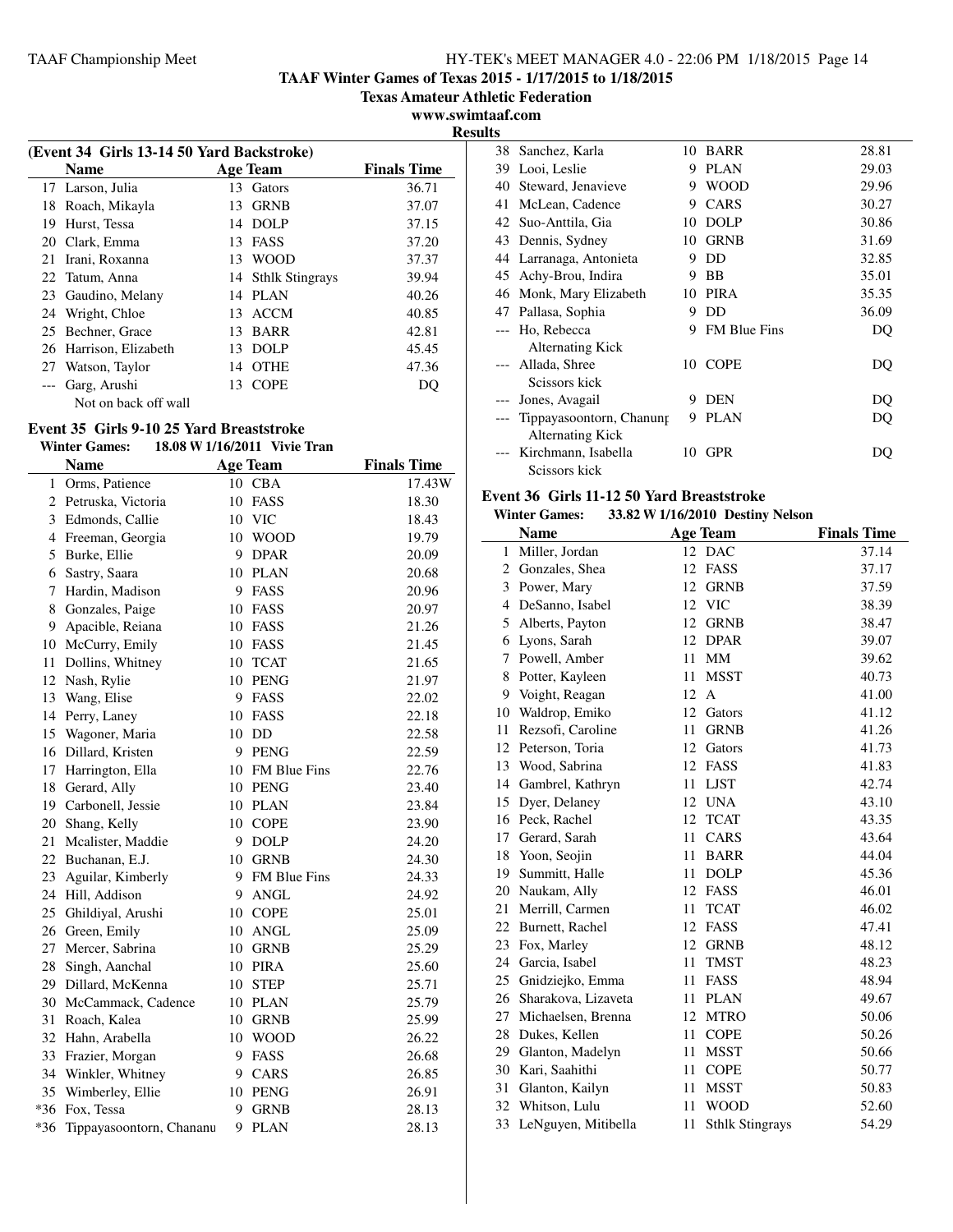**TAAF Winter Games of Texas 2015 - 1/17/2015 to 1/18/2015**

**Texas Amateur Athletic Federation**

**www.swimtaaf.com Results**

|    | (Event 34 Girls 13-14 50 Yard Backstroke) |    |                    |                    |  |  |
|----|-------------------------------------------|----|--------------------|--------------------|--|--|
|    | <b>Name</b>                               |    | Age Team           | <b>Finals Time</b> |  |  |
|    | 17 Larson, Julia                          | 13 | Gators             | 36.71              |  |  |
| 18 | Roach, Mikayla                            | 13 | <b>GRNB</b>        | 37.07              |  |  |
| 19 | Hurst, Tessa                              | 14 | DOLP               | 37.15              |  |  |
| 20 | Clark, Emma                               | 13 | FASS               | 37.20              |  |  |
| 21 | Irani, Roxanna                            |    | 13 WOOD            | 37.37              |  |  |
|    | 22 Tatum, Anna                            |    | 14 Sthlk Stingrays | 39.94              |  |  |
| 23 | Gaudino, Melany                           | 14 | <b>PLAN</b>        | 40.26              |  |  |
| 24 | Wright, Chloe                             | 13 | <b>ACCM</b>        | 40.85              |  |  |
| 25 | Bechner, Grace                            | 13 | <b>BARR</b>        | 42.81              |  |  |
| 26 | Harrison, Elizabeth                       | 13 | DOLP               | 45.45              |  |  |
| 27 | Watson, Taylor                            | 14 | <b>OTHE</b>        | 47.36              |  |  |
|    | Garg, Arushi                              | 13 | <b>COPE</b>        | DO                 |  |  |
|    | Not on back off wall                      |    |                    |                    |  |  |

## **Event 35 Girls 9-10 25 Yard Breaststroke**

## **Winter Games: 18.08 W1/16/2011 Vivie Tran**

|                | <b>Name</b>              |    | <b>Age Team</b> | <b>Finals Time</b> |
|----------------|--------------------------|----|-----------------|--------------------|
| 1              | Orms, Patience           |    | 10 CBA          | 17.43W             |
| 2              | Petruska, Victoria       | 10 | <b>FASS</b>     | 18.30              |
| 3              | Edmonds, Callie          |    | 10 VIC          | 18.43              |
| $\overline{4}$ | Freeman, Georgia         | 10 | <b>WOOD</b>     | 19.79              |
| 5              | Burke, Ellie             | 9  | <b>DPAR</b>     | 20.09              |
| 6              | Sastry, Saara            | 10 | <b>PLAN</b>     | 20.68              |
| 7              | Hardin, Madison          | 9  | FASS            | 20.96              |
| 8              | Gonzales, Paige          | 10 | FASS            | 20.97              |
| 9              | Apacible, Reiana         | 10 | FASS            | 21.26              |
| 10             | McCurry, Emily           | 10 | FASS            | 21.45              |
| 11             | Dollins, Whitney         | 10 | <b>TCAT</b>     | 21.65              |
| 12             | Nash, Rylie              | 10 | <b>PENG</b>     | 21.97              |
| 13             | Wang, Elise              | 9  | FASS            | 22.02              |
| 14             | Perry, Laney             | 10 | FASS            | 22.18              |
| 15             | Wagoner, Maria           | 10 | DD              | 22.58              |
| 16             | Dillard, Kristen         | 9  | <b>PENG</b>     | 22.59              |
| 17             | Harrington, Ella         | 10 | FM Blue Fins    | 22.76              |
| 18             | Gerard, Ally             | 10 | <b>PENG</b>     | 23.40              |
| 19             | Carbonell, Jessie        | 10 | <b>PLAN</b>     | 23.84              |
| 20             | Shang, Kelly             | 10 | <b>COPE</b>     | 23.90              |
| 21             | Mcalister, Maddie        | 9  | <b>DOLP</b>     | 24.20              |
| 22             | Buchanan, E.J.           |    | 10 GRNB         | 24.30              |
| 23             | Aguilar, Kimberly        |    | 9 FM Blue Fins  | 24.33              |
| 24             | Hill, Addison            | 9  | <b>ANGL</b>     | 24.92              |
| 25             | Ghildiyal, Arushi        |    | 10 COPE         | 25.01              |
| 26             | Green, Emily             | 10 | ANGL            | 25.09              |
| 27             | Mercer, Sabrina          |    | 10 GRNB         | 25.29              |
| 28             | Singh, Aanchal           | 10 | PIRA            | 25.60              |
| 29             | Dillard, McKenna         | 10 | <b>STEP</b>     | 25.71              |
|                | 30 McCammack, Cadence    |    | 10 PLAN         | 25.79              |
| 31             | Roach, Kalea             |    | 10 GRNB         | 25.99              |
| 32             | Hahn, Arabella           |    | 10 WOOD         | 26.22              |
| 33             | Frazier, Morgan          | 9  | FASS            | 26.68              |
|                | 34 Winkler, Whitney      |    | 9 CARS          | 26.85              |
| 35             | Wimberley, Ellie         |    | 10 PENG         | 26.91              |
|                | *36 Fox, Tessa           | 9  | <b>GRNB</b>     | 28.13              |
| $*36$          | Tippayasoontorn, Chananu | 9  | <b>PLAN</b>     | 28.13              |

| 38 Sanchez, Karla                 | 10   | <b>BARR</b>         | 28.81 |
|-----------------------------------|------|---------------------|-------|
| Looi, Leslie<br>39                | 9    | <b>PLAN</b>         | 29.03 |
| 40 Steward, Jenavieve             | 9    | <b>WOOD</b>         | 29.96 |
| McLean, Cadence<br>41             | 9    | CARS                | 30.27 |
| 42 Suo-Anttila, Gia               | 10   | <b>DOLP</b>         | 30.86 |
| 43 Dennis, Sydney                 | 10   | <b>GRNB</b>         | 31.69 |
| 44 Larranaga, Antonieta           | 9    | DD                  | 32.85 |
| 45 Achy-Brou, Indira              | 9    | <b>BB</b>           | 35.01 |
| 46 Monk, Mary Elizabeth           | 10   | PIRA                | 35.35 |
| 47 Pallasa, Sophia                | 9    | DD.                 | 36.09 |
| Ho, Rebecca<br>$---$              | 9    | <b>FM Blue Fins</b> | DQ    |
| <b>Alternating Kick</b>           |      |                     |       |
| --- Allada, Shree                 | 10 - | <b>COPE</b>         | DQ    |
| Scissors kick                     |      |                     |       |
| --- Jones, Avagail                | 9    | <b>DEN</b>          | DQ    |
| Tippayasoontorn, Chanung<br>$---$ | 9    | <b>PLAN</b>         | DQ    |
| <b>Alternating Kick</b>           |      |                     |       |
| Kirchmann, Isabella<br>$---$      | 10   | <b>GPR</b>          | DO    |
| Scissors kick                     |      |                     |       |

## **Event 36 Girls 11-12 50 Yard Breaststroke**

**Winter Games: 33.82 W1/16/2010 Destiny Nelson**

|    | <b>Name</b>            | <b>Age Team</b>              | <b>Finals Time</b> |
|----|------------------------|------------------------------|--------------------|
| 1  | Miller, Jordan         | 12<br><b>DAC</b>             | 37.14              |
| 2  | Gonzales, Shea         | 12<br><b>FASS</b>            | 37.17              |
|    | 3 Power, Mary          | 12<br><b>GRNB</b>            | 37.59              |
| 4  | DeSanno, Isabel        | 12<br><b>VIC</b>             | 38.39              |
| 5  | Alberts, Payton        | 12<br><b>GRNB</b>            | 38.47              |
| 6  | Lyons, Sarah           | <b>DPAR</b><br>12            | 39.07              |
| 7  | Powell, Amber          | MM<br>11                     | 39.62              |
| 8  | Potter, Kayleen        | 11<br><b>MSST</b>            | 40.73              |
| 9  | Voight, Reagan         | 12<br>$\mathsf{A}$           | 41.00              |
| 10 | Waldrop, Emiko         | 12<br>Gators                 | 41.12              |
| 11 | Rezsofi, Caroline      | 11<br><b>GRNB</b>            | 41.26              |
| 12 | Peterson, Toria        | 12<br>Gators                 | 41.73              |
|    | 13 Wood, Sabrina       | 12<br>FASS                   | 41.83              |
|    | 14 Gambrel, Kathryn    | 11<br><b>LJST</b>            | 42.74              |
| 15 | Dyer, Delaney          | <b>UNA</b><br>12             | 43.10              |
|    | 16 Peck, Rachel        | 12<br><b>TCAT</b>            | 43.35              |
|    | 17 Gerard, Sarah       | 11<br>CARS                   | 43.64              |
|    | 18 Yoon, Seojin        | 11<br><b>BARR</b>            | 44.04              |
|    | 19 Summitt, Halle      | 11<br><b>DOLP</b>            | 45.36              |
| 20 | Naukam, Ally           | 12<br><b>FASS</b>            | 46.01              |
| 21 | Merrill, Carmen        | <b>TCAT</b><br>11            | 46.02              |
|    | 22 Burnett, Rachel     | 12<br>FASS                   | 47.41              |
|    | 23 Fox, Marley         | 12<br><b>GRNB</b>            | 48.12              |
|    | 24 Garcia, Isabel      | 11<br><b>TMST</b>            | 48.23              |
| 25 | Gnidziejko, Emma       | 11<br>FASS                   | 48.94              |
|    | 26 Sharakova, Lizaveta | <b>PLAN</b><br>11            | 49.67              |
| 27 | Michaelsen, Brenna     | 12<br><b>MTRO</b>            | 50.06              |
| 28 | Dukes, Kellen          | 11<br><b>COPE</b>            | 50.26              |
| 29 | Glanton, Madelyn       | 11<br><b>MSST</b>            | 50.66              |
| 30 | Kari, Saahithi         | 11<br><b>COPE</b>            | 50.77              |
| 31 | Glanton, Kailyn        | 11<br>MSST                   | 50.83              |
| 32 | Whitson, Lulu          | 11<br><b>WOOD</b>            | 52.60              |
| 33 | LeNguyen, Mitibella    | <b>Sthlk Stingrays</b><br>11 | 54.29              |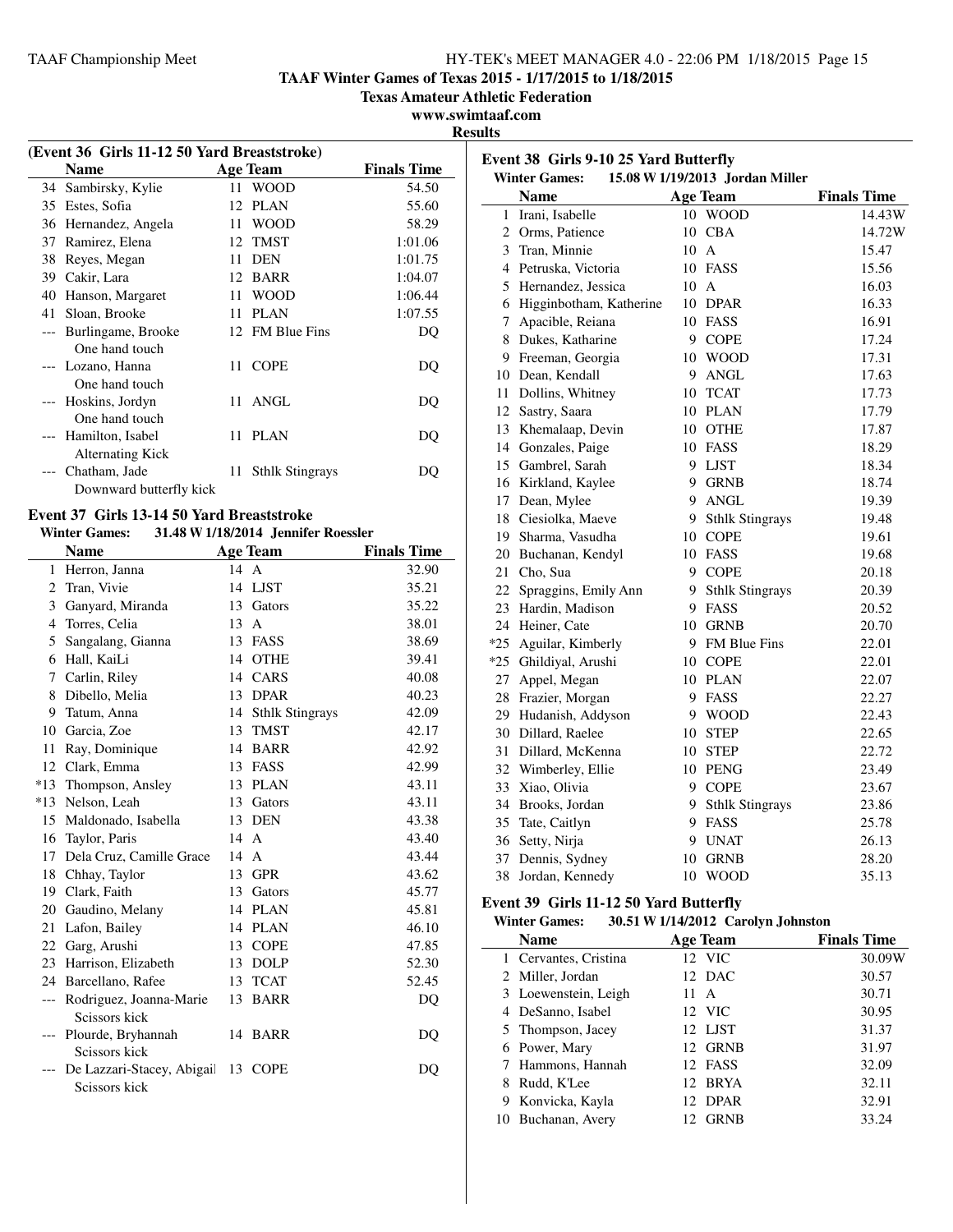**TAAF Winter Games of Texas 2015 - 1/17/2015 to 1/18/2015**

**Texas Amateur Athletic Federation**

#### **www.swimtaaf.com Results**

| (Event 36 Girls 11-12 50 Yard Breaststroke) |                                             |     |                        |                    |  |  |
|---------------------------------------------|---------------------------------------------|-----|------------------------|--------------------|--|--|
|                                             | <b>Name</b>                                 |     | Age Team               | <b>Finals Time</b> |  |  |
| 34                                          | Sambirsky, Kylie                            |     | 11 WOOD                | 54.50              |  |  |
| 35                                          | Estes, Sofia                                | 12  | <b>PLAN</b>            | 55.60              |  |  |
| 36                                          | Hernandez, Angela                           | 11  | <b>WOOD</b>            | 58.29              |  |  |
| 37                                          | Ramirez, Elena                              |     | 12 TMST                | 1:01.06            |  |  |
| 38                                          | Reyes, Megan                                | 11  | <b>DEN</b>             | 1:01.75            |  |  |
| 39                                          | Cakir, Lara                                 |     | 12 BARR                | 1:04.07            |  |  |
| 40                                          | Hanson, Margaret                            | 11  | <b>WOOD</b>            | 1:06.44            |  |  |
| 41                                          | Sloan, Brooke                               | 11  | <b>PLAN</b>            | 1:07.55            |  |  |
| $---$                                       | Burlingame, Brooke<br>One hand touch        |     | 12 FM Blue Fins        | DO                 |  |  |
|                                             | --- Lozano, Hanna<br>One hand touch         |     | 11 COPE                | DQ                 |  |  |
|                                             | --- Hoskins, Jordyn<br>One hand touch       | 11. | ANGL                   | DO                 |  |  |
|                                             | Hamilton, Isabel<br><b>Alternating Kick</b> |     | 11 PLAN                | DO                 |  |  |
|                                             | Chatham, Jade<br>Downward butterfly kick    | 11  | <b>Sthlk Stingrays</b> | DO                 |  |  |

#### **Event 37 Girls 13-14 50 Yard Breaststroke Winter Games: 31.48 W1/18/2014 Jennifer Roessler**

|                | <b>Name</b>                                  |      | <b>Age Team</b>    | <b>Finals Time</b> |
|----------------|----------------------------------------------|------|--------------------|--------------------|
|                | 1 Herron, Janna                              | 14 A |                    | 32.90              |
| 2              | Tran, Vivie                                  |      | 14 LJST            | 35.21              |
|                | 3 Ganyard, Miranda                           |      | 13 Gators          | 35.22              |
| $\overline{4}$ | Torres, Celia                                | 13   | $\mathsf{A}$       | 38.01              |
| 5              | Sangalang, Gianna                            |      | 13 FASS            | 38.69              |
|                | 6 Hall, KaiLi                                |      | 14 OTHE            | 39.41              |
| 7              | Carlin, Riley                                | 14   | CARS               | 40.08              |
| 8              | Dibello, Melia                               |      | 13 DPAR            | 40.23              |
|                | 9 Tatum, Anna                                |      | 14 Sthlk Stingrays | 42.09              |
| 10             | Garcia, Zoe                                  | 13   | <b>TMST</b>        | 42.17              |
|                | 11 Ray, Dominique                            |      | 14 BARR            | 42.92              |
| 12             | Clark, Emma                                  | 13   | FASS               | 42.99              |
|                | *13 Thompson, Ansley                         | 13   | PLAN               | 43.11              |
|                | *13 Nelson, Leah                             |      | 13 Gators          | 43.11              |
|                | 15 Maldonado, Isabella                       | 13   | <b>DEN</b>         | 43.38              |
|                | 16 Taylor, Paris                             | 14   | $\overline{A}$     | 43.40              |
|                | 17 Dela Cruz, Camille Grace                  | 14   | $\mathsf{A}$       | 43.44              |
|                | 18 Chhay, Taylor                             | 13   | <b>GPR</b>         | 43.62              |
|                | 19 Clark, Faith                              |      | 13 Gators          | 45.77              |
|                | 20 Gaudino, Melany                           |      | 14 PLAN            | 45.81              |
|                | 21 Lafon, Bailey                             | 14   | <b>PLAN</b>        | 46.10              |
|                | 22 Garg, Arushi                              |      | 13 COPE            | 47.85              |
|                | 23 Harrison, Elizabeth                       | 13   | <b>DOLP</b>        | 52.30              |
|                | 24 Barcellano, Rafee                         | 13   | <b>TCAT</b>        | 52.45              |
|                | --- Rodriguez, Joanna-Marie<br>Scissors kick |      | 13 BARR            | DQ                 |
|                | --- Plourde, Bryhannah<br>Scissors kick      |      | 14 BARR            | DO                 |
|                | De Lazzari-Stacey, Abigail<br>Scissors kick  | 13   | <b>COPE</b>        | DO                 |

| Event 38 Girls 9-10 25 Yard Butterfly<br>15.08 W 1/19/2013 Jordan Miller |                                     |                |                        |                    |
|--------------------------------------------------------------------------|-------------------------------------|----------------|------------------------|--------------------|
|                                                                          | <b>Winter Games:</b><br><b>Name</b> |                | <b>Age Team</b>        | <b>Finals Time</b> |
| 1                                                                        | Irani, Isabelle                     | 10             | <b>WOOD</b>            | 14.43W             |
|                                                                          | 2 Orms, Patience                    |                | 10 CBA                 | 14.72W             |
|                                                                          | 3 Tran, Minnie                      | $10 \text{ A}$ |                        | 15.47              |
|                                                                          | 4 Petruska, Victoria                |                | 10 FASS                | 15.56              |
|                                                                          | 5 Hernandez, Jessica                | $10\text{ A}$  |                        | 16.03              |
|                                                                          | 6 Higginbotham, Katherine           |                | 10 DPAR                | 16.33              |
| 7                                                                        | Apacible, Reiana                    | 10             | FASS                   | 16.91              |
|                                                                          | 8 Dukes, Katharine                  | 9              | <b>COPE</b>            | 17.24              |
|                                                                          | 9 Freeman, Georgia                  | 10             | <b>WOOD</b>            | 17.31              |
|                                                                          | 10 Dean, Kendall                    | 9              | <b>ANGL</b>            | 17.63              |
|                                                                          | 11 Dollins, Whitney                 | 10             | <b>TCAT</b>            | 17.73              |
|                                                                          | 12 Sastry, Saara                    |                | 10 PLAN                | 17.79              |
|                                                                          | 13 Khemalaap, Devin                 | 10             | <b>OTHE</b>            | 17.87              |
|                                                                          | 14 Gonzales, Paige                  |                | 10 FASS                | 18.29              |
|                                                                          | 15 Gambrel, Sarah                   |                | 9 LJST                 | 18.34              |
|                                                                          | 16 Kirkland, Kaylee                 | 9              | <b>GRNB</b>            | 18.74              |
|                                                                          | 17 Dean, Mylee                      |                | 9 ANGL                 | 19.39              |
|                                                                          | 18 Ciesiolka, Maeve                 | 9              | <b>Sthlk Stingrays</b> | 19.48              |
|                                                                          | 19 Sharma, Vasudha                  | 10             | <b>COPE</b>            | 19.61              |
|                                                                          | 20 Buchanan, Kendyl                 |                | 10 FASS                | 19.68              |
|                                                                          | 21 Cho, Sua                         |                | 9 COPE                 | 20.18              |
|                                                                          | 22 Spraggins, Emily Ann             | 9              | <b>Sthlk Stingrays</b> | 20.39              |
|                                                                          | 23 Hardin, Madison                  | 9              | FASS                   | 20.52              |
|                                                                          | 24 Heiner, Cate                     |                | 10 GRNB                | 20.70              |
|                                                                          | *25 Aguilar, Kimberly               |                | 9 FM Blue Fins         | 22.01              |
|                                                                          | *25 Ghildiyal, Arushi               |                | 10 COPE                | 22.01              |
|                                                                          | 27 Appel, Megan                     |                | 10 PLAN                | 22.07              |
|                                                                          | 28 Frazier, Morgan                  | 9              | FASS                   | 22.27              |
|                                                                          | 29 Hudanish, Addyson                | 9              | <b>WOOD</b>            | 22.43              |
|                                                                          | 30 Dillard, Raelee                  | 10             | <b>STEP</b>            | 22.65              |
| 31                                                                       | Dillard, McKenna                    | 10             | <b>STEP</b>            | 22.72              |
|                                                                          | 32 Wimberley, Ellie                 | 10             | <b>PENG</b>            | 23.49              |
|                                                                          | 33 Xiao, Olivia                     |                | 9 COPE                 | 23.67              |
|                                                                          | 34 Brooks, Jordan                   | 9              | <b>Sthlk Stingrays</b> | 23.86              |
|                                                                          | 35 Tate, Caitlyn                    | 9              | FASS                   | 25.78              |
|                                                                          | 36 Setty, Nirja                     | 9              | <b>UNAT</b>            | 26.13              |
| 37                                                                       | Dennis, Sydney                      | 10             | <b>GRNB</b>            | 28.20              |
| 38                                                                       | Jordan, Kennedy                     | 10             | <b>WOOD</b>            | 35.13              |

## **Event 39 Girls 11-12 50 Yard Butterfly**

| 30.51 W 1/14/2012 Carolyn Johnston<br><b>Winter Games:</b> |  |
|------------------------------------------------------------|--|
|------------------------------------------------------------|--|

| <b>Name</b>           | <b>Age Team</b> | <b>Finals Time</b> |  |  |
|-----------------------|-----------------|--------------------|--|--|
| 1 Cervantes, Cristina | 12 VIC          | 30.09W             |  |  |
| 2 Miller, Jordan      | 12 DAC          | 30.57              |  |  |
| 3 Loewenstein, Leigh  | 11<br>A         | 30.71              |  |  |
| 4 DeSanno, Isabel     | 12 VIC          | 30.95              |  |  |
| 5 Thompson, Jacey     | 12 LJST         | 31.37              |  |  |
| 6 Power, Mary         | 12 GRNB         | 31.97              |  |  |
| 7 Hammons, Hannah     | 12 FASS         | 32.09              |  |  |
| Rudd, K'Lee           | 12 BRYA         | 32.11              |  |  |
| 9 Konvicka, Kayla     | 12 DPAR         | 32.91              |  |  |
| 10 Buchanan, Avery    | <b>GRNB</b>     | 33.24              |  |  |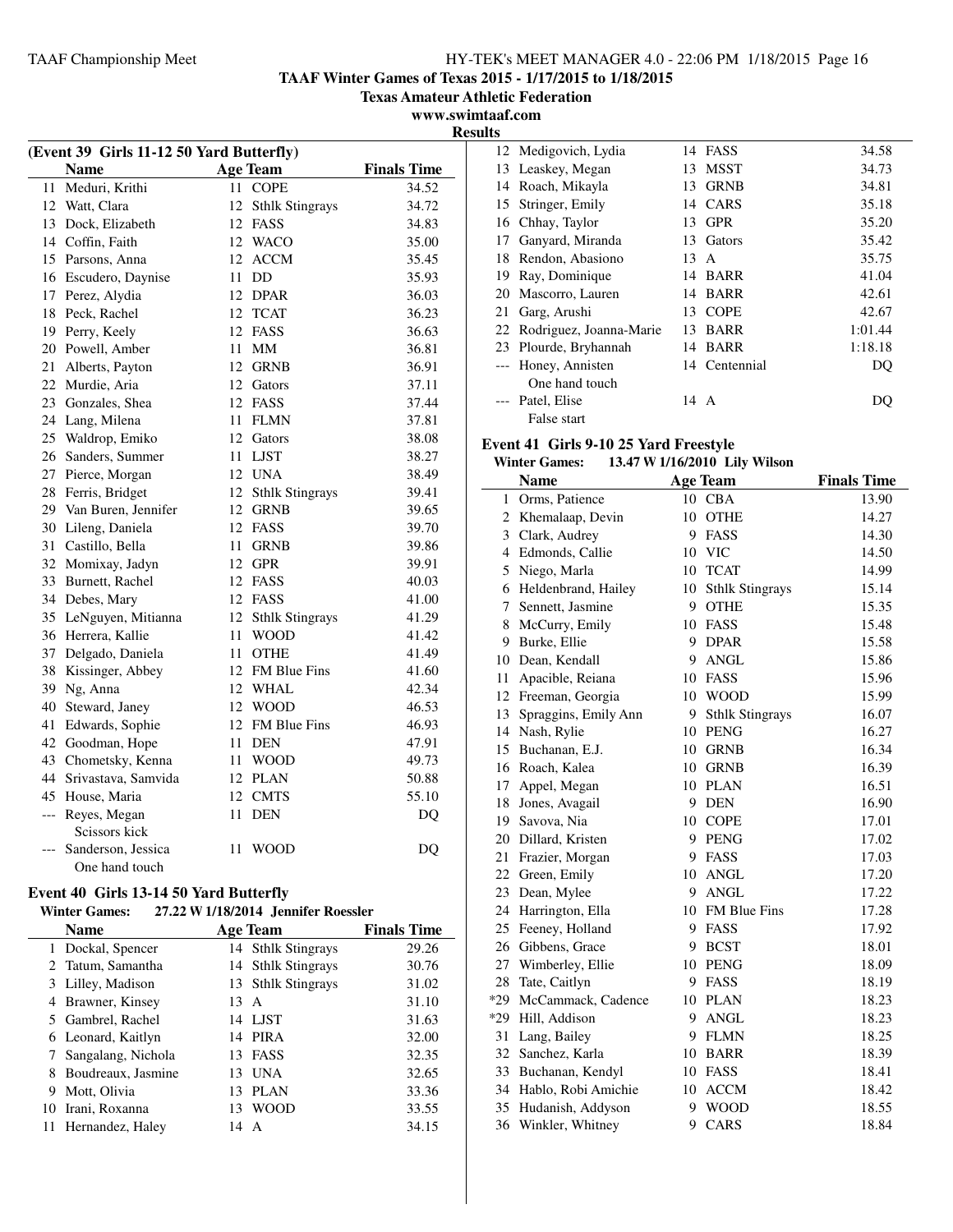**TAAF Winter Games of Texas 2015 - 1/17/2015 to 1/18/2015**

**Texas Amateur Athletic Federation**

**www.swimtaaf.com Results**

| (Event 39 Girls 11-12 50 Yard Butterfly) |                     |                    |                        |       |  |
|------------------------------------------|---------------------|--------------------|------------------------|-------|--|
|                                          | <b>Name</b>         | <b>Finals Time</b> |                        |       |  |
| 11                                       | Meduri, Krithi      | 11                 | <b>COPE</b>            | 34.52 |  |
| 12                                       | Watt, Clara         | 12                 | <b>Sthlk Stingrays</b> | 34.72 |  |
| 13                                       | Dock, Elizabeth     | 12                 | FASS                   | 34.83 |  |
| 14                                       | Coffin, Faith       | 12                 | <b>WACO</b>            | 35.00 |  |
| 15                                       | Parsons, Anna       | 12                 | <b>ACCM</b>            | 35.45 |  |
| 16                                       | Escudero, Daynise   | 11                 | DD                     | 35.93 |  |
| 17                                       | Perez, Alydia       |                    | 12 DPAR                | 36.03 |  |
| 18                                       | Peck, Rachel        | 12                 | <b>TCAT</b>            | 36.23 |  |
| 19                                       | Perry, Keely        | 12                 | FASS                   | 36.63 |  |
| 20                                       | Powell, Amber       | 11                 | MМ                     | 36.81 |  |
| 21                                       | Alberts, Payton     | 12                 | GRNB                   | 36.91 |  |
| 22                                       | Murdie, Aria        | 12                 | Gators                 | 37.11 |  |
| 23                                       | Gonzales, Shea      | 12                 | FASS                   | 37.44 |  |
| 24                                       | Lang, Milena        | 11                 | <b>FLMN</b>            | 37.81 |  |
| 25                                       | Waldrop, Emiko      |                    | 12 Gators              | 38.08 |  |
| 26                                       | Sanders, Summer     | 11                 | <b>LJST</b>            | 38.27 |  |
| 27                                       | Pierce, Morgan      |                    | 12 UNA                 | 38.49 |  |
| 28                                       | Ferris, Bridget     | 12                 | <b>Sthlk Stingrays</b> | 39.41 |  |
| 29                                       | Van Buren, Jennifer |                    | 12 GRNB                | 39.65 |  |
| 30                                       | Lileng, Daniela     | 12                 | FASS                   | 39.70 |  |
| 31                                       | Castillo, Bella     | 11                 | <b>GRNB</b>            | 39.86 |  |
| 32                                       | Momixay, Jadyn      | 12                 | <b>GPR</b>             | 39.91 |  |
| 33                                       | Burnett, Rachel     | 12                 | FASS                   | 40.03 |  |
| 34                                       | Debes, Mary         |                    | 12 FASS                | 41.00 |  |
| 35                                       | LeNguyen, Mitianna  | 12                 | <b>Sthlk Stingrays</b> | 41.29 |  |
| 36                                       | Herrera, Kallie     | 11                 | <b>WOOD</b>            | 41.42 |  |
| 37                                       | Delgado, Daniela    | 11                 | <b>OTHE</b>            | 41.49 |  |
| 38                                       | Kissinger, Abbey    | 12                 | FM Blue Fins           | 41.60 |  |
| 39                                       | Ng, Anna            |                    | 12 WHAL                | 42.34 |  |
| 40                                       | Steward, Janey      |                    | 12 WOOD                | 46.53 |  |
| 41                                       | Edwards, Sophie     | 12                 | FM Blue Fins           | 46.93 |  |
| 42                                       | Goodman, Hope       | 11                 | <b>DEN</b>             | 47.91 |  |
| 43                                       | Chometsky, Kenna    | 11                 | <b>WOOD</b>            | 49.73 |  |
| 44                                       | Srivastava, Samvida | 12                 | <b>PLAN</b>            | 50.88 |  |
| 45                                       | House, Maria        | 12                 | <b>CMTS</b>            | 55.10 |  |
| $---$                                    | Reyes, Megan        | 11                 | <b>DEN</b>             | DQ    |  |
|                                          | Scissors kick       |                    |                        |       |  |
| ---                                      | Sanderson, Jessica  | 11                 | <b>WOOD</b>            | DQ    |  |
|                                          | One hand touch      |                    |                        |       |  |

## **Event 40 Girls 13-14 50 Yard Butterfly**

## **Winter Games: 27.22 W1/18/2014 Jennifer Roessler**

|    | <b>Name</b>        |      | <b>Age Team</b>    | <b>Finals Time</b> |
|----|--------------------|------|--------------------|--------------------|
|    | 1 Dockal, Spencer  |      | 14 Sthlk Stingrays | 29.26              |
|    | 2 Tatum, Samantha  |      | 14 Sthlk Stingrays | 30.76              |
|    | 3 Lilley, Madison  |      | 13 Sthlk Stingrays | 31.02              |
| 4  | Brawner, Kinsey    | 13 A |                    | 31.10              |
|    | 5 Gambrel, Rachel  |      | 14 LJST            | 31.63              |
|    | 6 Leonard, Kaitlyn |      | 14 PIRA            | 32.00              |
|    | Sangalang, Nichola |      | 13 FASS            | 32.35              |
| 8  | Boudreaux, Jasmine | 13   | UNA                | 32.65              |
| 9  | Mott, Olivia       | 13   | PLAN               | 33.36              |
| 10 | Irani, Roxanna     | 13   | <b>WOOD</b>        | 33.55              |
|    | Hernandez, Haley   | 14   | A                  | 34.15              |

| l La |                            |    |               |         |
|------|----------------------------|----|---------------|---------|
|      | 12 Medigovich, Lydia       | 14 | FASS          | 34.58   |
| 13   | Leaskey, Megan             | 13 | MSST          | 34.73   |
| 14   | Roach, Mikayla             | 13 | <b>GRNB</b>   | 34.81   |
| 15   | Stringer, Emily            |    | 14 CARS       | 35.18   |
|      | 16 Chhay, Taylor           | 13 | <b>GPR</b>    | 35.20   |
| 17   | Ganyard, Miranda           | 13 | Gators        | 35.42   |
|      | 18 Rendon, Abasiono        | 13 | A             | 35.75   |
| 19   | Ray, Dominique             | 14 | <b>BARR</b>   | 41.04   |
| 20   | Mascorro, Lauren           | 14 | BARR          | 42.61   |
| 21   | Garg, Arushi               |    | 13 COPE       | 42.67   |
|      | 22 Rodriguez, Joanna-Marie | 13 | <b>BARR</b>   | 1:01.44 |
|      | 23 Plourde, Bryhannah      | 14 | BARR          | 1:18.18 |
|      | --- Honey, Annisten        |    | 14 Centennial | DQ      |
|      | One hand touch             |    |               |         |
|      | Patel, Elise               | 14 | A             | DO      |
|      | False start                |    |               |         |

#### **Event 41 Girls 9-10 25 Yard Freestyle**<br>Winter Comes 13.47 W 1/16/2010 13 **Winter Games: 13.47 W1/16/2010 Lily Wilson**

| winter Games:<br>13.4/ W 1/10/2010 Lify Wilson |                      |    |                        |                    |  |  |
|------------------------------------------------|----------------------|----|------------------------|--------------------|--|--|
|                                                | <b>Name</b>          |    | Age Team               | <b>Finals Time</b> |  |  |
| $\mathbf{1}$                                   | Orms, Patience       |    | 10 CBA                 | 13.90              |  |  |
| $\overline{2}$                                 | Khemalaap, Devin     | 10 | <b>OTHE</b>            | 14.27              |  |  |
|                                                | 3 Clark, Audrey      | 9  | FASS                   | 14.30              |  |  |
|                                                | 4 Edmonds, Callie    | 10 | <b>VIC</b>             | 14.50              |  |  |
| 5                                              | Niego, Marla         | 10 | <b>TCAT</b>            | 14.99              |  |  |
| 6                                              | Heldenbrand, Hailey  | 10 | <b>Sthlk Stingrays</b> | 15.14              |  |  |
| 7                                              | Sennett, Jasmine     | 9. | <b>OTHE</b>            | 15.35              |  |  |
| 8                                              | McCurry, Emily       |    | 10 FASS                | 15.48              |  |  |
|                                                | 9 Burke, Ellie       | 9  | <b>DPAR</b>            | 15.58              |  |  |
|                                                | 10 Dean, Kendall     | 9  | <b>ANGL</b>            | 15.86              |  |  |
| 11                                             | Apacible, Reiana     |    | 10 FASS                | 15.96              |  |  |
|                                                | 12 Freeman, Georgia  |    | 10 WOOD                | 15.99              |  |  |
| 13                                             | Spraggins, Emily Ann | 9  | <b>Sthlk Stingrays</b> | 16.07              |  |  |
|                                                | 14 Nash, Rylie       |    | 10 PENG                | 16.27              |  |  |
|                                                | 15 Buchanan, E.J.    |    | 10 GRNB                | 16.34              |  |  |
|                                                | 16 Roach, Kalea      |    | 10 GRNB                | 16.39              |  |  |
| 17                                             | Appel, Megan         |    | 10 PLAN                | 16.51              |  |  |
| 18                                             | Jones, Avagail       | 9. | <b>DEN</b>             | 16.90              |  |  |
|                                                | 19 Savova, Nia       |    | 10 COPE                | 17.01              |  |  |
|                                                | 20 Dillard, Kristen  |    | 9 PENG                 | 17.02              |  |  |
|                                                | 21 Frazier, Morgan   | 9  | FASS                   | 17.03              |  |  |
|                                                | 22 Green, Emily      | 10 | <b>ANGL</b>            | 17.20              |  |  |
| 23                                             | Dean, Mylee          | 9  | <b>ANGL</b>            | 17.22              |  |  |
|                                                | 24 Harrington, Ella  |    | 10 FM Blue Fins        | 17.28              |  |  |
| 25                                             | Feeney, Holland      | 9. | FASS                   | 17.92              |  |  |
| 26                                             | Gibbens, Grace       | 9  | <b>BCST</b>            | 18.01              |  |  |
| 27                                             | Wimberley, Ellie     | 10 | <b>PENG</b>            | 18.09              |  |  |
| 28                                             | Tate, Caitlyn        | 9  | FASS                   | 18.19              |  |  |
| $*29$                                          | McCammack, Cadence   | 10 | <b>PLAN</b>            | 18.23              |  |  |
|                                                | *29 Hill, Addison    | 9  | <b>ANGL</b>            | 18.23              |  |  |
| 31                                             | Lang, Bailey         | 9  | <b>FLMN</b>            | 18.25              |  |  |
| 32                                             | Sanchez, Karla       | 10 | <b>BARR</b>            | 18.39              |  |  |
| 33                                             | Buchanan, Kendyl     | 10 | FASS                   | 18.41              |  |  |
| 34                                             | Hablo, Robi Amichie  | 10 | <b>ACCM</b>            | 18.42              |  |  |
| 35                                             | Hudanish, Addyson    | 9  | <b>WOOD</b>            | 18.55              |  |  |
| 36                                             | Winkler, Whitney     | 9  | CARS                   | 18.84              |  |  |
|                                                |                      |    |                        |                    |  |  |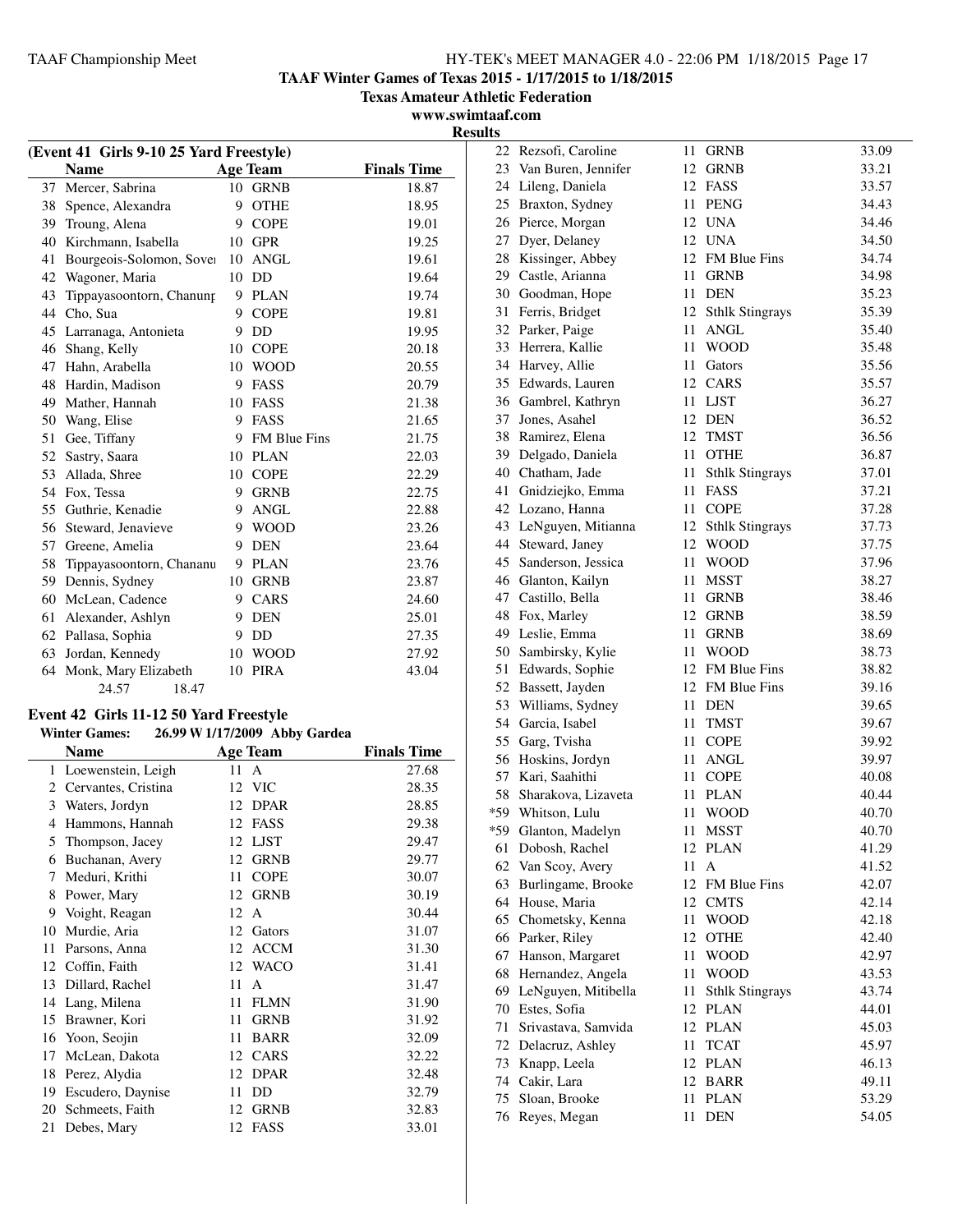**TAAF Winter Games of Texas 2015 - 1/17/2015 to 1/18/2015**

**Texas Amateur Athletic Federation**

**www.swimtaaf.com Results**

| (Event 41 Girls 9-10 25 Yard Freestyle) |                          |    |                     |                    |
|-----------------------------------------|--------------------------|----|---------------------|--------------------|
|                                         | <b>Name</b>              |    | <b>Age Team</b>     | <b>Finals Time</b> |
| 37                                      | Mercer, Sabrina          | 10 | <b>GRNB</b>         | 18.87              |
| 38                                      | Spence, Alexandra        | 9  | <b>OTHE</b>         | 18.95              |
| 39                                      | Troung, Alena            | 9  | <b>COPE</b>         | 19.01              |
| 40                                      | Kirchmann, Isabella      | 10 | <b>GPR</b>          | 19.25              |
| 41                                      | Bourgeois-Solomon, Sover | 10 | <b>ANGL</b>         | 19.61              |
| 42                                      | Wagoner, Maria           | 10 | DD                  | 19.64              |
| 43                                      | Tippayasoontorn, Chanung | 9  | <b>PLAN</b>         | 19.74              |
| 44                                      | Cho, Sua                 | 9  | <b>COPE</b>         | 19.81              |
| 45                                      | Larranaga, Antonieta     | 9  | $\rm DD$            | 19.95              |
| 46                                      | Shang, Kelly             | 10 | <b>COPE</b>         | 20.18              |
| 47                                      | Hahn, Arabella           | 10 | <b>WOOD</b>         | 20.55              |
| 48                                      | Hardin, Madison          | 9  | FASS                | 20.79              |
| 49                                      | Mather, Hannah           | 10 | <b>FASS</b>         | 21.38              |
| 50                                      | Wang, Elise              | 9  | FASS                | 21.65              |
| 51                                      | Gee, Tiffany             | 9  | <b>FM Blue Fins</b> | 21.75              |
| 52                                      | Sastry, Saara            | 10 | <b>PLAN</b>         | 22.03              |
| 53                                      | Allada, Shree            | 10 | <b>COPE</b>         | 22.29              |
| 54                                      | Fox, Tessa               | 9  | <b>GRNB</b>         | 22.75              |
| 55                                      | Guthrie, Kenadie         | 9  | <b>ANGL</b>         | 22.88              |
| 56                                      | Steward, Jenavieve       | 9  | <b>WOOD</b>         | 23.26              |
| 57                                      | Greene, Amelia           | 9  | <b>DEN</b>          | 23.64              |
| 58                                      | Tippayasoontorn, Chananu | 9  | <b>PLAN</b>         | 23.76              |
| 59                                      | Dennis, Sydney           | 10 | <b>GRNB</b>         | 23.87              |
| 60                                      | McLean, Cadence          | 9  | <b>CARS</b>         | 24.60              |
| 61                                      | Alexander, Ashlyn        | 9  | <b>DEN</b>          | 25.01              |
| 62                                      | Pallasa, Sophia          | 9  | DD                  | 27.35              |
| 63                                      | Jordan, Kennedy          | 10 | <b>WOOD</b>         | 27.92              |
| 64                                      | Monk, Mary Elizabeth     | 10 | <b>PIRA</b>         | 43.04              |
|                                         | 24.57<br>18.47           |    |                     |                    |

## **Event 42 Girls 11-12 50 Yard Freestyle**

## **Winter Games: 26.99 W1/17/2009 Abby Gardea**

|    | Name                |    | <b>Age Team</b> | <b>Finals Time</b> |
|----|---------------------|----|-----------------|--------------------|
| 1  | Loewenstein, Leigh  | 11 | $\mathsf{A}$    | 27.68              |
| 2  | Cervantes, Cristina | 12 | <b>VIC</b>      | 28.35              |
| 3  | Waters, Jordyn      | 12 | <b>DPAR</b>     | 28.85              |
| 4  | Hammons, Hannah     | 12 | <b>FASS</b>     | 29.38              |
| 5  | Thompson, Jacey     | 12 | <b>LJST</b>     | 29.47              |
| 6  | Buchanan, Avery     | 12 | <b>GRNB</b>     | 29.77              |
| 7  | Meduri, Krithi      | 11 | <b>COPE</b>     | 30.07              |
| 8  | Power, Mary         | 12 | <b>GRNB</b>     | 30.19              |
| 9  | Voight, Reagan      | 12 | A               | 30.44              |
| 10 | Murdie, Aria        | 12 | Gators          | 31.07              |
| 11 | Parsons, Anna       | 12 | <b>ACCM</b>     | 31.30              |
| 12 | Coffin, Faith       | 12 | <b>WACO</b>     | 31.41              |
| 13 | Dillard, Rachel     | 11 | $\mathsf{A}$    | 31.47              |
| 14 | Lang, Milena        | 11 | <b>FLMN</b>     | 31.90              |
| 15 | Brawner, Kori       | 11 | <b>GRNB</b>     | 31.92              |
| 16 | Yoon, Seojin        | 11 | <b>BARR</b>     | 32.09              |
| 17 | McLean, Dakota      | 12 | CARS            | 32.22              |
| 18 | Perez, Alydia       | 12 | <b>DPAR</b>     | 32.48              |
| 19 | Escudero, Daynise   | 11 | DD              | 32.79              |
| 20 | Schmeets, Faith     | 12 | <b>GRNB</b>     | 32.83              |
| 21 | Debes, Mary         | 12 | FASS            | 33.01              |

|    | 22 Rezsofi, Caroline                     | 11   | <b>GRNB</b>                           | 33.09          |
|----|------------------------------------------|------|---------------------------------------|----------------|
|    | 23 Van Buren, Jennifer                   | 12   | <b>GRNB</b>                           | 33.21          |
|    | 24 Lileng, Daniela                       |      | 12 FASS                               | 33.57          |
|    | 25 Braxton, Sydney                       |      | 11 PENG                               | 34.43          |
|    | 26 Pierce, Morgan                        |      | 12 UNA                                | 34.46          |
| 27 | Dyer, Delaney                            |      | 12 UNA                                | 34.50          |
| 28 | Kissinger, Abbey                         |      | 12 FM Blue Fins                       | 34.74          |
|    | 29 Castle, Arianna                       | 11-  | <b>GRNB</b>                           | 34.98          |
|    | 30 Goodman, Hope                         | 11-  | <b>DEN</b>                            | 35.23          |
| 31 | Ferris, Bridget                          | 12   | <b>Sthlk Stingrays</b>                | 35.39          |
|    | 32 Parker, Paige                         | 11   | <b>ANGL</b>                           | 35.40          |
|    | 33 Herrera, Kallie                       | 11   | <b>WOOD</b>                           | 35.48          |
|    | 34 Harvey, Allie                         | 11   | Gators                                | 35.56          |
|    | 35 Edwards, Lauren                       |      | 12 CARS                               | 35.57          |
|    | 36 Gambrel, Kathryn                      | 11   | <b>LJST</b>                           | 36.27          |
| 37 | Jones, Asahel                            |      | 12 DEN                                | 36.52          |
| 38 | Ramirez, Elena                           |      | 12 TMST                               | 36.56          |
| 39 | Delgado, Daniela                         | 11.  | <b>OTHE</b>                           | 36.87          |
|    | 40 Chatham, Jade                         | 11   | <b>Sthlk Stingrays</b>                | 37.01          |
| 41 | Gnidziejko, Emma                         | 11-  | FASS                                  | 37.21          |
|    | 42 Lozano, Hanna                         | 11-  | <b>COPE</b>                           | 37.28          |
| 43 | LeNguyen, Mitianna                       | 12   |                                       | 37.73          |
| 44 | Steward, Janey                           | 12   | <b>Sthlk Stingrays</b><br><b>WOOD</b> | 37.75          |
| 45 |                                          | 11   |                                       |                |
|    | Sanderson, Jessica<br>46 Glanton, Kailyn |      | <b>WOOD</b>                           | 37.96<br>38.27 |
|    |                                          | 11   | MSST                                  |                |
|    | 47 Castillo, Bella                       | 11   | <b>GRNB</b>                           | 38.46          |
|    | 48 Fox, Marley                           | 12   | <b>GRNB</b>                           | 38.59          |
|    | 49 Leslie, Emma                          | 11   | <b>GRNB</b>                           | 38.69          |
|    | 50 Sambirsky, Kylie                      | 11 - | <b>WOOD</b>                           | 38.73          |
| 51 | Edwards, Sophie                          |      | 12 FM Blue Fins                       | 38.82          |
| 52 | Bassett, Jayden                          |      | 12 FM Blue Fins                       | 39.16          |
| 53 | Williams, Sydney                         | 11   | <b>DEN</b>                            | 39.65          |
|    | 54 Garcia, Isabel                        | 11   | <b>TMST</b>                           | 39.67          |
| 55 | Garg, Tvisha                             | 11   | <b>COPE</b>                           | 39.92          |
|    | 56 Hoskins, Jordyn                       | 11   | <b>ANGL</b>                           | 39.97          |
| 57 | Kari, Saahithi                           | 11   | <b>COPE</b>                           | 40.08          |
| 58 | Sharakova, Lizaveta                      | 11   | <b>PLAN</b>                           | 40.44          |
|    | *59 Whitson, Lulu                        | 11   | <b>WOOD</b>                           | 40.70          |
|    | *59 Glanton, Madelyn                     | 11   | <b>MSST</b>                           | 40.70          |
|    | 61 Dobosh, Rachel                        |      | 12 PLAN                               | 41.29          |
|    | 62 Van Scoy, Avery                       | 11   | A                                     | 41.52          |
| 63 | Burlingame, Brooke                       | 12   | FM Blue Fins                          | 42.07          |
| 64 | House, Maria                             | 12   | <b>CMTS</b>                           | 42.14          |
|    | 65 Chometsky, Kenna                      | 11   | <b>WOOD</b>                           | 42.18          |
|    | 66 Parker, Riley                         | 12   | <b>OTHE</b>                           | 42.40          |
| 67 | Hanson, Margaret                         | 11   | <b>WOOD</b>                           | 42.97          |
| 68 | Hernandez, Angela                        | 11   | <b>WOOD</b>                           | 43.53          |
| 69 | LeNguyen, Mitibella                      | 11   | <b>Sthlk Stingrays</b>                | 43.74          |
|    | 70 Estes, Sofia                          | 12   | <b>PLAN</b>                           | 44.01          |
| 71 | Srivastava, Samvida                      | 12   | <b>PLAN</b>                           | 45.03          |
|    | 72 Delacruz, Ashley                      | 11   | <b>TCAT</b>                           | 45.97          |
| 73 | Knapp, Leela                             | 12   | <b>PLAN</b>                           | 46.13          |
| 74 | Cakir, Lara                              | 12   | <b>BARR</b>                           | 49.11          |
| 75 | Sloan, Brooke                            | 11   | <b>PLAN</b>                           | 53.29          |
| 76 | Reyes, Megan                             | 11   | <b>DEN</b>                            | 54.05          |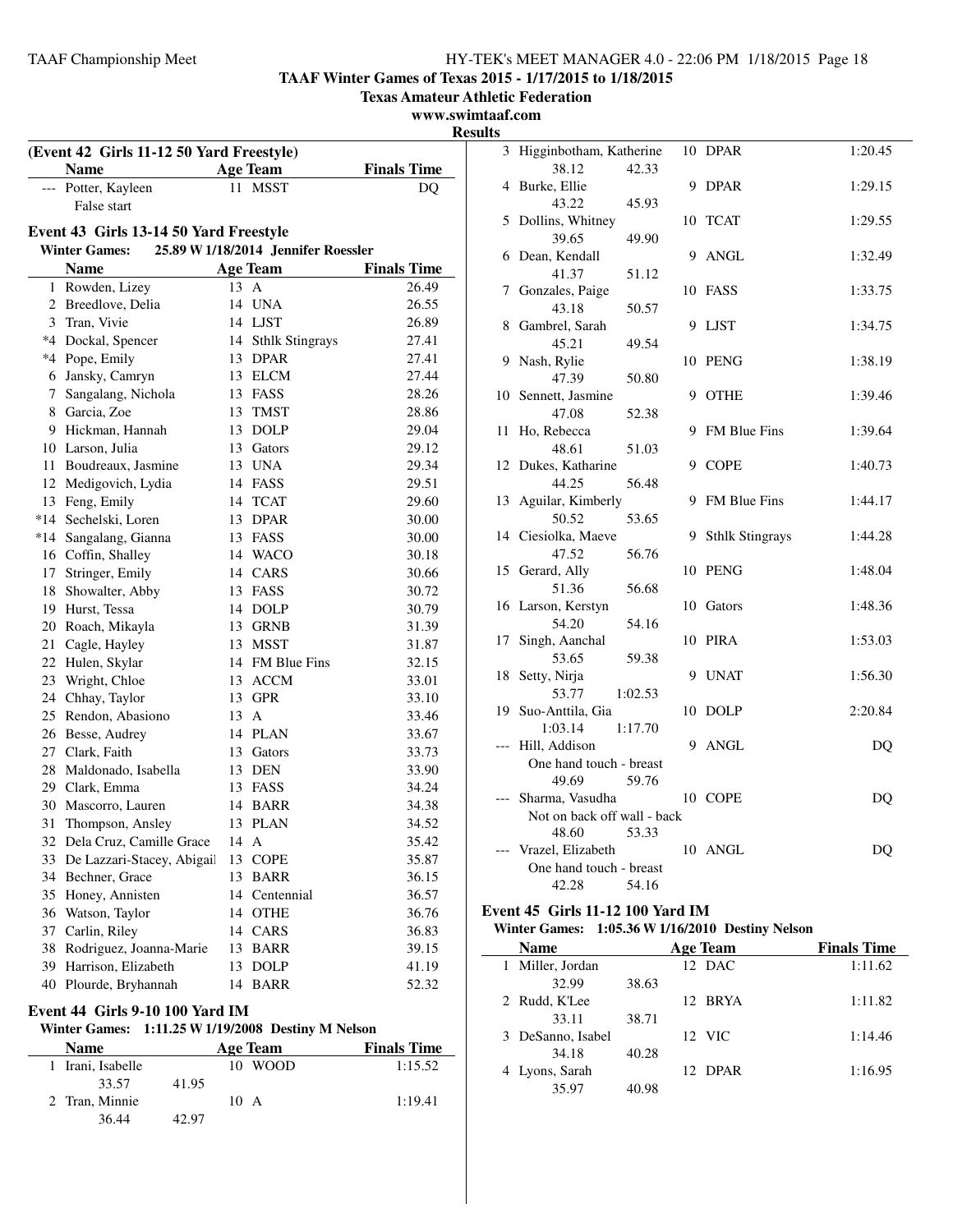**TAAF Winter Games of Texas 2015 - 1/17/2015 to 1/18/2015**

**Texas Amateur Athletic Federation**

**www.swimtaaf.com**

**Results**

| (Event 42 Girls 11-12 50 Yard Freestyle) |                                        |      |                                     |                    |  |  |  |  |
|------------------------------------------|----------------------------------------|------|-------------------------------------|--------------------|--|--|--|--|
|                                          | <b>Name</b>                            |      | <b>Age Team</b>                     | <b>Finals Time</b> |  |  |  |  |
|                                          | --- Potter, Kayleen                    |      | 11 MSST                             | DQ                 |  |  |  |  |
|                                          | False start                            |      |                                     |                    |  |  |  |  |
|                                          | Event 43 Girls 13-14 50 Yard Freestyle |      |                                     |                    |  |  |  |  |
|                                          | <b>Winter Games:</b>                   |      | 25.89 W 1/18/2014 Jennifer Roessler |                    |  |  |  |  |
|                                          | <b>Name</b>                            |      | <b>Age Team</b>                     | <b>Finals Time</b> |  |  |  |  |
|                                          | 1 Rowden, Lizey                        | 13 A |                                     | 26.49              |  |  |  |  |
|                                          | 2 Breedlove, Delia                     |      | 14 UNA                              | 26.55              |  |  |  |  |
|                                          | 3 Tran, Vivie                          |      | 14 LJST                             | 26.89              |  |  |  |  |
|                                          | *4 Dockal, Spencer                     |      | 14 Sthlk Stingrays                  | 27.41              |  |  |  |  |
|                                          | *4 Pope, Emily                         |      | 13 DPAR                             | 27.41              |  |  |  |  |
|                                          | 6 Jansky, Camryn                       |      | 13 ELCM                             | 27.44              |  |  |  |  |
|                                          | 7 Sangalang, Nichola                   |      | 13 FASS                             | 28.26              |  |  |  |  |
|                                          | 8 Garcia, Zoe                          |      | 13 TMST                             | 28.86              |  |  |  |  |
|                                          | 9 Hickman, Hannah                      |      | 13 DOLP                             | 29.04              |  |  |  |  |
|                                          | 10 Larson, Julia                       |      | 13 Gators                           | 29.12              |  |  |  |  |
|                                          | 11 Boudreaux, Jasmine                  |      | 13 UNA                              | 29.34              |  |  |  |  |
|                                          | 12 Medigovich, Lydia                   |      | 14 FASS                             | 29.51              |  |  |  |  |
|                                          | 13 Feng, Emily                         |      | 14 TCAT                             | 29.60              |  |  |  |  |
|                                          | *14 Sechelski, Loren                   |      | 13 DPAR                             | 30.00              |  |  |  |  |
|                                          | *14 Sangalang, Gianna                  |      | 13 FASS                             | 30.00              |  |  |  |  |
|                                          | 16 Coffin, Shalley                     |      | 14 WACO                             | 30.18              |  |  |  |  |
|                                          | 17 Stringer, Emily                     |      | 14 CARS                             | 30.66              |  |  |  |  |
|                                          | 18 Showalter, Abby                     |      | 13 FASS                             | 30.72              |  |  |  |  |
|                                          | 19 Hurst, Tessa                        |      | 14 DOLP                             | 30.79              |  |  |  |  |
|                                          | 20 Roach, Mikayla                      |      | 13 GRNB                             | 31.39              |  |  |  |  |
|                                          | 21 Cagle, Hayley                       |      | 13 MSST                             | 31.87              |  |  |  |  |
|                                          | 22 Hulen, Skylar                       |      | 14 FM Blue Fins                     | 32.15              |  |  |  |  |
|                                          | 23 Wright, Chloe                       |      | 13 ACCM                             | 33.01              |  |  |  |  |
|                                          | 24 Chhay, Taylor                       |      | 13 GPR                              | 33.10              |  |  |  |  |
|                                          | 25 Rendon, Abasiono                    | 13 A |                                     | 33.46              |  |  |  |  |
|                                          | 26 Besse, Audrey                       |      | 14 PLAN                             | 33.67              |  |  |  |  |
|                                          | 27 Clark, Faith                        |      | 13 Gators                           | 33.73              |  |  |  |  |
|                                          | 28 Maldonado, Isabella                 |      | 13 DEN                              | 33.90              |  |  |  |  |
|                                          | 29 Clark, Emma                         |      | 13 FASS                             | 34.24              |  |  |  |  |
|                                          | 30 Mascorro, Lauren                    |      | 14 BARR                             | 34.38              |  |  |  |  |
|                                          | 31 Thompson, Ansley                    |      | 13 PLAN                             | 34.52              |  |  |  |  |
| 32                                       | Dela Cruz, Camille Grace               | 14 A |                                     | 35.42              |  |  |  |  |
| 33                                       | De Lazzari-Stacey, Abigail             | 13   | <b>COPE</b>                         | 35.87              |  |  |  |  |
| 34                                       | Bechner, Grace                         | 13   | <b>BARR</b>                         | 36.15              |  |  |  |  |
| 35                                       | Honey, Annisten                        | 14   | Centennial                          | 36.57              |  |  |  |  |
| 36                                       | Watson, Taylor                         | 14   | <b>OTHE</b>                         | 36.76              |  |  |  |  |
| 37                                       | Carlin, Riley                          |      | 14 CARS                             | 36.83              |  |  |  |  |
| 38                                       | Rodriguez, Joanna-Marie                | 13   | <b>BARR</b>                         | 39.15              |  |  |  |  |
| 39                                       | Harrison, Elizabeth                    | 13   | <b>DOLP</b>                         | 41.19              |  |  |  |  |
| 40                                       | Plourde, Bryhannah                     | 14   | <b>BARR</b>                         | 52.32              |  |  |  |  |

## **Event 44 Girls 9-10 100 Yard IM**

## **Winter Games: 1:11.25 W1/19/2008 Destiny M Nelson**

| <b>Name</b>       | Age Team          | <b>Finals Time</b> |
|-------------------|-------------------|--------------------|
| 1 Irani, Isabelle | <b>WOOD</b><br>10 | 1:15.52            |
| 33.57             | 41.95             |                    |
| 2 Tran, Minnie    | $10 \text{ A}$    | 1:19.41            |
| 36.44             | 42.97             |                    |

|       | 3 Higginbotham, Katherine                     |    | 10 DPAR                | 1:20.45 |
|-------|-----------------------------------------------|----|------------------------|---------|
|       | 38.12<br>42.33                                |    |                        |         |
|       | 4 Burke, Ellie                                | 9  | <b>DPAR</b>            | 1:29.15 |
|       | 43.22<br>45.93                                |    |                        |         |
| 5     | Dollins, Whitney                              |    | 10 TCAT                | 1:29.55 |
|       | 39.65<br>49.90                                |    |                        |         |
| 6     | Dean, Kendall                                 | 9  | <b>ANGL</b>            | 1:32.49 |
|       | 41.37<br>51.12                                |    |                        |         |
| 7     | Gonzales, Paige                               |    | 10 FASS                | 1:33.75 |
|       | 43.18<br>50.57                                |    |                        |         |
| 8     | Gambrel, Sarah                                | 9  | <b>LJST</b>            | 1:34.75 |
|       | 45.21<br>49.54                                |    |                        |         |
| 9     | Nash, Rylie                                   | 10 | PENG                   | 1:38.19 |
|       | 47.39<br>50.80                                |    |                        |         |
|       | 10 Sennett, Jasmine                           | 9  | <b>OTHE</b>            | 1:39.46 |
|       | 47.08<br>52.38                                |    |                        |         |
| 11    | Ho, Rebecca                                   | 9  | FM Blue Fins           | 1:39.64 |
|       | 48.61<br>51.03                                |    |                        |         |
|       | 12 Dukes, Katharine                           |    | 9 COPE                 | 1:40.73 |
|       | 44.25<br>56.48                                |    |                        |         |
| 13    | Aguilar, Kimberly                             | 9  | <b>FM Blue Fins</b>    | 1:44.17 |
|       | 50.52<br>53.65                                |    |                        |         |
|       | 14 Ciesiolka, Maeve                           | 9  | <b>Sthlk Stingrays</b> | 1:44.28 |
|       | 47.52<br>56.76                                |    |                        |         |
|       | 15 Gerard, Ally                               |    | 10 PENG                | 1:48.04 |
|       | 51.36<br>56.68                                |    |                        |         |
|       | 16 Larson, Kerstyn                            |    | 10 Gators              | 1:48.36 |
|       | 54.20<br>54.16                                |    |                        |         |
| 17    | Singh, Aanchal                                | 10 | <b>PIRA</b>            | 1:53.03 |
|       | 53.65<br>59.38                                |    |                        |         |
| 18    | Setty, Nirja                                  | 9  | <b>UNAT</b>            | 1:56.30 |
|       | 53.77<br>1:02.53                              |    |                        |         |
|       | 19 Suo-Anttila, Gia                           | 10 | <b>DOLP</b>            | 2:20.84 |
|       | 1:03.14<br>1:17.70                            |    |                        |         |
| $---$ | Hill, Addison                                 | 9  | ANGL                   | DQ      |
|       | One hand touch - breast                       |    |                        |         |
|       | 49.69<br>59.76                                |    |                        |         |
|       | Sharma, Vasudha                               |    | 10 COPE                | DQ      |
|       | Not on back off wall - back<br>48.60<br>53.33 |    |                        |         |
| ---   | Vrazel, Elizabeth                             |    | 10 ANGL                |         |
|       | One hand touch - breast                       |    |                        | DQ      |
|       | 42.28<br>54.16                                |    |                        |         |
|       |                                               |    |                        |         |

## **Event 45 Girls 11-12 100 Yard IM**

 $\overline{\phantom{0}}$ 

#### **Winter Games: 1:05.36 W1/16/2010 Destiny Nelson**

| <b>Name</b>       |       | <b>Age Team</b> | <b>Finals Time</b> |
|-------------------|-------|-----------------|--------------------|
| Miller, Jordan    |       | 12 DAC          | 1:11.62            |
| 32.99             | 38.63 |                 |                    |
| 2 Rudd, K'Lee     |       | 12 BRYA         | 1:11.82            |
| 33.11             | 38.71 |                 |                    |
| 3 DeSanno, Isabel |       | 12 VIC          | 1:14.46            |
| 34.18             | 40.28 |                 |                    |
| 4 Lyons, Sarah    |       | 12 DPAR         | 1:16.95            |
| 35.97             | 40.98 |                 |                    |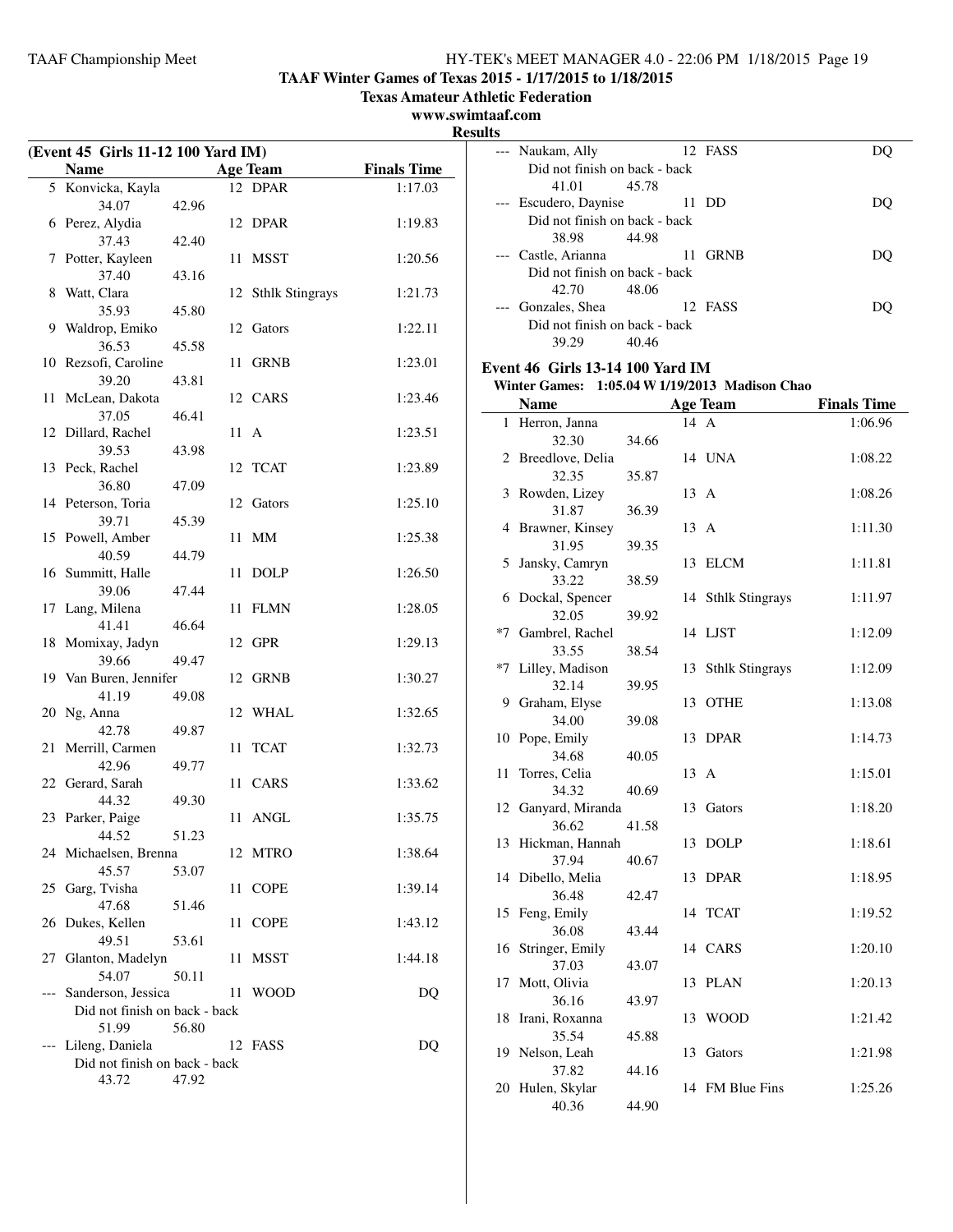**TAAF Winter Games of Texas 2015 - 1/17/2015 to 1/18/2015**

**Texas Amateur Athletic Federation**

**www.swimtaaf.com**

**Results**

| (Event 45 Girls 11-12 100 Yard IM) |                                        |       |      |                        |                    |
|------------------------------------|----------------------------------------|-------|------|------------------------|--------------------|
|                                    | <b>Name</b>                            |       |      | <b>Age Team</b>        | <b>Finals Time</b> |
|                                    | 5 Konvicka, Kayla                      |       |      | 12 DPAR                | 1:17.03            |
|                                    | 34.07                                  | 42.96 |      |                        |                    |
|                                    | 6 Perez, Alydia                        |       | 12   | <b>DPAR</b>            | 1:19.83            |
|                                    | 37.43                                  | 42.40 |      |                        |                    |
| 7                                  | Potter, Kayleen                        |       | 11   | <b>MSST</b>            | 1:20.56            |
|                                    | 37.40                                  | 43.16 |      |                        |                    |
| 8                                  | Watt, Clara<br>35.93                   | 45.80 | 12   | <b>Sthlk Stingrays</b> | 1:21.73            |
| 9                                  | Waldrop, Emiko                         |       |      | 12 Gators              | 1:22.11            |
|                                    | 36.53                                  | 45.58 |      |                        |                    |
|                                    | 10 Rezsofi, Caroline                   |       | 11   | <b>GRNB</b>            | 1:23.01            |
|                                    | 39.20                                  | 43.81 |      |                        |                    |
| 11                                 | McLean, Dakota                         |       |      | 12 CARS                | 1:23.46            |
|                                    | 37.05                                  | 46.41 |      |                        |                    |
| 12                                 | Dillard, Rachel                        |       | 11 A |                        | 1:23.51            |
|                                    | 39.53                                  | 43.98 |      |                        |                    |
|                                    | 13 Peck, Rachel                        |       |      | 12 TCAT                | 1:23.89            |
|                                    | 36.80                                  | 47.09 |      |                        |                    |
|                                    | 14 Peterson, Toria                     |       | 12   | Gators                 | 1:25.10            |
|                                    | 39.71<br>15 Powell, Amber              | 45.39 | 11   | <b>MM</b>              | 1:25.38            |
|                                    | 40.59                                  | 44.79 |      |                        |                    |
|                                    | 16 Summitt, Halle                      |       | 11   | <b>DOLP</b>            | 1:26.50            |
|                                    | 39.06                                  | 47.44 |      |                        |                    |
| 17                                 | Lang, Milena                           |       | 11   | <b>FLMN</b>            | 1:28.05            |
|                                    | 41.41                                  | 46.64 |      |                        |                    |
| 18                                 | Momixay, Jadyn                         |       |      | 12 GPR                 | 1:29.13            |
|                                    | 39.66                                  | 49.47 |      |                        |                    |
|                                    | 19 Van Buren, Jennifer                 |       |      | 12 GRNB                | 1:30.27            |
| 20                                 | 41.19                                  | 49.08 | 12   | WHAL                   | 1:32.65            |
|                                    | Ng, Anna<br>42.78                      | 49.87 |      |                        |                    |
| 21                                 | Merrill, Carmen                        |       | 11   | <b>TCAT</b>            | 1:32.73            |
|                                    | 42.96                                  | 49.77 |      |                        |                    |
|                                    | 22 Gerard, Sarah                       |       | 11   | CARS                   | 1:33.62            |
|                                    | 44.32                                  | 49.30 |      |                        |                    |
|                                    | 23 Parker, Paige                       |       |      | 11 ANGL                | 1:35.75            |
|                                    | 44.52                                  | 51.23 |      |                        |                    |
|                                    | 24 Michaelsen, Brenna                  |       | 12   | MTRO                   | 1:38.64            |
|                                    | 45.57                                  | 53.07 |      |                        |                    |
| 25                                 | Garg, Tvisha<br>47.68                  | 51.46 | 11   | <b>COPE</b>            | 1:39.14            |
| 26                                 | Dukes, Kellen                          |       | 11   | <b>COPE</b>            | 1:43.12            |
|                                    | 49.51                                  | 53.61 |      |                        |                    |
| 27                                 | Glanton, Madelyn                       |       | 11   | <b>MSST</b>            | 1:44.18            |
|                                    | 54.07                                  | 50.11 |      |                        |                    |
| $---$                              | Sanderson, Jessica                     |       | 11   | <b>WOOD</b>            | D <sub>O</sub>     |
|                                    | Did not finish on back - back          |       |      |                        |                    |
|                                    | 51.99                                  | 56.80 |      |                        |                    |
|                                    | Lileng, Daniela                        |       | 12   | FASS                   | DQ                 |
|                                    | Did not finish on back - back<br>43.72 | 47.92 |      |                        |                    |
|                                    |                                        |       |      |                        |                    |

| 1 L.J |                                                |       |      |                    |                    |  |  |  |
|-------|------------------------------------------------|-------|------|--------------------|--------------------|--|--|--|
| ---   | Naukam, Ally                                   |       |      | 12 FASS            | DQ                 |  |  |  |
|       | Did not finish on back - back                  |       |      |                    |                    |  |  |  |
|       | 41.01                                          | 45.78 |      |                    |                    |  |  |  |
| $---$ | Escudero, Daynise                              |       |      | 11 DD              | DQ                 |  |  |  |
|       | Did not finish on back - back                  |       |      |                    |                    |  |  |  |
|       | 38.98                                          | 44.98 |      |                    |                    |  |  |  |
|       | Castle, Arianna                                |       | 11   | <b>GRNB</b>        | DQ                 |  |  |  |
|       | Did not finish on back - back                  |       |      |                    |                    |  |  |  |
|       | 42.70                                          | 48.06 |      |                    |                    |  |  |  |
|       | Gonzales, Shea                                 |       |      | 12 FASS            | DQ                 |  |  |  |
|       | Did not finish on back - back                  |       |      |                    |                    |  |  |  |
|       | 39.29                                          | 40.46 |      |                    |                    |  |  |  |
|       | <b>Event 46 Girls 13-14 100 Yard IM</b>        |       |      |                    |                    |  |  |  |
|       | Winter Games: 1:05.04 W 1/19/2013 Madison Chao |       |      |                    |                    |  |  |  |
|       | <b>Name</b>                                    |       |      | <b>Age Team</b>    | <b>Finals Time</b> |  |  |  |
|       | 1 Herron, Janna                                |       | 14 A |                    | 1:06.96            |  |  |  |
|       | 32.30                                          | 34.66 |      |                    |                    |  |  |  |
|       | 2 Breedlove, Delia                             |       |      | 14 UNA             | 1:08.22            |  |  |  |
|       | 32.35                                          | 35.87 |      |                    |                    |  |  |  |
|       | 3 Rowden, Lizey                                |       | 13 A |                    | 1:08.26            |  |  |  |
|       | 31.87                                          | 36.39 |      |                    |                    |  |  |  |
|       | 4 Brawner, Kinsey                              |       | 13 A |                    | 1:11.30            |  |  |  |
|       | 31.95                                          | 39.35 |      |                    |                    |  |  |  |
| 5     | Jansky, Camryn                                 |       |      | 13 ELCM            | 1:11.81            |  |  |  |
|       | 33.22                                          | 38.59 |      |                    |                    |  |  |  |
|       | 6 Dockal, Spencer                              |       |      | 14 Sthlk Stingrays | 1:11.97            |  |  |  |
|       | 32.05                                          | 39.92 |      |                    |                    |  |  |  |
|       | *7 Gambrel, Rachel                             |       |      | 14 LJST            | 1:12.09            |  |  |  |
|       | 33.55                                          | 38.54 |      |                    |                    |  |  |  |
| $*7$  | Lilley, Madison                                |       |      | 13 Sthlk Stingrays | 1:12.09            |  |  |  |
|       | 32.14                                          | 39.95 |      |                    |                    |  |  |  |
|       | 9 Graham, Elyse                                |       |      | 13 OTHE            | 1:13.08            |  |  |  |
|       | 34.00                                          | 39.08 |      |                    |                    |  |  |  |
| 10    | Pope, Emily                                    |       |      | 13 DPAR            | 1:14.73            |  |  |  |
|       | 34.68                                          | 40.05 |      |                    |                    |  |  |  |
| 11    | Torres, Celia                                  |       | 13 A |                    | 1:15.01            |  |  |  |
|       | 34.32                                          | 40.69 |      |                    |                    |  |  |  |
|       | 12 Ganyard, Miranda                            |       |      | 13 Gators          | 1:18.20            |  |  |  |
|       | 36.62                                          | 41.58 |      |                    |                    |  |  |  |
|       | 13 Hickman, Hannah                             |       |      | 13 DOLP            | 1:18.61            |  |  |  |
|       | 37.94                                          | 40.67 |      |                    |                    |  |  |  |
|       | 14 Dibello, Melia                              |       | 13   | DPAR               | 1:18.95            |  |  |  |
|       | 36.48                                          | 42.47 |      |                    |                    |  |  |  |
| 15    | Feng, Emily                                    |       |      | 14 TCAT            | 1:19.52            |  |  |  |
|       | 36.08                                          | 43.44 |      |                    |                    |  |  |  |
| 16    | Stringer, Emily                                |       |      | 14 CARS            | 1:20.10            |  |  |  |
|       | 37.03                                          | 43.07 |      |                    |                    |  |  |  |
| 17    | Mott, Olivia                                   |       |      | 13 PLAN            | 1:20.13            |  |  |  |
|       | 36.16                                          | 43.97 |      |                    |                    |  |  |  |
| 18    | Irani, Roxanna                                 |       | 13   | <b>WOOD</b>        | 1:21.42            |  |  |  |
| 19    | 35.54<br>Nelson, Leah                          | 45.88 | 13   | Gators             | 1:21.98            |  |  |  |
|       | 37.82                                          | 44.16 |      |                    |                    |  |  |  |
| 20    | Hulen, Skylar                                  |       |      | 14 FM Blue Fins    | 1:25.26            |  |  |  |
|       | 40.36                                          | 44.90 |      |                    |                    |  |  |  |
|       |                                                |       |      |                    |                    |  |  |  |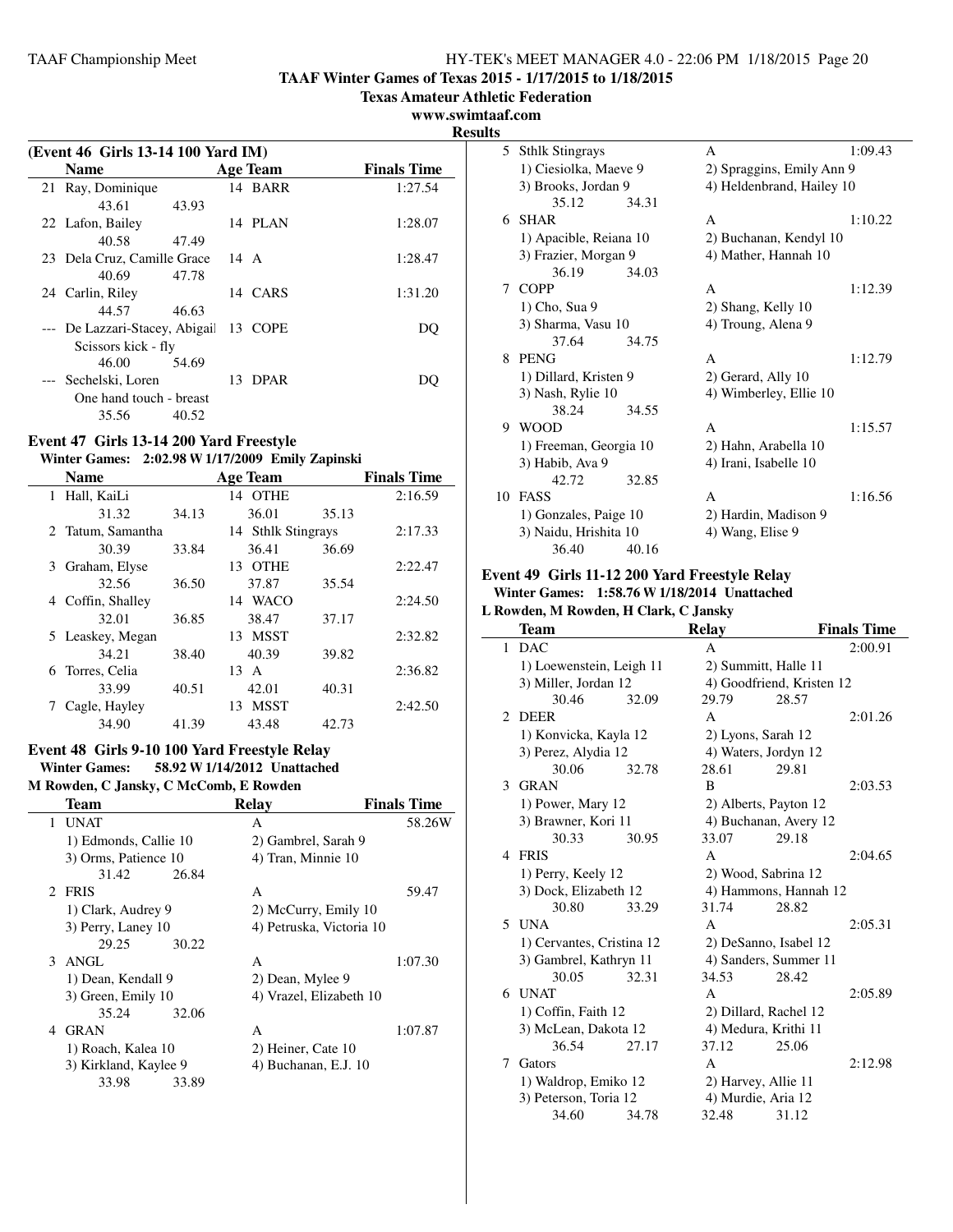**TAAF Winter Games of Texas 2015 - 1/17/2015 to 1/18/2015**

**Texas Amateur Athletic Federation**

#### **www.swimtaaf.com**

**Results**

| (Event 46 Girls 13-14 100 Yard IM) |                               |       |      |          |                    |
|------------------------------------|-------------------------------|-------|------|----------|--------------------|
|                                    | <b>Name</b>                   |       |      | Age Team | <b>Finals Time</b> |
|                                    | 21 Ray, Dominique             |       |      | 14 BARR  | 1:27.54            |
|                                    | 43.61                         | 43.93 |      |          |                    |
|                                    | 22 Lafon, Bailey              |       |      | 14 PLAN  | 1:28.07            |
|                                    | 40.58                         | 47.49 |      |          |                    |
|                                    | 23 Dela Cruz, Camille Grace   |       | 14 A |          | 1:28.47            |
|                                    | 40.69                         | 47.78 |      |          |                    |
|                                    | 24 Carlin, Riley              |       |      | 14 CARS  | 1:31.20            |
|                                    | 44.57                         | 46.63 |      |          |                    |
|                                    | --- De Lazzari-Stacey, Abigai |       |      | 13 COPE  | DU                 |
|                                    | Scissors kick - fly           |       |      |          |                    |
|                                    | 46.00                         | 54.69 |      |          |                    |
|                                    | --- Sechelski, Loren          |       |      | 13 DPAR  | DO.                |
|                                    | One hand touch - breast       |       |      |          |                    |
|                                    | 35.56                         | 40.52 |      |          |                    |

## **Event 47 Girls 13-14 200 Yard Freestyle**

**Winter Games: 2:02.98 W1/17/2009 Emily Zapinski**

|   | <b>Name</b>       |       | <b>Age Team</b>    |       | <b>Finals Time</b> |
|---|-------------------|-------|--------------------|-------|--------------------|
| 1 | Hall, KaiLi       |       | 14 OTHE            |       | 2:16.59            |
|   | 31.32             | 34.13 | 36.01              | 35.13 |                    |
|   | 2 Tatum, Samantha |       | 14 Sthlk Stingrays |       | 2:17.33            |
|   | 30.39             | 33.84 | 36.41              | 36.69 |                    |
| 3 | Graham, Elyse     |       | OTHE<br>13         |       | 2:22.47            |
|   | 32.56             | 36.50 | 37.87              | 35.54 |                    |
| 4 | Coffin, Shalley   |       | 14 WACO            |       | 2:24.50            |
|   | 32.01             | 36.85 | 38.47              | 37.17 |                    |
|   | 5 Leaskey, Megan  |       | 13 MSST            |       | 2:32.82            |
|   | 34.21             | 38.40 | 40.39              | 39.82 |                    |
|   | 6 Torres, Celia   |       | 13.<br>A           |       | 2:36.82            |
|   | 33.99             | 40.51 | 42.01              | 40.31 |                    |
|   | Cagle, Hayley     |       | MSST<br>13         |       | 2:42.50            |
|   | 34.90             | 41.39 | 43.48              | 42.73 |                    |

## **Event 48 Girls 9-10 100 Yard Freestyle Relay Winter Games: 58.92 W1/14/2012 Unattached**

**M Rowden, C Jansky, C McComb, E Rowden**

| Team                  | <b>Finals Time</b><br>Relay |         |  |
|-----------------------|-----------------------------|---------|--|
| UNAT<br>$\mathbf{1}$  | A                           | 58.26W  |  |
| 1) Edmonds, Callie 10 | 2) Gambrel, Sarah 9         |         |  |
| 3) Orms, Patience 10  | 4) Tran, Minnie 10          |         |  |
| 31.42<br>26.84        |                             |         |  |
| 2 FRIS                | A                           | 59.47   |  |
| 1) Clark, Audrey 9    | 2) McCurry, Emily 10        |         |  |
| 3) Perry, Laney 10    | 4) Petruska, Victoria 10    |         |  |
| 29.25<br>30.22        |                             |         |  |
| 3<br>ANGL             | A                           | 1:07.30 |  |
| 1) Dean, Kendall 9    | 2) Dean, Mylee 9            |         |  |
| 3) Green, Emily 10    | 4) Vrazel, Elizabeth 10     |         |  |
| 32.06<br>35.24        |                             |         |  |
| <b>GRAN</b><br>4      | A                           | 1:07.87 |  |
| 1) Roach, Kalea 10    | 2) Heiner, Cate 10          |         |  |
| 3) Kirkland, Kaylee 9 | 4) Buchanan, E.J. 10        |         |  |
| 33.98<br>33.89        |                             |         |  |
|                       |                             |         |  |

| ۰J |                        |       |                           |         |  |
|----|------------------------|-------|---------------------------|---------|--|
| 5  | <b>Sthlk Stingrays</b> |       | A                         | 1:09.43 |  |
|    | 1) Ciesiolka, Maeve 9  |       | 2) Spraggins, Emily Ann 9 |         |  |
|    | 3) Brooks, Jordan 9    |       | 4) Heldenbrand, Hailey 10 |         |  |
|    | 35.12                  | 34.31 |                           |         |  |
| 6. | SHAR                   |       | A                         | 1:10.22 |  |
|    | 1) Apacible, Reiana 10 |       | 2) Buchanan, Kendyl 10    |         |  |
|    | 3) Frazier, Morgan 9   |       | 4) Mather, Hannah 10      |         |  |
|    | 36.19                  | 34.03 |                           |         |  |
|    | 7 COPP                 |       | A                         | 1:12.39 |  |
|    | 1) Cho, Sua 9          |       | 2) Shang, Kelly 10        |         |  |
|    | 3) Sharma, Vasu 10     |       | 4) Troung, Alena 9        |         |  |
|    | 37.64                  | 34.75 |                           |         |  |
| 8  | PENG                   |       | A                         | 1:12.79 |  |
|    | 1) Dillard, Kristen 9  |       | 2) Gerard, Ally 10        |         |  |
|    | 3) Nash, Rylie 10      |       | 4) Wimberley, Ellie 10    |         |  |
|    | 38.24                  | 34.55 |                           |         |  |
| 9  | <b>WOOD</b>            |       | $\mathsf{A}$              | 1:15.57 |  |
|    | 1) Freeman, Georgia 10 |       | 2) Hahn, Arabella 10      |         |  |
|    | 3) Habib, Ava 9        |       | 4) Irani, Isabelle 10     |         |  |
|    | 42.72                  | 32.85 |                           |         |  |
| 10 | <b>FASS</b>            |       | A                         | 1:16.56 |  |
|    | 1) Gonzales, Paige 10  |       | 2) Hardin, Madison 9      |         |  |
|    | 3) Naidu, Hrishita 10  |       | 4) Wang, Elise 9          |         |  |
|    | 36.40                  | 40.16 |                           |         |  |

#### **Event 49 Girls 11-12 200 Yard Freestyle Relay Winter Games: 1:58.76 W1/18/2014 Unattached**

**L Rowden, M Rowden, H Clark, C Jansky**

|                | <b>Team</b>               |       | <b>Relay</b>          |                           | <b>Finals Time</b> |
|----------------|---------------------------|-------|-----------------------|---------------------------|--------------------|
| 1              | <b>DAC</b>                |       | A                     |                           | 2:00.91            |
|                | 1) Loewenstein, Leigh 11  |       |                       | 2) Summitt, Halle 11      |                    |
|                | 3) Miller, Jordan 12      |       |                       | 4) Goodfriend, Kristen 12 |                    |
|                | 30.46                     | 32.09 | 29.79                 | 28.57                     |                    |
| $\mathfrak{D}$ | <b>DEER</b>               |       | A                     |                           | 2:01.26            |
|                | 1) Konvicka, Kayla 12     |       |                       | 2) Lyons, Sarah 12        |                    |
|                | 3) Perez, Alydia 12       |       |                       | 4) Waters, Jordyn 12      |                    |
|                | 30.06                     | 32.78 | 28.61                 | 29.81                     |                    |
| 3              | <b>GRAN</b>               |       | B                     |                           | 2:03.53            |
|                | 1) Power, Mary 12         |       |                       | 2) Alberts, Payton 12     |                    |
|                | 3) Brawner, Kori 11       |       |                       | 4) Buchanan, Avery 12     |                    |
|                | 30.33                     | 30.95 | 33.07                 | 29.18                     |                    |
|                | 4 FRIS                    |       | A                     |                           | 2:04.65            |
|                | 1) Perry, Keely 12        |       | 2) Wood, Sabrina 12   |                           |                    |
|                | 3) Dock, Elizabeth 12     |       | 4) Hammons, Hannah 12 |                           |                    |
|                | 30.80                     | 33.29 | 31.74                 | 28.82                     |                    |
| 5              | UNA                       |       | A                     |                           | 2:05.31            |
|                | 1) Cervantes, Cristina 12 |       | 2) DeSanno, Isabel 12 |                           |                    |
|                | 3) Gambrel, Kathryn 11    |       | 4) Sanders, Summer 11 |                           |                    |
|                | 30.05                     | 32.31 | 34.53                 | 28.42                     |                    |
| 6              | UNAT                      |       | A                     |                           | 2:05.89            |
|                | 1) Coffin, Faith 12       |       |                       | 2) Dillard, Rachel 12     |                    |
|                | 3) McLean, Dakota 12      |       |                       | 4) Medura, Krithi 11      |                    |
|                | 36.54                     | 27.17 | 37.12                 | 25.06                     |                    |
| 7              | Gators                    |       | A                     |                           | 2:12.98            |
|                | 1) Waldrop, Emiko 12      |       | 2) Harvey, Allie 11   |                           |                    |
|                | 3) Peterson, Toria 12     |       |                       | 4) Murdie, Aria 12        |                    |
|                | 34.60                     | 34.78 | 32.48                 | 31.12                     |                    |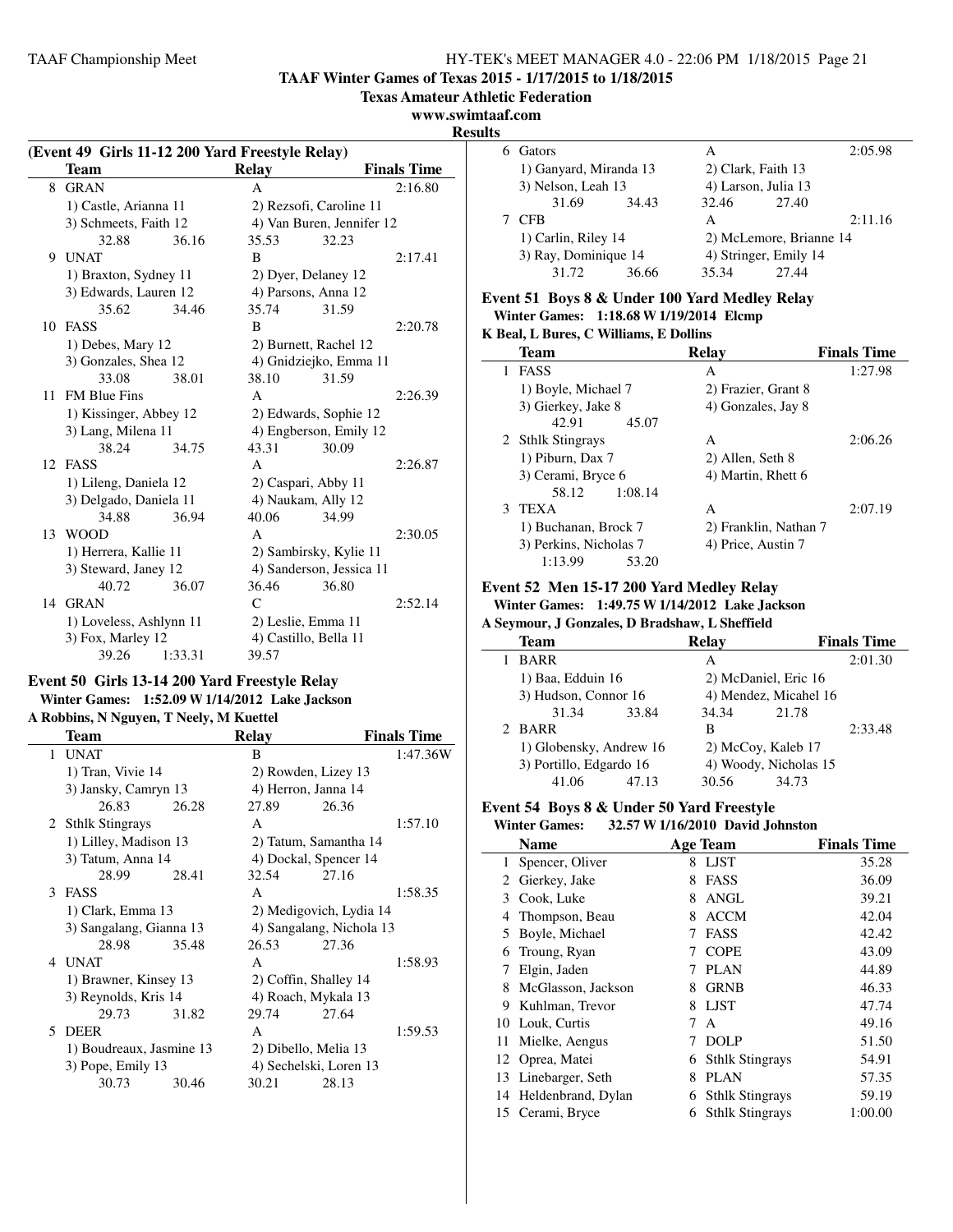## **TAAF Winter Games of Texas 2015 - 1/17/2015 to 1/18/2015**

**Texas Amateur Athletic Federation**

## **www.swimtaaf.com**

**Results**

 $\overline{a}$ 

| (Event 49 Girls 11-12 200 Yard Freestyle Relay) |                         |         |              |                           |                    |  |
|-------------------------------------------------|-------------------------|---------|--------------|---------------------------|--------------------|--|
|                                                 | <b>Team</b>             |         | <b>Relay</b> |                           | <b>Finals Time</b> |  |
| 8                                               | <b>GRAN</b>             |         | A            |                           | 2:16.80            |  |
|                                                 | 1) Castle, Arianna 11   |         |              | 2) Rezsofi, Caroline 11   |                    |  |
|                                                 | 3) Schmeets, Faith 12   |         |              | 4) Van Buren, Jennifer 12 |                    |  |
|                                                 | 32.88                   | 36.16   | 35.53        | 32.23                     |                    |  |
| 9                                               | <b>UNAT</b>             |         | B            |                           | 2:17.41            |  |
|                                                 | 1) Braxton, Sydney 11   |         |              | 2) Dyer, Delaney 12       |                    |  |
|                                                 | 3) Edwards, Lauren 12   |         |              | 4) Parsons, Anna 12       |                    |  |
|                                                 | 35.62                   | 34.46   | 35.74        | 31.59                     |                    |  |
|                                                 | 10 FASS                 |         | B            |                           | 2:20.78            |  |
|                                                 | 1) Debes, Mary 12       |         |              | 2) Burnett, Rachel 12     |                    |  |
|                                                 | 3) Gonzales, Shea 12    |         |              | 4) Gnidziejko, Emma 11    |                    |  |
|                                                 | 33.08                   | 38.01   | 38.10        | 31.59                     |                    |  |
|                                                 | 11 FM Blue Fins         |         | A            |                           | 2:26.39            |  |
|                                                 | 1) Kissinger, Abbey 12  |         |              | 2) Edwards, Sophie 12     |                    |  |
|                                                 | 3) Lang, Milena 11      |         |              | 4) Engberson, Emily 12    |                    |  |
|                                                 | 38.24                   | 34.75   | 43.31        | 30.09                     |                    |  |
|                                                 | 12 FASS                 |         | A            |                           | 2:26.87            |  |
|                                                 | 1) Lileng, Daniela 12   |         |              | 2) Caspari, Abby 11       |                    |  |
|                                                 | 3) Delgado, Daniela 11  |         |              | 4) Naukam, Ally 12        |                    |  |
|                                                 | 34.88                   | 36.94   | 40.06        | 34.99                     |                    |  |
| 13                                              | <b>WOOD</b>             |         | A            |                           | 2:30.05            |  |
|                                                 | 1) Herrera, Kallie 11   |         |              | 2) Sambirsky, Kylie 11    |                    |  |
|                                                 | 3) Steward, Janey 12    |         |              | 4) Sanderson, Jessica 11  |                    |  |
|                                                 | 40.72                   | 36.07   | 36.46        | 36.80                     |                    |  |
| 14                                              | <b>GRAN</b>             |         | $\mathsf{C}$ |                           | 2:52.14            |  |
|                                                 | 1) Loveless, Ashlynn 11 |         |              | 2) Leslie, Emma 11        |                    |  |
|                                                 | 3) Fox, Marley 12       |         |              | 4) Castillo, Bella 11     |                    |  |
|                                                 | 39.26                   | 1:33.31 | 39.57        |                           |                    |  |

## **Event 50 Girls 13-14 200 Yard Freestyle Relay**

## **Winter Games: 1:52.09 W1/14/2012 Lake Jackson A Robbins, N Nguyen, T Neely, M Kuettel**

|    | Team                     |       | <b>Relay</b>          |                          | <b>Finals Time</b> |
|----|--------------------------|-------|-----------------------|--------------------------|--------------------|
|    | 1 UNAT                   |       | B                     |                          | 1:47.36W           |
|    | 1) Tran, Vivie 14        |       |                       | 2) Rowden, Lizey 13      |                    |
|    | 3) Jansky, Camryn 13     |       |                       | 4) Herron, Janna 14      |                    |
|    | 26.83                    | 26.28 | 27.89                 | 26.36                    |                    |
|    | 2 Sthlk Stingrays        |       | A                     |                          | 1:57.10            |
|    | 1) Lilley, Madison 13    |       |                       | 2) Tatum, Samantha 14    |                    |
|    | 3) Tatum, Anna 14        |       |                       | 4) Dockal, Spencer 14    |                    |
|    | 28.99                    | 28.41 | 32.54                 | 27.16                    |                    |
| 3  | FASS                     |       | $\mathsf{A}$          |                          | 1:58.35            |
|    | 1) Clark, Emma 13        |       |                       | 2) Medigovich, Lydia 14  |                    |
|    | 3) Sangalang, Gianna 13  |       |                       | 4) Sangalang, Nichola 13 |                    |
|    | 28.98                    | 35.48 | 26.53                 | 27.36                    |                    |
| 4  | <b>UNAT</b>              |       | $\mathsf{A}$          |                          | 1:58.93            |
|    | 1) Brawner, Kinsey 13    |       | 2) Coffin, Shalley 14 |                          |                    |
|    | 3) Reynolds, Kris 14     |       |                       | 4) Roach, Mykala 13      |                    |
|    | 29.73                    | 31.82 | 29.74                 | 27.64                    |                    |
| 5. | <b>DEER</b>              |       | $\mathsf{A}$          |                          | 1:59.53            |
|    | 1) Boudreaux, Jasmine 13 |       |                       | 2) Dibello, Melia 13     |                    |
|    | 3) Pope, Emily 13        |       |                       | 4) Sechelski, Loren 13   |                    |
|    | 30.73                    | 30.46 | 30.21                 | 28.13                    |                    |
|    |                          |       |                       |                          |                    |

| s |                        |       |                    |                         |         |
|---|------------------------|-------|--------------------|-------------------------|---------|
|   | Gators                 |       | А                  |                         | 2:05.98 |
|   | 1) Ganyard, Miranda 13 |       | 2) Clark, Faith 13 |                         |         |
|   | 3) Nelson, Leah 13     |       |                    | 4) Larson, Julia 13     |         |
|   | 31.69                  | 34.43 | 32.46              | 27.40                   |         |
|   | <b>CFB</b>             |       | А                  |                         | 2:11.16 |
|   | 1) Carlin, Riley 14    |       |                    | 2) McLemore, Brianne 14 |         |
|   | 3) Ray, Dominique 14   |       |                    | 4) Stringer, Emily 14   |         |
|   | 31.72                  | 36.66 | 35.34              | 27.44                   |         |

#### **Event 51 Boys 8 & Under 100 Yard Medley Relay Winter Games: 1:18.68 W1/19/2014 Elcmp K Beal, L Bures, C Williams, E Dollins**

|    | $\Delta$ beal, L bures, C williams, E Domins |                       |                    |  |  |  |  |
|----|----------------------------------------------|-----------------------|--------------------|--|--|--|--|
|    | Team                                         | Relav                 | <b>Finals Time</b> |  |  |  |  |
|    | <b>FASS</b>                                  | А                     | 1:27.98            |  |  |  |  |
|    | 1) Boyle, Michael 7                          | 2) Frazier, Grant 8   |                    |  |  |  |  |
|    | 3) Gierkey, Jake 8                           | 4) Gonzales, Jay 8    |                    |  |  |  |  |
|    | 42.91<br>45.07                               |                       |                    |  |  |  |  |
|    | 2 Sthlk Stingrays                            | A                     | 2:06.26            |  |  |  |  |
|    | 1) Piburn, Dax 7                             | 2) Allen, Seth 8      |                    |  |  |  |  |
|    | 3) Cerami, Bryce 6                           | 4) Martin, Rhett 6    |                    |  |  |  |  |
|    | 1:08.14<br>58.12                             |                       |                    |  |  |  |  |
| 3. | <b>TEXA</b>                                  | A                     | 2:07.19            |  |  |  |  |
|    | 1) Buchanan, Brock 7                         | 2) Franklin, Nathan 7 |                    |  |  |  |  |
|    | 3) Perkins, Nicholas 7                       | 4) Price, Austin 7    |                    |  |  |  |  |
|    | 1:13.99<br>53.20                             |                       |                    |  |  |  |  |

## **Event 52 Men 15-17 200 Yard Medley Relay**

## **Winter Games: 1:49.75 W1/14/2012 Lake Jackson**

**A Seymour, J Gonzales, D Bradshaw, L Sheffield**

| <b>Team</b>             |       | <b>Relay</b>          |                       | <b>Finals Time</b> |
|-------------------------|-------|-----------------------|-----------------------|--------------------|
| <b>BARR</b>             |       | А                     |                       | 2:01.30            |
| 1) Baa, Edduin 16       |       |                       | 2) McDaniel, Eric 16  |                    |
| 3) Hudson, Connor 16    |       |                       | 4) Mendez, Micahel 16 |                    |
| 31.34                   | 33.84 | 34.34                 | 21.78                 |                    |
| 2 BARR                  |       | в                     |                       | 2:33.48            |
| 1) Globensky, Andrew 16 |       | 2) McCoy, Kaleb 17    |                       |                    |
| 3) Portillo, Edgardo 16 |       | 4) Woody, Nicholas 15 |                       |                    |
| 41.06                   | 47.13 | 30.56                 | 34.73                 |                    |

## **Event 54 Boys 8 & Under 50 Yard Freestyle**

## **Winter Games: 32.57 W1/16/2010 David Johnston**

|    | <b>Name</b>           |   | <b>Age Team</b>        | <b>Finals Time</b> |
|----|-----------------------|---|------------------------|--------------------|
|    | Spencer, Oliver       | 8 | LJST                   | 35.28              |
| 2  | Gierkey, Jake         | 8 | FASS                   | 36.09              |
| 3  | Cook, Luke            | 8 | <b>ANGL</b>            | 39.21              |
| 4  | Thompson, Beau        | 8 | <b>ACCM</b>            | 42.04              |
| 5  | Boyle, Michael        |   | FASS                   | 42.42              |
| 6  | Troung, Ryan          | 7 | <b>COPE</b>            | 43.09              |
|    | Elgin, Jaden          | 7 | <b>PLAN</b>            | 44.89              |
| 8  | McGlasson, Jackson    | 8 | <b>GRNB</b>            | 46.33              |
| 9  | Kuhlman, Trevor       | 8 | LJST                   | 47.74              |
| 10 | Louk, Curtis          | 7 | A                      | 49.16              |
| 11 | Mielke, Aengus        |   | <b>DOLP</b>            | 51.50              |
| 12 | Oprea, Matei          | 6 | <b>Sthlk Stingrays</b> | 54.91              |
| 13 | Linebarger, Seth      | 8 | <b>PLAN</b>            | 57.35              |
|    | 14 Heldenbrand, Dylan | 6 | <b>Sthlk Stingrays</b> | 59.19              |
|    | 15 Cerami, Bryce      | 6 | <b>Sthlk Stingrays</b> | 1:00.00            |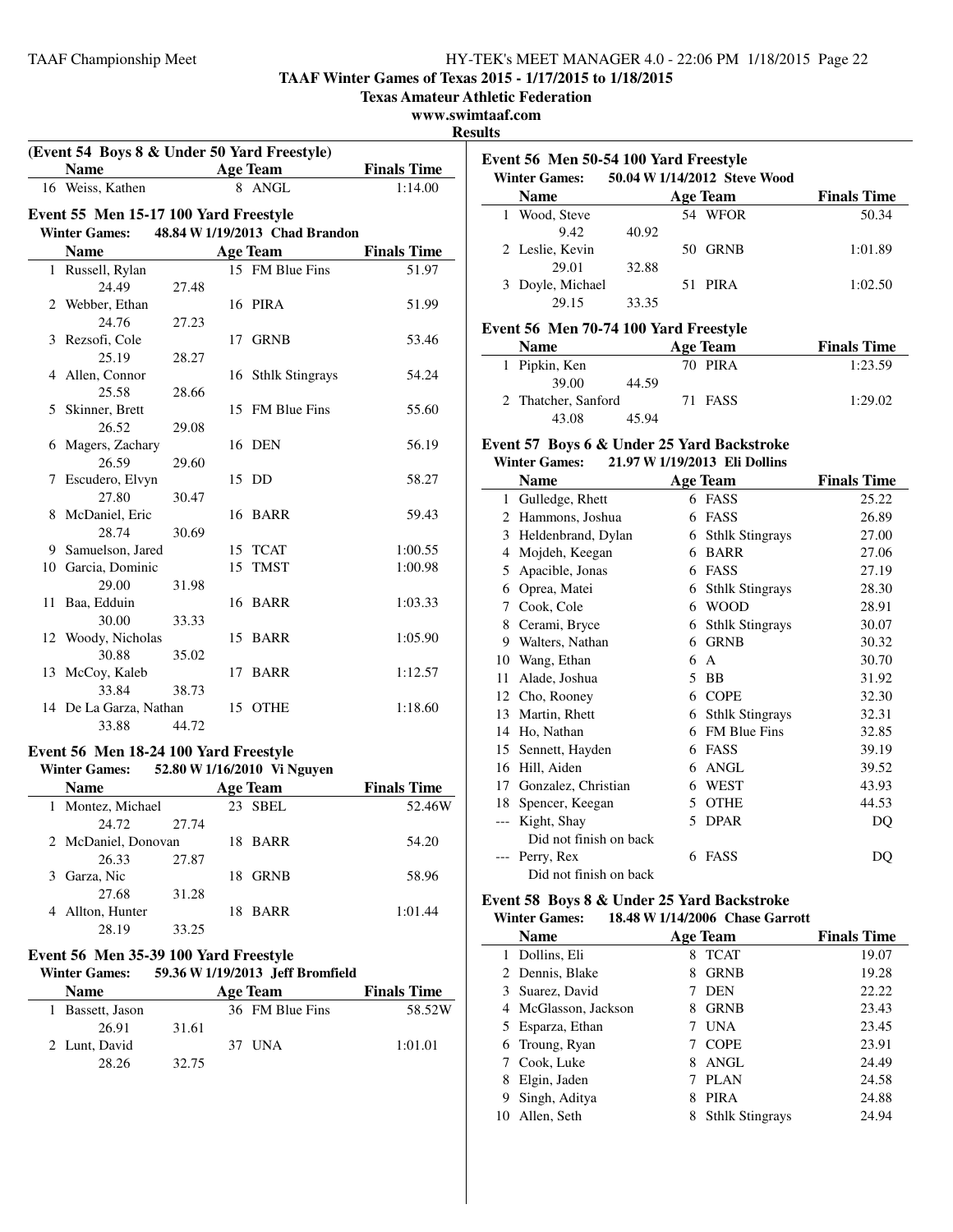**TAAF Winter Games of Texas 2015 - 1/17/2015 to 1/18/2015**

**Texas Amateur Athletic Federation**

#### **www.swimtaaf.com**

#### **Results**

|    | (Event 54 Boys 8 & Under 50 Yard Freestyle) |       |                           |                                |                    |  |
|----|---------------------------------------------|-------|---------------------------|--------------------------------|--------------------|--|
|    | <b>Name</b>                                 |       | <b>Example 2</b> Age Team |                                | <b>Finals Time</b> |  |
|    | 16 Weiss, Kathen                            |       |                           | 8 ANGL                         | 1:14.00            |  |
|    | Event 55 Men 15-17 100 Yard Freestyle       |       |                           |                                |                    |  |
|    | <b>Winter Games:</b>                        |       |                           | 48.84 W 1/19/2013 Chad Brandon |                    |  |
|    | <b>Name</b>                                 |       |                           | <b>Age Team</b>                | <b>Finals Time</b> |  |
|    | 1 Russell, Rylan                            |       |                           | 15 FM Blue Fins                | 51.97              |  |
|    | 24.49                                       | 27.48 |                           |                                |                    |  |
|    | 2 Webber, Ethan                             |       |                           | 16 PIRA                        | 51.99              |  |
|    | 24.76                                       | 27.23 |                           |                                |                    |  |
| 3  | Rezsofi, Cole                               |       |                           | 17 GRNB                        | 53.46              |  |
|    | 25.19                                       | 28.27 |                           |                                |                    |  |
| 4  | Allen, Connor                               |       |                           | 16 Sthlk Stingrays             | 54.24              |  |
|    | 25.58                                       | 28.66 |                           |                                |                    |  |
| 5  | Skinner, Brett                              |       |                           | 15 FM Blue Fins                | 55.60              |  |
|    | 26.52                                       | 29.08 |                           |                                |                    |  |
| 6  | Magers, Zachary                             |       |                           | 16 DEN                         | 56.19              |  |
|    | 26.59                                       | 29.60 |                           |                                |                    |  |
| 7  | Escudero, Elvyn                             |       |                           | 15 DD                          | 58.27              |  |
|    | 27.80                                       | 30.47 |                           |                                |                    |  |
|    | 8 McDaniel, Eric                            |       |                           | 16 BARR                        | 59.43              |  |
|    | 28.74                                       | 30.69 |                           |                                |                    |  |
|    | 9 Samuelson, Jared                          |       |                           | 15 TCAT                        | 1:00.55            |  |
|    | 10 Garcia, Dominic                          |       | 15                        | <b>TMST</b>                    | 1:00.98            |  |
|    | 29.00                                       | 31.98 |                           |                                |                    |  |
| 11 | Baa, Edduin                                 |       |                           | 16 BARR                        | 1:03.33            |  |
|    | 30.00                                       | 33.33 |                           |                                |                    |  |
|    | 12 Woody, Nicholas                          |       |                           | 15 BARR                        | 1:05.90            |  |
|    | 30.88                                       | 35.02 |                           |                                |                    |  |
|    | 13 McCoy, Kaleb                             |       |                           | 17 BARR                        | 1:12.57            |  |
|    | 33.84                                       | 38.73 |                           |                                |                    |  |
|    | 14 De La Garza, Nathan                      |       | 15                        | <b>OTHE</b>                    | 1:18.60            |  |
|    | 33.88                                       | 44.72 |                           |                                |                    |  |

#### **Event 56 Men 18-24 100 Yard Freestyle**<br>Winter Cames: 52.80 W 1/16/2010 Vi N **Winter Games: 52.80 W1/16/2010 Vi Nguyen**

| Winter Games:       |       |                 | 52.80 W 1/16/2010 VI Nguyen |                    |
|---------------------|-------|-----------------|-----------------------------|--------------------|
| <b>Name</b>         |       | <b>Age Team</b> |                             | <b>Finals Time</b> |
| 1 Montez, Michael   |       |                 | 23 SBEL                     | 52.46W             |
| 24.72               | 27.74 |                 |                             |                    |
| 2 McDaniel, Donovan |       |                 | 18 BARR                     | 54.20              |
| 26.33               | 27.87 |                 |                             |                    |
| Garza, Nic<br>3     |       | 18              | <b>GRNB</b>                 | 58.96              |
| 27.68               | 31.28 |                 |                             |                    |
| Allton, Hunter      |       | 18.             | <b>BARR</b>                 | 1:01.44            |
| 28.19               | 33.25 |                 |                             |                    |

#### **Event 56 Men 35-39 100 Yard Freestyle Winter Games: 59.36 W1/19/2013 Jeff Bromfield**

| тния машем.      |       | $32.30$ W 1/12/4913. JULI DIVILIUM |                    |
|------------------|-------|------------------------------------|--------------------|
| <b>Name</b>      |       | Age Team                           | <b>Finals Time</b> |
| 1 Bassett, Jason |       | 36 FM Blue Fins                    | 58.52W             |
| 26.91            | 31.61 |                                    |                    |
| 2 Lunt, David    |       | 37 UNA                             | 1:01.01            |
| 28.26            | 32.75 |                                    |                    |
|                  |       |                                    |                    |

| Event 56 Men 50-54 100 Yard Freestyle<br>50.04 W 1/14/2012 Steve Wood<br><b>Winter Games:</b> |                  |       |                 |                    |  |
|-----------------------------------------------------------------------------------------------|------------------|-------|-----------------|--------------------|--|
|                                                                                               | <b>Name</b>      |       | <b>Age Team</b> | <b>Finals Time</b> |  |
|                                                                                               | 1 Wood, Steve    |       | 54 WFOR         | 50.34              |  |
|                                                                                               | 9.42             | 40.92 |                 |                    |  |
|                                                                                               | 2 Leslie, Kevin  |       | 50 GRNB         | 1:01.89            |  |
|                                                                                               | 29.01            | 32.88 |                 |                    |  |
|                                                                                               | 3 Doyle, Michael |       | 51 PIRA         | 1:02.50            |  |
|                                                                                               | 29.15            | 33.35 |                 |                    |  |

#### **Event 56 Men 70-74 100 Yard Freestyle**

| <b>Name</b>   |                     |       | Age Team | <b>Finals Time</b> |
|---------------|---------------------|-------|----------|--------------------|
| 1 Pipkin, Ken |                     |       | 70 PIRA  | 1:23.59            |
|               | 39.00               | 44.59 |          |                    |
|               | 2 Thatcher, Sanford |       | 71 FASS  | 1:29.02            |
|               | 43.08               | 45.94 |          |                    |

#### **Event 57 Boys 6 & Under 25 Yard Backstroke Winter Games: 21.97 W1/19/2013 Eli Dollins**

| - 11 12 12 13 14 |                        |   |                        |                    |  |
|------------------|------------------------|---|------------------------|--------------------|--|
|                  | <b>Name</b>            |   | <b>Age Team</b>        | <b>Finals Time</b> |  |
| 1                | Gulledge, Rhett        |   | 6 FASS                 | 25.22              |  |
| 2                | Hammons, Joshua        | 6 | FASS                   | 26.89              |  |
| 3                | Heldenbrand, Dylan     | 6 | <b>Sthlk Stingrays</b> | 27.00              |  |
| 4                | Mojdeh, Keegan         | 6 | <b>BARR</b>            | 27.06              |  |
| 5                | Apacible, Jonas        | 6 | <b>FASS</b>            | 27.19              |  |
| 6                | Oprea, Matei           | 6 | <b>Sthlk Stingrays</b> | 28.30              |  |
| 7                | Cook, Cole             | 6 | <b>WOOD</b>            | 28.91              |  |
| 8                | Cerami, Bryce          | 6 | <b>Sthlk Stingrays</b> | 30.07              |  |
| 9                | Walters, Nathan        | 6 | <b>GRNB</b>            | 30.32              |  |
| 10               | Wang, Ethan            | 6 | A                      | 30.70              |  |
| 11               | Alade, Joshua          | 5 | <b>BB</b>              | 31.92              |  |
| 12               | Cho, Rooney            | 6 | <b>COPE</b>            | 32.30              |  |
| 13               | Martin, Rhett          | 6 | <b>Sthlk Stingrays</b> | 32.31              |  |
| 14               | Ho, Nathan             | 6 | <b>FM Blue Fins</b>    | 32.85              |  |
| 15               | Sennett, Hayden        | 6 | <b>FASS</b>            | 39.19              |  |
| 16               | Hill, Aiden            | 6 | <b>ANGL</b>            | 39.52              |  |
| 17               | Gonzalez, Christian    | 6 | <b>WEST</b>            | 43.93              |  |
| 18               | Spencer, Keegan        | 5 | <b>OTHE</b>            | 44.53              |  |
|                  | Kight, Shay            | 5 | <b>DPAR</b>            | DQ                 |  |
|                  | Did not finish on back |   |                        |                    |  |
|                  | Perry, Rex             | 6 | FASS                   | DQ                 |  |
|                  | Did not finish on back |   |                        |                    |  |

#### **Event 58 Boys 8 & Under 25 Yard Backstroke Winter Games: 18.48 W1/14/2006 Chase Garrott**

|    | <b>Name</b>          |   | <b>Age Team</b>        | <b>Finals Time</b> |
|----|----------------------|---|------------------------|--------------------|
| 1  | Dollins, Eli         | 8 | <b>TCAT</b>            | 19.07              |
|    | 2 Dennis, Blake      | 8 | <b>GRNB</b>            | 19.28              |
|    | 3 Suarez, David      |   | <b>DEN</b>             | 22.22              |
|    | 4 McGlasson, Jackson | 8 | <b>GRNB</b>            | 23.43              |
|    | 5 Esparza, Ethan     |   | <b>UNA</b>             | 23.45              |
|    | 6 Troung, Ryan       |   | <b>COPE</b>            | 23.91              |
|    | Cook, Luke           | 8 | ANGL                   | 24.49              |
| 8  | Elgin, Jaden         |   | <b>PLAN</b>            | 24.58              |
| 9  | Singh, Aditya        | 8 | <b>PIRA</b>            | 24.88              |
| 10 | Allen, Seth          | 8 | <b>Sthlk Stingrays</b> | 24.94              |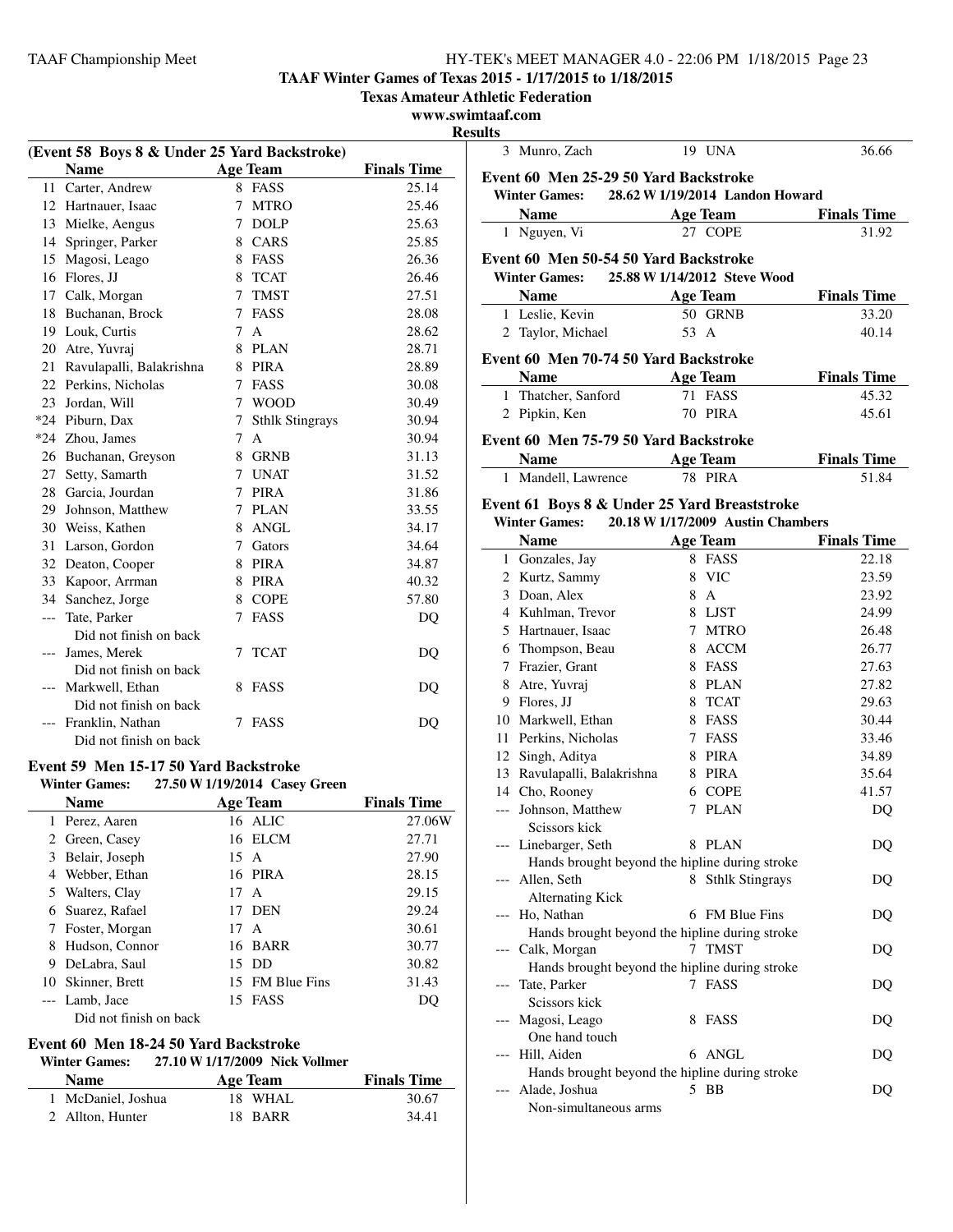## **TAAF Winter Games of Texas 2015 - 1/17/2015 to 1/18/2015**

**Texas Amateur Athletic Federation**

#### **www.swimtaaf.com**

**Results**

| (Event 58 Boys 8 & Under 25 Yard Backstroke) |                             |   |                        |                    |
|----------------------------------------------|-----------------------------|---|------------------------|--------------------|
|                                              | <b>Name</b>                 |   | Age Team               | <b>Finals Time</b> |
|                                              | 11 Carter, Andrew           |   | 8 FASS                 | 25.14              |
|                                              | 12 Hartnauer, Isaac         | 7 | <b>MTRO</b>            | 25.46              |
|                                              | 13 Mielke, Aengus           | 7 | <b>DOLP</b>            | 25.63              |
|                                              | 14 Springer, Parker         | 8 | CARS                   | 25.85              |
| 15                                           | Magosi, Leago               | 8 | FASS                   | 26.36              |
|                                              | 16 Flores, JJ               | 8 | <b>TCAT</b>            | 26.46              |
| 17                                           | Calk, Morgan                | 7 | <b>TMST</b>            | 27.51              |
| 18                                           | Buchanan, Brock             | 7 | FASS                   | 28.08              |
| 19                                           | Louk, Curtis                | 7 | $\mathsf{A}$           | 28.62              |
|                                              | 20 Atre, Yuvraj             | 8 | <b>PLAN</b>            | 28.71              |
|                                              | 21 Ravulapalli, Balakrishna | 8 | <b>PIRA</b>            | 28.89              |
|                                              | 22 Perkins, Nicholas        | 7 | <b>FASS</b>            | 30.08              |
| 23                                           | Jordan, Will                | 7 | <b>WOOD</b>            | 30.49              |
|                                              | *24 Piburn, Dax             | 7 | <b>Sthlk Stingrays</b> | 30.94              |
|                                              | *24 Zhou, James             | 7 | $\overline{A}$         | 30.94              |
|                                              | 26 Buchanan, Greyson        | 8 | <b>GRNB</b>            | 31.13              |
|                                              | 27 Setty, Samarth           | 7 | <b>UNAT</b>            | 31.52              |
|                                              | 28 Garcia, Jourdan          | 7 | <b>PIRA</b>            | 31.86              |
|                                              | 29 Johnson, Matthew         |   | 7 PLAN                 | 33.55              |
|                                              | 30 Weiss, Kathen            | 8 | ANGL                   | 34.17              |
| 31                                           | Larson, Gordon              | 7 | Gators                 | 34.64              |
|                                              | 32 Deaton, Cooper           |   | 8 PIRA                 | 34.87              |
| 33                                           | Kapoor, Arrman              |   | 8 PIRA                 | 40.32              |
| 34                                           | Sanchez, Jorge              | 8 | <b>COPE</b>            | 57.80              |
| $---$                                        | Tate, Parker                | 7 | FASS                   | DQ                 |
|                                              | Did not finish on back      |   |                        |                    |
| $---$                                        | James, Merek                | 7 | <b>TCAT</b>            | DQ                 |
|                                              | Did not finish on back      |   |                        |                    |
|                                              | Markwell, Ethan             | 8 | FASS                   | DO                 |
|                                              | Did not finish on back      |   |                        |                    |
|                                              | Franklin, Nathan            | 7 | <b>FASS</b>            | DQ                 |
|                                              | Did not finish on back      |   |                        |                    |
| Event 59 Men 15-17 50 Yard Backstroke        |                             |   |                        |                    |

## **Winter Games: 27.50 W1/19/2014 Casey Green**

|    | <b>Name</b>            | <b>Age Team</b> | <b>Finals Time</b> |
|----|------------------------|-----------------|--------------------|
|    | 1 Perez, Aaren         | 16 ALIC         | 27.06W             |
|    | 2 Green, Casey         | 16 ELCM         | 27.71              |
| 3  | Belair, Joseph         | 15 A            | 27.90              |
| 4  | Webber, Ethan          | 16 PIRA         | 28.15              |
|    | 5 Walters, Clay        | 17 A            | 29.15              |
|    | 6 Suarez, Rafael       | 17 DEN          | 29.24              |
| 7  | Foster, Morgan         | 17 A            | 30.61              |
| 8  | Hudson, Connor         | 16 BARR         | 30.77              |
| 9  | DeLabra, Saul          | 15 DD           | 30.82              |
| 10 | Skinner, Brett         | 15 FM Blue Fins | 31.43              |
|    | --- Lamb, Jace         | 15 FASS         | DO                 |
|    | Did not finish on back |                 |                    |

## **Event 60 Men 18-24 50 Yard Backstroke**

## **Winter Games: 27.10 W1/17/2009 Nick Vollmer**

| <b>Name</b>        | Age Team | <b>Finals Time</b> |
|--------------------|----------|--------------------|
| 1 McDaniel, Joshua | 18 WHAL  | 30.67              |
| 2 Allton, Hunter   | 18 BARR  | 34.41              |

|       | 3 Munro, Zach                                  |      | 19 UNA                            | 36.66              |
|-------|------------------------------------------------|------|-----------------------------------|--------------------|
|       |                                                |      |                                   |                    |
|       | Event 60 Men 25-29 50 Yard Backstroke          |      |                                   |                    |
|       | <b>Winter Games:</b>                           |      | 28.62 W 1/19/2014 Landon Howard   |                    |
|       | <b>Name</b>                                    |      | <b>Age Team</b>                   | <b>Finals Time</b> |
|       | 1 Nguyen, Vi                                   |      | 27 COPE                           | 31.92              |
|       | Event 60 Men 50-54 50 Yard Backstroke          |      |                                   |                    |
|       | <b>Winter Games:</b>                           |      | 25.88 W 1/14/2012 Steve Wood      |                    |
|       | <b>Name</b>                                    |      | <b>Age Team</b>                   | <b>Finals Time</b> |
|       | 1 Leslie, Kevin                                |      | 50 GRNB                           | 33.20              |
|       | 2 Taylor, Michael                              | 53 A |                                   | 40.14              |
|       |                                                |      |                                   |                    |
|       | Event 60 Men 70-74 50 Yard Backstroke          |      |                                   |                    |
|       | <b>Name</b>                                    |      | <b>Age Team</b>                   | <b>Finals Time</b> |
|       | 1 Thatcher, Sanford                            |      | 71 FASS                           | 45.32              |
|       | 2 Pipkin, Ken                                  |      | 70 PIRA                           | 45.61              |
|       | Event 60 Men 75-79 50 Yard Backstroke          |      |                                   |                    |
|       | <b>Name</b>                                    |      |                                   | <b>Finals Time</b> |
|       | 1 Mandell, Lawrence                            |      | <b>Age Team</b>                   |                    |
|       |                                                |      | 78 PIRA                           | 51.84              |
|       | Event 61 Boys 8 & Under 25 Yard Breaststroke   |      |                                   |                    |
|       | <b>Winter Games:</b>                           |      | 20.18 W 1/17/2009 Austin Chambers |                    |
|       | <b>Name</b>                                    |      | <b>Age Team</b>                   | <b>Finals Time</b> |
|       | 1 Gonzales, Jay                                |      | 8 FASS                            | 22.18              |
|       | 2 Kurtz, Sammy                                 | 8    | <b>VIC</b>                        | 23.59              |
|       | 3 Doan, Alex                                   | 8    | $\mathbf{A}$                      | 23.92              |
|       | 4 Kuhlman, Trevor                              |      | 8 LJST                            | 24.99              |
|       | 5 Hartnauer, Isaac                             |      | 7 MTRO                            | 26.48              |
|       | 6 Thompson, Beau                               |      | 8 ACCM                            | 26.77              |
|       | 7 Frazier, Grant                               |      | 8 FASS                            | 27.63              |
|       | 8 Atre, Yuvraj                                 |      | 8 PLAN                            | 27.82              |
|       | 9 Flores, JJ                                   |      | 8 TCAT                            | 29.63              |
|       | 10 Markwell, Ethan                             |      | 8 FASS                            | 30.44              |
|       | 11 Perkins, Nicholas                           |      | 7 FASS                            | 33.46              |
|       | 12 Singh, Aditya                               |      | 8 PIRA                            | 34.89              |
|       | 13 Ravulapalli, Balakrishna                    |      | 8 PIRA                            | 35.64              |
|       | 14 Cho, Rooney                                 |      | 6 COPE                            | 41.57              |
|       | --- Johnson, Matthew                           | 7    | <b>PLAN</b>                       | D <sub>O</sub>     |
|       | Scissors kick                                  |      |                                   |                    |
|       | --- Linebarger, Seth                           |      | 8 PLAN                            | DQ                 |
|       | Hands brought beyond the hipline during stroke |      |                                   |                    |
| $---$ | Allen, Seth                                    |      | 8 Sthlk Stingrays                 | DQ                 |
|       | <b>Alternating Kick</b>                        |      |                                   |                    |
| $---$ | Ho, Nathan                                     |      | 6 FM Blue Fins                    | DQ                 |
|       | Hands brought beyond the hipline during stroke |      |                                   |                    |
|       | Calk, Morgan                                   |      | 7 TMST                            | DO                 |
|       | Hands brought beyond the hipline during stroke |      |                                   |                    |
| ---   | Tate, Parker                                   |      | 7 FASS                            | DQ                 |
|       | Scissors kick                                  |      |                                   |                    |
|       | Magosi, Leago                                  | 8    | FASS                              | DQ                 |
|       | One hand touch                                 |      |                                   |                    |
|       | Hill, Aiden                                    |      | 6 ANGL                            | DQ                 |
|       | Hands brought beyond the hipline during stroke |      |                                   |                    |
|       | Alade, Joshua                                  |      | 5 BB                              | DQ                 |
|       | Non-simultaneous arms                          |      |                                   |                    |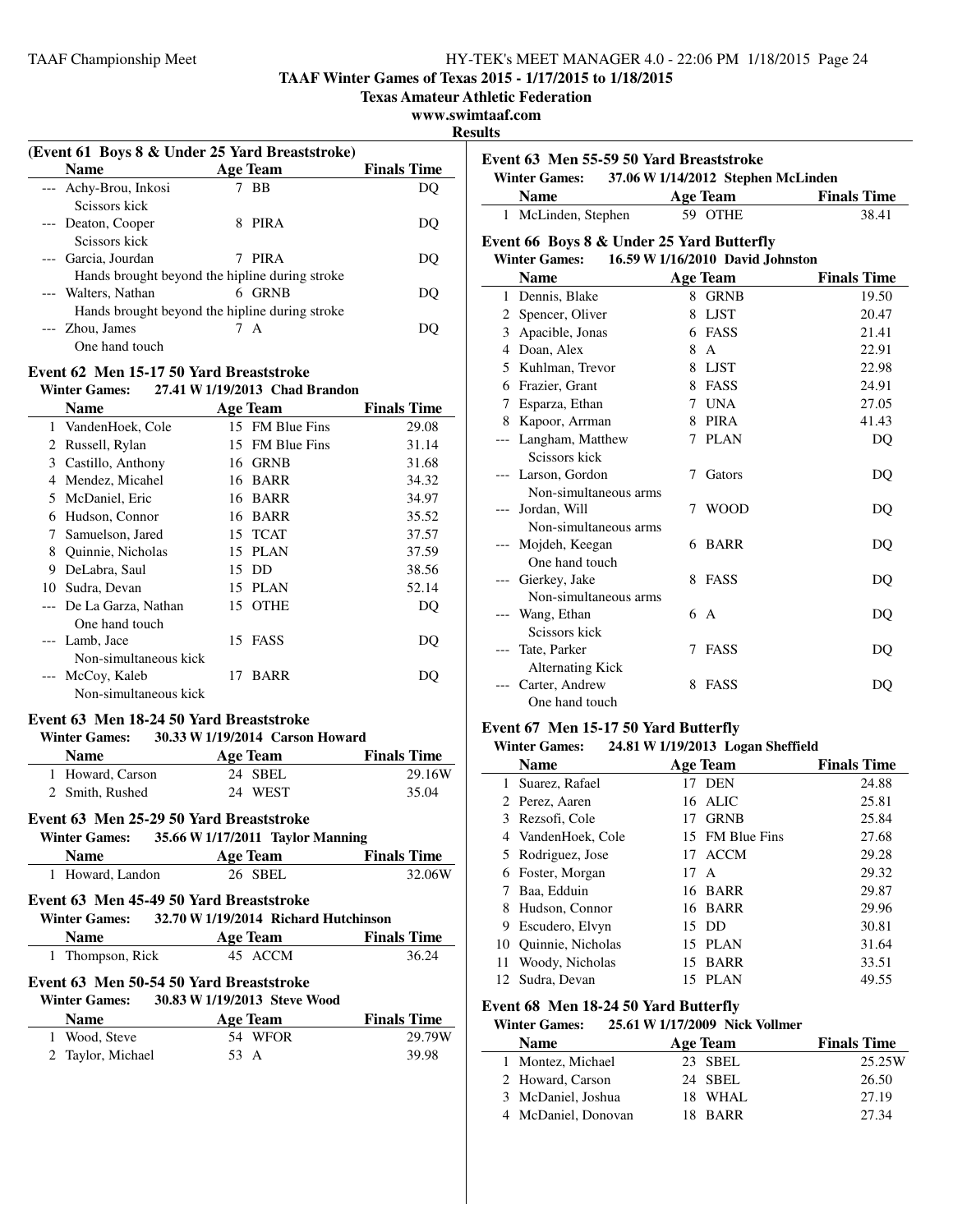**TAAF Winter Games of Texas 2015 - 1/17/2015 to 1/18/2015**

**Texas Amateur Athletic Federation**

## **www.swimtaaf.com**

**Results**

| (Event 61 Boys 8 & Under 25 Yard Breaststroke) |                                                |                    |  |  |
|------------------------------------------------|------------------------------------------------|--------------------|--|--|
| <b>Name</b>                                    | Age Team                                       | <b>Finals Time</b> |  |  |
| --- Achy-Brou, Inkosi                          | - BB                                           |                    |  |  |
| Seissors kick                                  |                                                |                    |  |  |
| --- Deaton, Cooper                             | <b>PIRA</b>                                    | DO.                |  |  |
| Seissors kick                                  |                                                |                    |  |  |
| --- Garcia, Jourdan                            | <b>PIRA</b>                                    | DO.                |  |  |
|                                                | Hands brought beyond the hipline during stroke |                    |  |  |
| --- Walters, Nathan                            | <b>GRNB</b><br>6                               | DO.                |  |  |
|                                                | Hands brought beyond the hipline during stroke |                    |  |  |
| --- Zhou, James                                | 7 A                                            |                    |  |  |
| One hand touch                                 |                                                |                    |  |  |
|                                                |                                                |                    |  |  |

## **Event 62 Men 15-17 50 Yard Breaststroke**

| <b>Winter Games:</b> |  | 27.41 W 1/19/2013 Chad Brandon |
|----------------------|--|--------------------------------|
|----------------------|--|--------------------------------|

|       | Name                  |    | Age Team        | <b>Finals Time</b> |
|-------|-----------------------|----|-----------------|--------------------|
| 1     | VandenHoek, Cole      |    | 15 FM Blue Fins | 29.08              |
| 2     | Russell, Rylan        |    | 15 FM Blue Fins | 31.14              |
| 3     | Castillo, Anthony     | 16 | <b>GRNB</b>     | 31.68              |
| 4     | Mendez, Micahel       |    | 16 BARR         | 34.32              |
| 5     | McDaniel, Eric        | 16 | <b>BARR</b>     | 34.97              |
| 6     | Hudson, Connor        |    | 16 BARR         | 35.52              |
| 7     | Samuelson, Jared      |    | 15 TCAT         | 37.57              |
| 8     | Quinnie, Nicholas     |    | 15 PLAN         | 37.59              |
| 9     | DeLabra, Saul         | 15 | DD              | 38.56              |
| 10    | Sudra, Devan          |    | 15 PLAN         | 52.14              |
| $---$ | De La Garza, Nathan   | 15 | <b>OTHE</b>     | DQ                 |
|       | One hand touch        |    |                 |                    |
|       | --- Lamb, Jace        |    | 15 FASS         | DQ                 |
|       | Non-simultaneous kick |    |                 |                    |
|       | McCoy, Kaleb          | 17 | <b>BARR</b>     | DO                 |
|       | Non-simultaneous kick |    |                 |                    |

## **Event 63 Men 18-24 50 Yard Breaststroke**

#### **Winter Games: 30.33 W1/19/2014 Carson Howard**

| $\cdots$         |          |                    |  |  |
|------------------|----------|--------------------|--|--|
| <b>Name</b>      | Age Team | <b>Finals Time</b> |  |  |
| 1 Howard, Carson | 24 SBEL  | 29.16W             |  |  |
| 2 Smith, Rushed  | 24 WEST  | 35.04              |  |  |

#### **Event 63 Men 25-29 50 Yard Breaststroke**

## **Winter Games:** 35.66 **W** 1/17/2011 **Taylor Manning**

| Name             | Age Team | <b>Finals Time</b> |
|------------------|----------|--------------------|
| 1 Howard, Landon | 26 SBEL  | 32.06W             |

## **Event 63 Men 45-49 50 Yard Breaststroke**

| <b>Winter Games:</b> | 32.70 W 1/19/2014 Richard Hutchinson |                    |
|----------------------|--------------------------------------|--------------------|
| <b>Name</b>          | Age Team                             | <b>Finals Time</b> |
| 1 Thompson, Rick     | 45 ACCM                              | 36.24              |

## **Event 63 Men 50-54 50 Yard Breaststroke**

| <b>Winter Games:</b> | 30.83 W 1/19/2013 Steve Wood |                    |
|----------------------|------------------------------|--------------------|
| <b>Name</b>          | Age Team                     | <b>Finals Time</b> |
| 1 Wood, Steve        | 54 WFOR                      | 29.79W             |
| 2 Taylor, Michael    | 53 A                         | 39.98              |

| Event 63 Men 55-59 50 Yard Breaststroke<br>37.06 W 1/14/2012 Stephen McLinden<br><b>Winter Games:</b><br><b>Name</b><br><b>Finals Time</b><br><b>Age Team</b><br>1 McLinden, Stephen<br>59 OTHE<br>38.41<br>Event 66 Boys 8 & Under 25 Yard Butterfly<br><b>Winter Games:</b><br>16.59 W 1/16/2010 David Johnston<br><b>Name</b><br><b>Finals Time</b><br><b>Age Team</b><br>19.50<br>1 Dennis, Blake<br>8<br><b>GRNB</b><br>2 Spencer, Oliver<br><b>LJST</b><br>20.47<br>8<br>3 Apacible, Jonas<br>6 FASS<br>21.41<br>4 Doan, Alex<br>$\mathsf{A}$<br>22.91<br>8<br>5 Kuhlman, Trevor<br>8 LJST<br>22.98<br>6 Frazier, Grant<br>8 FASS<br>24.91<br>7 UNA<br>Esparza, Ethan<br>27.05<br>7<br>Kapoor, Arrman<br>8 PIRA<br>41.43<br>8<br>Langham, Matthew<br><b>PLAN</b><br>DQ<br>7<br>Scissors kick<br>Larson, Gordon<br>Gators<br>7<br>DQ<br>$---$<br>Non-simultaneous arms<br>Jordan, Will<br><b>WOOD</b><br>7<br>DQ<br>Non-simultaneous arms<br>Mojdeh, Keegan<br><b>BARR</b><br>DO<br>6.<br>One hand touch<br>Gierkey, Jake<br>FASS<br>8.<br>DQ<br>$---$<br>Non-simultaneous arms<br>Wang, Ethan<br>6.<br>A<br>DO<br>Scissors kick<br>Tate, Parker<br><b>FASS</b><br>7<br>DQ<br><b>Alternating Kick</b> | แเร |  |  |
|------------------------------------------------------------------------------------------------------------------------------------------------------------------------------------------------------------------------------------------------------------------------------------------------------------------------------------------------------------------------------------------------------------------------------------------------------------------------------------------------------------------------------------------------------------------------------------------------------------------------------------------------------------------------------------------------------------------------------------------------------------------------------------------------------------------------------------------------------------------------------------------------------------------------------------------------------------------------------------------------------------------------------------------------------------------------------------------------------------------------------------------------------------------------------------------------------------|-----|--|--|
|                                                                                                                                                                                                                                                                                                                                                                                                                                                                                                                                                                                                                                                                                                                                                                                                                                                                                                                                                                                                                                                                                                                                                                                                            |     |  |  |
|                                                                                                                                                                                                                                                                                                                                                                                                                                                                                                                                                                                                                                                                                                                                                                                                                                                                                                                                                                                                                                                                                                                                                                                                            |     |  |  |
|                                                                                                                                                                                                                                                                                                                                                                                                                                                                                                                                                                                                                                                                                                                                                                                                                                                                                                                                                                                                                                                                                                                                                                                                            |     |  |  |
|                                                                                                                                                                                                                                                                                                                                                                                                                                                                                                                                                                                                                                                                                                                                                                                                                                                                                                                                                                                                                                                                                                                                                                                                            |     |  |  |
|                                                                                                                                                                                                                                                                                                                                                                                                                                                                                                                                                                                                                                                                                                                                                                                                                                                                                                                                                                                                                                                                                                                                                                                                            |     |  |  |
|                                                                                                                                                                                                                                                                                                                                                                                                                                                                                                                                                                                                                                                                                                                                                                                                                                                                                                                                                                                                                                                                                                                                                                                                            |     |  |  |
|                                                                                                                                                                                                                                                                                                                                                                                                                                                                                                                                                                                                                                                                                                                                                                                                                                                                                                                                                                                                                                                                                                                                                                                                            |     |  |  |
|                                                                                                                                                                                                                                                                                                                                                                                                                                                                                                                                                                                                                                                                                                                                                                                                                                                                                                                                                                                                                                                                                                                                                                                                            |     |  |  |
|                                                                                                                                                                                                                                                                                                                                                                                                                                                                                                                                                                                                                                                                                                                                                                                                                                                                                                                                                                                                                                                                                                                                                                                                            |     |  |  |
|                                                                                                                                                                                                                                                                                                                                                                                                                                                                                                                                                                                                                                                                                                                                                                                                                                                                                                                                                                                                                                                                                                                                                                                                            |     |  |  |
|                                                                                                                                                                                                                                                                                                                                                                                                                                                                                                                                                                                                                                                                                                                                                                                                                                                                                                                                                                                                                                                                                                                                                                                                            |     |  |  |
|                                                                                                                                                                                                                                                                                                                                                                                                                                                                                                                                                                                                                                                                                                                                                                                                                                                                                                                                                                                                                                                                                                                                                                                                            |     |  |  |
|                                                                                                                                                                                                                                                                                                                                                                                                                                                                                                                                                                                                                                                                                                                                                                                                                                                                                                                                                                                                                                                                                                                                                                                                            |     |  |  |
|                                                                                                                                                                                                                                                                                                                                                                                                                                                                                                                                                                                                                                                                                                                                                                                                                                                                                                                                                                                                                                                                                                                                                                                                            |     |  |  |
|                                                                                                                                                                                                                                                                                                                                                                                                                                                                                                                                                                                                                                                                                                                                                                                                                                                                                                                                                                                                                                                                                                                                                                                                            |     |  |  |
|                                                                                                                                                                                                                                                                                                                                                                                                                                                                                                                                                                                                                                                                                                                                                                                                                                                                                                                                                                                                                                                                                                                                                                                                            |     |  |  |
|                                                                                                                                                                                                                                                                                                                                                                                                                                                                                                                                                                                                                                                                                                                                                                                                                                                                                                                                                                                                                                                                                                                                                                                                            |     |  |  |
|                                                                                                                                                                                                                                                                                                                                                                                                                                                                                                                                                                                                                                                                                                                                                                                                                                                                                                                                                                                                                                                                                                                                                                                                            |     |  |  |
|                                                                                                                                                                                                                                                                                                                                                                                                                                                                                                                                                                                                                                                                                                                                                                                                                                                                                                                                                                                                                                                                                                                                                                                                            |     |  |  |
|                                                                                                                                                                                                                                                                                                                                                                                                                                                                                                                                                                                                                                                                                                                                                                                                                                                                                                                                                                                                                                                                                                                                                                                                            |     |  |  |
|                                                                                                                                                                                                                                                                                                                                                                                                                                                                                                                                                                                                                                                                                                                                                                                                                                                                                                                                                                                                                                                                                                                                                                                                            |     |  |  |
|                                                                                                                                                                                                                                                                                                                                                                                                                                                                                                                                                                                                                                                                                                                                                                                                                                                                                                                                                                                                                                                                                                                                                                                                            |     |  |  |
|                                                                                                                                                                                                                                                                                                                                                                                                                                                                                                                                                                                                                                                                                                                                                                                                                                                                                                                                                                                                                                                                                                                                                                                                            |     |  |  |
|                                                                                                                                                                                                                                                                                                                                                                                                                                                                                                                                                                                                                                                                                                                                                                                                                                                                                                                                                                                                                                                                                                                                                                                                            |     |  |  |
|                                                                                                                                                                                                                                                                                                                                                                                                                                                                                                                                                                                                                                                                                                                                                                                                                                                                                                                                                                                                                                                                                                                                                                                                            |     |  |  |
|                                                                                                                                                                                                                                                                                                                                                                                                                                                                                                                                                                                                                                                                                                                                                                                                                                                                                                                                                                                                                                                                                                                                                                                                            |     |  |  |
|                                                                                                                                                                                                                                                                                                                                                                                                                                                                                                                                                                                                                                                                                                                                                                                                                                                                                                                                                                                                                                                                                                                                                                                                            |     |  |  |
| Carter, Andrew<br><b>FASS</b><br>8                                                                                                                                                                                                                                                                                                                                                                                                                                                                                                                                                                                                                                                                                                                                                                                                                                                                                                                                                                                                                                                                                                                                                                         |     |  |  |
| DQ<br>One hand touch                                                                                                                                                                                                                                                                                                                                                                                                                                                                                                                                                                                                                                                                                                                                                                                                                                                                                                                                                                                                                                                                                                                                                                                       |     |  |  |

## **Event 67 Men 15-17 50 Yard Butterfly**

## **Winter Games: 24.81 W1/19/2013 Logan Sheffield**

| <i>vvinter Games.</i><br>$24.01$ W $1/19/2013$ Logan Shement |                      |      |                 |                    |
|--------------------------------------------------------------|----------------------|------|-----------------|--------------------|
|                                                              | <b>Name</b>          |      | <b>Age Team</b> | <b>Finals Time</b> |
|                                                              | 1 Suarez, Rafael     | 17   | <b>DEN</b>      | 24.88              |
|                                                              | 2 Perez, Aaren       |      | 16 ALIC         | 25.81              |
|                                                              | 3 Rezsofi, Cole      | 17   | <b>GRNB</b>     | 25.84              |
|                                                              | 4 VandenHoek, Cole   |      | 15 FM Blue Fins | 27.68              |
|                                                              | 5 Rodriguez, Jose    |      | 17 ACCM         | 29.28              |
|                                                              | 6 Foster, Morgan     | 17 A |                 | 29.32              |
|                                                              | Baa, Edduin          |      | 16 BARR         | 29.87              |
| 8.                                                           | Hudson, Connor       |      | 16 BARR         | 29.96              |
| 9                                                            | Escudero, Elvyn      |      | 15 DD           | 30.81              |
|                                                              | 10 Quinnie, Nicholas |      | 15 PLAN         | 31.64              |
| 11                                                           | Woody, Nicholas      |      | 15 BARR         | 33.51              |
|                                                              | 12 Sudra, Devan      |      | 15 PLAN         | 49.55              |

#### **Event 68 Men 18-24 50 Yard Butterfly**

#### **Winter Games: 25.61 W1/17/2009 Nick Vollmer**

| <b>Name</b>         | Age Team | <b>Finals Time</b> |
|---------------------|----------|--------------------|
| 1 Montez, Michael   | 23 SBEL  | 25.25W             |
| 2 Howard, Carson    | 24 SBEL  | 26.50              |
| 3 McDaniel, Joshua  | 18 WHAL  | 27.19              |
| 4 McDaniel, Donovan | 18 BARR  | 27.34              |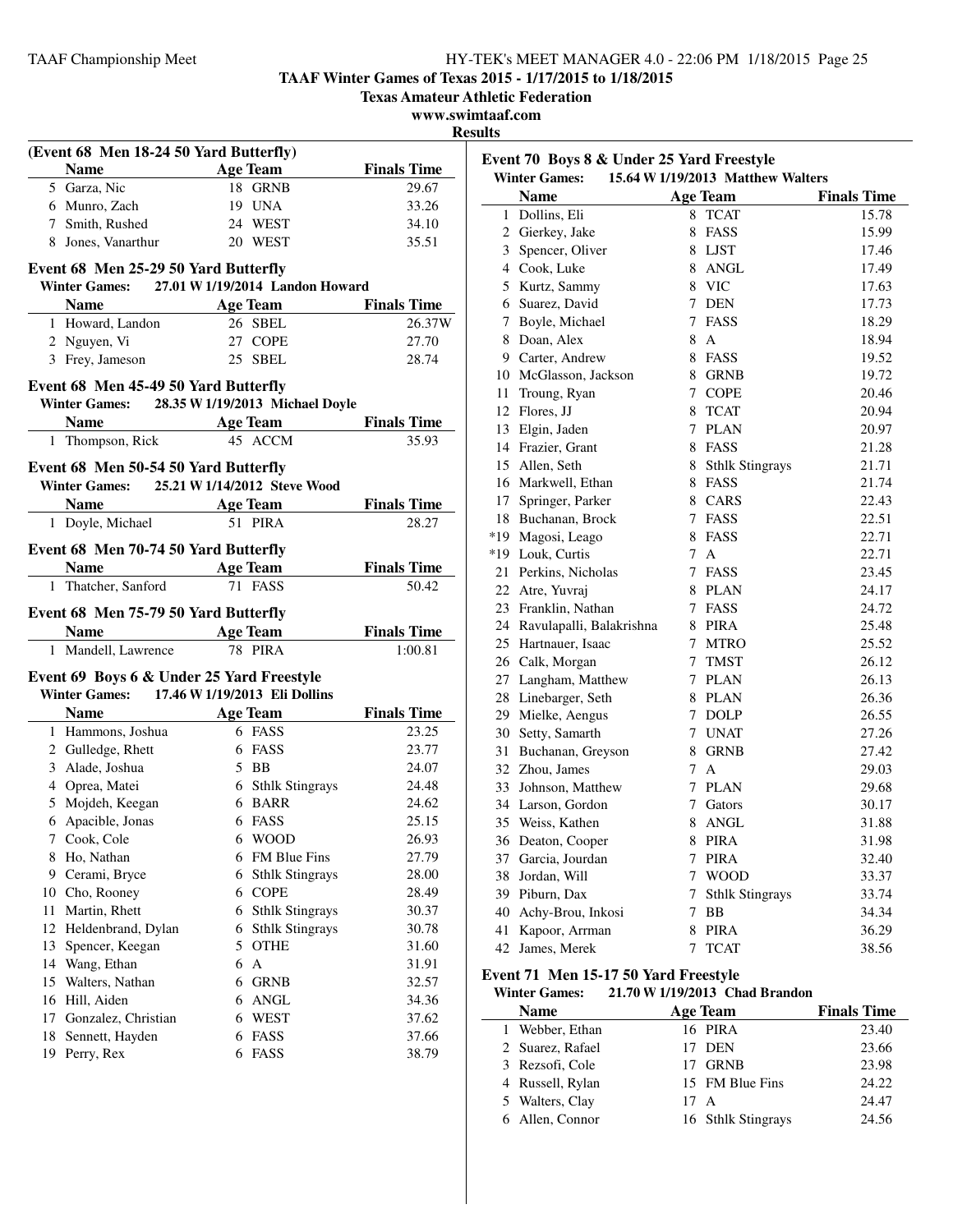**TAAF Winter Games of Texas 2015 - 1/17/2015 to 1/18/2015**

**Texas Amateur Athletic Federation**

**www.swimtaaf.com**

**Results**

|               | (Event 68 Men 18-24 50 Yard Butterfly)                                                |        |                        |                               |
|---------------|---------------------------------------------------------------------------------------|--------|------------------------|-------------------------------|
|               | <b>Name</b><br><b>Example 2</b> Age Team                                              |        |                        | <b>Finals Time</b>            |
|               | 5 Garza, Nic                                                                          |        | 18 GRNB                | 29.67                         |
|               | 6 Munro, Zach                                                                         |        | 19 UNA                 | 33.26                         |
|               | 7 Smith, Rushed                                                                       |        | 24 WEST                | 34.10                         |
|               | 8 Jones, Vanarthur                                                                    |        | 20 WEST                | 35.51                         |
|               |                                                                                       |        |                        |                               |
|               | Event 68 Men 25-29 50 Yard Butterfly<br>Winter Games: 27.01 W 1/19/2014 Landon Howard |        |                        |                               |
|               |                                                                                       |        | <b>Age Team</b>        | <b>Finals Time</b>            |
|               | Name $\frac{1}{\sqrt{1-\frac{1}{2}}\cdot\frac{1}{2}}$<br>1 Howard, Landon             |        | 26 SBEL                | 26.37W                        |
|               | 2 Nguyen, Vi                                                                          |        | 27 COPE                | 27.70                         |
|               | 3 Frey, Jameson                                                                       |        | 25 SBEL                | 28.74                         |
|               |                                                                                       |        |                        |                               |
|               | Event 68 Men 45-49 50 Yard Butterfly                                                  |        |                        |                               |
|               | Winter Games: 28.35 W 1/19/2013 Michael Doyle                                         |        |                        |                               |
|               | Name Age Team Finals Time                                                             |        |                        |                               |
|               | 1 Thompson, Rick                                                                      |        | 45 ACCM                | 35.93                         |
|               | Event 68 Men 50-54 50 Yard Butterfly                                                  |        |                        |                               |
|               | Winter Games: 25.21 W 1/14/2012 Steve Wood                                            |        |                        |                               |
|               | Name $\qquad \qquad$                                                                  |        | Age Team               | <b>Finals Time</b>            |
|               | 1 Doyle, Michael                                                                      |        | 51 PIRA                | 28.27                         |
|               |                                                                                       |        |                        |                               |
|               | Event 68 Men 70-74 50 Yard Butterfly                                                  |        |                        |                               |
|               | <b>Name</b>                                                                           |        | <b>Age Team</b>        | <b>Finals Time</b>            |
|               | 1 Thatcher, Sanford                                                                   |        | 71 FASS                | 50.42                         |
|               | Event 68 Men 75-79 50 Yard Butterfly                                                  |        |                        |                               |
|               |                                                                                       |        |                        |                               |
|               |                                                                                       |        |                        |                               |
|               | Name Age Team<br>1 Mandell, Lawrence                                                  |        | 78 PIRA                | <b>Finals Time</b><br>1:00.81 |
|               |                                                                                       |        |                        |                               |
|               | Event 69 Boys 6 & Under 25 Yard Freestyle                                             |        |                        |                               |
|               | Winter Games: 17.46 W 1/19/2013 Eli Dollins                                           |        |                        |                               |
|               |                                                                                       |        | <b>Age Team</b>        | <b>Finals Time</b>            |
|               | 1 Hammons, Joshua                                                                     |        | 6 FASS                 | 23.25                         |
|               | 2 Gulledge, Rhett                                                                     |        | 6 FASS                 | 23.77                         |
|               | 3 Alade, Joshua                                                                       |        | 5 BB                   | 24.07                         |
|               | 4 Oprea, Matei                                                                        |        | 6 Sthlk Stingrays      | 24.48                         |
|               | 5 Mojdeh, Keegan                                                                      |        | 6 BARR                 | 24.62                         |
|               | 6 Apacible, Jonas                                                                     |        | 6 FASS                 | 25.15                         |
| $\mathcal{L}$ | Cook, Cole                                                                            |        | 6 WOOD                 | 26.93                         |
| 8             | Ho, Nathan                                                                            |        | 6 FM Blue Fins         | 27.79                         |
|               | 9 Cerami, Bryce                                                                       | 6      | <b>Sthlk Stingrays</b> | 28.00                         |
|               | 10 Cho, Rooney                                                                        |        | 6 COPE                 | 28.49                         |
| 11            | Martin, Rhett                                                                         | 6      | <b>Sthlk Stingrays</b> | 30.37                         |
|               | 12 Heldenbrand, Dylan                                                                 | 6      | <b>Sthlk Stingrays</b> | 30.78                         |
|               | 13 Spencer, Keegan                                                                    |        | 5 OTHE                 | 31.60                         |
|               | 14 Wang, Ethan                                                                        |        | 6 A                    | 31.91                         |
|               | 15 Walters, Nathan                                                                    |        | 6 GRNB                 | 32.57                         |
|               | 16 Hill, Aiden                                                                        |        | 6 ANGL                 | 34.36                         |
| 17<br>18      | Gonzalez, Christian<br>Sennett, Hayden                                                | 6<br>6 | WEST<br>FASS           | 37.62<br>37.66                |

| Event 70 Boys 8 & Under 25 Yard Freestyle<br><b>Winter Games:</b><br>15.64 W 1/19/2013 Matthew Walters |                             |                |                        |                    |
|--------------------------------------------------------------------------------------------------------|-----------------------------|----------------|------------------------|--------------------|
|                                                                                                        | <b>Name</b>                 |                | <b>Age Team</b>        | <b>Finals Time</b> |
| $\mathbf{1}$                                                                                           | Dollins, Eli                | 8              | <b>TCAT</b>            | 15.78              |
|                                                                                                        | 2 Gierkey, Jake             | 8              | FASS                   | 15.99              |
|                                                                                                        | 3 Spencer, Oliver           | 8              | LJST                   | 17.46              |
|                                                                                                        | 4 Cook, Luke                | 8              | ANGL                   | 17.49              |
|                                                                                                        | 5 Kurtz, Sammy              |                | 8 VIC                  | 17.63              |
|                                                                                                        | 6 Suarez, David             |                | 7 DEN                  | 17.73              |
|                                                                                                        | 7 Boyle, Michael            |                | 7 FASS                 | 18.29              |
| 8                                                                                                      | Doan, Alex                  | 8              | $\mathsf{A}$           | 18.94              |
|                                                                                                        | 9 Carter, Andrew            |                | 8 FASS                 | 19.52              |
|                                                                                                        | 10 McGlasson, Jackson       |                | 8 GRNB                 | 19.72              |
|                                                                                                        | 11 Troung, Ryan             | $7^{\circ}$    | <b>COPE</b>            | 20.46              |
|                                                                                                        | 12 Flores, JJ               | 8              | <b>TCAT</b>            | 20.94              |
|                                                                                                        | 13 Elgin, Jaden             |                | 7 PLAN                 | 20.97              |
|                                                                                                        | 14 Frazier, Grant           | 8              | FASS                   | 21.28              |
|                                                                                                        | 15 Allen, Seth              | 8              | <b>Sthlk Stingrays</b> | 21.71              |
|                                                                                                        | 16 Markwell, Ethan          |                | 8 FASS                 | 21.74              |
|                                                                                                        | 17 Springer, Parker         |                | 8 CARS                 | 22.43              |
|                                                                                                        | 18 Buchanan, Brock          |                | 7 FASS                 | 22.51              |
|                                                                                                        | *19 Magosi, Leago           |                | 8 FASS                 | 22.71              |
|                                                                                                        | *19 Louk, Curtis            | $7^{\circ}$    | $\mathbf{A}$           | 22.71              |
|                                                                                                        | 21 Perkins, Nicholas        |                | 7 FASS                 | 23.45              |
|                                                                                                        | 22 Atre, Yuvraj             |                | 8 PLAN                 | 24.17              |
|                                                                                                        | 23 Franklin, Nathan         |                | 7 FASS                 | 24.72              |
|                                                                                                        | 24 Ravulapalli, Balakrishna |                | 8 PIRA                 | 25.48              |
|                                                                                                        | 25 Hartnauer, Isaac         | $\tau$         | <b>MTRO</b>            | 25.52              |
|                                                                                                        | 26 Calk, Morgan             | 7              | <b>TMST</b>            | 26.12              |
|                                                                                                        | 27 Langham, Matthew         |                | 7 PLAN                 | 26.13              |
|                                                                                                        | 28 Linebarger, Seth         |                | 8 PLAN                 | 26.36              |
|                                                                                                        | 29 Mielke, Aengus           | 7              | <b>DOLP</b>            | 26.55              |
|                                                                                                        | 30 Setty, Samarth           | $\tau$         | <b>UNAT</b>            | 27.26              |
|                                                                                                        | 31 Buchanan, Greyson        |                | 8 GRNB                 | 27.42              |
|                                                                                                        | 32 Zhou, James              | 7              | $\mathsf{A}$           | 29.03              |
|                                                                                                        | 33 Johnson, Matthew         |                | 7 PLAN                 | 29.68              |
|                                                                                                        | 34 Larson, Gordon           | $7^{\circ}$    | Gators                 | 30.17              |
|                                                                                                        | 35 Weiss, Kathen            | 8              | <b>ANGL</b>            | 31.88              |
|                                                                                                        | 36 Deaton, Cooper           | 8              | PIRA                   | 31.98              |
|                                                                                                        | 37 Garcia, Jourdan          |                | 7 PIRA                 | 32.40              |
|                                                                                                        | 38 Jordan, Will             | $\tau$         | <b>WOOD</b>            | 33.37              |
|                                                                                                        | 39 Piburn, Dax              | $7\phantom{.}$ | <b>Sthlk Stingrays</b> | 33.74              |
|                                                                                                        | 40 Achy-Brou, Inkosi        | 7              | BB                     | 34.34              |
|                                                                                                        | 41 Kapoor, Arrman           | 8              | <b>PIRA</b>            | 36.29              |
|                                                                                                        | 42 James, Merek             | $\tau$         | <b>TCAT</b>            | 38.56              |

#### **Event 71 Men 15-17 50 Yard Freestyle**<br>Winter Games: 21.70 W 1/19/2013 Ch **Winter Games: 21.70 W1/19/2013 Chad Brandon**

| winter Games:    | 21.70 W 1/19/2013 Unad Brandon |                    |
|------------------|--------------------------------|--------------------|
| <b>Name</b>      | <b>Age Team</b>                | <b>Finals Time</b> |
| 1 Webber, Ethan  | 16 PIRA                        | 23.40              |
| 2 Suarez, Rafael | 17 DEN                         | 23.66              |
| 3 Rezsofi, Cole  | <b>GRNB</b>                    | 23.98              |
| 4 Russell, Rylan | 15 FM Blue Fins                | 24.22              |
| 5 Walters, Clay  | 17 A                           | 24.47              |
| 6 Allen, Connor  | 16 Sthlk Stingrays             | 24.56              |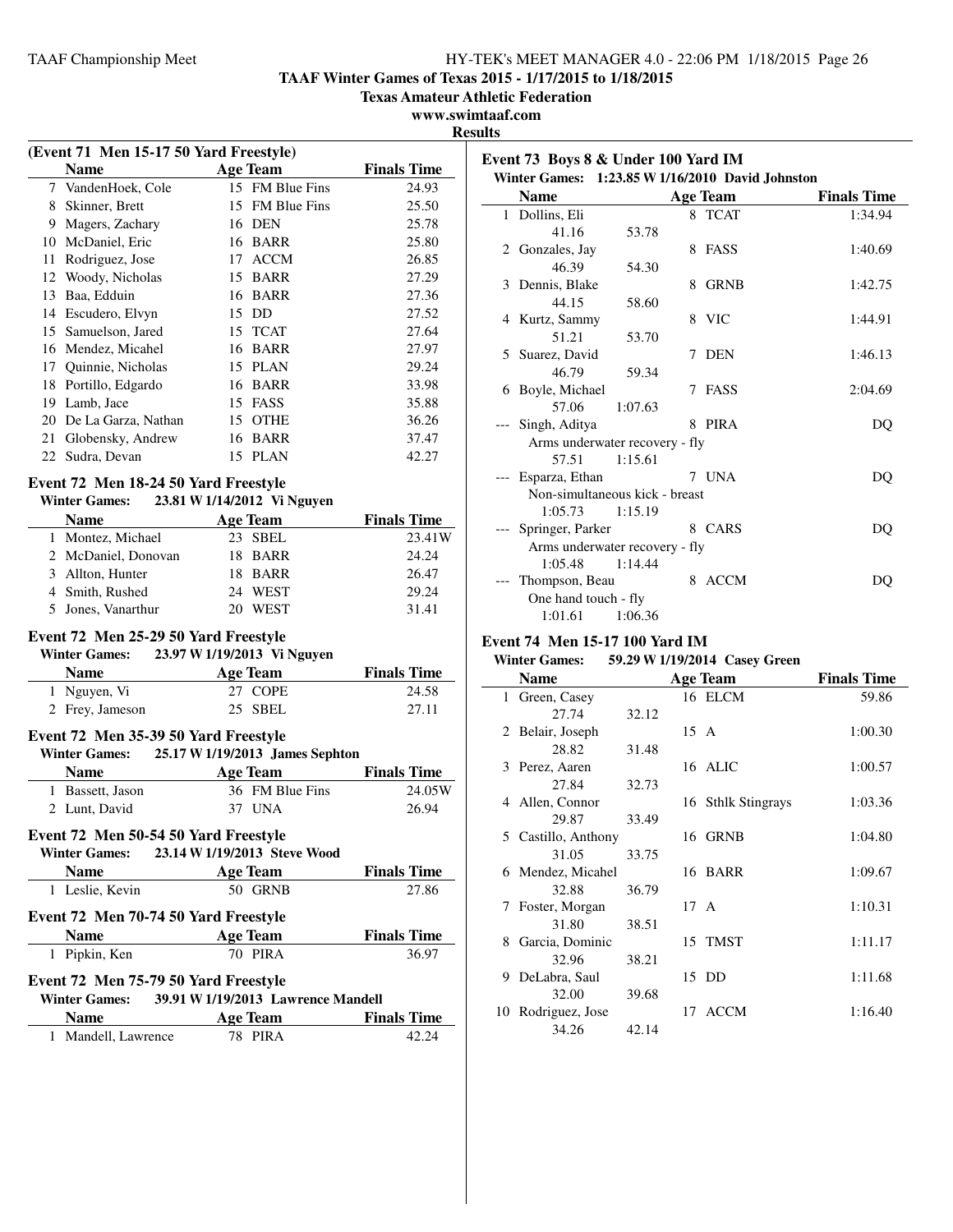**TAAF Winter Games of Texas 2015 - 1/17/2015 to 1/18/2015**

**Texas Amateur Athletic Federation**

**www.swimtaaf.com**

**Results**

 $\overline{\phantom{a}}$ 

|                                                                                                        |                                           |                             | k                  |  |
|--------------------------------------------------------------------------------------------------------|-------------------------------------------|-----------------------------|--------------------|--|
| (Event 71 Men 15-17 50 Yard Freestyle)                                                                 |                                           |                             |                    |  |
|                                                                                                        | <b>Name</b>                               | <b>Age Team</b>             | <b>Finals Time</b> |  |
| 7                                                                                                      | VandenHoek, Cole                          | 15 FM Blue Fins             | 24.93              |  |
|                                                                                                        | 8 Skinner, Brett                          | 15 FM Blue Fins             | 25.50              |  |
|                                                                                                        | 9 Magers, Zachary                         | 16 DEN                      | 25.78              |  |
| 10                                                                                                     | McDaniel, Eric                            | 16 BARR                     | 25.80              |  |
| 11                                                                                                     | Rodriguez, Jose                           | 17 ACCM                     | 26.85              |  |
|                                                                                                        | 12 Woody, Nicholas                        | 15 BARR                     | 27.29              |  |
|                                                                                                        | 13 Baa, Edduin                            | 16 BARR                     | 27.36              |  |
|                                                                                                        | 14 Escudero, Elvyn                        | 15 DD                       | 27.52              |  |
|                                                                                                        | 15 Samuelson, Jared                       | 15 TCAT                     | 27.64              |  |
|                                                                                                        | 16 Mendez, Micahel                        | 16 BARR                     | 27.97              |  |
|                                                                                                        | 17 Quinnie, Nicholas                      | 15 PLAN                     | 29.24              |  |
|                                                                                                        | 18 Portillo, Edgardo                      | 16 BARR                     | 33.98              |  |
|                                                                                                        | 19 Lamb, Jace                             | 15 FASS                     | 35.88              |  |
| 20                                                                                                     | De La Garza, Nathan                       | 15 OTHE                     | 36.26              |  |
| 21                                                                                                     | Globensky, Andrew                         | 16 BARR                     | 37.47              |  |
|                                                                                                        | 22 Sudra, Devan                           | 15 PLAN                     | 42.27              |  |
|                                                                                                        | Event 72 Men 18-24 50 Yard Freestyle      |                             |                    |  |
|                                                                                                        | Winter Games: 23.81 W 1/14/2012 Vi Nguyen |                             |                    |  |
|                                                                                                        | <b>Name</b>                               | Age Team                    | <b>Finals Time</b> |  |
|                                                                                                        | 1 Montez, Michael                         | 23 SBEL                     | 23.41W             |  |
|                                                                                                        | 2 McDaniel, Donovan                       | 18 BARR                     | 24.24              |  |
|                                                                                                        | 3 Allton, Hunter                          | 18 BARR                     | 26.47              |  |
|                                                                                                        | 4 Smith, Rushed                           | 24 WEST                     | 29.24              |  |
| 5                                                                                                      | Jones, Vanarthur                          | 20 WEST                     | 31.41              |  |
|                                                                                                        |                                           |                             |                    |  |
|                                                                                                        | Event 72 Men 25-29 50 Yard Freestyle      |                             |                    |  |
|                                                                                                        | <b>Winter Games:</b>                      | 23.97 W 1/19/2013 Vi Nguyen |                    |  |
|                                                                                                        | <b>Name</b>                               | <b>Age Team</b>             | <b>Finals Time</b> |  |
|                                                                                                        | 1 Nguyen, Vi                              | <b>COPE</b><br>27           | 24.58              |  |
|                                                                                                        | 2 Frey, Jameson                           | SBEL<br>25                  | 27.11              |  |
|                                                                                                        | Event 72 Men 35-39 50 Yard Freestyle      |                             |                    |  |
| 25.17 W 1/19/2013 James Sephton<br><b>Winter Games:</b>                                                |                                           |                             |                    |  |
|                                                                                                        | <b>Name</b>                               | <b>Age Team</b>             | <b>Finals Time</b> |  |
|                                                                                                        | 1 Bassett, Jason                          | 36 FM Blue Fins             | 24.05W             |  |
|                                                                                                        | 2 Lunt, David                             | 37 UNA                      | 26.94              |  |
|                                                                                                        |                                           |                             |                    |  |
|                                                                                                        | Event 72 Men 50-54 50 Yard Freestyle      |                             |                    |  |
| Winter Games: 23.14 W 1/19/2013 Steve Wood<br>$N_{\alpha m\alpha}$<br>$\Lambda$ as Them<br>Finale Time |                                           |                             |                    |  |

| <b>Name</b>                          | <b>Age Team</b>                                                                                                                                                                                                                                                                          | <b>Finals Time</b> |
|--------------------------------------|------------------------------------------------------------------------------------------------------------------------------------------------------------------------------------------------------------------------------------------------------------------------------------------|--------------------|
| 1 Leslie, Kevin                      | 50 GRNB                                                                                                                                                                                                                                                                                  | 27.86              |
| Event 72 Men 70-74 50 Yard Freestyle |                                                                                                                                                                                                                                                                                          |                    |
| <b>Name</b>                          | <b>Age Team</b>                                                                                                                                                                                                                                                                          | <b>Finals Time</b> |
| 1 Pipkin, Ken                        | 70 PIRA                                                                                                                                                                                                                                                                                  | 36.97              |
| Event 72 Men 75-79 50 Yard Freestyle | $\mathbf{W}^n$ and $\mathbf{A}^n$ and $\mathbf{A}^n$ and $\mathbf{A}^n$ and $\mathbf{A}^n$ and $\mathbf{A}^n$ and $\mathbf{A}^n$ and $\mathbf{A}^n$ and $\mathbf{A}^n$ and $\mathbf{A}^n$ and $\mathbf{A}^n$ and $\mathbf{A}^n$ and $\mathbf{A}^n$ and $\mathbf{A}^n$ and $\mathbf{A}^n$ |                    |

| <b>Winter Games:</b> | 39.91 W 1/19/2013 Lawrence Mandell |                    |
|----------------------|------------------------------------|--------------------|
| <b>Name</b>          | Age Team                           | <b>Finals Time</b> |
| 1 Mandell, Lawrence  | <b>78 PIRA</b>                     | 42.24              |

| $\alpha$ and $\alpha$ boys $\alpha$ chuer two farult $\alpha$ |                                                  |         |   |                 |                    |  |
|---------------------------------------------------------------|--------------------------------------------------|---------|---|-----------------|--------------------|--|
|                                                               | Winter Games: 1:23.85 W 1/16/2010 David Johnston |         |   |                 |                    |  |
|                                                               | <b>Name</b>                                      |         |   | <b>Age Team</b> | <b>Finals Time</b> |  |
|                                                               | 1 Dollins, Eli                                   |         |   | 8 TCAT          | 1:34.94            |  |
|                                                               | 41.16                                            | 53.78   |   |                 |                    |  |
|                                                               | 2 Gonzales, Jay                                  |         |   | 8 FASS          | 1:40.69            |  |
|                                                               | 46.39                                            | 54.30   |   |                 |                    |  |
|                                                               | 3 Dennis, Blake                                  |         | 8 | <b>GRNB</b>     | 1:42.75            |  |
|                                                               | 44.15                                            | 58.60   |   |                 |                    |  |
|                                                               | 4 Kurtz, Sammy                                   |         |   | 8 VIC           | 1:44.91            |  |
|                                                               | 51.21                                            | 53.70   |   |                 |                    |  |
|                                                               | 5 Suarez, David                                  |         |   | 7 DEN           | 1:46.13            |  |
|                                                               | 46.79                                            | 59.34   |   |                 |                    |  |
|                                                               | 6 Boyle, Michael                                 |         | 7 | FASS            | 2:04.69            |  |
|                                                               | 57.06                                            | 1:07.63 |   |                 |                    |  |
|                                                               | Singh, Aditya                                    |         |   | 8 PIRA          | DQ                 |  |
|                                                               | Arms underwater recovery - fly                   |         |   |                 |                    |  |
|                                                               | 57.51                                            | 1:15.61 |   |                 |                    |  |
|                                                               | --- Esparza, Ethan                               |         |   | 7 UNA           | DQ                 |  |
|                                                               | Non-simultaneous kick - breast                   |         |   |                 |                    |  |
|                                                               | $1:05.73$ $1:15.19$                              |         |   |                 |                    |  |
|                                                               | Springer, Parker                                 |         |   | 8 CARS          | DQ                 |  |
| Arms underwater recovery - fly                                |                                                  |         |   |                 |                    |  |
|                                                               | 1:05.48                                          | 1:14.44 |   |                 |                    |  |
|                                                               | Thompson, Beau                                   |         | 8 | ACCM            | DO                 |  |
|                                                               | One hand touch - fly                             |         |   |                 |                    |  |
|                                                               | 1:01.61                                          | 1:06.36 |   |                 |                    |  |

## **Event 74 Men 15-17 100 Yard IM**

### **Winter Games: 59.29 W1/19/2014 Casey Green**

|               | <b>Name</b>        |       |      | <b>Age Team</b>    | <b>Finals Time</b> |
|---------------|--------------------|-------|------|--------------------|--------------------|
| $\mathbf{1}$  | Green, Casey       |       |      | 16 ELCM            | 59.86              |
|               | 27.74              | 32.12 |      |                    |                    |
|               | 2 Belair, Joseph   |       | 15 A |                    | 1:00.30            |
|               | 28.82              | 31.48 |      |                    |                    |
|               | 3 Perez, Aaren     |       |      | 16 ALIC            | 1:00.57            |
|               | 27.84              | 32.73 |      |                    |                    |
|               | 4 Allen, Connor    |       |      | 16 Sthlk Stingrays | 1:03.36            |
|               | 29.87              | 33.49 |      |                    |                    |
| 5.            | Castillo, Anthony  |       |      | 16 GRNB            | 1:04.80            |
|               | 31.05              | 33.75 |      |                    |                    |
|               | 6 Mendez, Micahel  |       |      | 16 BARR            | 1:09.67            |
|               | 32.88              | 36.79 |      |                    |                    |
| $\mathcal{L}$ | Foster, Morgan     |       | 17 A |                    | 1:10.31            |
|               | 31.80              | 38.51 |      |                    |                    |
| 8             | Garcia, Dominic    |       |      | 15 TMST            | 1:11.17            |
|               | 32.96              | 38.21 |      |                    |                    |
| 9             | DeLabra, Saul      |       |      | 15 DD              | 1:11.68            |
|               | 32.00              | 39.68 |      |                    |                    |
|               | 10 Rodriguez, Jose |       |      | 17 ACCM            | 1:16.40            |
|               | 34.26              | 42.14 |      |                    |                    |

## **Event 73 Boys 8 & Under 100 Yard IM**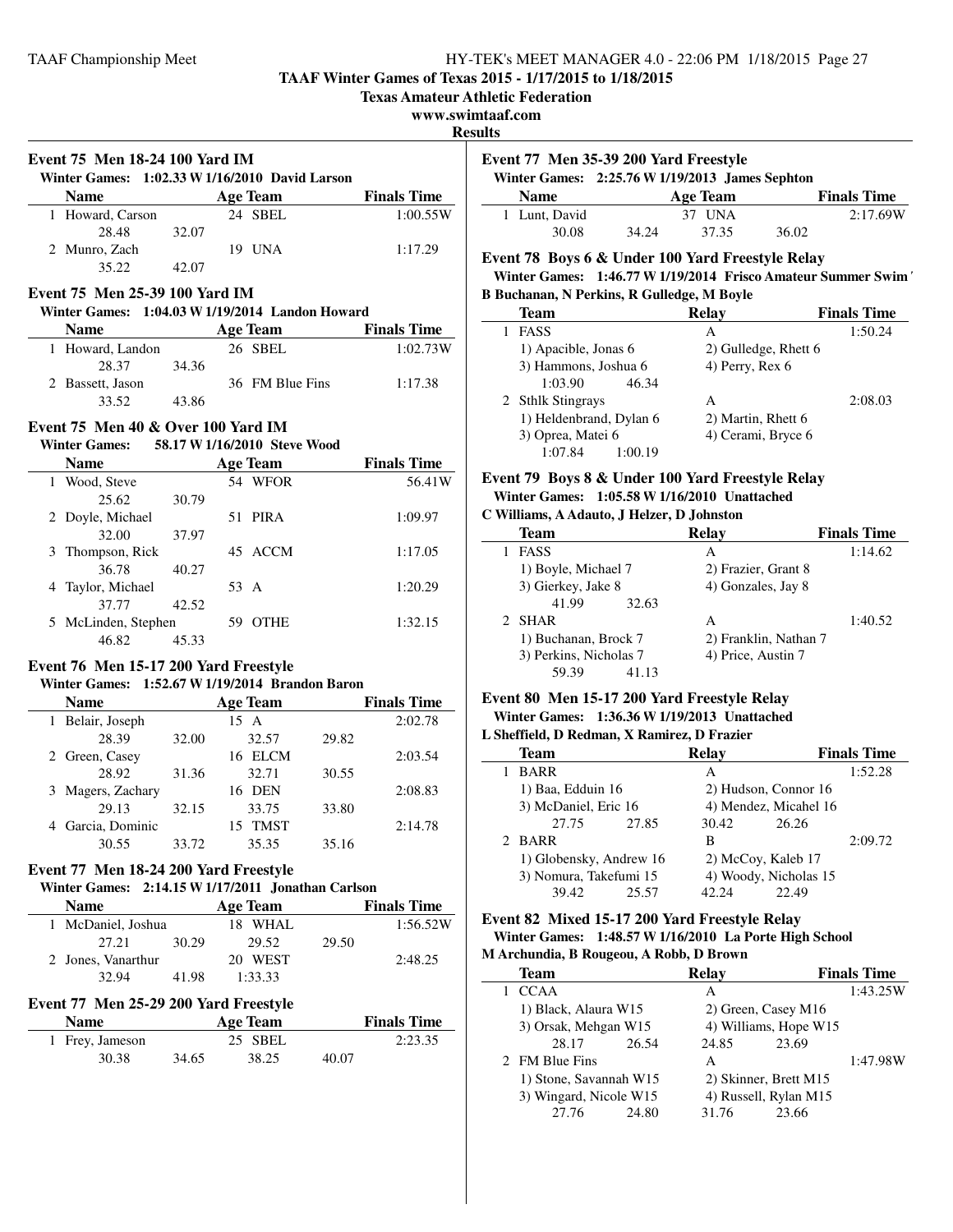**TAAF Winter Games of Texas 2015 - 1/17/2015 to 1/18/2015**

**Texas Amateur Athletic Federation**

**www.swimtaaf.com**

**Results**

|                  |       | Winter Games: 1:02.33 W 1/16/2010 David Larson |                    |
|------------------|-------|------------------------------------------------|--------------------|
| <b>Name</b>      |       | Age Team                                       | <b>Finals Time</b> |
| 1 Howard, Carson |       | 24 SBEL                                        | 1:00.55W           |
| 28.48            | 32.07 |                                                |                    |
| 2 Munro, Zach    |       | 19 UNA                                         | 1:17.29            |
| 35.22            | 42.07 |                                                |                    |

## **Event 75 Men 25-39 100 Yard IM**

#### **Winter Games: 1:04.03 W1/19/2014 Landon Howard**

| <b>Name</b>      |       | Age Team        | <b>Finals Time</b> |
|------------------|-------|-----------------|--------------------|
| 1 Howard, Landon |       | 26 SBEL         | 1:02.73W           |
| 28.37            | 34.36 |                 |                    |
| 2 Bassett, Jason |       | 36 FM Blue Fins | 1:17.38            |
| 33.52            | 43.86 |                 |                    |

## **Event 75 Men 40 & Over 100 Yard IM**

## **Winter Games: 58.17 W1/16/2010 Steve Wood**

| <b>Name</b>         |       |      | <b>Age Team</b> | <b>Finals Time</b> |
|---------------------|-------|------|-----------------|--------------------|
| 1 Wood, Steve       |       |      | 54 WFOR         | 56.41W             |
| 25.62               | 30.79 |      |                 |                    |
| 2 Doyle, Michael    |       |      | 51 PIRA         | 1:09.97            |
| 32.00               | 37.97 |      |                 |                    |
| 3 Thompson, Rick    |       |      | 45 ACCM         | 1:17.05            |
| 36.78               | 40.27 |      |                 |                    |
| 4 Taylor, Michael   |       | 53 A |                 | 1:20.29            |
| 37.77               | 42.52 |      |                 |                    |
| 5 McLinden, Stephen |       | 59   | <b>OTHE</b>     | 1:32.15            |
| 46.82               | 45.33 |      |                 |                    |

## **Event 76 Men 15-17 200 Yard Freestyle**

## **Winter Games: 1:52.67 W1/19/2014 Brandon Baron**

| <b>Name</b>       |       | <b>Age Team</b>   |       | <b>Finals Time</b> |
|-------------------|-------|-------------------|-------|--------------------|
| 1 Belair, Joseph  |       | 15 A              |       | 2:02.78            |
| 28.39             | 32.00 | 32.57             | 29.82 |                    |
| 2 Green, Casey    |       | <b>ELCM</b><br>16 |       | 2:03.54            |
| 28.92             | 31.36 | 32.71             | 30.55 |                    |
| 3 Magers, Zachary |       | 16 DEN            |       | 2:08.83            |
| 29.13             | 32.15 | 33.75             | 33.80 |                    |
| 4 Garcia, Dominic |       | TMST<br>15.       |       | 2:14.78            |
| 30.55             | 33.72 | 35.35             | 35.16 |                    |

## **Event 77 Men 18-24 200 Yard Freestyle**

## **Winter Games: 2:14.15 W1/17/2011 Jonathan Carlson**

| <b>Name</b>        |       | <b>Age Team</b> |       | <b>Finals Time</b> |
|--------------------|-------|-----------------|-------|--------------------|
| 1 McDaniel, Joshua |       | 18 WHAL         |       | 1:56.52W           |
| 27.21              | 30.29 | 29.52           | 29.50 |                    |
| 2 Jones, Vanarthur |       | 20 WEST         |       | 2:48.25            |
| 32.94              | 41 98 | 1:33.33         |       |                    |

## **Event 77 Men 25-29 200 Yard Freestyle**

| <b>Name</b>     |       | Age Team |       | <b>Finals Time</b> |
|-----------------|-------|----------|-------|--------------------|
| 1 Frey, Jameson |       | 25 SBEL  |       | 2:23.35            |
| 30.38           | 34.65 | 38.25    | 40.07 |                    |

| Event 77 Men 35-39 200 Yard Freestyle           |       |          |       |                    |  |
|-------------------------------------------------|-------|----------|-------|--------------------|--|
| Winter Games: 2:25.76 W 1/19/2013 James Sephton |       |          |       |                    |  |
| <b>Name</b>                                     |       | Age Team |       | <b>Finals Time</b> |  |
| 1 Lunt, David                                   |       | 37 UNA   |       | 2:17.69W           |  |
| 30.08                                           | 34.24 | 37.35    | 36.02 |                    |  |

## **Event 78 Boys 6 & Under 100 Yard Freestyle Relay**

**Winter Games: 1:46.77 W 1/19/2014 Frisco Amateur Summer Swim ' B Buchanan, N Perkins, R Gulledge, M Boyle**

| <b>Team</b>             | Relay                | <b>Finals Time</b> |
|-------------------------|----------------------|--------------------|
| <b>FASS</b>             | A                    | 1:50.24            |
| 1) Apacible, Jonas 6    | 2) Gulledge, Rhett 6 |                    |
| 3) Hammons, Joshua 6    | 4) Perry, Rex 6      |                    |
| 1:03.90<br>46.34        |                      |                    |
| 2 Sthlk Stingrays       | А                    | 2:08.03            |
| 1) Heldenbrand, Dylan 6 | 2) Martin, Rhett 6   |                    |
| 3) Oprea, Matei 6       | 4) Cerami, Bryce 6   |                    |
| 1:07.84<br>1:00.19      |                      |                    |

## **Event 79 Boys 8 & Under 100 Yard Freestyle Relay Winter Games: 1:05.58 W1/16/2010 Unattached**

## **C Williams, A Adauto, J Helzer, D Johnston**

| <b>Team</b>            | Relav                 | <b>Finals Time</b> |
|------------------------|-----------------------|--------------------|
| <b>FASS</b>            | А                     | 1:14.62            |
| 1) Boyle, Michael 7    | 2) Frazier, Grant 8   |                    |
| 3) Gierkey, Jake 8     | 4) Gonzales, Jay 8    |                    |
| 41.99<br>32.63         |                       |                    |
| 2 SHAR                 | А                     | 1:40.52            |
| 1) Buchanan, Brock 7   | 2) Franklin, Nathan 7 |                    |
| 3) Perkins, Nicholas 7 | 4) Price, Austin 7    |                    |
| 59.39<br>41.13         |                       |                    |

#### **Event 80 Men 15-17 200 Yard Freestyle Relay Winter Games: 1:36.36 W1/19/2013 Unattached**

#### **L Sheffield, D Redman, X Ramirez, D Frazier**

|                         | <b>Team</b> |                       | Relay                 |       | <b>Finals Time</b> |  |
|-------------------------|-------------|-----------------------|-----------------------|-------|--------------------|--|
|                         | <b>BARR</b> |                       | А                     |       | 1:52.28            |  |
| 1) Baa, Edduin 16       |             | 2) Hudson, Connor 16  |                       |       |                    |  |
| 3) McDaniel, Eric 16    |             | 4) Mendez, Micahel 16 |                       |       |                    |  |
|                         | 27.75       | 27.85                 | 30.42                 | 26.26 |                    |  |
|                         | 2 BARR      |                       | в                     |       | 2:09.72            |  |
| 1) Globensky, Andrew 16 |             |                       | 2) McCoy, Kaleb 17    |       |                    |  |
| 3) Nomura, Takefumi 15  |             |                       | 4) Woody, Nicholas 15 |       |                    |  |
|                         | 39.42       | 25.57                 | 42.24                 | 22.49 |                    |  |

## **Event 82 Mixed 15-17 200 Yard Freestyle Relay Winter Games: 1:48.57 W1/16/2010 La Porte High School**

## **M Archundia, B Rougeou, A Robb, D Brown**

| <b>Team</b>            |       | <b>Relay</b> |                       | <b>Finals Time</b> |
|------------------------|-------|--------------|-----------------------|--------------------|
| <b>CCAA</b>            |       | А            |                       | 1:43.25W           |
| 1) Black, Alaura W15   |       |              | 2) Green, Casey M16   |                    |
| 3) Orsak, Mehgan W15   |       |              | 4) Williams, Hope W15 |                    |
| 28.17                  | 26.54 | 24.85        | 23.69                 |                    |
| 2 FM Blue Fins         |       | А            |                       | 1:47.98W           |
| 1) Stone, Savannah W15 |       |              | 2) Skinner, Brett M15 |                    |
| 3) Wingard, Nicole W15 |       |              | 4) Russell, Rylan M15 |                    |
| 27.76                  | 24.80 | 31.76        | 23.66                 |                    |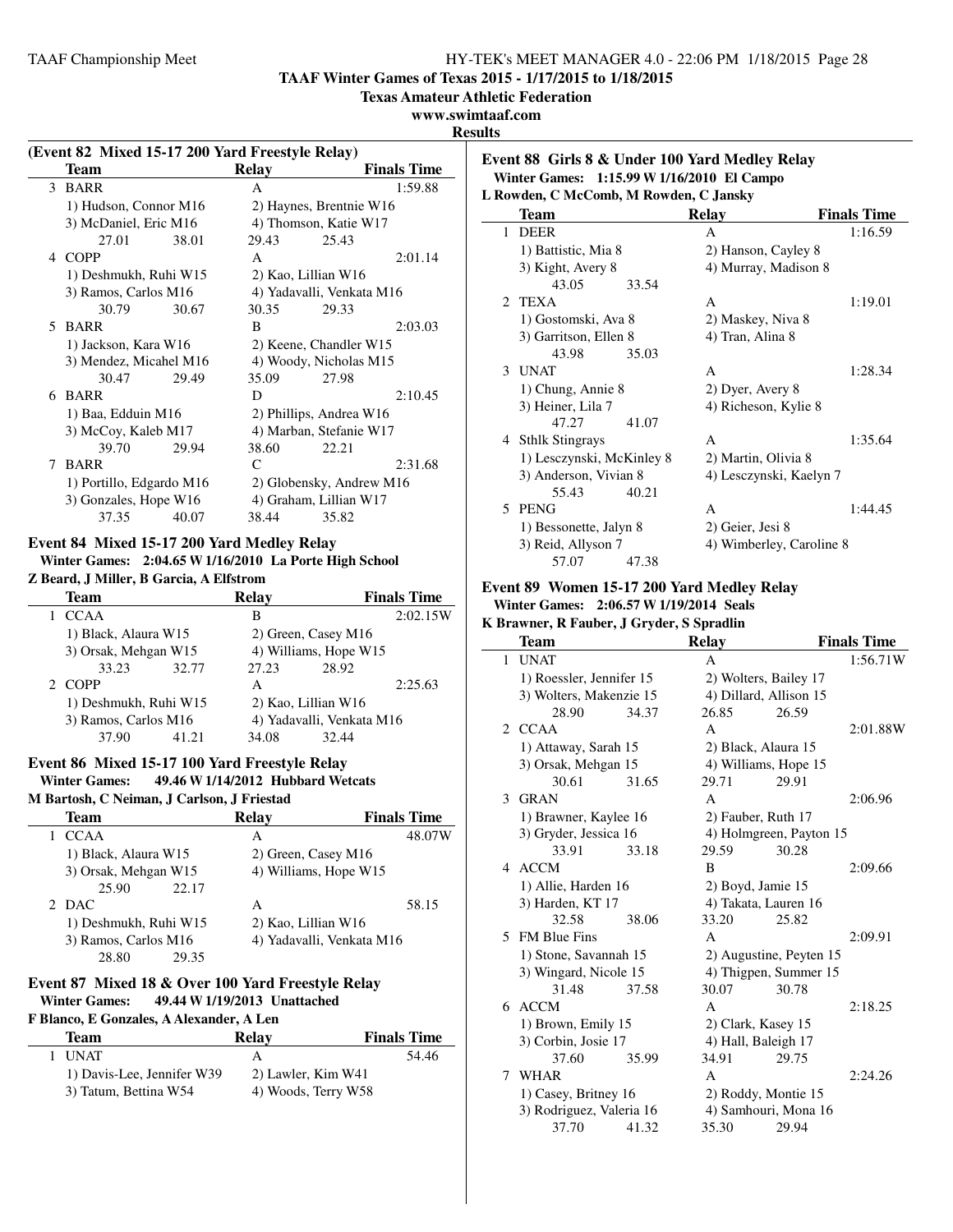**TAAF Winter Games of Texas 2015 - 1/17/2015 to 1/18/2015**

**Texas Amateur Athletic Federation**

## **www.swimtaaf.com**

#### **Results**

| Event 82 Mixed 15-17 200 Yard Freestyle Relay) |                          |       |                         |                           |                    |
|------------------------------------------------|--------------------------|-------|-------------------------|---------------------------|--------------------|
|                                                | Team                     |       | Relay                   |                           | <b>Finals Time</b> |
| 3                                              | <b>BARR</b>              |       | A                       |                           | 1:59.88            |
|                                                | 1) Hudson, Connor M16    |       |                         | 2) Haynes, Brentnie W16   |                    |
|                                                | 3) McDaniel, Eric M16    |       |                         | 4) Thomson, Katie W17     |                    |
|                                                | 27.01                    | 38.01 | 29.43                   | 25.43                     |                    |
| 4                                              | <b>COPP</b>              |       | $\mathsf{A}$            |                           | 2:01.14            |
|                                                | 1) Deshmukh, Ruhi W15    |       |                         | 2) Kao, Lillian W16       |                    |
|                                                | 3) Ramos, Carlos M16     |       |                         | 4) Yadavalli, Venkata M16 |                    |
|                                                | 30.79                    | 30.67 | 30.35                   | 29.33                     |                    |
| 5                                              | <b>BARR</b>              |       | B                       |                           | 2:03.03            |
|                                                | 1) Jackson, Kara W16     |       |                         | 2) Keene, Chandler W15    |                    |
|                                                | 3) Mendez, Micahel M16   |       | 4) Woody, Nicholas M15  |                           |                    |
|                                                | 30.47                    | 29.49 | 35.09                   | 27.98                     |                    |
| 6                                              | <b>BARR</b>              |       | D                       |                           | 2:10.45            |
|                                                | 1) Baa, Edduin M16       |       | 2) Phillips, Andrea W16 |                           |                    |
|                                                | 3) McCoy, Kaleb M17      |       |                         | 4) Marban, Stefanie W17   |                    |
|                                                | 39.70                    | 29.94 | 38.60                   | 22.21                     |                    |
| 7                                              | <b>BARR</b>              |       | $\mathsf{C}$            |                           | 2:31.68            |
|                                                | 1) Portillo, Edgardo M16 |       |                         | 2) Globensky, Andrew M16  |                    |
|                                                | 3) Gonzales, Hope W16    |       |                         | 4) Graham, Lillian W17    |                    |
|                                                | 37.35                    | 40.07 | 38.44                   | 35.82                     |                    |

## **Event 84 Mixed 15-17 200 Yard Medley Relay Winter Games: 2:04.65 W1/16/2010 La Porte High School**

### **Z Beard, J Miller, B Garcia, A Elfstrom**

| <b>Team</b>           |       | <b>Relav</b> |                           | <b>Finals Time</b> |
|-----------------------|-------|--------------|---------------------------|--------------------|
| <b>CCAA</b>           |       | в            |                           | 2:02.15W           |
| 1) Black, Alaura W15  |       |              | 2) Green, Casey M16       |                    |
| 3) Orsak, Mehgan W15  |       |              | 4) Williams, Hope W15     |                    |
| 33.23                 | 32.77 | 27.23        | 28.92                     |                    |
| 2 COPP                |       | A            |                           | 2:25.63            |
| 1) Deshmukh, Ruhi W15 |       |              | 2) Kao, Lillian W16       |                    |
| 3) Ramos, Carlos M16  |       |              | 4) Yadavalli, Venkata M16 |                    |
| 37.90                 | 41.21 | 34.08        | 32.44                     |                    |

## **Event 86 Mixed 15-17 100 Yard Freestyle Relay**

**Winter Games: 49.46 W1/14/2012 Hubbard Wetcats**

**M Bartosh, C Neiman, J Carlson, J Friestad**

| <b>Team</b>           | Relay                 | <b>Finals Time</b>        |
|-----------------------|-----------------------|---------------------------|
| <b>CCAA</b>           | А                     | 48.07W                    |
| 1) Black, Alaura W15  | 2) Green, Casey M16   |                           |
| 3) Orsak, Mehgan W15  | 4) Williams, Hope W15 |                           |
| 25.90<br>22.17        |                       |                           |
| 2 DAC                 | А                     | 58.15                     |
| 1) Deshmukh, Ruhi W15 | 2) Kao, Lillian W16   |                           |
| 3) Ramos, Carlos M16  |                       | 4) Yadavalli, Venkata M16 |
| 28.80<br>29.35        |                       |                           |

## **Event 87 Mixed 18 & Over 100 Yard Freestyle Relay Winter Games: 49.44 W1/19/2013 Unattached**

#### **F Blanco, E Gonzales, A Alexander, A Len**

| Team                       | Relav               | <b>Finals Time</b> |
|----------------------------|---------------------|--------------------|
| 1 UNAT                     | А                   | 54.46              |
| 1) Davis-Lee, Jennifer W39 | 2) Lawler, Kim W41  |                    |
| 3) Tatum, Bettina W54      | 4) Woods, Terry W58 |                    |

#### **Event 88 Girls 8 & Under 100 Yard Medley Relay Winter Games: 1:15.99 W1/16/2010 El Campo L Rowden, C McComb, M Rowden, C Jansky**

| ROWGEII, C MCCOIIID, M ROWGEII, C JAIISKY |                           |       |                          |                    |  |
|-------------------------------------------|---------------------------|-------|--------------------------|--------------------|--|
|                                           | Team                      |       | Relay                    | <b>Finals Time</b> |  |
| 1                                         | <b>DEER</b>               |       | A                        | 1:16.59            |  |
|                                           | 1) Battistic, Mia 8       |       | 2) Hanson, Cayley 8      |                    |  |
|                                           | 3) Kight, Avery 8         |       | 4) Murray, Madison 8     |                    |  |
|                                           | 43.05                     | 33.54 |                          |                    |  |
| 2.                                        | TEXA                      |       | A                        | 1:19.01            |  |
|                                           | 1) Gostomski, Ava 8       |       | 2) Maskey, Niva 8        |                    |  |
|                                           | 3) Garritson, Ellen 8     |       | 4) Tran, Alina 8         |                    |  |
|                                           | 43.98                     | 35.03 |                          |                    |  |
|                                           | 3 UNAT                    |       | A                        | 1:28.34            |  |
|                                           | 1) Chung, Annie 8         |       | 2) Dyer, Avery 8         |                    |  |
|                                           | 3) Heiner, Lila 7         |       | 4) Richeson, Kylie 8     |                    |  |
|                                           | 47.27                     | 41.07 |                          |                    |  |
|                                           | 4 Sthlk Stingrays         |       | A                        | 1:35.64            |  |
|                                           | 1) Lesczynski, McKinley 8 |       | 2) Martin, Olivia 8      |                    |  |
|                                           | 3) Anderson, Vivian 8     |       | 4) Lesczynski, Kaelyn 7  |                    |  |
|                                           | 55.43                     | 40.21 |                          |                    |  |
| 5.                                        | <b>PENG</b>               |       | A                        | 1:44.45            |  |
|                                           | 1) Bessonette, Jalyn 8    |       | 2) Geier, Jesi 8         |                    |  |
|                                           | 3) Reid, Allyson 7        |       | 4) Wimberley, Caroline 8 |                    |  |
|                                           | 57.07                     | 47.38 |                          |                    |  |

#### **Event 89 Women 15-17 200 Yard Medley Relay Winter Games: 2:06.57 W1/19/2014 Seals**

#### **K Brawner, R Fauber, J Gryder, S Spradlin**

|                             | Team                     |       | <b>Relay</b>           |                         | <b>Finals Time</b> |
|-----------------------------|--------------------------|-------|------------------------|-------------------------|--------------------|
| $\mathbf{1}$                | <b>UNAT</b>              |       | A                      |                         | 1:56.71W           |
|                             | 1) Roessler, Jennifer 15 |       | 2) Wolters, Bailey 17  |                         |                    |
|                             | 3) Wolters, Makenzie 15  |       | 4) Dillard, Allison 15 |                         |                    |
|                             | 28.90                    | 34.37 | 26.85                  | 26.59                   |                    |
| $\mathcal{D}_{\mathcal{L}}$ | <b>CCAA</b>              |       | A                      |                         | 2:01.88W           |
|                             | 1) Attaway, Sarah 15     |       | 2) Black, Alaura 15    |                         |                    |
|                             | 3) Orsak, Mehgan 15      |       | 4) Williams, Hope 15   |                         |                    |
|                             | 30.61                    | 31.65 | 29.71                  | 29.91                   |                    |
| 3                           | <b>GRAN</b>              |       | A                      |                         | 2:06.96            |
|                             | 1) Brawner, Kaylee 16    |       | 2) Fauber, Ruth 17     |                         |                    |
|                             | 3) Gryder, Jessica 16    |       |                        | 4) Holmgreen, Payton 15 |                    |
|                             | 33.91                    | 33.18 | 29.59                  | 30.28                   |                    |
| 4                           | <b>ACCM</b>              |       | B                      |                         | 2:09.66            |
|                             | 1) Allie, Harden 16      |       | 2) Boyd, Jamie 15      |                         |                    |
|                             | 3) Harden, KT 17         |       | 4) Takata, Lauren 16   |                         |                    |
|                             | 32.58                    | 38.06 | 33.20                  | 25.82                   |                    |
|                             | 5 FM Blue Fins           |       | A                      |                         | 2:09.91            |
|                             | 1) Stone, Savannah 15    |       |                        | 2) Augustine, Peyten 15 |                    |
|                             | 3) Wingard, Nicole 15    |       |                        | 4) Thigpen, Summer 15   |                    |
|                             | 31.48                    | 37.58 | 30.07                  | 30.78                   |                    |
| 6                           | <b>ACCM</b>              |       | A                      |                         | 2:18.25            |
|                             | 1) Brown, Emily 15       |       | 2) Clark, Kasey 15     |                         |                    |
|                             | 3) Corbin, Josie 17      |       | 4) Hall, Baleigh 17    |                         |                    |
|                             | 37.60                    | 35.99 | 34.91                  | 29.75                   |                    |
|                             | 7 WHAR                   |       | A                      |                         | 2:24.26            |
|                             | 1) Casey, Britney 16     |       | 2) Roddy, Montie 15    |                         |                    |
|                             | 3) Rodriguez, Valeria 16 |       | 4) Samhouri, Mona 16   |                         |                    |
|                             | 37.70                    | 41.32 | 35.30                  | 29.94                   |                    |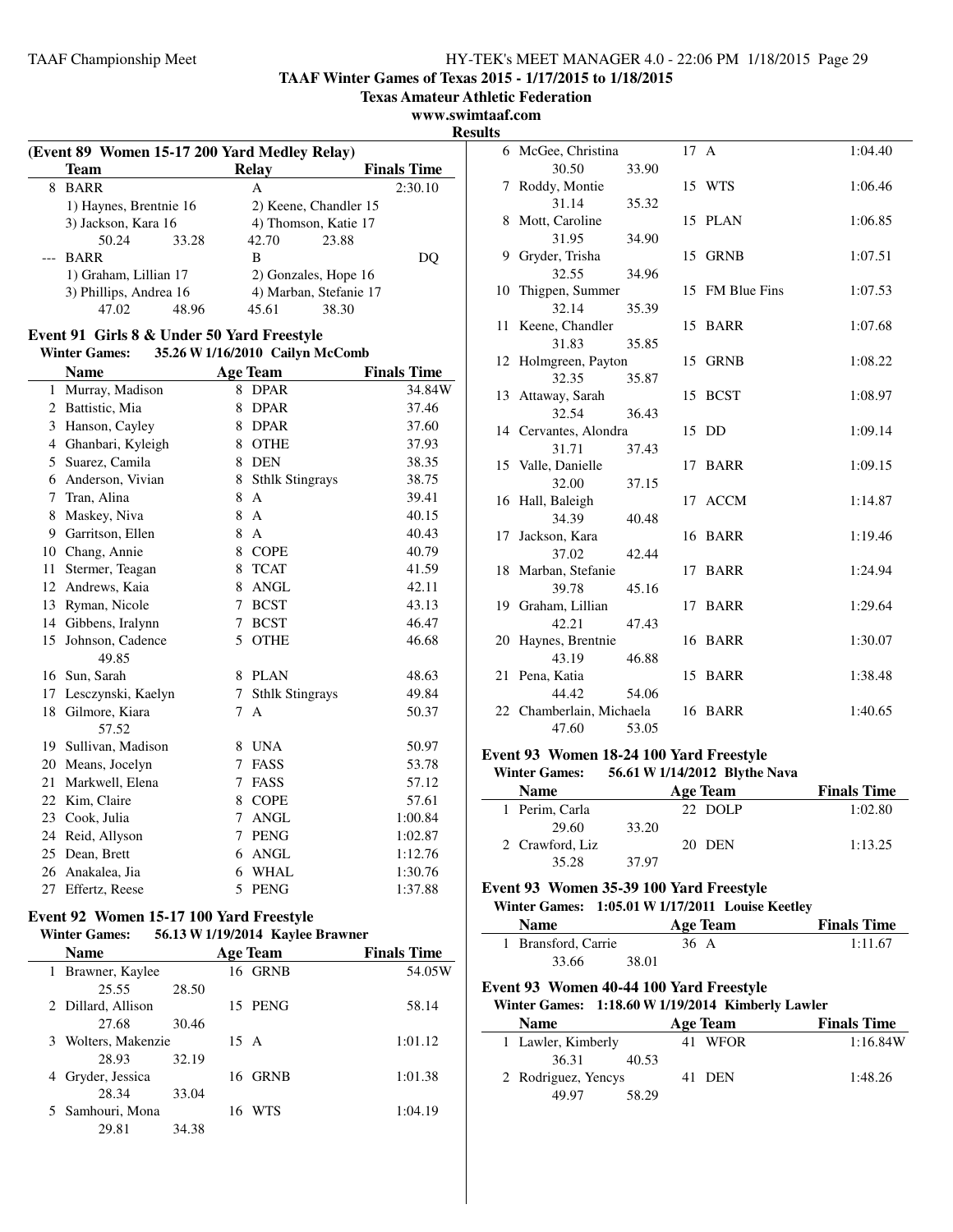**TAAF Winter Games of Texas 2015 - 1/17/2015 to 1/18/2015**

**Texas Amateur Athletic Federation**

**www.swimtaaf.com**

**Results**

 $\overline{a}$ 

|                        | (Event 89 Women 15-17 200 Yard Medley Relay) |       |                        |                       |                    |  |
|------------------------|----------------------------------------------|-------|------------------------|-----------------------|--------------------|--|
|                        | Team                                         |       | Relay                  |                       | <b>Finals Time</b> |  |
| 8                      | <b>BARR</b>                                  |       | A                      |                       | 2:30.10            |  |
|                        | 1) Haynes, Brentnie 16                       |       |                        | 2) Keene, Chandler 15 |                    |  |
|                        | 3) Jackson, Kara 16                          |       | 4) Thomson, Katie 17   |                       |                    |  |
|                        | 50.24                                        | 33.28 | 42.70                  | 23.88                 |                    |  |
|                        | --- BARR                                     |       | B                      |                       | DU.                |  |
|                        | 1) Graham, Lillian 17                        |       | 2) Gonzales, Hope 16   |                       |                    |  |
| 3) Phillips, Andrea 16 |                                              |       | 4) Marban, Stefanie 17 |                       |                    |  |
|                        | 47.02                                        | 48.96 | 45.61                  | 38.30                 |                    |  |

## **Event 91 Girls 8 & Under 50 Yard Freestyle**

## **Winter Games: 35.26 W1/16/2010 Cailyn McComb Name Age Team Finals Time** 1 Murray, Madison 8 DPAR 34.84W 2 Battistic, Mia 8 DPAR 37.46 3 Hanson, Cayley 8 DPAR 37.60 4 Ghanbari, Kyleigh 8 OTHE 37.93 5 Suarez, Camila 8 DEN 38.35 6 Anderson, Vivian 8 Sthlk Stingrays 38.75 7 Tran, Alina 8 A 39.41 8 Maskey, Niva 8 A 40.15 9 Garritson, Ellen 8 A 40.43 10 Chang, Annie 8 COPE 40.79 11 Stermer, Teagan 8 TCAT 41.59 12 Andrews, Kaia 8 ANGL 42.11 13 Ryman, Nicole 7 BCST 43.13 14 Gibbens, Iralynn 7 BCST 46.47 15 Johnson, Cadence 5 OTHE 46.68 49.85 16 Sun, Sarah 8 PLAN 48.63 17 Lesczynski, Kaelyn 7 Sthlk Stingrays 49.84 18 Gilmore, Kiara 7 A 50.37 57.52 19 Sullivan, Madison 8 UNA 50.97 20 Means, Jocelyn 7 FASS 53.78 21 Markwell, Elena 7 FASS 57.12 22 Kim, Claire 8 COPE 57.61 23 Cook, Julia 7 ANGL 1:00.84 24 Reid, Allyson 7 PENG 1:02.87 25 Dean, Brett 6 ANGL 1:12.76 26 Anakalea, Jia 6 WHAL 1:30.76 27 Effertz, Reese 5 PENG 1:37.88

## **Event 92 Women 15-17 100 Yard Freestyle**

#### **Winter Games: 56.13 W1/19/2014 Kaylee Brawner**

| <b>Name</b>          |       |                | <b>Age Team</b> | <b>Finals Time</b> |
|----------------------|-------|----------------|-----------------|--------------------|
| 1 Brawner, Kaylee    |       |                | 16 GRNB         | 54.05W             |
| 25.55                | 28.50 |                |                 |                    |
| 2 Dillard, Allison   |       |                | 15 PENG         | 58.14              |
| 27.68                | 30.46 |                |                 |                    |
| 3 Wolters, Makenzie  |       | $15 \text{ A}$ |                 | 1:01.12            |
| 28.93                | 32.19 |                |                 |                    |
| Gryder, Jessica<br>4 |       |                | 16 GRNB         | 1:01.38            |
| 28.34                | 33.04 |                |                 |                    |
| 5 Samhouri, Mona     |       | 16             | <b>WTS</b>      | 1:04.19            |
| 29.81                | 34.38 |                |                 |                    |

| ııэ |                                |       |      |                 |         |
|-----|--------------------------------|-------|------|-----------------|---------|
|     | 6 McGee, Christina             |       | 17 A |                 | 1:04.40 |
|     | 30.50                          | 33.90 |      |                 |         |
| 7   | Roddy, Montie                  |       |      | 15 WTS          | 1:06.46 |
|     | 31.14                          | 35.32 |      |                 |         |
| 8   | Mott, Caroline                 |       |      | 15 PLAN         | 1:06.85 |
|     | 31.95                          | 34.90 |      |                 |         |
| 9   | Gryder, Trisha                 |       |      | 15 GRNB         | 1:07.51 |
|     | 32.55                          | 34.96 |      |                 |         |
| 10  | Thigpen, Summer                |       |      | 15 FM Blue Fins | 1:07.53 |
|     | 32.14                          | 35.39 |      |                 |         |
|     | 11 Keene, Chandler             |       |      | 15 BARR         | 1:07.68 |
|     | 31.83                          | 35.85 |      |                 |         |
|     | 12 Holmgreen, Payton           |       |      | 15 GRNB         | 1:08.22 |
|     | 32.35                          | 35.87 |      |                 |         |
|     | 13 Attaway, Sarah              |       |      | 15 BCST         | 1:08.97 |
|     | 32.54                          | 36.43 |      |                 | 1:09.14 |
|     | 14 Cervantes, Alondra<br>31.71 | 37.43 |      | 15 DD           |         |
|     | 15 Valle, Danielle             |       |      | 17 BARR         | 1:09.15 |
|     | 32.00                          | 37.15 |      |                 |         |
|     | 16 Hall, Baleigh               |       |      | 17 ACCM         | 1:14.87 |
|     | 34.39                          | 40.48 |      |                 |         |
|     | 17 Jackson, Kara               |       |      | 16 BARR         | 1:19.46 |
|     | 37.02                          | 42.44 |      |                 |         |
|     | 18 Marban, Stefanie            |       |      | 17 BARR         | 1:24.94 |
|     | 39.78                          | 45.16 |      |                 |         |
|     | 19 Graham, Lillian             |       |      | 17 BARR         | 1:29.64 |
|     | 42.21                          | 47.43 |      |                 |         |
|     | 20 Haynes, Brentnie            |       |      | 16 BARR         | 1:30.07 |
|     | 43.19                          | 46.88 |      |                 |         |
|     | 21 Pena, Katia                 |       |      | 15 BARR         | 1:38.48 |
|     | 44.42                          | 54.06 |      |                 |         |
|     | 22 Chamberlain, Michaela       |       |      | 16 BARR         | 1:40.65 |
|     | 47.60                          | 53.05 |      |                 |         |

#### **Event 93 Women 18-24 100 Yard Freestyle**

**Winter Games: 56.61 W1/14/2012 Blythe Nava**

| <b>Name</b>     |       | Age Team | <b>Finals Time</b> |
|-----------------|-------|----------|--------------------|
| 1 Perim, Carla  |       | 22 DOLP  | 1:02.80            |
| 29.60           | 33.20 |          |                    |
| 2 Crawford, Liz |       | 20 DEN   | 1:13.25            |
| 35.28           | 37.97 |          |                    |

#### **Event 93 Women 35-39 100 Yard Freestyle**

### **Winter Games: 1:05.01 W1/17/2011 Louise Keetley**

| <b>Name</b>         | Age Team | <b>Finals Time</b> |
|---------------------|----------|--------------------|
| 1 Bransford, Carrie | 36 A     | 1:11.67            |
| 33.66               | 38.01    |                    |

## **Event 93 Women 40-44 100 Yard Freestyle**

## **Winter Games: 1:18.60 W1/19/2014 Kimberly Lawler**

| <b>Name</b>         |       | Age Team | <b>Finals Time</b> |
|---------------------|-------|----------|--------------------|
| 1 Lawler, Kimberly  |       | 41 WFOR  | 1:16.84W           |
| 36.31               | 40.53 |          |                    |
| 2 Rodriguez, Yencys |       | 41 DEN   | 1:48.26            |
| 49.97               | 58.29 |          |                    |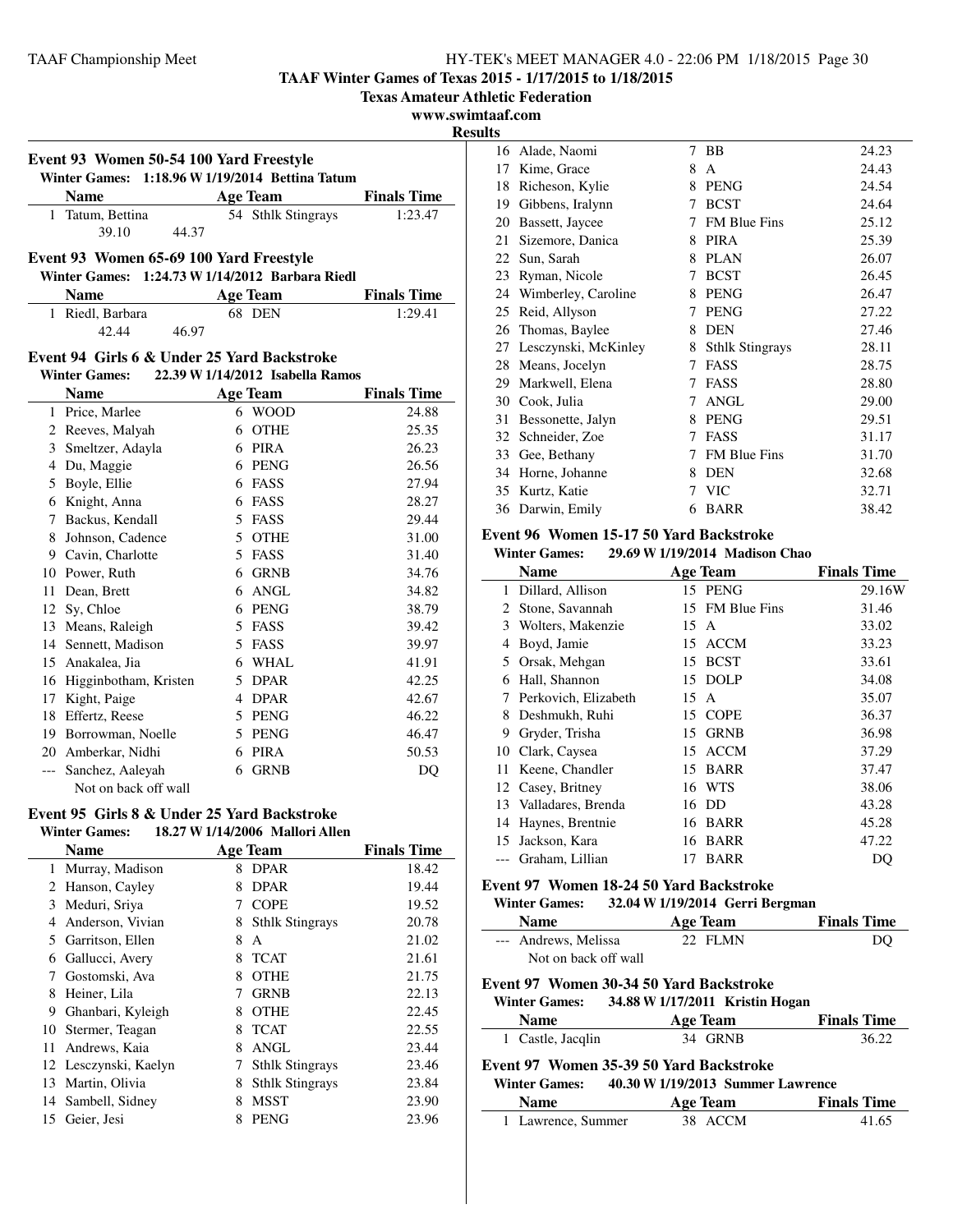**TAAF Winter Games of Texas 2015 - 1/17/2015 to 1/18/2015**

**Texas Amateur Athletic Federation**

**www.swimtaaf.com**

**Results**

| Event 93 Women 50-54 100 Yard Freestyle<br>1:18.96 W 1/19/2014 Bettina Tatum<br><b>Winter Games:</b> |                                             |                                   |                    |  |  |
|------------------------------------------------------------------------------------------------------|---------------------------------------------|-----------------------------------|--------------------|--|--|
|                                                                                                      | <b>Name</b>                                 | <b>Age Team</b>                   | <b>Finals Time</b> |  |  |
| $\mathbf{1}$                                                                                         | Tatum, Bettina                              | 54 Sthlk Stingrays                | 1:23.47            |  |  |
|                                                                                                      | 39.10<br>44.37                              |                                   |                    |  |  |
|                                                                                                      | Event 93 Women 65-69 100 Yard Freestyle     |                                   |                    |  |  |
|                                                                                                      | <b>Winter Games:</b>                        | 1:24.73 W 1/14/2012 Barbara Riedl |                    |  |  |
|                                                                                                      | <b>Name</b>                                 | <b>Age Team</b>                   | <b>Finals Time</b> |  |  |
|                                                                                                      | 1 Riedl, Barbara                            | 68 DEN                            | 1:29.41            |  |  |
|                                                                                                      | 42.44<br>46.97                              |                                   |                    |  |  |
|                                                                                                      |                                             |                                   |                    |  |  |
|                                                                                                      | Event 94 Girls 6 & Under 25 Yard Backstroke | 22.39 W 1/14/2012 Isabella Ramos  |                    |  |  |
|                                                                                                      | <b>Winter Games:</b>                        |                                   |                    |  |  |
|                                                                                                      | <b>Name</b>                                 | <b>Age Team</b>                   | <b>Finals Time</b> |  |  |
|                                                                                                      | 1 Price, Marlee                             | 6 WOOD<br>6 OTHE                  | 24.88<br>25.35     |  |  |
|                                                                                                      | 2 Reeves, Malyah<br>3 Smeltzer, Adayla      | 6 PIRA                            | 26.23              |  |  |
|                                                                                                      | 4 Du, Maggie                                | 6 PENG                            | 26.56              |  |  |
|                                                                                                      | 5 Boyle, Ellie                              | 6 FASS                            | 27.94              |  |  |
|                                                                                                      | 6 Knight, Anna                              | 6 FASS                            | 28.27              |  |  |
|                                                                                                      | 7 Backus, Kendall                           | 5 FASS                            | 29.44              |  |  |
|                                                                                                      | 8 Johnson, Cadence                          | 5 OTHE                            | 31.00              |  |  |
|                                                                                                      | 9 Cavin, Charlotte                          | 5 FASS                            | 31.40              |  |  |
|                                                                                                      | 10 Power, Ruth                              | 6 GRNB                            | 34.76              |  |  |
|                                                                                                      | 11 Dean, Brett                              | 6 ANGL                            | 34.82              |  |  |
|                                                                                                      | 12 Sy, Chloe                                | 6 PENG                            | 38.79              |  |  |
|                                                                                                      | 13 Means, Raleigh                           | 5 FASS                            | 39.42              |  |  |
|                                                                                                      | 14 Sennett, Madison                         | 5 FASS                            | 39.97              |  |  |
|                                                                                                      | 15 Anakalea, Jia                            | 6 WHAL                            | 41.91              |  |  |
|                                                                                                      | 16 Higginbotham, Kristen                    | 5 DPAR                            | 42.25              |  |  |
|                                                                                                      | 17 Kight, Paige                             | 4 DPAR                            | 42.67              |  |  |
|                                                                                                      | 18 Effertz, Reese                           | 5 PENG                            | 46.22              |  |  |
|                                                                                                      | 19 Borrowman, Noelle                        | 5 PENG                            | 46.47              |  |  |
|                                                                                                      | 20 Amberkar, Nidhi                          | 6 PIRA                            | 50.53              |  |  |
|                                                                                                      | --- Sanchez, Aaleyah                        | 6 GRNB                            | DQ                 |  |  |
|                                                                                                      | Not on back off wall                        |                                   |                    |  |  |
|                                                                                                      | Event 95 Girls 8 & Under 25 Yard Backstroke |                                   |                    |  |  |

## **Winter Games: 18.27 W1/14/2006 Mallori Allen**

|    | <b>Name</b>           |   | <b>Age Team</b>        | <b>Finals Time</b> |
|----|-----------------------|---|------------------------|--------------------|
|    | 1 Murray, Madison     | 8 | <b>DPAR</b>            | 18.42              |
|    | 2 Hanson, Cayley      | 8 | <b>DPAR</b>            | 19.44              |
| 3  | Meduri, Sriya         | 7 | <b>COPE</b>            | 19.52              |
| 4  | Anderson, Vivian      | 8 | <b>Sthlk Stingrays</b> | 20.78              |
| 5  | Garritson, Ellen      | 8 | A                      | 21.02              |
| 6  | Gallucci, Avery       | 8 | <b>TCAT</b>            | 21.61              |
|    | Gostomski, Ava        | 8 | <b>OTHE</b>            | 21.75              |
| 8  | Heiner, Lila          | 7 | <b>GRNB</b>            | 22.13              |
| 9  | Ghanbari, Kyleigh     | 8 | <b>OTHE</b>            | 22.45              |
| 10 | Stermer, Teagan       | 8 | <b>TCAT</b>            | 22.55              |
| 11 | Andrews, Kaia         | 8 | ANGL                   | 23.44              |
|    | 12 Lesczynski, Kaelyn | 7 | <b>Sthlk Stingrays</b> | 23.46              |
| 13 | Martin, Olivia        | 8 | <b>Sthlk Stingrays</b> | 23.84              |
|    | 14 Sambell, Sidney    | 8 | <b>MSST</b>            | 23.90              |
| 15 | Geier, Jesi           | 8 | <b>PENG</b>            | 23.96              |

| 16 | Alade, Naomi         | 7 | BB                     | 24.23 |
|----|----------------------|---|------------------------|-------|
| 17 | Kime, Grace          | 8 | A                      | 24.43 |
| 18 | Richeson, Kylie      | 8 | <b>PENG</b>            | 24.54 |
| 19 | Gibbens, Iralynn     | 7 | <b>BCST</b>            | 24.64 |
| 20 | Bassett, Jaycee      | 7 | <b>FM Blue Fins</b>    | 25.12 |
| 21 | Sizemore, Danica     | 8 | <b>PIRA</b>            | 25.39 |
| 22 | Sun, Sarah           | 8 | <b>PLAN</b>            | 26.07 |
| 23 | Ryman, Nicole        | 7 | <b>BCST</b>            | 26.45 |
| 24 | Wimberley, Caroline  | 8 | <b>PENG</b>            | 26.47 |
| 25 | Reid, Allyson        | 7 | <b>PENG</b>            | 27.22 |
| 26 | Thomas, Baylee       | 8 | <b>DEN</b>             | 27.46 |
| 27 | Lesczynski, McKinley | 8 | <b>Sthlk Stingrays</b> | 28.11 |
| 28 | Means, Jocelyn       | 7 | FASS                   | 28.75 |
| 29 | Markwell, Elena      | 7 | FASS                   | 28.80 |
| 30 | Cook, Julia          | 7 | <b>ANGL</b>            | 29.00 |
| 31 | Bessonette, Jalyn    | 8 | <b>PENG</b>            | 29.51 |
| 32 | Schneider, Zoe       | 7 | FASS                   | 31.17 |
| 33 | Gee, Bethany         | 7 | <b>FM Blue Fins</b>    | 31.70 |
| 34 | Horne, Johanne       | 8 | <b>DEN</b>             | 32.68 |
| 35 | Kurtz, Katie         | 7 | <b>VIC</b>             | 32.71 |
| 36 | Darwin, Emily        | 6 | <b>BARR</b>            | 38.42 |

## **Event 96 Women 15-17 50 Yard Backstroke**

**Winter Games: 29.69 W1/19/2014 Madison Chao**

|             | Name                  |      | <b>Age Team</b> | <b>Finals Time</b> |
|-------------|-----------------------|------|-----------------|--------------------|
| 1           | Dillard, Allison      |      | 15 PENG         | 29.16W             |
| $2^{\circ}$ | Stone, Savannah       |      | 15 FM Blue Fins | 31.46              |
| 3           | Wolters, Makenzie     | 15 A |                 | 33.02              |
| 4           | Boyd, Jamie           | 15   | ACCM            | 33.23              |
| 5           | Orsak, Mehgan         | 15   | <b>BCST</b>     | 33.61              |
| 6           | Hall, Shannon         |      | 15 DOLP         | 34.08              |
| 7           | Perkovich, Elizabeth  | 15 A |                 | 35.07              |
| 8           | Deshmukh, Ruhi        |      | 15 COPE         | 36.37              |
| 9           | Gryder, Trisha        | 15   | <b>GRNB</b>     | 36.98              |
| 10          | Clark, Caysea         | 15   | <b>ACCM</b>     | 37.29              |
| 11          | Keene, Chandler       | 15   | <b>BARR</b>     | 37.47              |
|             | 12 Casey, Britney     |      | 16 WTS          | 38.06              |
|             | 13 Valladares, Brenda |      | 16 DD           | 43.28              |
| 14          | Haynes, Brentnie      | 16   | <b>BARR</b>     | 45.28              |
| 15          | Jackson, Kara         | 16   | <b>BARR</b>     | 47.22              |
|             | Graham, Lillian       | 17   | <b>BARR</b>     | DO                 |

### **Event 97 Women 18-24 50 Yard Backstroke**

#### **Winter Games: 32.04 W1/19/2014 Gerri Bergman**

| <b>Name</b>                                                                                | <b>Age Team</b> | o<br><b>Finals Time</b> |  |  |
|--------------------------------------------------------------------------------------------|-----------------|-------------------------|--|--|
| --- Andrews, Melissa                                                                       | 22 FLMN         |                         |  |  |
| Not on back off wall                                                                       |                 |                         |  |  |
| Event 97 Women 30-34 50 Yard Backstroke                                                    |                 |                         |  |  |
| Winter Games: 34.88 W 1/17/2011 Kristin Hogan                                              |                 |                         |  |  |
| <b>Name</b>                                                                                | <b>Age Team</b> | <b>Finals Time</b>      |  |  |
| 1 Castle, Jacqlin                                                                          | 34 GRNB         | 36.22                   |  |  |
| Event 97 Women 35-39 50 Yard Backstroke<br>Winter Games: 40.30 W 1/19/2013 Summer Lawrence |                 |                         |  |  |
| <b>Name</b>                                                                                | Age Team        | <b>Finals Time</b>      |  |  |
| 1 Lawrence, Summer                                                                         | 38 ACCM         | 41.65                   |  |  |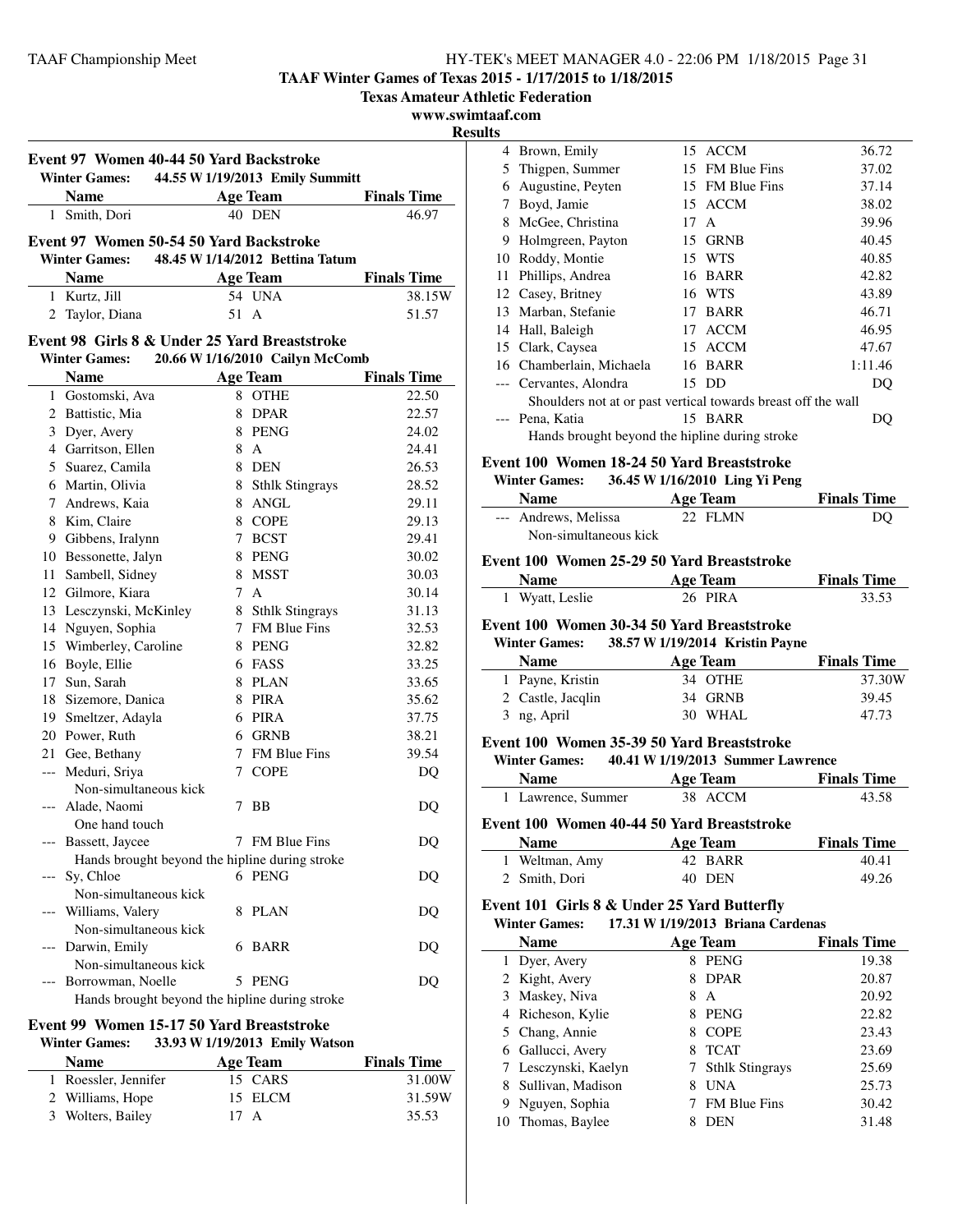**TAAF Winter Games of Texas 2015 - 1/17/2015 to 1/18/2015**

**Texas Amateur Athletic Federation**

**www.swimtaaf.com**

**Result** 

|     | <b>Name</b>                                    |      | <b>Age Team</b>                 | <b>Finals Time</b> |
|-----|------------------------------------------------|------|---------------------------------|--------------------|
|     | 1 Smith, Dori                                  |      | 40 DEN                          | 46.97              |
|     |                                                |      |                                 |                    |
|     | Event 97 Women 50-54 50 Yard Backstroke        |      |                                 |                    |
|     | <b>Winter Games:</b>                           |      | 48.45 W 1/14/2012 Bettina Tatum |                    |
|     | <b>Name</b>                                    |      | <b>Age Team</b>                 | <b>Finals Time</b> |
|     | 1 Kurtz, Jill                                  |      | 54 UNA                          | 38.15W             |
| 2   | Taylor, Diana                                  | 51 A |                                 | 51.57              |
|     | Event 98 Girls 8 & Under 25 Yard Breaststroke  |      |                                 |                    |
|     | <b>Winter Games:</b>                           |      | 20.66 W 1/16/2010 Cailyn McComb |                    |
|     | <b>Name</b>                                    |      | <b>Age Team</b>                 | <b>Finals Time</b> |
|     | 1 Gostomski, Ava                               |      | 8 OTHE                          | 22.50              |
|     | 2 Battistic, Mia                               |      | 8 DPAR                          | 22.57              |
|     | 3 Dyer, Avery                                  |      | 8 PENG                          | 24.02              |
|     | 4 Garritson, Ellen                             |      | 8 A                             | 24.41              |
|     | 5 Suarez, Camila                               |      | 8 DEN                           | 26.53              |
|     | 6 Martin, Olivia                               |      | 8 Sthlk Stingrays               | 28.52              |
|     | 7 Andrews, Kaia                                |      | 8 ANGL                          | 29.11              |
|     | 8 Kim, Claire                                  |      | 8 COPE                          | 29.13              |
|     | 9 Gibbens, Iralynn                             |      | 7 BCST                          | 29.41              |
|     | 10 Bessonette, Jalyn                           |      | 8 PENG                          | 30.02              |
| 11  | Sambell, Sidney                                |      | 8 MSST                          | 30.03              |
|     | 12 Gilmore, Kiara                              |      | 7 A                             | 30.14              |
|     | 13 Lesczynski, McKinley                        |      | 8 Sthlk Stingrays               | 31.13              |
| 14  | Nguyen, Sophia                                 |      | 7 FM Blue Fins                  | 32.53              |
| 15  | Wimberley, Caroline                            |      | 8 PENG                          | 32.82              |
|     | 16 Boyle, Ellie                                |      | 6 FASS                          | 33.25              |
|     | 17 Sun, Sarah                                  |      | 8 PLAN                          | 33.65              |
|     | 18 Sizemore, Danica                            |      | 8 PIRA                          | 35.62              |
|     | 19 Smeltzer, Adayla                            |      | 6 PIRA                          | 37.75              |
|     | 20 Power, Ruth                                 |      | 6 GRNB                          | 38.21              |
|     | 21 Gee, Bethany                                |      | 7 FM Blue Fins                  | 39.54              |
|     | --- Meduri, Sriya                              |      | 7 COPE                          | DQ                 |
|     | Non-simultaneous kick                          |      |                                 |                    |
|     | Alade, Naomi                                   |      | 7 BB                            | DQ                 |
|     | One hand touch                                 |      |                                 |                    |
|     | --- Bassett, Jaycee                            |      | 7 FM Blue Fins                  | DQ                 |
|     | Hands brought beyond the hipline during stroke |      |                                 |                    |
| --- | Sy, Chloe                                      |      | 6 PENG                          | D <sub>O</sub>     |
|     | Non-simultaneous kick                          |      |                                 |                    |
|     | Williams, Valery                               | 8    | PLAN                            | DQ                 |
|     | Non-simultaneous kick                          |      |                                 |                    |
|     | Darwin, Emily                                  | 6    | BARR                            | DQ                 |
|     | Non-simultaneous kick                          |      |                                 |                    |
|     | Borrowman, Noelle                              | 5    | PENG                            | DQ                 |

#### **Event 99 Women 15-17 50 Yard Breaststroke Winter Games: 33.93 W1/19/2013 Emily Watson**

| уунист дашсэ.<br>$33.73$ W 1/17/2013 EHHIY WALSON |          |                    |  |  |  |
|---------------------------------------------------|----------|--------------------|--|--|--|
| <b>Name</b>                                       | Age Team | <b>Finals Time</b> |  |  |  |
| 1 Roessler, Jennifer                              | 15 CARS  | 31.00W             |  |  |  |
| 2 Williams, Hope                                  | 15 ELCM  | 31.59W             |  |  |  |
| 3 Wolters, Bailey                                 | 17 A     | 35.53              |  |  |  |

| lts |                                                               |      |                 |         |
|-----|---------------------------------------------------------------|------|-----------------|---------|
|     | 4 Brown, Emily                                                |      | 15 ACCM         | 36.72   |
| 5   | Thigpen, Summer                                               |      | 15 FM Blue Fins | 37.02   |
| 6   | Augustine, Peyten                                             |      | 15 FM Blue Fins | 37.14   |
| 7   | Boyd, Jamie                                                   |      | 15 ACCM         | 38.02   |
| 8   | McGee, Christina                                              | 17 A |                 | 39.96   |
| 9   | Holmgreen, Payton                                             |      | 15 GRNB         | 40.45   |
| 10  | Roddy, Montie                                                 |      | 15 WTS          | 40.85   |
| 11  | Phillips, Andrea                                              |      | 16 BARR         | 42.82   |
|     | 12 Casey, Britney                                             |      | 16 WTS          | 43.89   |
| 13  | Marban, Stefanie                                              | 17   | <b>BARR</b>     | 46.71   |
| 14  | Hall, Baleigh                                                 | 17   | <b>ACCM</b>     | 46.95   |
|     | 15 Clark, Caysea                                              |      | 15 ACCM         | 47.67   |
|     | 16 Chamberlain, Michaela                                      |      | 16 BARR         | 1:11.46 |
|     | --- Cervantes, Alondra                                        |      | 15 DD           | DQ      |
|     | Shoulders not at or past vertical towards breast off the wall |      |                 |         |
|     | --- Pena, Katia                                               |      | 15 BARR         | DO      |
|     | Hands brought beyond the hipline during stroke                |      |                 |         |
|     |                                                               |      |                 |         |

## **Event 100 Women 18-24 50 Yard Breaststroke**

#### **Winter Games: 36.45 W1/16/2010 Ling Yi Peng**

| <b>Name</b>           | Age Team | <b>Finals Time</b> |
|-----------------------|----------|--------------------|
| --- Andrews. Melissa  | 22 FLMN  | DO                 |
| Non-simultaneous kick |          |                    |

#### **Event 100 Women 25-29 50 Yard Breaststroke**

| <b>Name</b>     | <b>Age Team</b> | <b>Finals Time</b> |
|-----------------|-----------------|--------------------|
| 1 Wyatt, Leslie | 26 PIRA         | 33.53              |

#### **Event 100 Women 30-34 50 Yard Breaststroke**

| <b>Winter Games:</b> | 38.57 W 1/19/2014 Kristin Payne |                    |
|----------------------|---------------------------------|--------------------|
| <b>Name</b>          | Age Team                        | <b>Finals Time</b> |
| 1 Payne, Kristin     | 34 OTHE                         | 37.30W             |
| 2 Castle, Jacqlin    | 34 GRNB                         | 39.45              |
| 3 ng, April          | 30 WHAL                         | 47.73              |

## **Event 100 Women 35-39 50 Yard Breaststroke**

| <b>Winter Games:</b> | 40.41 W 1/19/2013 Summer Lawrence |
|----------------------|-----------------------------------|
|                      |                                   |

| Name               | Age Team | <b>Finals Time</b> |
|--------------------|----------|--------------------|
| 1 Lawrence, Summer | 38 ACCM  | 43.58              |

## **Event 100 Women 40-44 50 Yard Breaststroke**

| <b>Name</b>    | Age Team | <b>Finals Time</b> |
|----------------|----------|--------------------|
| 1 Weltman, Amy | 42 BARR  | 40.41              |
| 2 Smith, Dori  | 40 DEN   | 49.26              |

## **Event 101 Girls 8 & Under 25 Yard Butterfly**

**Winter Games: 17.31 W1/19/2013 Briana Cardenas**

|   | <b>Name</b>          |   | <b>Age Team</b>        | <b>Finals Time</b> |
|---|----------------------|---|------------------------|--------------------|
|   | 1 Dyer, Avery        | 8 | <b>PENG</b>            | 19.38              |
|   | 2 Kight, Avery       | 8 | <b>DPAR</b>            | 20.87              |
|   | 3 Maskey, Niva       | 8 | A                      | 20.92              |
|   | 4 Richeson, Kylie    | 8 | <b>PENG</b>            | 22.82              |
|   | Chang, Annie         | 8 | <b>COPE</b>            | 23.43              |
| 6 | Gallucci, Avery      |   | <b>TCAT</b>            | 23.69              |
|   | 7 Lesczynski, Kaelyn |   | <b>Sthlk Stingrays</b> | 25.69              |
| 8 | Sullivan, Madison    | 8 | <b>UNA</b>             | 25.73              |
| 9 | Nguyen, Sophia       |   | <b>FM Blue Fins</b>    | 30.42              |
|   | 10 Thomas, Baylee    |   | DEN                    | 31.48              |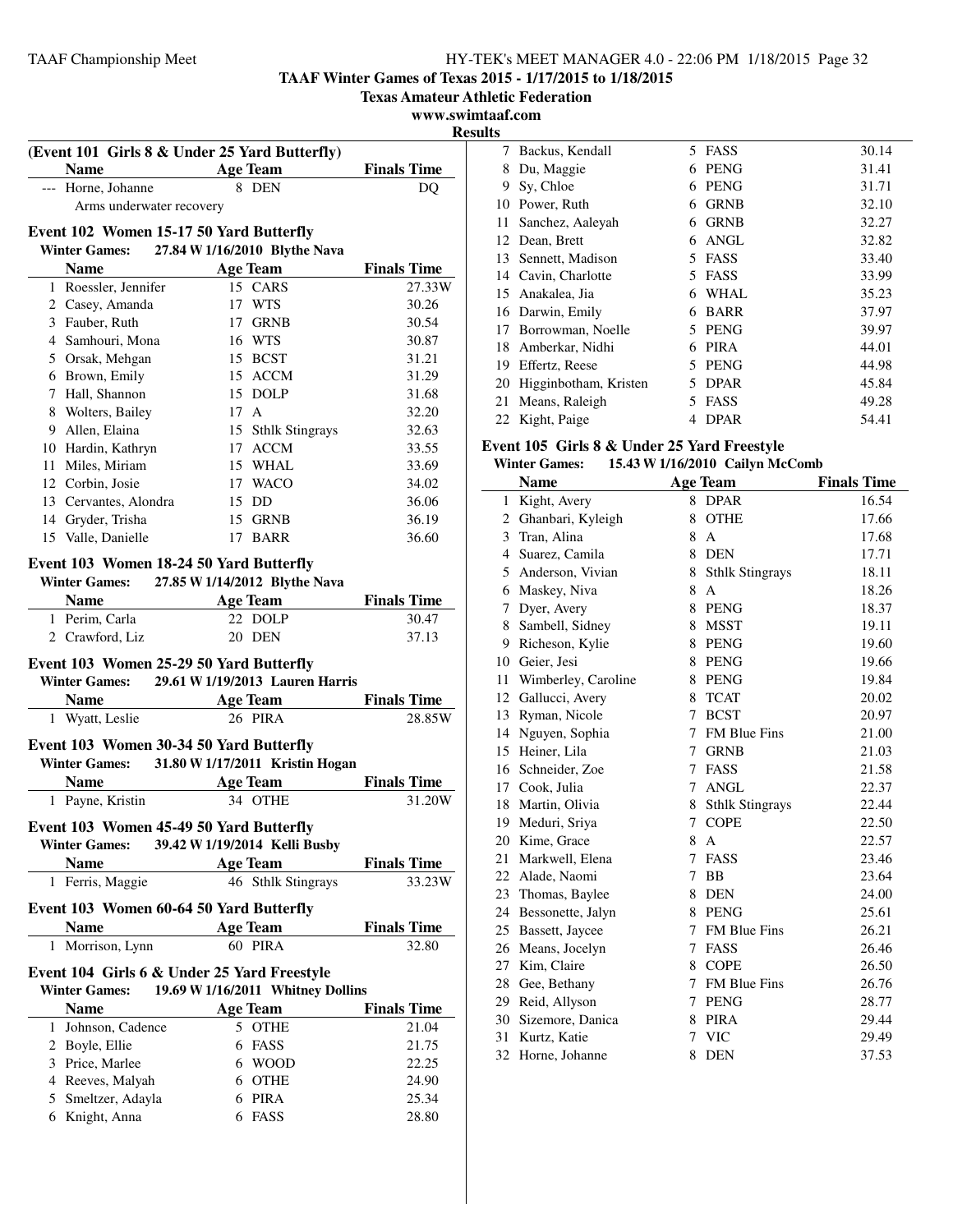**TAAF Winter Games of Texas 2015 - 1/17/2015 to 1/18/2015**

**Texas Amateur Athletic Federation**

**www.swimtaaf.com**

**Results**

| (Event 101 Girls 8 & Under 25 Yard Butterfly)<br>Name $\qquad \qquad$                            | <b>Age Team</b>                   | <b>Finals Time</b>          |
|--------------------------------------------------------------------------------------------------|-----------------------------------|-----------------------------|
| --- Horne, Johanne                                                                               | 8 DEN                             | DQ                          |
| Arms underwater recovery                                                                         |                                   |                             |
|                                                                                                  |                                   |                             |
| Event 102 Women 15-17 50 Yard Butterfly                                                          | 27.84 W 1/16/2010 Blythe Nava     |                             |
| <b>Winter Games:</b>                                                                             |                                   |                             |
| <b>Name</b>                                                                                      | <b>Age Team</b>                   | <b>Finals Time</b>          |
| 1 Roessler, Jennifer                                                                             | 15 CARS                           | 27.33W                      |
| 2 Casey, Amanda<br>3 Fauber, Ruth                                                                | WTS<br>17<br>17 GRNB              | 30.26<br>30.54              |
| 4 Samhouri, Mona                                                                                 | 16 WTS                            | 30.87                       |
| 5 Orsak, Mehgan                                                                                  | 15 BCST                           | 31.21                       |
| 6 Brown, Emily                                                                                   | 15 ACCM                           | 31.29                       |
| 7 Hall, Shannon                                                                                  | 15 DOLP                           | 31.68                       |
| 8 Wolters, Bailey                                                                                | 17 A                              | 32.20                       |
| 9 Allen, Elaina                                                                                  | 15 Sthlk Stingrays                | 32.63                       |
| 10 Hardin, Kathryn                                                                               | 17 ACCM                           | 33.55                       |
| 11 Miles, Miriam                                                                                 | 15 WHAL                           | 33.69                       |
| 12 Corbin, Josie                                                                                 | 17 WACO                           | 34.02                       |
| 13 Cervantes, Alondra                                                                            | 15 DD                             | 36.06                       |
| 14 Gryder, Trisha                                                                                | 15 GRNB                           | 36.19                       |
| 15 Valle, Danielle                                                                               | <b>BARR</b><br>17                 | 36.60                       |
| <b>Name</b><br>1 Perim, Carla                                                                    | <b>Age Team</b><br>22 DOLP        | <b>Finals Time</b><br>30.47 |
| 2 Crawford, Liz                                                                                  | 20 DEN                            | 37.13                       |
| Event 103 Women 25-29 50 Yard Butterfly<br>Winter Games: 29.61 W 1/19/2013 Lauren Harris<br>Name | <b>Age Team</b>                   | <b>Finals Time</b>          |
| 1 Wyatt, Leslie                                                                                  | 26 PIRA                           | 28.85W                      |
|                                                                                                  |                                   |                             |
| Event 103 Women 30-34 50 Yard Butterfly                                                          |                                   |                             |
| <b>Winter Games:</b>                                                                             | 31.80 W 1/17/2011 Kristin Hogan   |                             |
| <b>Name</b>                                                                                      | <b>Age Team</b>                   | <b>Finals Time</b>          |
| 1 Payne, Kristin                                                                                 | 34 OTHE                           | 31.20W                      |
| Event 103 Women 45-49 50 Yard Butterfly                                                          |                                   |                             |
| <b>Winter Games:</b>                                                                             | 39.42 W 1/19/2014 Kelli Busby     |                             |
| <b>Name</b>                                                                                      | <b>Age Team</b>                   | <b>Finals Time</b>          |
| Ferris, Maggie<br>1                                                                              | 46 Sthlk Stingrays                | 33.23W                      |
| Event 103 Women 60-64 50 Yard Butterfly<br><b>Name</b>                                           | <b>Age Team</b>                   | <b>Finals Time</b>          |
| Morrison, Lynn<br>1                                                                              | 60 PIRA                           | 32.80                       |
|                                                                                                  |                                   |                             |
| Event 104 Girls 6 & Under 25 Yard Freestyle<br><b>Winter Games:</b>                              | 19.69 W 1/16/2011 Whitney Dollins |                             |
| <b>Name</b>                                                                                      | <b>Age Team</b>                   | <b>Finals Time</b>          |
| 1 Johnson, Cadence                                                                               | 5 OTHE                            | 21.04                       |
| 2 Boyle, Ellie                                                                                   | 6<br>FASS                         | 21.75                       |
| 3 Price, Marlee                                                                                  | <b>WOOD</b><br>6                  | 22.25                       |
| 4 Reeves, Malyah                                                                                 | <b>OTHE</b><br>6                  | 24.90                       |
| 5 Smeltzer, Adayla                                                                               | PIRA<br>6                         | 25.34                       |
| 6 Knight, Anna                                                                                   | 6 FASS                            | 28.80                       |

| lS |                       |                  |       |
|----|-----------------------|------------------|-------|
| 7  | Backus, Kendall       | 5<br><b>FASS</b> | 30.14 |
| 8  | Du, Maggie            | <b>PENG</b><br>6 | 31.41 |
| 9  | Sy, Chloe             | <b>PENG</b><br>6 | 31.71 |
| 10 | Power, Ruth           | <b>GRNB</b><br>6 | 32.10 |
| 11 | Sanchez, Aaleyah      | <b>GRNB</b><br>6 | 32.27 |
| 12 | Dean, Brett           | ANGL<br>6        | 32.82 |
| 13 | Sennett, Madison      | <b>FASS</b><br>5 | 33.40 |
| 14 | Cavin, Charlotte      | FASS<br>5        | 33.99 |
| 15 | Anakalea, Jia         | WHAL<br>6        | 35.23 |
|    | 16 Darwin, Emily      | <b>BARR</b><br>6 | 37.97 |
| 17 | Borrowman, Noelle     | <b>PENG</b><br>5 | 39.97 |
| 18 | Amberkar, Nidhi       | <b>PIRA</b><br>6 | 44.01 |
| 19 | Effertz, Reese        | <b>PENG</b><br>5 | 44.98 |
| 20 | Higginbotham, Kristen | <b>DPAR</b><br>5 | 45.84 |
| 21 | Means, Raleigh        | FASS<br>5        | 49.28 |
| 22 | Kight, Paige          | <b>DPAR</b><br>4 | 54.41 |

#### **Event 105 Girls 8 & Under 25 Yard Freestyle Winter Games: 15.43 W1/16/2010 Cailyn McComb**

| winter Games:<br>15.43 W 1/10/2010 Callyn McComb |                      |             |                        |                    |  |
|--------------------------------------------------|----------------------|-------------|------------------------|--------------------|--|
|                                                  | <b>Name</b>          |             | <b>Age Team</b>        | <b>Finals Time</b> |  |
| $\mathbf{1}$                                     | Kight, Avery         |             | 8 DPAR                 | 16.54              |  |
|                                                  | 2 Ghanbari, Kyleigh  | 8           | <b>OTHE</b>            | 17.66              |  |
| 3                                                | Tran, Alina          | 8           | A                      | 17.68              |  |
|                                                  | 4 Suarez, Camila     | 8           | <b>DEN</b>             | 17.71              |  |
|                                                  | 5 Anderson, Vivian   | 8           | <b>Sthlk Stingrays</b> | 18.11              |  |
|                                                  | 6 Maskey, Niva       | 8           | $\mathbf{A}$           | 18.26              |  |
| 7                                                | Dyer, Avery          | 8           | <b>PENG</b>            | 18.37              |  |
| 8                                                | Sambell, Sidney      | 8           | <b>MSST</b>            | 19.11              |  |
| 9                                                | Richeson, Kylie      |             | 8 PENG                 | 19.60              |  |
| 10                                               | Geier, Jesi          | 8           | <b>PENG</b>            | 19.66              |  |
| 11                                               | Wimberley, Caroline  |             | 8 PENG                 | 19.84              |  |
| 12                                               | Gallucci, Avery      | 8           | <b>TCAT</b>            | 20.02              |  |
| 13                                               | Ryman, Nicole        | 7           | <b>BCST</b>            | 20.97              |  |
|                                                  | 14 Nguyen, Sophia    | 7           | <b>FM Blue Fins</b>    | 21.00              |  |
| 15                                               | Heiner, Lila         |             | 7 GRNB                 | 21.03              |  |
| 16                                               | Schneider, Zoe       | 7           | <b>FASS</b>            | 21.58              |  |
| 17                                               | Cook, Julia          | 7           | <b>ANGL</b>            | 22.37              |  |
| 18                                               | Martin, Olivia       | 8           | <b>Sthlk Stingrays</b> | 22.44              |  |
| 19                                               | Meduri, Sriya        | $7^{\circ}$ | <b>COPE</b>            | 22.50              |  |
| 20                                               | Kime, Grace          | 8           | $\mathbf{A}$           | 22.57              |  |
| 21                                               | Markwell, Elena      | 7           | FASS                   | 23.46              |  |
|                                                  | 22 Alade, Naomi      | 7           | <b>BB</b>              | 23.64              |  |
|                                                  | 23 Thomas, Baylee    | 8           | <b>DEN</b>             | 24.00              |  |
|                                                  | 24 Bessonette, Jalyn |             | 8 PENG                 | 25.61              |  |
| 25                                               | Bassett, Jaycee      | 7           | <b>FM Blue Fins</b>    | 26.21              |  |
| 26                                               | Means, Jocelyn       | 7           | <b>FASS</b>            | 26.46              |  |
| 27                                               | Kim. Claire          | 8           | <b>COPE</b>            | 26.50              |  |
| 28                                               | Gee, Bethany         |             | 7 FM Blue Fins         | 26.76              |  |
| 29                                               | Reid, Allyson        |             | 7 PENG                 | 28.77              |  |
| 30                                               | Sizemore, Danica     | 8           | <b>PIRA</b>            | 29.44              |  |
| 31                                               | Kurtz, Katie         | 7           | <b>VIC</b>             | 29.49              |  |
| 32                                               | Horne, Johanne       | 8           | <b>DEN</b>             | 37.53              |  |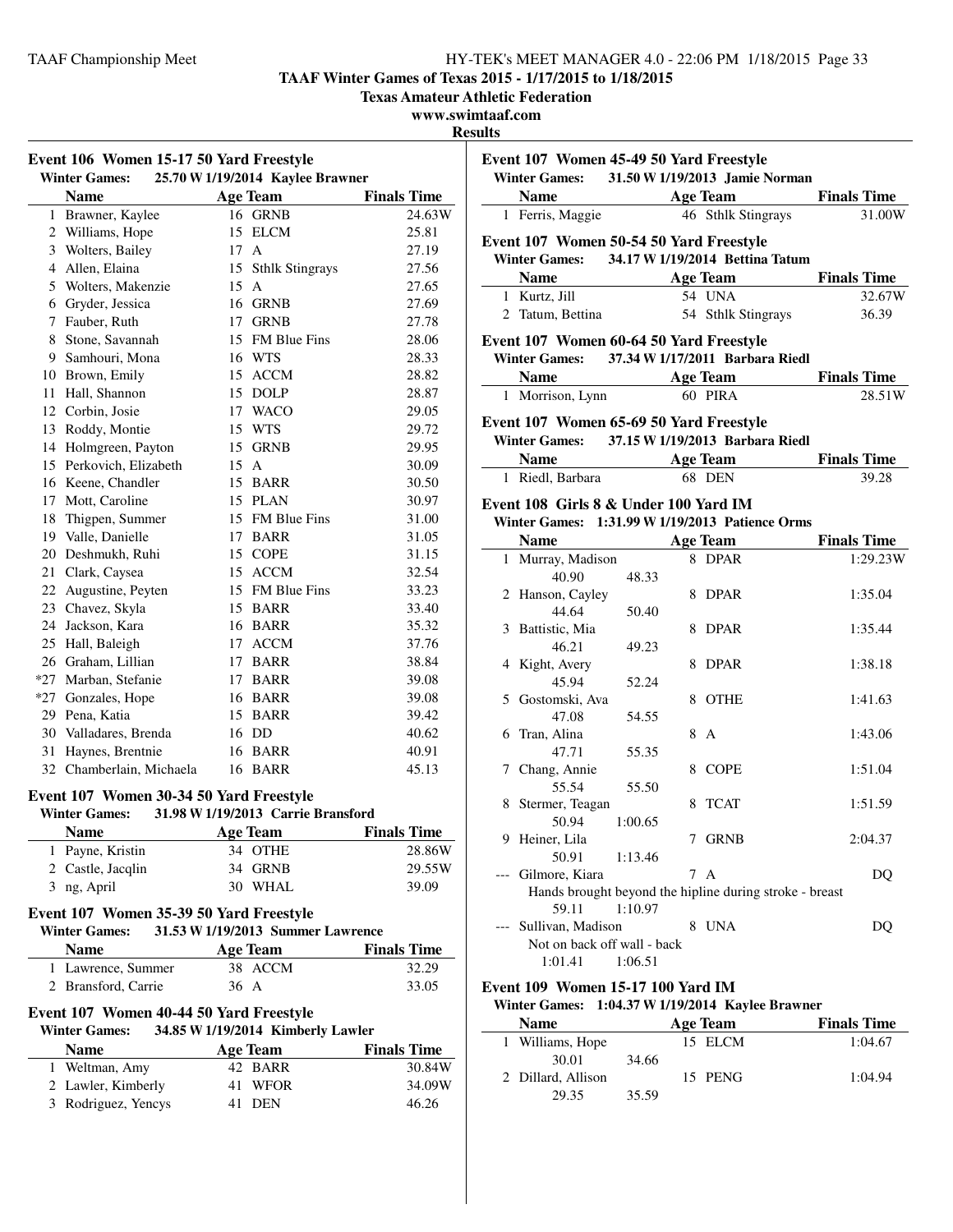**TAAF Winter Games of Texas 2015 - 1/17/2015 to 1/18/2015**

**Texas Amateur Athletic Federation**

**www.swimtaaf.com**

**Results**

 $\overline{\phantom{0}}$ 

| Event 106 Women 15-17 50 Yard Freestyle |                                                                 |                                    |                    |  |  |
|-----------------------------------------|-----------------------------------------------------------------|------------------------------------|--------------------|--|--|
|                                         | <b>Winter Games:</b>                                            | 25.70 W 1/19/2014 Kaylee Brawner   |                    |  |  |
|                                         | <b>Name</b>                                                     | <b>Age Team</b>                    | <b>Finals Time</b> |  |  |
| $\mathbf{1}$                            | Brawner, Kaylee                                                 | 16 GRNB                            | 24.63W             |  |  |
| 2                                       | Williams, Hope                                                  | 15 ELCM                            | 25.81              |  |  |
| 3                                       | Wolters, Bailey                                                 | 17 A                               | 27.19              |  |  |
| 4                                       | Allen, Elaina                                                   | 15 Sthlk Stingrays                 | 27.56              |  |  |
| 5                                       | Wolters, Makenzie                                               | 15<br>$\mathsf{A}$                 | 27.65              |  |  |
|                                         | 6 Gryder, Jessica                                               | 16 GRNB                            | 27.69              |  |  |
|                                         | 7 Fauber, Ruth                                                  | 17 GRNB                            | 27.78              |  |  |
| 8                                       | Stone, Savannah                                                 | 15 FM Blue Fins                    | 28.06              |  |  |
|                                         | 9 Samhouri, Mona                                                | 16 WTS                             | 28.33              |  |  |
|                                         | 10 Brown, Emily                                                 | 15 ACCM                            | 28.82              |  |  |
|                                         | 11 Hall, Shannon                                                | 15 DOLP                            | 28.87              |  |  |
|                                         | 12 Corbin, Josie                                                | 17 WACO                            | 29.05              |  |  |
|                                         | 13 Roddy, Montie                                                | 15 WTS                             | 29.72              |  |  |
|                                         | 14 Holmgreen, Payton                                            | 15 GRNB                            | 29.95              |  |  |
|                                         | 15 Perkovich, Elizabeth                                         | 15 A                               | 30.09              |  |  |
|                                         | 16 Keene, Chandler                                              | 15 BARR                            | 30.50              |  |  |
| 17                                      | Mott, Caroline                                                  | 15 PLAN                            | 30.97              |  |  |
|                                         | 18 Thigpen, Summer                                              | 15 FM Blue Fins                    | 31.00              |  |  |
|                                         | 19 Valle, Danielle                                              | 17 BARR                            | 31.05              |  |  |
|                                         | 20 Deshmukh, Ruhi                                               | 15 COPE                            | 31.15              |  |  |
|                                         | 21 Clark, Caysea                                                | 15 ACCM                            | 32.54              |  |  |
|                                         | 22 Augustine, Peyten                                            | 15 FM Blue Fins                    | 33.23              |  |  |
|                                         | 23 Chavez, Skyla                                                | 15 BARR                            | 33.40              |  |  |
|                                         | 24 Jackson, Kara                                                | 16 BARR                            | 35.32              |  |  |
|                                         | 25 Hall, Baleigh                                                | 17 ACCM                            | 37.76              |  |  |
|                                         | 26 Graham, Lillian                                              | 17 BARR                            | 38.84              |  |  |
|                                         | *27 Marban, Stefanie                                            | 17 BARR                            | 39.08              |  |  |
|                                         | *27 Gonzales, Hope                                              | 16 BARR                            | 39.08              |  |  |
|                                         | 29 Pena, Katia                                                  | 15 BARR                            |                    |  |  |
|                                         | 30 Valladares, Brenda                                           | 16 DD                              | 39.42<br>40.62     |  |  |
| 31                                      |                                                                 |                                    |                    |  |  |
|                                         | Haynes, Brentnie                                                | 16 BARR                            | 40.91              |  |  |
|                                         | 32 Chamberlain, Michaela                                        | 16 BARR                            | 45.13              |  |  |
|                                         | Event 107 Women 30-34 50 Yard Freestyle<br><b>Winter Games:</b> | 31.98 W 1/19/2013 Carrie Bransford |                    |  |  |
|                                         | <b>Name</b>                                                     | <b>Age Team</b>                    | <b>Finals Time</b> |  |  |
|                                         | 1 Payne, Kristin                                                | 34 OTHE                            | 28.86W             |  |  |
|                                         | 2 Castle, Jacqlin                                               | 34 GRNB                            | 29.55W             |  |  |
|                                         | 3 ng, April                                                     | 30 WHAL                            | 39.09              |  |  |
|                                         | Event 107 Women 35-39 50 Yard Freestyle                         |                                    |                    |  |  |
|                                         | <b>Winter Games:</b>                                            | 31.53 W 1/19/2013 Summer Lawrence  |                    |  |  |
|                                         | <b>Name</b>                                                     | <b>Age Team</b>                    | <b>Finals Time</b> |  |  |
|                                         | 1 Lawrence, Summer                                              | 38 ACCM                            | 32.29              |  |  |
|                                         | 2 Bransford, Carrie                                             | $36 \text{ A}$                     | 33.05              |  |  |
|                                         | Event 107 Women 40-44 50 Yard Freestyle                         |                                    |                    |  |  |
|                                         | <b>Winter Games:</b>                                            | 34.85 W 1/19/2014 Kimberly Lawler  |                    |  |  |
|                                         | <b>Name</b>                                                     | <b>Age Team</b>                    | <b>Finals Time</b> |  |  |
|                                         | 1 Weltman, Amy                                                  | 42 BARR                            | 30.84W             |  |  |
|                                         | 2 Lawler, Kimberly                                              | 41 WFOR                            | 34.09W             |  |  |
| 3                                       | Rodriguez, Yencys                                               | 41<br><b>DEN</b>                   | 46.26              |  |  |
|                                         |                                                                 |                                    |                    |  |  |

| Event 107 Women 45-49 50 Yard Freestyle<br>Winter Games: 31.50 W 1/19/2013 Jamie Norman  |         |   |                    |                                  |
|------------------------------------------------------------------------------------------|---------|---|--------------------|----------------------------------|
|                                                                                          |         |   |                    | <b>Name</b> Age Team Finals Time |
| 1 Ferris, Maggie                                                                         |         |   | 46 Sthlk Stingrays | 31.00W                           |
|                                                                                          |         |   |                    |                                  |
| Event 107 Women 50-54 50 Yard Freestyle                                                  |         |   |                    |                                  |
| Winter Games: 34.17 W 1/19/2014 Bettina Tatum                                            |         |   |                    |                                  |
|                                                                                          |         |   |                    | <b>Name Age Team Finals Time</b> |
| 1 Kurtz, Jill                                                                            |         |   | 54 UNA             | 32.67W                           |
| 2 Tatum, Bettina                                                                         |         |   | 54 Sthlk Stingrays | 36.39                            |
| Event 107 Women 60-64 50 Yard Freestyle                                                  |         |   |                    |                                  |
| Winter Games: 37.34 W 1/17/2011 Barbara Riedl                                            |         |   |                    |                                  |
| Name Age Team                                                                            |         |   |                    | <b>Finals Time</b>               |
| 1 Morrison, Lynn 60 PIRA                                                                 |         |   |                    | 28.51W                           |
| Event 107 Women 65-69 50 Yard Freestyle                                                  |         |   |                    |                                  |
| Winter Games: 37.15 W 1/19/2013 Barbara Riedl                                            |         |   |                    |                                  |
|                                                                                          |         |   |                    | <b>Name</b> Age Team Finals Time |
| 1 Riedl, Barbara                                                                         |         |   | 68 DEN             | 39.28                            |
|                                                                                          |         |   |                    |                                  |
| Event 108 Girls 8 & Under 100 Yard IM<br>Winter Games: 1:31.99 W 1/19/2013 Patience Orms |         |   |                    |                                  |
|                                                                                          |         |   |                    |                                  |
| <b>Name</b> Age Team<br>1 Murray, Madison                                                |         |   | 8 DPAR             | <b>Finals Time</b><br>1:29.23W   |
| 40.90                                                                                    | 48.33   |   |                    |                                  |
| 2 Hanson, Cayley                                                                         |         |   | 8 DPAR             | 1:35.04                          |
| 44.64                                                                                    | 50.40   |   |                    |                                  |
| 3 Battistic, Mia                                                                         |         |   | 8 DPAR             | 1:35.44                          |
| 46.21                                                                                    | 49.23   |   |                    |                                  |
| 4 Kight, Avery                                                                           |         |   | 8 DPAR             | 1:38.18                          |
| 45.94                                                                                    | 52.24   |   |                    |                                  |
| 5 Gostomski, Ava                                                                         |         |   | 8 OTHE             | 1:41.63                          |
| 47.08                                                                                    | 54.55   |   |                    |                                  |
| 6 Tran, Alina                                                                            |         |   | 8 A                | 1:43.06                          |
| 47.71                                                                                    | 55.35   |   |                    |                                  |
| 7 Chang, Annie                                                                           |         | 8 | COPE               | 1:51.04                          |
| 55.54                                                                                    | 55.50   |   |                    |                                  |
| 8 Stermer, Teagan                                                                        |         |   | 8 TCAT             | 1:51.59                          |
| 50.94                                                                                    | 1:00.65 |   |                    |                                  |
| 9 Heiner, Lila                                                                           |         |   | 7 GRNB             | 2:04.37                          |
| 50.91                                                                                    | 1:13.46 |   | 7 A                |                                  |
| Gilmore, Kiara<br>Hands brought beyond the hipline during stroke - breast                |         |   |                    | DQ                               |
| 59.11                                                                                    | 1:10.97 |   |                    |                                  |
| --- Sullivan, Madison                                                                    |         |   | 8 UNA              | DQ                               |
| Not on back off wall - back                                                              |         |   |                    |                                  |
| 1:01.41                                                                                  | 1:06.51 |   |                    |                                  |
|                                                                                          |         |   |                    |                                  |
| Event 109 Women 15-17 100 Yard IM                                                        |         |   |                    |                                  |
| Winter Games: 1:04.37 W 1/19/2014 Kaylee Brawner                                         |         |   |                    |                                  |

| <b>Name</b>        |       | Age Team | <b>Finals Time</b> |
|--------------------|-------|----------|--------------------|
| 1 Williams, Hope   |       | 15 ELCM  | 1:04.67            |
| 30.01              | 34.66 |          |                    |
| 2 Dillard, Allison |       | 15 PENG  | 1:04.94            |
| 29.35              | 35.59 |          |                    |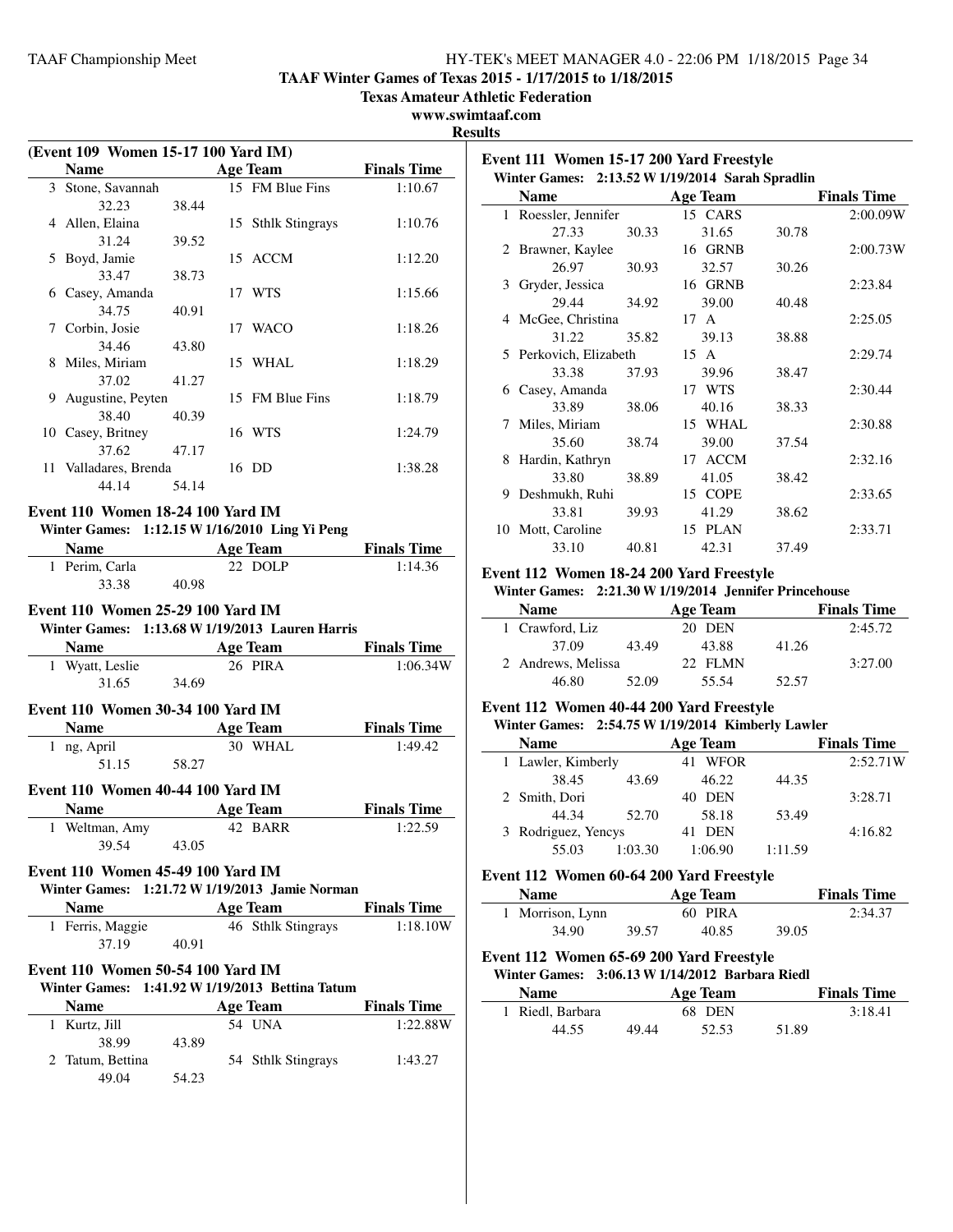**Event 111 Women 15-17 200 Yard Freestyle**

**TAAF Winter Games of Texas 2015 - 1/17/2015 to 1/18/2015**

**Texas Amateur Athletic Federation**

## **www.swimtaaf.com**

**Results**

|   |                                                                                                 |       |                           | R                  |
|---|-------------------------------------------------------------------------------------------------|-------|---------------------------|--------------------|
|   | (Event 109 Women 15-17 100 Yard IM)                                                             |       |                           |                    |
|   | <b>Name</b>                                                                                     |       | <b>Example 2</b> Age Team | <b>Finals Time</b> |
|   | 3 Stone, Savannah<br>32.23                                                                      | 38.44 | 15 FM Blue Fins           | 1:10.67            |
|   | 4 Allen, Elaina<br>31.24                                                                        | 39.52 | 15 Sthlk Stingrays        | 1:10.76            |
|   | 5 Boyd, Jamie                                                                                   |       | 15 ACCM                   | 1:12.20            |
|   | 33.47<br>6 Casey, Amanda                                                                        | 38.73 | 17 WTS                    | 1:15.66            |
|   | 34.75<br>7 Corbin, Josie                                                                        | 40.91 | 17 WACO                   | 1:18.26            |
|   | 34.46<br>8 Miles, Miriam                                                                        | 43.80 | 15 WHAL                   | 1:18.29            |
|   | 37.02<br>9 Augustine, Peyten                                                                    | 41.27 | 15 FM Blue Fins           | 1:18.79            |
|   | 38.40<br>10 Casey, Britney                                                                      | 40.39 | 16 WTS                    | 1:24.79            |
|   | 37.62 47.17<br>11 Valladares, Brenda                                                            |       | 16 DD                     | 1:38.28            |
|   | 44.14                                                                                           | 54.14 |                           |                    |
|   | Event 110 Women 18-24 100 Yard IM                                                               |       |                           |                    |
|   | Winter Games: 1:12.15 W 1/16/2010 Ling Yi Peng                                                  |       |                           |                    |
|   | <b>Name</b><br><u> 1990 - John Barnett, f</u>                                                   |       | Age Team Finals Time      |                    |
|   | 1 Perim, Carla                                                                                  |       | 22 DOLP                   | 1:14.36            |
|   | 33.38                                                                                           | 40.98 |                           |                    |
|   | Winter Games: 1:13.68 W 1/19/2013 Lauren Harris<br>Name Age Team Finals Time<br>1 Wyatt, Leslie |       | 26 PIRA                   | 1:06.34W           |
|   | 31.65                                                                                           | 34.69 |                           |                    |
|   | Event 110 Women 30-34 100 Yard IM                                                               |       |                           |                    |
|   | Name Age Team                                                                                   |       |                           | <b>Finals Time</b> |
|   | 1 ng, April                                                                                     |       | 30 WHAL                   | 1:49.42            |
|   | 51.15                                                                                           | 58.27 |                           |                    |
|   | Event 110 Women 40-44 100 Yard IM                                                               |       |                           |                    |
|   | Name                                                                                            |       | <b>Age Team</b>           | <b>Finals Time</b> |
| 1 | Weltman, Amy                                                                                    |       | 42 BARR                   | 1:22.59            |
|   | 39.54                                                                                           | 43.05 |                           |                    |
|   | Event 110 Women 45-49 100 Yard IM                                                               |       |                           |                    |
|   | Winter Games: 1:21.72 W 1/19/2013 Jamie Norman                                                  |       |                           |                    |
|   | <b>Name</b>                                                                                     |       | <b>Age Team</b>           | <b>Finals Time</b> |
|   | 1 Ferris, Maggie<br>37.19                                                                       | 40.91 | 46 Sthlk Stingrays        | 1:18.10W           |
|   | Event 110 Women 50-54 100 Yard IM                                                               |       |                           |                    |
|   | Winter Games: 1:41.92 W 1/19/2013 Bettina Tatum                                                 |       |                           |                    |
|   | <b>Name</b>                                                                                     |       | <b>Age Team</b>           | <b>Finals Time</b> |
| 1 | Kurtz, Jill                                                                                     |       | 54 UNA                    | 1:22.88W           |
|   | 38.99                                                                                           | 43.89 |                           |                    |
| 2 | Tatum, Bettina                                                                                  |       | 54 Sthlk Stingrays        | 1:43.27            |
|   | 49.04                                                                                           | 54.23 |                           |                    |

|   | Winter Games: 2:13.52 W 1/19/2014 Sarah Spradlin |       |                 |       |                    |
|---|--------------------------------------------------|-------|-----------------|-------|--------------------|
|   | <b>Name</b>                                      |       | <b>Age Team</b> |       | <b>Finals Time</b> |
|   | 1 Roessler, Jennifer                             |       | 15 CARS         |       | 2:00.09W           |
|   | 27.33                                            | 30.33 | 31.65           | 30.78 |                    |
|   | 2 Brawner, Kaylee                                |       | 16 GRNB         |       | 2:00.73W           |
|   | 26.97                                            | 30.93 | 32.57           | 30.26 |                    |
|   | 3 Gryder, Jessica                                |       | 16 GRNB         |       | 2:23.84            |
|   | 29.44                                            | 34.92 | 39.00           | 40.48 |                    |
|   | 4 McGee, Christina                               |       | 17 A            |       | 2:25.05            |
|   | 31.22                                            | 35.82 | 39.13           | 38.88 |                    |
|   | 5 Perkovich, Elizabeth                           |       | 15 A            |       | 2:29.74            |
|   | 33.38                                            | 37.93 | 39.96           | 38.47 |                    |
| 6 | Casey, Amanda                                    |       | 17 WTS          |       | 2:30.44            |
|   | 33.89                                            | 38.06 | 40.16           | 38.33 |                    |
| 7 | Miles, Miriam                                    |       | 15 WHAL         |       | 2:30.88            |
|   | 35.60                                            | 38.74 | 39.00           | 37.54 |                    |
| 8 | Hardin, Kathryn                                  |       | 17 ACCM         |       | 2:32.16            |
|   | 33.80                                            | 38.89 | 41.05           | 38.42 |                    |
| 9 | Deshmukh, Ruhi                                   |       | 15 COPE         |       | 2:33.65            |
|   | 33.81                                            | 39.93 | 41.29           | 38.62 |                    |
|   | 10 Mott, Caroline                                |       | 15 PLAN         |       | 2:33.71            |
|   | 33.10                                            | 40.81 | 42.31           | 37.49 |                    |

## **Event 112 Women 18-24 200 Yard Freestyle**

## **Winter Games: 2:21.30 W1/19/2014 Jennifer Princehouse**

| <b>Name</b>        |       | Age Team |       | <b>Finals Time</b> |
|--------------------|-------|----------|-------|--------------------|
| 1 Crawford, Liz    |       | 20 DEN   |       | 2:45.72            |
| 37.09              | 43.49 | 43.88    | 41.26 |                    |
| 2 Andrews, Melissa |       | 22 FLMN  |       | 3:27.00            |
| 46.80              | 52.09 | 55.54    | 52.57 |                    |

### **Event 112 Women 40-44 200 Yard Freestyle**

### **Winter Games: 2:54.75 W1/19/2014 Kimberly Lawler**

| <b>Name</b>         |         | Age Team   |         | <b>Finals Time</b> |
|---------------------|---------|------------|---------|--------------------|
| 1 Lawler, Kimberly  |         | 41 WFOR    |         | 2:52.71W           |
| 38.45               | 43.69   | 46.22      | 44.35   |                    |
| 2 Smith, Dori       |         | 40 DEN     |         | 3:28.71            |
| 44.34               | 52.70   | 58.18      | 53.49   |                    |
| 3 Rodriguez, Yencys |         | <b>DEN</b> |         | 4:16.82            |
| 55.03               | 1:03.30 | 1:06.90    | 1:11.59 |                    |

#### **Event 112 Women 60-64 200 Yard Freestyle**

### **Name Age Team Finals Time** 1 Morrison, Lynn 60 PIRA 2:34.37 34.90 39.57 40.85 39.05

## **Event 112 Women 65-69 200 Yard Freestyle**

 $\overline{\phantom{0}}$ 

|  |                  | Winter Games: 3:06.13 W 1/14/2012 Barbara Riedl |                    |
|--|------------------|-------------------------------------------------|--------------------|
|  | <b>Name</b>      | Age Team                                        | <b>Finals Time</b> |
|  | 1 Riedl, Barbara | 68 DEN                                          | 3:18.41            |
|  | 44.55            | 51.89<br>49.44<br>52.53                         |                    |